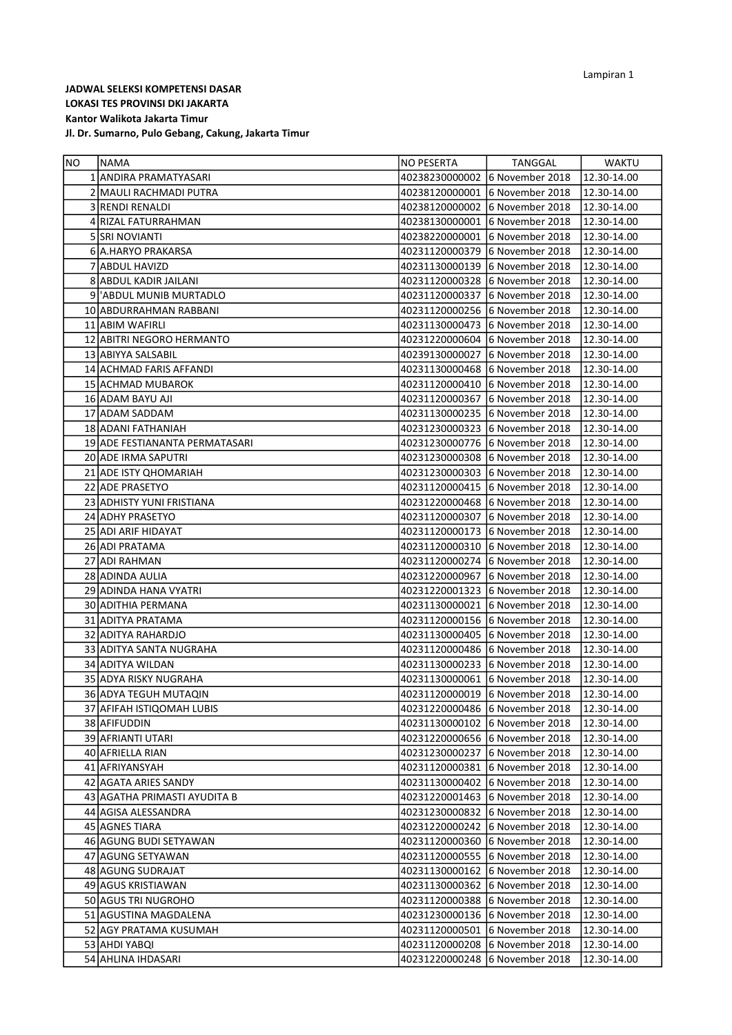Jl. Dr. Sumarno, Pulo Gebang, Cakung, Jakarta Timur

| INO. | <b>NAMA</b>                    | NO PESERTA                     | TANGGAL                                    | <b>WAKTU</b> |
|------|--------------------------------|--------------------------------|--------------------------------------------|--------------|
|      | 1 ANDIRA PRAMATYASARI          |                                | 40238230000002 6 November 2018             | 12.30-14.00  |
|      | 2 MAULI RACHMADI PUTRA         |                                | 40238120000001 6 November 2018             | 12.30-14.00  |
|      | 3 RENDI RENALDI                |                                | 40238120000002 6 November 2018             | 12.30-14.00  |
|      | 4 RIZAL FATURRAHMAN            |                                | 40238130000001 6 November 2018             | 12.30-14.00  |
|      | 5 SRI NOVIANTI                 |                                | 40238220000001 6 November 2018             | 12.30-14.00  |
|      | 6 A.HARYO PRAKARSA             |                                | 40231120000379 6 November 2018             | 12.30-14.00  |
|      | 7 ABDUL HAVIZD                 |                                | 40231130000139 6 November 2018             | 12.30-14.00  |
|      | 8 ABDUL KADIR JAILANI          |                                | 40231120000328 6 November 2018             | 12.30-14.00  |
|      | 9   ABDUL MUNIB MURTADLO       |                                | 40231120000337 6 November 2018             | 12.30-14.00  |
|      | 10 ABDURRAHMAN RABBANI         |                                | 40231120000256 6 November 2018             | 12.30-14.00  |
|      | 11 ABIM WAFIRLI                |                                | 40231130000473 6 November 2018             | 12.30-14.00  |
|      | 12 ABITRI NEGORO HERMANTO      |                                | 40231220000604 6 November 2018             | 12.30-14.00  |
|      | 13 ABIYYA SALSABIL             |                                | 40239130000027 6 November 2018             | 12.30-14.00  |
|      | 14 ACHMAD FARIS AFFANDI        |                                | 40231130000468 6 November 2018             | 12.30-14.00  |
|      | 15 ACHMAD MUBAROK              |                                | 40231120000410 6 November 2018             | 12.30-14.00  |
|      | 16 ADAM BAYU AJI               |                                | 40231120000367 6 November 2018             | 12.30-14.00  |
|      | 17 ADAM SADDAM                 |                                | 40231130000235 6 November 2018             | 12.30-14.00  |
|      | 18 ADANI FATHANIAH             |                                | 40231230000323 6 November 2018             | 12.30-14.00  |
|      | 19 ADE FESTIANANTA PERMATASARI |                                | 40231230000776 6 November 2018             | 12.30-14.00  |
|      | 20 ADE IRMA SAPUTRI            |                                | 40231230000308 6 November 2018             | 12.30-14.00  |
|      | 21 ADE ISTY QHOMARIAH          |                                | 40231230000303 6 November 2018             | 12.30-14.00  |
|      | 22 ADE PRASETYO                |                                | 40231120000415 6 November 2018             | 12.30-14.00  |
|      | 23 ADHISTY YUNI FRISTIANA      |                                | 40231220000468 6 November 2018             | 12.30-14.00  |
|      | 24 ADHY PRASETYO               |                                | 40231120000307 6 November 2018             | 12.30-14.00  |
|      | 25 ADI ARIF HIDAYAT            |                                | 40231120000173 6 November 2018             | 12.30-14.00  |
|      | 26 ADI PRATAMA                 |                                | 40231120000310 6 November 2018             | 12.30-14.00  |
|      | 27 ADI RAHMAN                  |                                | 40231120000274 6 November 2018             | 12.30-14.00  |
|      | 28 ADINDA AULIA                |                                | 40231220000967 6 November 2018             | 12.30-14.00  |
|      | 29 ADINDA HANA VYATRI          |                                | 40231220001323 6 November 2018             | 12.30-14.00  |
|      | 30 ADITHIA PERMANA             |                                | 40231130000021 6 November 2018             | 12.30-14.00  |
|      | 31 ADITYA PRATAMA              |                                | 40231120000156 6 November 2018             | 12.30-14.00  |
|      | 32 ADITYA RAHARDJO             |                                | 40231130000405 6 November 2018             | 12.30-14.00  |
|      | 33 ADITYA SANTA NUGRAHA        |                                | 40231120000486 6 November 2018             | 12.30-14.00  |
|      | 34 ADITYA WILDAN               |                                | 40231130000233 6 November 2018             | 12.30-14.00  |
|      | 35 ADYA RISKY NUGRAHA          |                                | 40231130000061 6 November 2018             | 12.30-14.00  |
|      | 36 ADYA TEGUH MUTAQIN          |                                | 40231120000019 6 November 2018             | 12.30-14.00  |
|      | 37 AFIFAH ISTIQOMAH LUBIS      |                                | 40231220000486 6 November 2018 12.30-14.00 |              |
|      | 38 AFIFUDDIN                   | 40231130000102 6 November 2018 |                                            | 12.30-14.00  |
|      | 39 AFRIANTI UTARI              | 40231220000656 6 November 2018 |                                            | 12.30-14.00  |
|      | 40 AFRIELLA RIAN               | 40231230000237                 | 6 November 2018                            | 12.30-14.00  |
|      | 41 AFRIYANSYAH                 | 40231120000381                 | 6 November 2018                            | 12.30-14.00  |
|      | 42 AGATA ARIES SANDY           | 40231130000402 6 November 2018 |                                            | 12.30-14.00  |
|      | 43 AGATHA PRIMASTI AYUDITA B   | 40231220001463                 | 6 November 2018                            | 12.30-14.00  |
|      | 44 AGISA ALESSANDRA            | 40231230000832                 | 6 November 2018                            | 12.30-14.00  |
|      | 45 AGNES TIARA                 | 40231220000242 6 November 2018 |                                            | 12.30-14.00  |
|      | 46 AGUNG BUDI SETYAWAN         | 40231120000360                 | 6 November 2018                            | 12.30-14.00  |
|      | 47 AGUNG SETYAWAN              | 40231120000555 6 November 2018 |                                            | 12.30-14.00  |
|      | 48 AGUNG SUDRAJAT              | 40231130000162 6 November 2018 |                                            | 12.30-14.00  |
|      | 49 AGUS KRISTIAWAN             | 40231130000362                 | 6 November 2018                            | 12.30-14.00  |
|      | 50 AGUS TRI NUGROHO            | 40231120000388                 | 6 November 2018                            | 12.30-14.00  |
|      | 51 AGUSTINA MAGDALENA          | 40231230000136 6 November 2018 |                                            | 12.30-14.00  |
|      | 52 AGY PRATAMA KUSUMAH         | 40231120000501                 | 6 November 2018                            | 12.30-14.00  |
|      | 53 AHDI YABQI                  | 40231120000208                 | 6 November 2018                            | 12.30-14.00  |
|      | 54 AHLINA IHDASARI             | 40231220000248                 | 6 November 2018                            | 12.30-14.00  |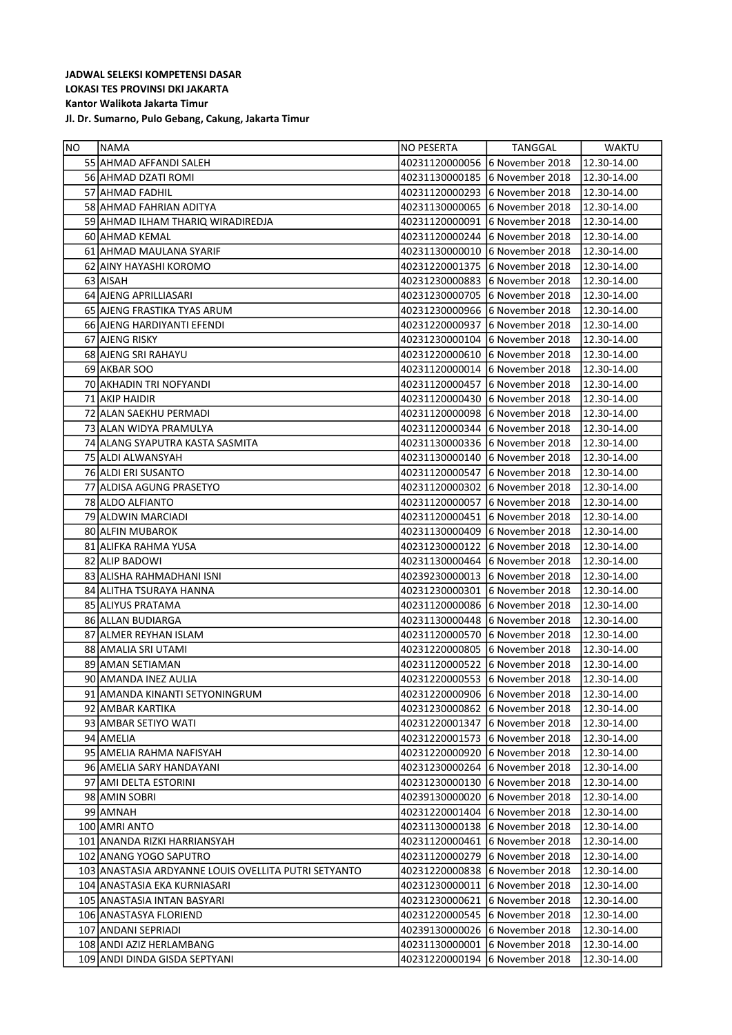| NO | <b>INAMA</b>                                         | NO PESERTA     | TANGGAL                         | <b>WAKTU</b>           |
|----|------------------------------------------------------|----------------|---------------------------------|------------------------|
|    | 55 AHMAD AFFANDI SALEH                               |                | 40231120000056 6 November 2018  | 12.30-14.00            |
|    | 56 AHMAD DZATI ROMI                                  |                | 40231130000185 6 November 2018  | 12.30-14.00            |
|    | 57 AHMAD FADHIL                                      |                | 40231120000293 6 November 2018  | 12.30-14.00            |
|    | 58 AHMAD FAHRIAN ADITYA                              |                | 40231130000065 6 November 2018  | 12.30-14.00            |
|    | 59 AHMAD ILHAM THARIQ WIRADIREDJA                    |                | 40231120000091 6 November 2018  | 12.30-14.00            |
|    | 60 AHMAD KEMAL                                       |                | 40231120000244 6 November 2018  | 12.30-14.00            |
|    | 61 AHMAD MAULANA SYARIF                              |                | 40231130000010 6 November 2018  | 12.30-14.00            |
|    | 62 AINY HAYASHI KOROMO                               |                | 40231220001375 6 November 2018  | 12.30-14.00            |
|    | 63 AISAH                                             |                | 40231230000883 6 November 2018  | 12.30-14.00            |
|    | 64 AJENG APRILLIASARI                                |                | 40231230000705 6 November 2018  | 12.30-14.00            |
|    | 65 AJENG FRASTIKA TYAS ARUM                          |                | 40231230000966 6 November 2018  | 12.30-14.00            |
|    | 66 AJENG HARDIYANTI EFENDI                           |                | 40231220000937 6 November 2018  | 12.30-14.00            |
|    | 67 AJENG RISKY                                       |                | 40231230000104 6 November 2018  | 12.30-14.00            |
|    | 68 AJENG SRI RAHAYU                                  |                | 40231220000610 6 November 2018  | 12.30-14.00            |
|    | 69 AKBAR SOO                                         |                | 40231120000014 6 November 2018  | 12.30-14.00            |
|    | 70 AKHADIN TRI NOFYANDI                              |                | 40231120000457 6 November 2018  | 12.30-14.00            |
|    | 71 AKIP HAIDIR                                       |                | 40231120000430 6 November 2018  | 12.30-14.00            |
|    | 72 ALAN SAEKHU PERMADI                               |                | 40231120000098 6 November 2018  | 12.30-14.00            |
|    | 73 ALAN WIDYA PRAMULYA                               |                | 40231120000344 6 November 2018  | 12.30-14.00            |
|    | 74 ALANG SYAPUTRA KASTA SASMITA                      |                | 40231130000336 6 November 2018  | 12.30-14.00            |
|    | 75 ALDI ALWANSYAH                                    |                | 40231130000140 6 November 2018  | 12.30-14.00            |
|    | 76 ALDI ERI SUSANTO                                  |                | 40231120000547 6 November 2018  | 12.30-14.00            |
|    | 77 ALDISA AGUNG PRASETYO                             |                | 40231120000302 6 November 2018  | 12.30-14.00            |
|    | 78 ALDO ALFIANTO                                     |                | 40231120000057 6 November 2018  | 12.30-14.00            |
|    | 79 ALDWIN MARCIADI                                   |                | 40231120000451 6 November 2018  | 12.30-14.00            |
|    | 80 ALFIN MUBAROK                                     |                | 40231130000409 6 November 2018  | 12.30-14.00            |
|    | 81 ALIFKA RAHMA YUSA                                 |                | 40231230000122 6 November 2018  | 12.30-14.00            |
|    | 82 ALIP BADOWI                                       |                | 40231130000464 6 November 2018  | 12.30-14.00            |
|    | 83 ALISHA RAHMADHANI ISNI                            |                | 40239230000013 6 November 2018  | 12.30-14.00            |
|    | 84 ALITHA TSURAYA HANNA                              |                | 40231230000301 6 November 2018  | 12.30-14.00            |
|    | 85 ALIYUS PRATAMA                                    |                | 40231120000086 6 November 2018  | 12.30-14.00            |
|    | 86 ALLAN BUDIARGA                                    |                | 40231130000448 6 November 2018  | 12.30-14.00            |
|    | 87 ALMER REYHAN ISLAM                                |                | 40231120000570 16 November 2018 | 12.30-14.00            |
|    | 88 AMALIA SRI UTAMI                                  |                | 40231220000805 6 November 2018  | 12.30-14.00            |
|    | 89 AMAN SETIAMAN                                     |                | 40231120000522 6 November 2018  | 12.30-14.00            |
|    | 90 AMANDA INEZ AULIA                                 |                |                                 | 12.30-14.00            |
|    | 91 AMANDA KINANTI SETYONINGRUM                       |                | 40231220000906 6 November 2018  | $\sqrt{12.30 - 14.00}$ |
|    | 92 JAMBAR KARTIKA                                    |                | 40231230000862 6 November 2018  | 12.30-14.00            |
|    | 93 AMBAR SETIYO WATI                                 |                | 40231220001347 6 November 2018  | 12.30-14.00            |
|    | 94 AMELIA                                            |                | 40231220001573 6 November 2018  | 12.30-14.00            |
|    | 95 AMELIA RAHMA NAFISYAH                             |                | 40231220000920 6 November 2018  | 12.30-14.00            |
|    | 96 AMELIA SARY HANDAYANI                             |                | 40231230000264 6 November 2018  | 12.30-14.00            |
|    | 97 AMI DELTA ESTORINI                                |                | 40231230000130 6 November 2018  | 12.30-14.00            |
|    | 98 AMIN SOBRI                                        |                | 40239130000020 6 November 2018  | 12.30-14.00            |
|    | 99 AMNAH                                             |                | 40231220001404 6 November 2018  | 12.30-14.00            |
|    | 100 AMRI ANTO                                        |                | 40231130000138 6 November 2018  | 12.30-14.00            |
|    | 101 ANANDA RIZKI HARRIANSYAH                         | 40231120000461 | 6 November 2018                 | 12.30-14.00            |
|    | 102 ANANG YOGO SAPUTRO                               | 40231120000279 | 6 November 2018                 | 12.30-14.00            |
|    | 103 ANASTASIA ARDYANNE LOUIS OVELLITA PUTRI SETYANTO | 40231220000838 | 6 November 2018                 | 12.30-14.00            |
|    | 104 ANASTASIA EKA KURNIASARI                         | 40231230000011 | 6 November 2018                 | 12.30-14.00            |
|    | 105 ANASTASIA INTAN BASYARI                          | 40231230000621 | 6 November 2018                 | 12.30-14.00            |
|    | 106 ANASTASYA FLORIEND                               |                | 40231220000545 6 November 2018  | 12.30-14.00            |
|    | 107 ANDANI SEPRIADI                                  |                | 40239130000026 6 November 2018  | 12.30-14.00            |
|    | 108 ANDI AZIZ HERLAMBANG                             | 40231130000001 | 6 November 2018                 | 12.30-14.00            |
|    | 109 ANDI DINDA GISDA SEPTYANI                        | 40231220000194 | 6 November 2018                 | 12.30-14.00            |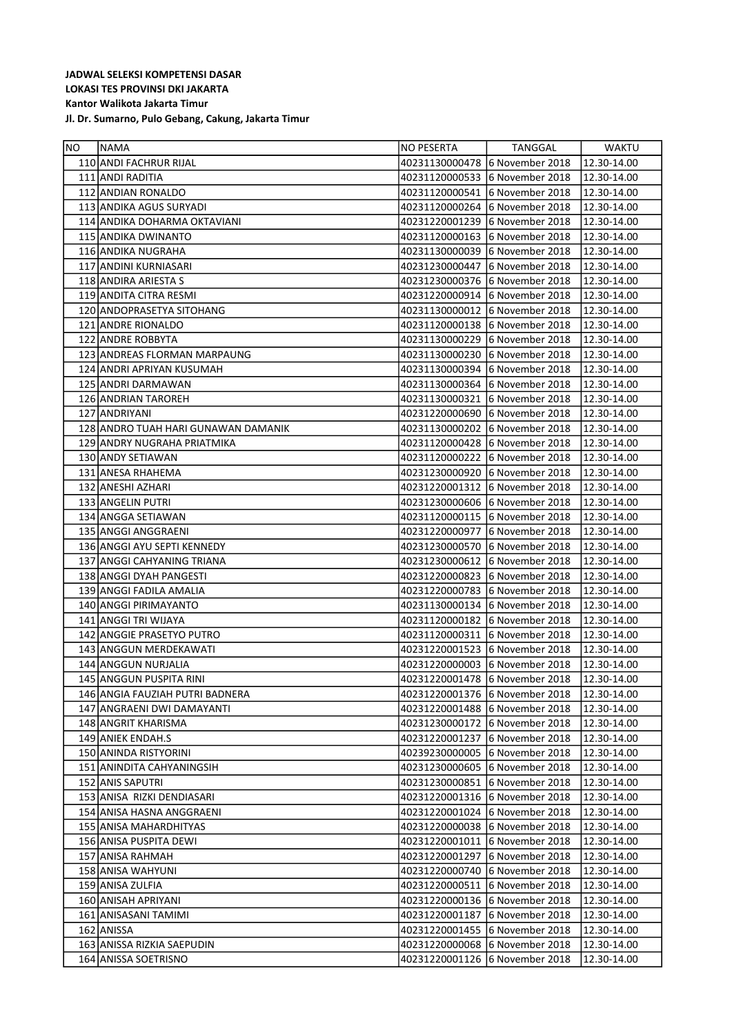| NO. | NAMA                                | NO PESERTA                     | TANGGAL                        | WAKTU       |
|-----|-------------------------------------|--------------------------------|--------------------------------|-------------|
|     | 110 ANDI FACHRUR RIJAL              | 40231130000478                 | 6 November 2018                | 12.30-14.00 |
|     | 111 ANDI RADITIA                    |                                | 40231120000533 6 November 2018 | 12.30-14.00 |
|     | 112 ANDIAN RONALDO                  | 40231120000541                 | 6 November 2018                | 12.30-14.00 |
|     | 113 ANDIKA AGUS SURYADI             | 40231120000264                 | 6 November 2018                | 12.30-14.00 |
|     | 114 ANDIKA DOHARMA OKTAVIANI        | 40231220001239                 | 6 November 2018                | 12.30-14.00 |
|     | 115 ANDIKA DWINANTO                 | 40231120000163                 | 6 November 2018                | 12.30-14.00 |
|     | 116 ANDIKA NUGRAHA                  | 40231130000039                 | 6 November 2018                | 12.30-14.00 |
|     | 117 ANDINI KURNIASARI               | 40231230000447                 | 6 November 2018                | 12.30-14.00 |
|     | 118 ANDIRA ARIESTA S                | 40231230000376                 | 6 November 2018                | 12.30-14.00 |
|     | 119 ANDITA CITRA RESMI              | 40231220000914                 | 6 November 2018                | 12.30-14.00 |
|     | 120 ANDOPRASETYA SITOHANG           | 40231130000012                 | 6 November 2018                | 12.30-14.00 |
|     | 121 ANDRE RIONALDO                  | 40231120000138                 | 6 November 2018                | 12.30-14.00 |
|     | 122 ANDRE ROBBYTA                   | 40231130000229                 | 6 November 2018                | 12.30-14.00 |
|     | 123 ANDREAS FLORMAN MARPAUNG        | 40231130000230                 | 6 November 2018                | 12.30-14.00 |
|     | 124 ANDRI APRIYAN KUSUMAH           | 40231130000394                 | 6 November 2018                | 12.30-14.00 |
|     | 125 ANDRI DARMAWAN                  | 40231130000364                 | 6 November 2018                | 12.30-14.00 |
|     | 126 ANDRIAN TAROREH                 | 40231130000321                 | 6 November 2018                | 12.30-14.00 |
|     | 127 ANDRIYANI                       | 40231220000690                 | 6 November 2018                | 12.30-14.00 |
|     | 128 ANDRO TUAH HARI GUNAWAN DAMANIK | 40231130000202                 | 6 November 2018                | 12.30-14.00 |
|     | 129 ANDRY NUGRAHA PRIATMIKA         | 40231120000428                 | 6 November 2018                | 12.30-14.00 |
|     | 130 ANDY SETIAWAN                   | 40231120000222                 | 6 November 2018                | 12.30-14.00 |
|     | 131 ANESA RHAHEMA                   | 40231230000920                 | 6 November 2018                | 12.30-14.00 |
|     | 132 ANESHI AZHARI                   | 40231220001312                 | 6 November 2018                | 12.30-14.00 |
|     | 133 ANGELIN PUTRI                   | 40231230000606 6 November 2018 |                                | 12.30-14.00 |
|     | 134 ANGGA SETIAWAN                  | 40231120000115 6 November 2018 |                                | 12.30-14.00 |
|     | 135   ANGGI ANGGRAENI               | 40231220000977                 | 6 November 2018                | 12.30-14.00 |
|     | 136 ANGGI AYU SEPTI KENNEDY         | 40231230000570                 | 6 November 2018                | 12.30-14.00 |
|     | 137 ANGGI CAHYANING TRIANA          | 40231230000612                 | 6 November 2018                | 12.30-14.00 |
|     | 138 ANGGI DYAH PANGESTI             | 40231220000823                 | 6 November 2018                | 12.30-14.00 |
|     | 139 ANGGI FADILA AMALIA             | 40231220000783                 | 6 November 2018                | 12.30-14.00 |
|     | 140 ANGGI PIRIMAYANTO               | 40231130000134                 | 6 November 2018                | 12.30-14.00 |
|     | 141 ANGGI TRI WIJAYA                | 40231120000182                 | 6 November 2018                | 12.30-14.00 |
|     | 142 ANGGIE PRASETYO PUTRO           | 40231120000311                 | 6 November 2018                | 12.30-14.00 |
|     | 143 ANGGUN MERDEKAWATI              | 40231220001523                 | 6 November 2018                | 12.30-14.00 |
|     | 144 ANGGUN NURJALIA                 | 40231220000003                 | 6 November 2018                | 12.30-14.00 |
|     | 145 ANGGUN PUSPITA RINI             | 40231220001478                 | 6 November 2018                | 12.30-14.00 |
|     | 146 ANGIA FAUZIAH PUTRI BADNERA     | 40231220001376                 | 6 November 2018                | 12.30-14.00 |
|     | 147   ANGRAENI DWI DAMAYANTI        | 40231220001488                 | 6 November 2018                | 12.30-14.00 |
|     | 148 ANGRIT KHARISMA                 | 40231230000172                 | 6 November 2018                | 12.30-14.00 |
|     | 149 ANIEK ENDAH.S                   | 40231220001237                 | 6 November 2018                | 12.30-14.00 |
|     | 150 ANINDA RISTYORINI               | 40239230000005                 | 6 November 2018                | 12.30-14.00 |
|     | 151 ANINDITA CAHYANINGSIH           | 40231230000605                 | 6 November 2018                | 12.30-14.00 |
|     | 152 ANIS SAPUTRI                    | 40231230000851                 | 6 November 2018                | 12.30-14.00 |
|     | 153 ANISA RIZKI DENDIASARI          | 40231220001316                 | 6 November 2018                | 12.30-14.00 |
|     | 154 ANISA HASNA ANGGRAENI           | 40231220001024                 | 6 November 2018                | 12.30-14.00 |
|     | 155 ANISA MAHARDHITYAS              | 40231220000038                 | 6 November 2018                | 12.30-14.00 |
|     | 156 ANISA PUSPITA DEWI              | 40231220001011                 | 6 November 2018                | 12.30-14.00 |
|     | 157 ANISA RAHMAH                    | 40231220001297                 | 6 November 2018                | 12.30-14.00 |
|     | 158 ANISA WAHYUNI                   | 40231220000740                 | 6 November 2018                | 12.30-14.00 |
|     | 159 ANISA ZULFIA                    | 40231220000511                 | 6 November 2018                | 12.30-14.00 |
|     | 160 ANISAH APRIYANI                 | 40231220000136                 | 6 November 2018                | 12.30-14.00 |
|     | 161 JANISASANI TAMIMI               | 40231220001187                 | 6 November 2018                | 12.30-14.00 |
|     | 162 ANISSA                          | 40231220001455                 | 6 November 2018                | 12.30-14.00 |
|     | 163 ANISSA RIZKIA SAEPUDIN          | 40231220000068                 | 6 November 2018                | 12.30-14.00 |
|     | 164 ANISSA SOETRISNO                | 40231220001126                 | 6 November 2018                | 12.30-14.00 |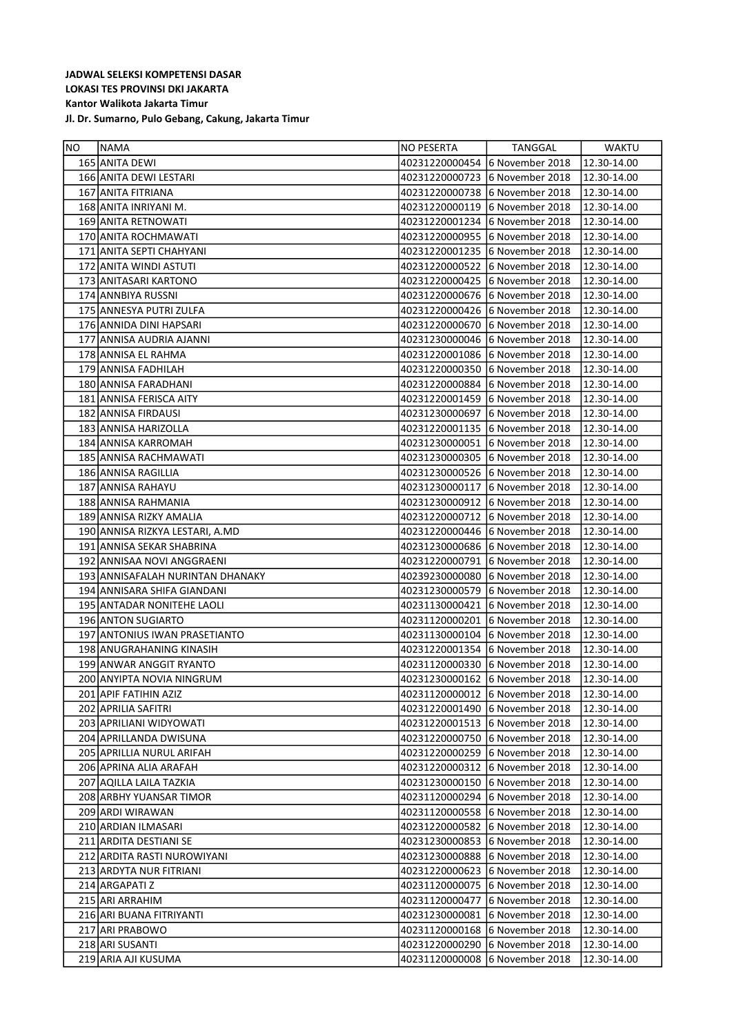| NO. | <b>NAMA</b>                      | NO PESERTA                     | TANGGAL                         | <b>WAKTU</b>           |
|-----|----------------------------------|--------------------------------|---------------------------------|------------------------|
|     | 165 ANITA DEWI                   |                                | 40231220000454 6 November 2018  | 12.30-14.00            |
|     | 166 ANITA DEWI LESTARI           |                                | 40231220000723 6 November 2018  | 12.30-14.00            |
|     | 167 ANITA FITRIANA               |                                | 40231220000738 6 November 2018  | 12.30-14.00            |
|     | 168 ANITA INRIYANI M.            | 40231220000119 6 November 2018 |                                 | 12.30-14.00            |
|     | 169 ANITA RETNOWATI              | 40231220001234                 | 6 November 2018                 | 12.30-14.00            |
|     | 170 ANITA ROCHMAWATI             | 40231220000955 6 November 2018 |                                 | 12.30-14.00            |
|     | 171 ANITA SEPTI CHAHYANI         | 40231220001235 6 November 2018 |                                 | 12.30-14.00            |
|     | 172 ANITA WINDI ASTUTI           | 40231220000522                 | 6 November 2018                 | 12.30-14.00            |
|     | 173 ANITASARI KARTONO            | 40231220000425 6 November 2018 |                                 | 12.30-14.00            |
|     | 174 ANNBIYA RUSSNI               |                                | 40231220000676 6 November 2018  | 12.30-14.00            |
|     | 175 ANNESYA PUTRI ZULFA          |                                | 40231220000426 16 November 2018 | 12.30-14.00            |
|     | 176 ANNIDA DINI HAPSARI          |                                | 40231220000670 6 November 2018  | 12.30-14.00            |
|     | 177 ANNISA AUDRIA AJANNI         |                                | 40231230000046 6 November 2018  | 12.30-14.00            |
|     | 178 ANNISA EL RAHMA              |                                | 40231220001086 6 November 2018  | 12.30-14.00            |
|     | 179 ANNISA FADHILAH              |                                | 40231220000350 6 November 2018  | 12.30-14.00            |
|     | 180 ANNISA FARADHANI             | 40231220000884                 | 6 November 2018                 | 12.30-14.00            |
|     | 181 ANNISA FERISCA AITY          |                                | 40231220001459 6 November 2018  | 12.30-14.00            |
|     | 182 ANNISA FIRDAUSI              | 40231230000697                 | 6 November 2018                 | 12.30-14.00            |
|     | 183 ANNISA HARIZOLLA             |                                | 40231220001135 6 November 2018  | 12.30-14.00            |
|     | 184 ANNISA KARROMAH              |                                | 40231230000051 6 November 2018  | 12.30-14.00            |
|     | 185 ANNISA RACHMAWATI            |                                | 40231230000305 6 November 2018  | 12.30-14.00            |
|     | 186 ANNISA RAGILLIA              |                                | 40231230000526 6 November 2018  | 12.30-14.00            |
|     | 187 ANNISA RAHAYU                | 40231230000117                 | 6 November 2018                 | 12.30-14.00            |
|     | 188 ANNISA RAHMANIA              |                                | 40231230000912 6 November 2018  | 12.30-14.00            |
|     | 189 ANNISA RIZKY AMALIA          |                                | 40231220000712 6 November 2018  | 12.30-14.00            |
|     | 190 ANNISA RIZKYA LESTARI, A.MD  |                                | 40231220000446 6 November 2018  | 12.30-14.00            |
|     | 191 ANNISA SEKAR SHABRINA        |                                | 40231230000686 6 November 2018  | 12.30-14.00            |
|     | 192 ANNISAA NOVI ANGGRAENI       |                                | 40231220000791 6 November 2018  | 12.30-14.00            |
|     | 193 ANNISAFALAH NURINTAN DHANAKY | 40239230000080                 | 6 November 2018                 | 12.30-14.00            |
|     | 194 ANNISARA SHIFA GIANDANI      | 40231230000579                 | 6 November 2018                 | 12.30-14.00            |
|     | 195 ANTADAR NONITEHE LAOLI       |                                | 40231130000421 6 November 2018  | 12.30-14.00            |
|     | 196 ANTON SUGIARTO               | 40231120000201                 | 6 November 2018                 | 12.30-14.00            |
|     | 197 ANTONIUS IWAN PRASETIANTO    |                                | 40231130000104 6 November 2018  | 12.30-14.00            |
|     | 198 ANUGRAHANING KINASIH         |                                | 40231220001354 6 November 2018  | 12.30-14.00            |
|     | 199 ANWAR ANGGIT RYANTO          |                                | 40231120000330 6 November 2018  | 12.30-14.00            |
|     | 200 ANYIPTA NOVIA NINGRUM        |                                | 40231230000162 6 November 2018  | 12.30-14.00            |
|     | 201 APIF FATIHIN AZIZ            |                                | 40231120000012 6 November 2018  | $\sqrt{12.30 - 14.00}$ |
|     | 202 APRILIA SAFITRI              | 40231220001490 6 November 2018 |                                 | 12.30-14.00            |
|     | 203 APRILIANI WIDYOWATI          | 40231220001513 6 November 2018 |                                 | 12.30-14.00            |
|     | 204 APRILLANDA DWISUNA           |                                | 40231220000750 6 November 2018  | 12.30-14.00            |
|     | 205 APRILLIA NURUL ARIFAH        | 40231220000259 6 November 2018 |                                 | 12.30-14.00            |
|     | 206 APRINA ALIA ARAFAH           | 40231220000312 6 November 2018 |                                 | 12.30-14.00            |
|     | 207 AQILLA LAILA TAZKIA          | 40231230000150 6 November 2018 |                                 | 12.30-14.00            |
|     | 208 ARBHY YUANSAR TIMOR          |                                | 40231120000294 6 November 2018  | 12.30-14.00            |
|     | 209 ARDI WIRAWAN                 |                                | 40231120000558 6 November 2018  | 12.30-14.00            |
|     | 210 ARDIAN ILMASARI              |                                | 40231220000582 6 November 2018  | 12.30-14.00            |
|     | 211 ARDITA DESTIANI SE           |                                | 40231230000853 6 November 2018  | 12.30-14.00            |
|     | 212 ARDITA RASTI NUROWIYANI      |                                | 40231230000888 6 November 2018  | 12.30-14.00            |
|     | 213 ARDYTA NUR FITRIANI          |                                | 40231220000623 6 November 2018  | 12.30-14.00            |
|     | 214 ARGAPATI Z                   |                                | 40231120000075 6 November 2018  | 12.30-14.00            |
|     | 215 ARI ARRAHIM                  | 40231120000477                 | 6 November 2018                 | 12.30-14.00            |
|     | 216 ARI BUANA FITRIYANTI         | 40231230000081                 | 6 November 2018                 | 12.30-14.00            |
|     | 217 ARI PRABOWO                  | 40231120000168                 | 6 November 2018                 | 12.30-14.00            |
|     | 218 ARI SUSANTI                  | 40231220000290                 | 6 November 2018                 |                        |
|     | 219 ARIA AJI KUSUMA              | 40231120000008                 | 6 November 2018                 | 12.30-14.00            |
|     |                                  |                                |                                 | 12.30-14.00            |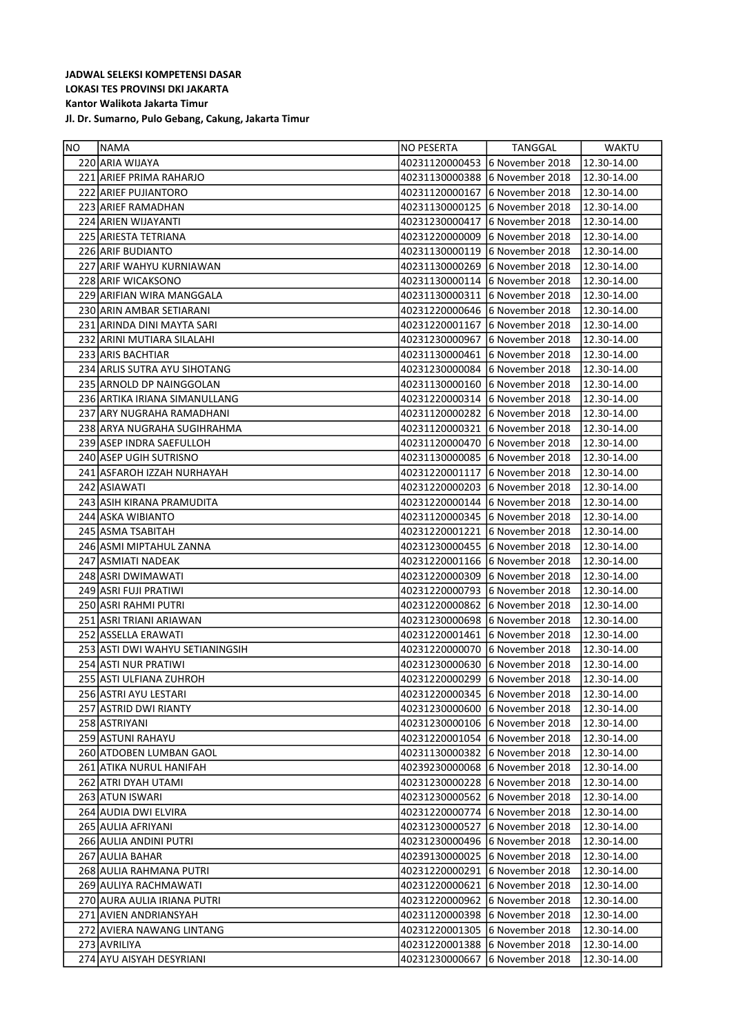| NO | <b>INAMA</b>                    | NO PESERTA     | TANGGAL                        | <b>WAKTU</b> |
|----|---------------------------------|----------------|--------------------------------|--------------|
|    | 220 ARIA WIJAYA                 | 40231120000453 | 6 November 2018                | 12.30-14.00  |
|    | 221 ARIEF PRIMA RAHARJO         | 40231130000388 | 6 November 2018                | 12.30-14.00  |
|    | 222 ARIEF PUJIANTORO            | 40231120000167 | 6 November 2018                | 12.30-14.00  |
|    | 223 ARIEF RAMADHAN              | 40231130000125 | 6 November 2018                | 12.30-14.00  |
|    | 224 ARIEN WIJAYANTI             | 40231230000417 | 6 November 2018                | 12.30-14.00  |
|    | 225 ARIESTA TETRIANA            | 40231220000009 | 6 November 2018                | 12.30-14.00  |
|    | 226 ARIF BUDIANTO               | 40231130000119 | 6 November 2018                | 12.30-14.00  |
|    | 227 ARIF WAHYU KURNIAWAN        | 40231130000269 | 6 November 2018                | 12.30-14.00  |
|    | 228 ARIF WICAKSONO              |                | 40231130000114 6 November 2018 | 12.30-14.00  |
|    | 229 ARIFIAN WIRA MANGGALA       | 40231130000311 | 6 November 2018                | 12.30-14.00  |
|    | 230 ARIN AMBAR SETIARANI        |                | 40231220000646 6 November 2018 | 12.30-14.00  |
|    | 231 ARINDA DINI MAYTA SARI      | 40231220001167 | 6 November 2018                | 12.30-14.00  |
|    | 232 ARINI MUTIARA SILALAHI      | 40231230000967 | 6 November 2018                | 12.30-14.00  |
|    | 233 ARIS BACHTIAR               | 40231130000461 | 6 November 2018                | 12.30-14.00  |
|    | 234 ARLIS SUTRA AYU SIHOTANG    |                | 40231230000084 6 November 2018 | 12.30-14.00  |
|    | 235 ARNOLD DP NAINGGOLAN        | 40231130000160 | 6 November 2018                | 12.30-14.00  |
|    | 236 ARTIKA IRIANA SIMANULLANG   |                | 40231220000314 6 November 2018 | 12.30-14.00  |
|    | 237 ARY NUGRAHA RAMADHANI       | 40231120000282 | 6 November 2018                | 12.30-14.00  |
|    | 238 ARYA NUGRAHA SUGIHRAHMA     | 40231120000321 | 6 November 2018                | 12.30-14.00  |
|    | 239 ASEP INDRA SAEFULLOH        | 40231120000470 | 6 November 2018                | 12.30-14.00  |
|    | 240 ASEP UGIH SUTRISNO          |                | 40231130000085 6 November 2018 | 12.30-14.00  |
|    | 241 ASFAROH IZZAH NURHAYAH      | 40231220001117 | 6 November 2018                | 12.30-14.00  |
|    | 242 ASIAWATI                    | 40231220000203 | 6 November 2018                | 12.30-14.00  |
|    | 243 ASIH KIRANA PRAMUDITA       |                | 40231220000144 6 November 2018 | 12.30-14.00  |
|    | 244 ASKA WIBIANTO               |                | 40231120000345 6 November 2018 | 12.30-14.00  |
|    | 245 ASMA TSABITAH               | 40231220001221 | 6 November 2018                | 12.30-14.00  |
|    | 246 ASMI MIPTAHUL ZANNA         |                | 40231230000455 6 November 2018 | 12.30-14.00  |
|    | 247 ASMIATI NADEAK              |                | 40231220001166 6 November 2018 | 12.30-14.00  |
|    | 248 ASRI DWIMAWATI              | 40231220000309 | 6 November 2018                | 12.30-14.00  |
|    | 249 ASRI FUJI PRATIWI           |                | 40231220000793 6 November 2018 | 12.30-14.00  |
|    | 250 ASRI RAHMI PUTRI            | 40231220000862 | 6 November 2018                | 12.30-14.00  |
|    | 251 ASRI TRIANI ARIAWAN         | 40231230000698 | 6 November 2018                | 12.30-14.00  |
|    | 252 ASSELLA ERAWATI             | 40231220001461 | 6 November 2018                | 12.30-14.00  |
|    | 253 ASTI DWI WAHYU SETIANINGSIH | 40231220000070 | 6 November 2018                | 12.30-14.00  |
|    | 254 ASTI NUR PRATIWI            | 40231230000630 | 6 November 2018                | 12.30-14.00  |
|    | 255 ASTI ULFIANA ZUHROH         |                | 40231220000299 6 November 2018 | 12.30-14.00  |
|    | 256 ASTRI AYU LESTARI           |                | 40231220000345 6 November 2018 | 12.30-14.00  |
|    | 257 ASTRID DWI RIANTY           | 40231230000600 | 6 November 2018                | 12.30-14.00  |
|    | 258 ASTRIYANI                   | 40231230000106 | 6 November 2018                | 12.30-14.00  |
|    | 259 ASTUNI RAHAYU               | 40231220001054 | 6 November 2018                | 12.30-14.00  |
|    | 260 ATDOBEN LUMBAN GAOL         | 40231130000382 | 6 November 2018                | 12.30-14.00  |
|    | 261 ATIKA NURUL HANIFAH         | 40239230000068 | 6 November 2018                | 12.30-14.00  |
|    | 262 ATRI DYAH UTAMI             | 40231230000228 | 6 November 2018                | 12.30-14.00  |
|    | 263 ATUN ISWARI                 | 40231230000562 | 6 November 2018                | 12.30-14.00  |
|    | 264 AUDIA DWI ELVIRA            | 40231220000774 | 6 November 2018                | 12.30-14.00  |
|    | 265 AULIA AFRIYANI              | 40231230000527 | 6 November 2018                | 12.30-14.00  |
|    | 266 AULIA ANDINI PUTRI          | 40231230000496 | 6 November 2018                | 12.30-14.00  |
|    | 267 AULIA BAHAR                 | 40239130000025 | 6 November 2018                | 12.30-14.00  |
|    | 268 AULIA RAHMANA PUTRI         | 40231220000291 | 6 November 2018                | 12.30-14.00  |
|    | 269 AULIYA RACHMAWATI           | 40231220000621 | 6 November 2018                | 12.30-14.00  |
|    | 270 AURA AULIA IRIANA PUTRI     | 40231220000962 | 6 November 2018                | 12.30-14.00  |
|    | 271 AVIEN ANDRIANSYAH           | 40231120000398 | 6 November 2018                | 12.30-14.00  |
|    | 272 AVIERA NAWANG LINTANG       | 40231220001305 | 6 November 2018                | 12.30-14.00  |
|    | 273 AVRILIYA                    | 40231220001388 | 6 November 2018                | 12.30-14.00  |
|    | 274 AYU AISYAH DESYRIANI        | 40231230000667 | 6 November 2018                | 12.30-14.00  |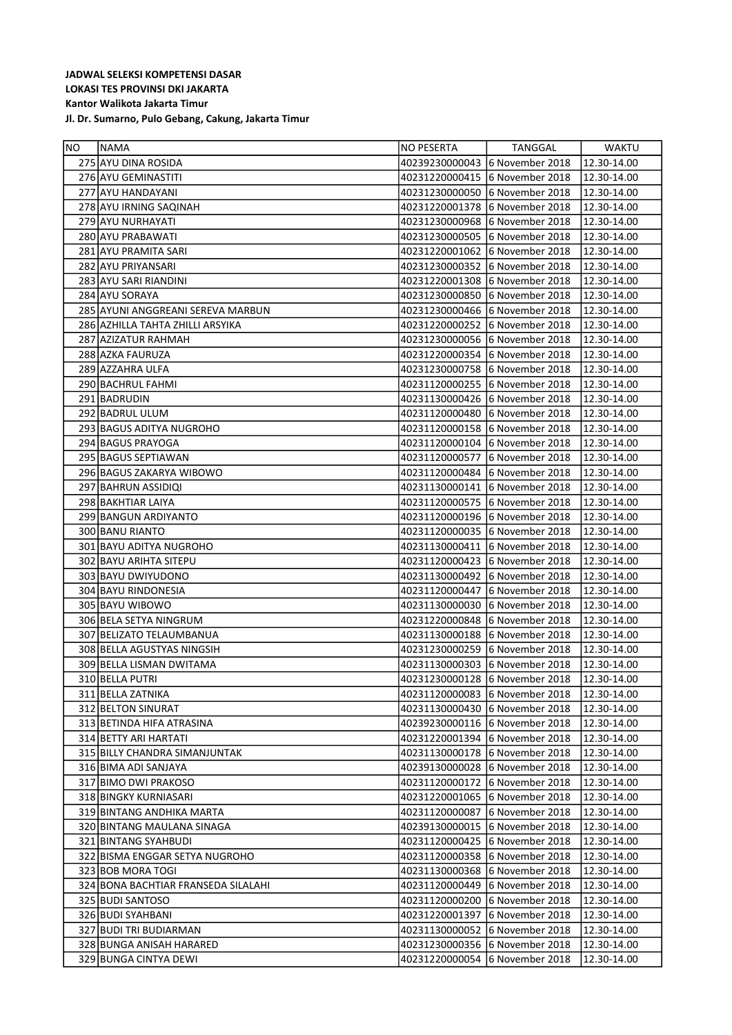| NO. | NAMA                                | NO PESERTA     | <b>TANGGAL</b>                 | WAKTU       |
|-----|-------------------------------------|----------------|--------------------------------|-------------|
|     | 275 AYU DINA ROSIDA                 | 40239230000043 | 6 November 2018                | 12.30-14.00 |
|     | 276 AYU GEMINASTITI                 | 40231220000415 | 6 November 2018                | 12.30-14.00 |
|     | 277 AYU HANDAYANI                   | 40231230000050 | 6 November 2018                | 12.30-14.00 |
|     | 278 AYU IRNING SAQINAH              | 40231220001378 | 6 November 2018                | 12.30-14.00 |
|     | 279 AYU NURHAYATI                   | 40231230000968 | 6 November 2018                | 12.30-14.00 |
|     | 280 AYU PRABAWATI                   | 40231230000505 | 6 November 2018                | 12.30-14.00 |
|     | 281 AYU PRAMITA SARI                | 40231220001062 | 6 November 2018                | 12.30-14.00 |
|     | 282 AYU PRIYANSARI                  | 40231230000352 | 6 November 2018                | 12.30-14.00 |
|     | 283 AYU SARI RIANDINI               | 40231220001308 | 6 November 2018                | 12.30-14.00 |
|     | 284 AYU SORAYA                      | 40231230000850 | 6 November 2018                | 12.30-14.00 |
|     | 285 AYUNI ANGGREANI SEREVA MARBUN   | 40231230000466 | 6 November 2018                | 12.30-14.00 |
|     | 286 AZHILLA TAHTA ZHILLI ARSYIKA    | 40231220000252 | 6 November 2018                | 12.30-14.00 |
|     | 287 AZIZATUR RAHMAH                 | 40231230000056 | 6 November 2018                | 12.30-14.00 |
|     | 288 AZKA FAURUZA                    | 40231220000354 | 6 November 2018                | 12.30-14.00 |
|     | 289 AZZAHRA ULFA                    | 40231230000758 | 6 November 2018                | 12.30-14.00 |
|     | 290 BACHRUL FAHMI                   | 40231120000255 | 6 November 2018                | 12.30-14.00 |
|     | 291 BADRUDIN                        | 40231130000426 | 6 November 2018                | 12.30-14.00 |
|     | 292 BADRUL ULUM                     | 40231120000480 | 6 November 2018                | 12.30-14.00 |
|     | 293 BAGUS ADITYA NUGROHO            | 40231120000158 | 6 November 2018                | 12.30-14.00 |
|     | 294 BAGUS PRAYOGA                   | 40231120000104 | 6 November 2018                | 12.30-14.00 |
|     | 295 BAGUS SEPTIAWAN                 | 40231120000577 | 6 November 2018                | 12.30-14.00 |
|     | 296 BAGUS ZAKARYA WIBOWO            | 40231120000484 | 6 November 2018                | 12.30-14.00 |
|     | 297 BAHRUN ASSIDIQI                 | 40231130000141 | 6 November 2018                | 12.30-14.00 |
|     | 298 BAKHTIAR LAIYA                  | 40231120000575 | 6 November 2018                | 12.30-14.00 |
|     | 299 BANGUN ARDIYANTO                | 40231120000196 | 6 November 2018                | 12.30-14.00 |
|     | 300 BANU RIANTO                     | 40231120000035 | 6 November 2018                | 12.30-14.00 |
|     | 301 BAYU ADITYA NUGROHO             | 40231130000411 | 6 November 2018                | 12.30-14.00 |
|     | 302 BAYU ARIHTA SITEPU              | 40231120000423 | 6 November 2018                | 12.30-14.00 |
|     | 303 BAYU DWIYUDONO                  | 40231130000492 | 6 November 2018                | 12.30-14.00 |
|     | 304 BAYU RINDONESIA                 | 40231120000447 | 6 November 2018                | 12.30-14.00 |
|     | 305 BAYU WIBOWO                     | 40231130000030 | 6 November 2018                | 12.30-14.00 |
|     | 306 BELA SETYA NINGRUM              | 40231220000848 | 6 November 2018                | 12.30-14.00 |
|     | 307 BELIZATO TELAUMBANUA            | 40231130000188 | 6 November 2018                | 12.30-14.00 |
|     | 308 BELLA AGUSTYAS NINGSIH          | 40231230000259 | 6 November 2018                | 12.30-14.00 |
|     | 309 BELLA LISMAN DWITAMA            | 40231130000303 | 6 November 2018                | 12.30-14.00 |
|     | 310 BELLA PUTRI                     | 40231230000128 | 6 November 2018                | 12.30-14.00 |
|     | 311 BELLA ZATNIKA                   | 40231120000083 | 6 November 2018                | 12.30-14.00 |
|     | 312 BELTON SINURAT                  | 40231130000430 | 6 November 2018                | 12.30-14.00 |
|     | 313 BETINDA HIFA ATRASINA           | 40239230000116 | 6 November 2018                | 12.30-14.00 |
|     | 314 BETTY ARI HARTATI               |                | 40231220001394 6 November 2018 | 12.30-14.00 |
|     | 315 BILLY CHANDRA SIMANJUNTAK       | 40231130000178 | 6 November 2018                | 12.30-14.00 |
|     | 316 BIMA ADI SANJAYA                | 40239130000028 | 6 November 2018                | 12.30-14.00 |
|     | 317 BIMO DWI PRAKOSO                | 40231120000172 | 6 November 2018                | 12.30-14.00 |
|     | 318 BINGKY KURNIASARI               | 40231220001065 | 6 November 2018                | 12.30-14.00 |
|     | 319 BINTANG ANDHIKA MARTA           | 40231120000087 | 6 November 2018                | 12.30-14.00 |
|     | 320 BINTANG MAULANA SINAGA          | 40239130000015 | 6 November 2018                | 12.30-14.00 |
|     | 321 BINTANG SYAHBUDI                | 40231120000425 | 6 November 2018                | 12.30-14.00 |
|     | 322 BISMA ENGGAR SETYA NUGROHO      | 40231120000358 | 6 November 2018                | 12.30-14.00 |
|     | 323 BOB MORA TOGI                   | 40231130000368 | 6 November 2018                | 12.30-14.00 |
|     | 324 BONA BACHTIAR FRANSEDA SILALAHI | 40231120000449 | 6 November 2018                | 12.30-14.00 |
|     | 325 BUDI SANTOSO                    | 40231120000200 | 6 November 2018                | 12.30-14.00 |
|     | 326 BUDI SYAHBANI                   | 40231220001397 | 6 November 2018                | 12.30-14.00 |
|     | 327 BUDI TRI BUDIARMAN              | 40231130000052 | 6 November 2018                | 12.30-14.00 |
|     | 328 BUNGA ANISAH HARARED            | 40231230000356 | 6 November 2018                | 12.30-14.00 |
|     | 329 BUNGA CINTYA DEWI               | 40231220000054 | 6 November 2018                | 12.30-14.00 |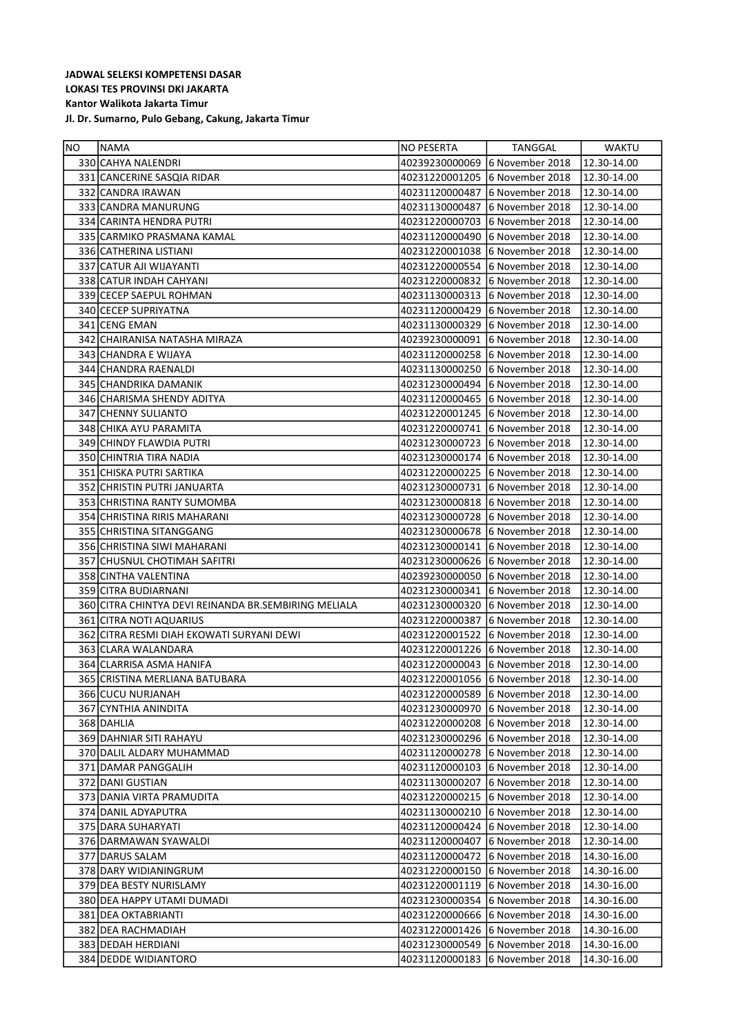| NO. | NAMA                                                 | NO PESERTA                     | TANGGAL                        | WAKTU       |
|-----|------------------------------------------------------|--------------------------------|--------------------------------|-------------|
|     | 330 CAHYA NALENDRI                                   | 40239230000069                 | 6 November 2018                | 12.30-14.00 |
|     | 331 CANCERINE SASQIA RIDAR                           | 40231220001205                 | 6 November 2018                | 12.30-14.00 |
|     | 332 CANDRA IRAWAN                                    | 40231120000487                 | 6 November 2018                | 12.30-14.00 |
|     | 333 CANDRA MANURUNG                                  | 40231130000487                 | 6 November 2018                | 12.30-14.00 |
|     | 334 CARINTA HENDRA PUTRI                             | 40231220000703                 | 6 November 2018                | 12.30-14.00 |
|     | 335 CARMIKO PRASMANA KAMAL                           | 40231120000490                 | 6 November 2018                | 12.30-14.00 |
|     | 336 CATHERINA LISTIANI                               | 40231220001038                 | 6 November 2018                | 12.30-14.00 |
|     | 337 CATUR AJI WIJAYANTI                              | 40231220000554                 | 6 November 2018                | 12.30-14.00 |
|     | 338 CATUR INDAH CAHYANI                              | 40231220000832                 | 6 November 2018                | 12.30-14.00 |
|     | 339 CECEP SAEPUL ROHMAN                              |                                | 40231130000313 6 November 2018 | 12.30-14.00 |
|     | 340 CECEP SUPRIYATNA                                 | 40231120000429                 | 6 November 2018                | 12.30-14.00 |
|     | 341 CENG EMAN                                        | 40231130000329                 | 6 November 2018                | 12.30-14.00 |
|     | 342 CHAIRANISA NATASHA MIRAZA                        | 40239230000091                 | 6 November 2018                | 12.30-14.00 |
|     | 343 CHANDRA E WIJAYA                                 | 40231120000258                 | 6 November 2018                | 12.30-14.00 |
|     | 344 CHANDRA RAENALDI                                 | 40231130000250                 | 6 November 2018                | 12.30-14.00 |
|     | 345 CHANDRIKA DAMANIK                                | 40231230000494                 | 6 November 2018                | 12.30-14.00 |
|     | 346 CHARISMA SHENDY ADITYA                           | 40231120000465 6 November 2018 |                                | 12.30-14.00 |
|     | 347 CHENNY SULIANTO                                  | 40231220001245 6 November 2018 |                                | 12.30-14.00 |
|     | 348 CHIKA AYU PARAMITA                               | 40231220000741                 | 6 November 2018                | 12.30-14.00 |
|     | 349 CHINDY FLAWDIA PUTRI                             |                                | 40231230000723 6 November 2018 | 12.30-14.00 |
|     | 350 CHINTRIA TIRA NADIA                              | 40231230000174 6 November 2018 |                                | 12.30-14.00 |
|     | 351 CHISKA PUTRI SARTIKA                             | 40231220000225 6 November 2018 |                                | 12.30-14.00 |
|     | 352 CHRISTIN PUTRI JANUARTA                          | 40231230000731                 | 6 November 2018                | 12.30-14.00 |
|     | 353 CHRISTINA RANTY SUMOMBA                          | 40231230000818                 | 6 November 2018                | 12.30-14.00 |
|     | 354 CHRISTINA RIRIS MAHARANI                         | 40231230000728                 | 6 November 2018                | 12.30-14.00 |
|     | 355 CHRISTINA SITANGGANG                             | 40231230000678                 | 6 November 2018                | 12.30-14.00 |
|     | 356 CHRISTINA SIWI MAHARANI                          | 40231230000141                 | 6 November 2018                | 12.30-14.00 |
|     | 357 CHUSNUL CHOTIMAH SAFITRI                         | 40231230000626 6 November 2018 |                                | 12.30-14.00 |
|     | 358 CINTHA VALENTINA                                 | 40239230000050                 | 6 November 2018                | 12.30-14.00 |
|     | 359 CITRA BUDIARNANI                                 | 40231230000341                 | 6 November 2018                | 12.30-14.00 |
|     | 360 CITRA CHINTYA DEVI REINANDA BR.SEMBIRING MELIALA | 40231230000320                 | 6 November 2018                | 12.30-14.00 |
|     | 361 CITRA NOTI AQUARIUS                              | 40231220000387                 | 6 November 2018                | 12.30-14.00 |
|     | 362 CITRA RESMI DIAH EKOWATI SURYANI DEWI            | 40231220001522                 | 6 November 2018                | 12.30-14.00 |
|     | 363 CLARA WALANDARA                                  | 40231220001226 6 November 2018 |                                | 12.30-14.00 |
|     | 364 CLARRISA ASMA HANIFA                             |                                | 40231220000043 6 November 2018 | 12.30-14.00 |
|     | 365 CRISTINA MERLIANA BATUBARA                       | 40231220001056 6 November 2018 |                                | 12.30-14.00 |
|     | 366 CUCU NURJANAH                                    | 40231220000589                 | 6 November 2018                | 12.30-14.00 |
|     | 367 CYNTHIA ANINDITA                                 | 40231230000970                 | 6 November 2018                | 12.30-14.00 |
|     | 368 DAHLIA                                           | 40231220000208                 | 6 November 2018                | 12.30-14.00 |
|     | 369 DAHNIAR SITI RAHAYU                              | 40231230000296 6 November 2018 |                                | 12.30-14.00 |
|     | 370 DALIL ALDARY MUHAMMAD                            | 40231120000278                 | 6 November 2018                | 12.30-14.00 |
|     | 371 DAMAR PANGGALIH                                  | 40231120000103 6 November 2018 |                                | 12.30-14.00 |
|     | 372 DANI GUSTIAN                                     | 40231130000207                 | 6 November 2018                | 12.30-14.00 |
|     | 373 DANIA VIRTA PRAMUDITA                            | 40231220000215                 | 6 November 2018                | 12.30-14.00 |
|     | 374 DANIL ADYAPUTRA                                  | 40231130000210                 | 6 November 2018                | 12.30-14.00 |
|     | 375 DARA SUHARYATI                                   | 40231120000424 6 November 2018 |                                | 12.30-14.00 |
|     | 376 DARMAWAN SYAWALDI                                | 40231120000407                 | 6 November 2018                | 12.30-14.00 |
|     | 377 DARUS SALAM                                      | 40231120000472                 | 6 November 2018                | 14.30-16.00 |
|     | 378 DARY WIDIANINGRUM                                | 40231220000150                 | 6 November 2018                | 14.30-16.00 |
|     | 379 DEA BESTY NURISLAMY                              | 40231220001119                 | 6 November 2018                | 14.30-16.00 |
|     | 380 DEA HAPPY UTAMI DUMADI                           | 40231230000354                 | 6 November 2018                | 14.30-16.00 |
|     | 381 DEA OKTABRIANTI                                  | 40231220000666                 | 6 November 2018                | 14.30-16.00 |
|     | 382   DEA RACHMADIAH                                 | 40231220001426                 | 6 November 2018                | 14.30-16.00 |
|     | 383 DEDAH HERDIANI                                   | 40231230000549                 | 6 November 2018                | 14.30-16.00 |
|     | 384 DEDDE WIDIANTORO                                 | 40231120000183                 | 6 November 2018                | 14.30-16.00 |
|     |                                                      |                                |                                |             |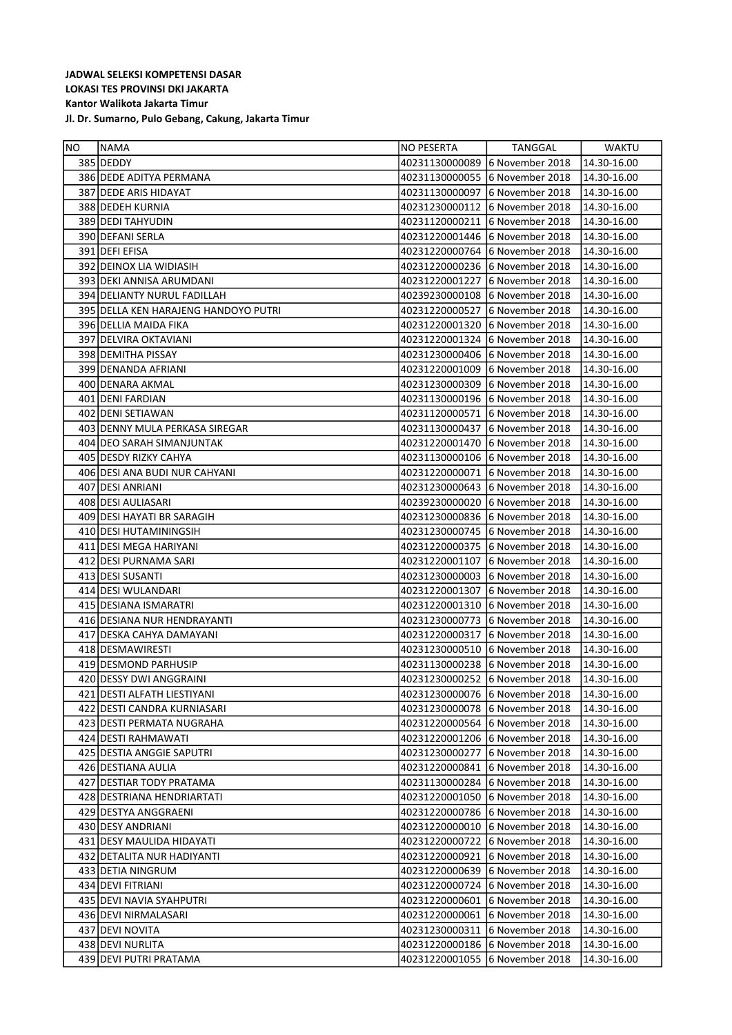| NO | <b>INAMA</b>                               | NO PESERTA     | TANGGAL                        | <b>WAKTU</b>           |
|----|--------------------------------------------|----------------|--------------------------------|------------------------|
|    | 385 DEDDY                                  | 40231130000089 | 6 November 2018                | 14.30-16.00            |
|    | 386 DEDE ADITYA PERMANA                    |                | 40231130000055 6 November 2018 | 14.30-16.00            |
|    | 387 DEDE ARIS HIDAYAT                      | 40231130000097 | 6 November 2018                | 14.30-16.00            |
|    | 388 DEDEH KURNIA                           | 40231230000112 | 6 November 2018                | 14.30-16.00            |
|    | 389 DEDI TAHYUDIN                          | 40231120000211 | 6 November 2018                | 14.30-16.00            |
|    | 390 DEFANI SERLA                           |                | 40231220001446 6 November 2018 | 14.30-16.00            |
|    | 391 DEFI EFISA                             | 40231220000764 | 6 November 2018                | 14.30-16.00            |
|    | 392 DEINOX LIA WIDIASIH                    |                | 40231220000236 6 November 2018 | 14.30-16.00            |
|    | 393 DEKI ANNISA ARUMDANI                   | 40231220001227 | 6 November 2018                | 14.30-16.00            |
|    | 394 DELIANTY NURUL FADILLAH                |                | 40239230000108 6 November 2018 | 14.30-16.00            |
|    | 395 DELLA KEN HARAJENG HANDOYO PUTRI       | 40231220000527 | 6 November 2018                | 14.30-16.00            |
|    | 396 DELLIA MAIDA FIKA                      | 40231220001320 | 6 November 2018                | 14.30-16.00            |
|    | 397 DELVIRA OKTAVIANI                      |                | 40231220001324 6 November 2018 | 14.30-16.00            |
|    | 398 DEMITHA PISSAY                         |                | 40231230000406 6 November 2018 | 14.30-16.00            |
|    | 399 DENANDA AFRIANI                        |                | 40231220001009 6 November 2018 | 14.30-16.00            |
|    | 400 DENARA AKMAL                           |                | 40231230000309 6 November 2018 | 14.30-16.00            |
|    | 401 DENI FARDIAN                           |                | 40231130000196 6 November 2018 | 14.30-16.00            |
|    | 402 DENI SETIAWAN                          | 40231120000571 | 6 November 2018                | 14.30-16.00            |
|    | 403 DENNY MULA PERKASA SIREGAR             | 40231130000437 | 6 November 2018                | 14.30-16.00            |
|    | 404 DEO SARAH SIMANJUNTAK                  | 40231220001470 | 6 November 2018                | 14.30-16.00            |
|    | 405 DESDY RIZKY CAHYA                      |                | 40231130000106 6 November 2018 | 14.30-16.00            |
|    | 406 DESI ANA BUDI NUR CAHYANI              | 40231220000071 | 6 November 2018                | 14.30-16.00            |
|    | 407 DESI ANRIANI                           |                | 40231230000643 6 November 2018 | 14.30-16.00            |
|    | 408 DESI AULIASARI                         | 40239230000020 | 6 November 2018                | 14.30-16.00            |
|    | 409 DESI HAYATI BR SARAGIH                 |                | 40231230000836 6 November 2018 | 14.30-16.00            |
|    | 410 DESI HUTAMININGSIH                     |                | 40231230000745 6 November 2018 | 14.30-16.00            |
|    | 411 DESI MEGA HARIYANI                     |                | 40231220000375 6 November 2018 | 14.30-16.00            |
|    | 412 DESI PURNAMA SARI                      | 40231220001107 | 6 November 2018                | 14.30-16.00            |
|    | 413 DESI SUSANTI                           | 40231230000003 | 6 November 2018                | 14.30-16.00            |
|    | 414 DESI WULANDARI                         | 40231220001307 | 6 November 2018                | 14.30-16.00            |
|    | 415 DESIANA ISMARATRI                      | 40231220001310 | 6 November 2018                | 14.30-16.00            |
|    | 416 DESIANA NUR HENDRAYANTI                |                | 40231230000773 6 November 2018 | 14.30-16.00            |
|    | 417 DESKA CAHYA DAMAYANI                   | 40231220000317 | 6 November 2018                | 14.30-16.00            |
|    | 418 DESMAWIRESTI                           |                | 40231230000510 6 November 2018 | 14.30-16.00            |
|    | 419 DESMOND PARHUSIP                       |                | 40231130000238 6 November 2018 | 14.30-16.00            |
|    | 420 DESSY DWI ANGGRAINI                    |                | 40231230000252 6 November 2018 | 14.30-16.00            |
|    | 421 DESTI ALFATH LIESTIYANI                |                | 40231230000076 6 November 2018 | $\sqrt{14.30 - 16.00}$ |
|    | 422 DESTI CANDRA KURNIASARI                | 40231230000078 | 6 November 2018                | 14.30-16.00            |
|    | 423   DESTI PERMATA NUGRAHA                | 40231220000564 | 6 November 2018                | 14.30-16.00            |
|    | 424 DESTI RAHMAWATI                        | 40231220001206 | 6 November 2018                | 14.30-16.00            |
|    | 425 DESTIA ANGGIE SAPUTRI                  | 40231230000277 | 6 November 2018                | 14.30-16.00            |
|    | 426 DESTIANA AULIA                         | 40231220000841 | 6 November 2018                | 14.30-16.00            |
|    | 427 DESTIAR TODY PRATAMA                   |                | 40231130000284 6 November 2018 | 14.30-16.00            |
|    | 428 DESTRIANA HENDRIARTATI                 | 40231220001050 | 6 November 2018                | 14.30-16.00            |
|    | 429 DESTYA ANGGRAENI                       | 40231220000786 | 6 November 2018                | 14.30-16.00            |
|    | 430 DESY ANDRIANI                          | 40231220000010 | 6 November 2018                | 14.30-16.00            |
|    | 431 DESY MAULIDA HIDAYATI                  | 40231220000722 | 6 November 2018                | 14.30-16.00            |
|    | 432 DETALITA NUR HADIYANTI                 | 40231220000921 | 6 November 2018                | 14.30-16.00            |
|    | 433 DETIA NINGRUM                          | 40231220000639 | 6 November 2018                | 14.30-16.00            |
|    | 434 DEVI FITRIANI                          | 40231220000724 | 6 November 2018                | 14.30-16.00            |
|    | 435 DEVI NAVIA SYAHPUTRI                   | 40231220000601 | 6 November 2018                | 14.30-16.00            |
|    | 436 DEVI NIRMALASARI                       | 40231220000061 | 6 November 2018                | 14.30-16.00            |
|    | 437 DEVI NOVITA                            | 40231230000311 | 6 November 2018                | 14.30-16.00            |
|    |                                            | 40231220000186 | 6 November 2018                |                        |
|    | 438 DEVI NURLITA<br>439 DEVI PUTRI PRATAMA | 40231220001055 | 6 November 2018                | 14.30-16.00            |
|    |                                            |                |                                | 14.30-16.00            |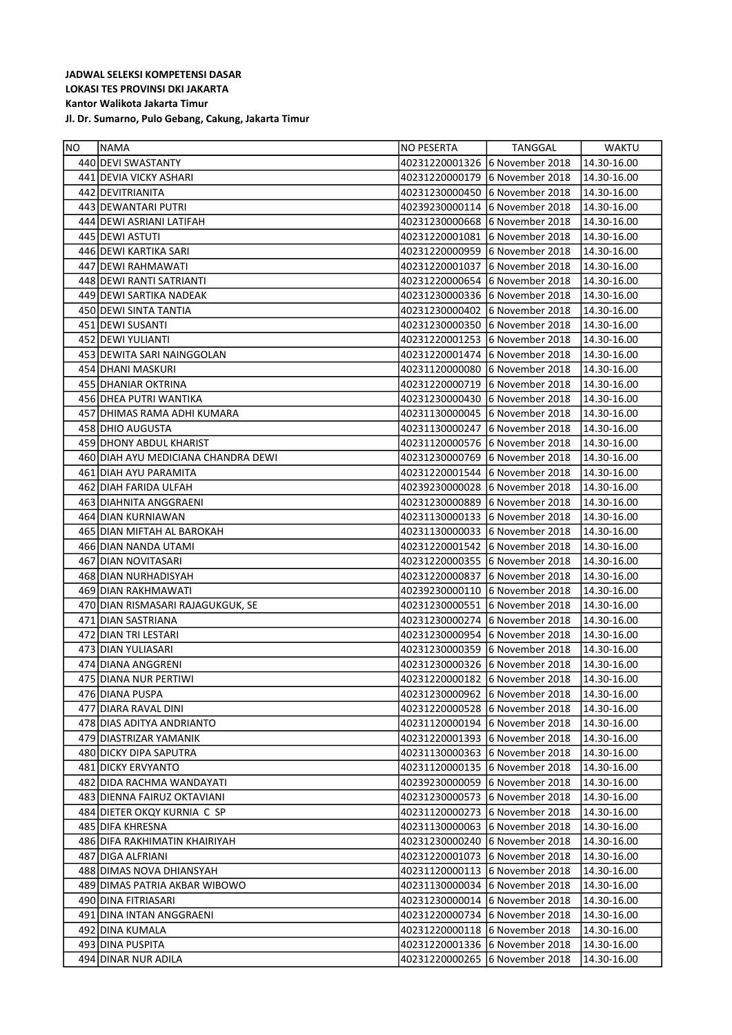| NO | <b>INAMA</b>                        | NO PESERTA                     | TANGGAL                        | WAKTU                  |
|----|-------------------------------------|--------------------------------|--------------------------------|------------------------|
|    | 440 DEVI SWASTANTY                  | 40231220001326 6 November 2018 |                                | 14.30-16.00            |
|    | 441 DEVIA VICKY ASHARI              |                                | 40231220000179 6 November 2018 | 14.30-16.00            |
|    | 442 DEVITRIANITA                    |                                | 40231230000450 6 November 2018 | 14.30-16.00            |
|    | 443 DEWANTARI PUTRI                 |                                | 40239230000114 6 November 2018 | 14.30-16.00            |
|    | 444 DEWI ASRIANI LATIFAH            |                                | 40231230000668 6 November 2018 | 14.30-16.00            |
|    | 445 DEWI ASTUTI                     | 40231220001081                 | 6 November 2018                | 14.30-16.00            |
|    | 446 DEWI KARTIKA SARI               |                                | 40231220000959 6 November 2018 | 14.30-16.00            |
|    | 447 DEWI RAHMAWATI                  | 40231220001037                 | 6 November 2018                | 14.30-16.00            |
|    | 448 DEWI RANTI SATRIANTI            |                                | 40231220000654 6 November 2018 | 14.30-16.00            |
|    | 449 DEWI SARTIKA NADEAK             |                                | 40231230000336 6 November 2018 | 14.30-16.00            |
|    | 450 DEWI SINTA TANTIA               |                                | 40231230000402 6 November 2018 | 14.30-16.00            |
|    | 451 DEWI SUSANTI                    |                                | 40231230000350 6 November 2018 | 14.30-16.00            |
|    | 452 DEWI YULIANTI                   |                                | 40231220001253 6 November 2018 | 14.30-16.00            |
|    | 453 DEWITA SARI NAINGGOLAN          |                                | 40231220001474 6 November 2018 | 14.30-16.00            |
|    | 454 DHANI MASKURI                   | 40231120000080                 | 6 November 2018                | 14.30-16.00            |
|    | 455 DHANIAR OKTRINA                 |                                | 40231220000719 6 November 2018 | 14.30-16.00            |
|    | 456 DHEA PUTRI WANTIKA              |                                | 40231230000430 6 November 2018 | 14.30-16.00            |
|    | 457 DHIMAS RAMA ADHI KUMARA         |                                | 40231130000045 6 November 2018 | 14.30-16.00            |
|    | 458 DHIO AUGUSTA                    |                                | 40231130000247 6 November 2018 | 14.30-16.00            |
|    | 459 DHONY ABDUL KHARIST             |                                | 40231120000576 6 November 2018 | 14.30-16.00            |
|    | 460 DIAH AYU MEDICIANA CHANDRA DEWI |                                | 40231230000769 6 November 2018 | 14.30-16.00            |
|    | 461 DIAH AYU PARAMITA               | 40231220001544 6 November 2018 |                                | 14.30-16.00            |
|    | 462 DIAH FARIDA ULFAH               | 40239230000028 6 November 2018 |                                | 14.30-16.00            |
|    | 463 DIAHNITA ANGGRAENI              |                                | 40231230000889 6 November 2018 | 14.30-16.00            |
|    | 464 DIAN KURNIAWAN                  |                                | 40231130000133 6 November 2018 | 14.30-16.00            |
|    | 465 DIAN MIFTAH AL BAROKAH          |                                | 40231130000033 6 November 2018 | 14.30-16.00            |
|    | 466 DIAN NANDA UTAMI                |                                | 40231220001542 6 November 2018 | 14.30-16.00            |
|    | 467 DIAN NOVITASARI                 |                                | 40231220000355 6 November 2018 | 14.30-16.00            |
|    | 468 DIAN NURHADISYAH                | 40231220000837                 | 6 November 2018                | 14.30-16.00            |
|    | 469 DIAN RAKHMAWATI                 | 40239230000110                 | 6 November 2018                | 14.30-16.00            |
|    | 470 DIAN RISMASARI RAJAGUKGUK, SE   | 40231230000551                 | 6 November 2018                | 14.30-16.00            |
|    | 471 DIAN SASTRIANA                  |                                | 40231230000274 6 November 2018 | 14.30-16.00            |
|    | 472 DIAN TRI LESTARI                |                                | 40231230000954 6 November 2018 | 14.30-16.00            |
|    | 473 DIAN YULIASARI                  |                                | 40231230000359 6 November 2018 | 14.30-16.00            |
|    | 474 DIANA ANGGRENI                  |                                | 40231230000326 6 November 2018 | 14.30-16.00            |
|    | 475 DIANA NUR PERTIWI               |                                | 40231220000182 6 November 2018 | 14.30-16.00            |
|    | 476 DIANA PUSPA                     |                                | 40231230000962 6 November 2018 | $\sqrt{14.30 - 16.00}$ |
|    | 477 DIARA RAVAL DINI                | 40231220000528                 | 6 November 2018                | 14.30-16.00            |
|    | 478 DIAS ADITYA ANDRIANTO           | 40231120000194                 | 6 November 2018                | 14.30-16.00            |
|    | 479 DIASTRIZAR YAMANIK              | 40231220001393 6 November 2018 |                                | 14.30-16.00            |
|    | 480 DICKY DIPA SAPUTRA              | 40231130000363 6 November 2018 |                                | 14.30-16.00            |
|    | 481 DICKY ERVYANTO                  | 40231120000135 6 November 2018 |                                | 14.30-16.00            |
|    | 482 DIDA RACHMA WANDAYATI           | 40239230000059                 | 6 November 2018                | 14.30-16.00            |
|    | 483 DIENNA FAIRUZ OKTAVIANI         | 40231230000573                 | 6 November 2018                | 14.30-16.00            |
|    | 484 DIETER OKQY KURNIA C SP         | 40231120000273                 | 6 November 2018                | 14.30-16.00            |
|    | 485 DIFA KHRESNA                    | 40231130000063                 | 6 November 2018                | 14.30-16.00            |
|    | 486 DIFA RAKHIMATIN KHAIRIYAH       | 40231230000240                 | 6 November 2018                | 14.30-16.00            |
|    | 487 DIGA ALFRIANI                   | 40231220001073                 | 6 November 2018                | 14.30-16.00            |
|    | 488 DIMAS NOVA DHIANSYAH            | 40231120000113                 | 6 November 2018                | 14.30-16.00            |
|    | 489 DIMAS PATRIA AKBAR WIBOWO       | 40231130000034                 | 6 November 2018                | 14.30-16.00            |
|    | 490 DINA FITRIASARI                 | 40231230000014                 | 6 November 2018                | 14.30-16.00            |
|    | 491 DINA INTAN ANGGRAENI            | 40231220000734                 | 6 November 2018                | 14.30-16.00            |
|    | 492 DINA KUMALA                     | 40231220000118                 | 6 November 2018                | 14.30-16.00            |
|    | 493 DINA PUSPITA                    | 40231220001336                 | 6 November 2018                | 14.30-16.00            |
|    | 494 DINAR NUR ADILA                 | 40231220000265                 | 6 November 2018                | 14.30-16.00            |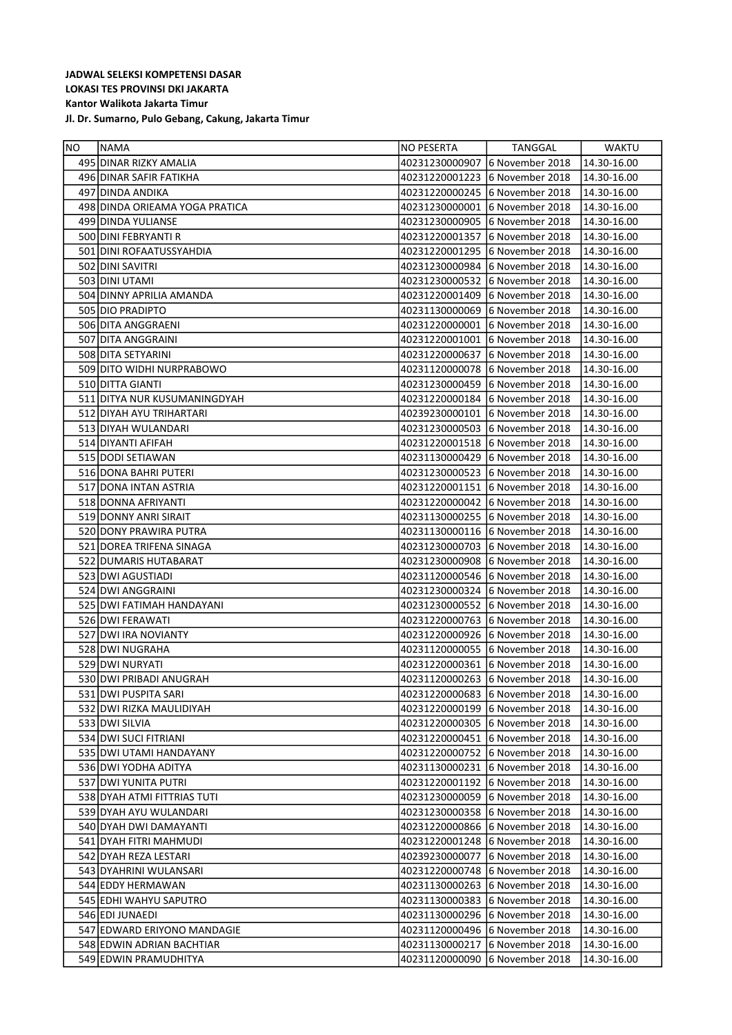| NO. | NAMA                           | NO PESERTA                     | TANGGAL                        | WAKTU       |
|-----|--------------------------------|--------------------------------|--------------------------------|-------------|
|     | 495 DINAR RIZKY AMALIA         | 40231230000907                 | 6 November 2018                | 14.30-16.00 |
|     | 496 DINAR SAFIR FATIKHA        | 40231220001223                 | 6 November 2018                | 14.30-16.00 |
|     | 497 DINDA ANDIKA               |                                | 40231220000245 6 November 2018 | 14.30-16.00 |
|     | 498 DINDA ORIEAMA YOGA PRATICA | 40231230000001                 | 6 November 2018                | 14.30-16.00 |
|     | 499 DINDA YULIANSE             | 40231230000905                 | 6 November 2018                | 14.30-16.00 |
|     | 500 DINI FEBRYANTI R           | 40231220001357                 | 6 November 2018                | 14.30-16.00 |
|     | 501 DINI ROFAATUSSYAHDIA       | 40231220001295                 | 6 November 2018                | 14.30-16.00 |
|     | 502 DINI SAVITRI               | 40231230000984                 | 6 November 2018                | 14.30-16.00 |
|     | 503 DINI UTAMI                 | 40231230000532                 | 6 November 2018                | 14.30-16.00 |
|     | 504 DINNY APRILIA AMANDA       | 40231220001409                 | 6 November 2018                | 14.30-16.00 |
|     | 505 DIO PRADIPTO               | 40231130000069                 | 6 November 2018                | 14.30-16.00 |
|     | 506 DITA ANGGRAENI             | 40231220000001                 | 6 November 2018                | 14.30-16.00 |
|     | 507 DITA ANGGRAINI             | 40231220001001                 | 6 November 2018                | 14.30-16.00 |
|     | 508 DITA SETYARINI             | 40231220000637                 | 6 November 2018                | 14.30-16.00 |
|     | 509 DITO WIDHI NURPRABOWO      | 40231120000078                 | 6 November 2018                | 14.30-16.00 |
|     | 510 DITTA GIANTI               | 40231230000459                 | 6 November 2018                | 14.30-16.00 |
|     | 511 DITYA NUR KUSUMANINGDYAH   | 40231220000184                 | 6 November 2018                | 14.30-16.00 |
|     | 512 DIYAH AYU TRIHARTARI       | 40239230000101                 | 6 November 2018                | 14.30-16.00 |
|     | 513 DIYAH WULANDARI            | 40231230000503                 | 6 November 2018                | 14.30-16.00 |
|     | 514 DIYANTI AFIFAH             | 40231220001518                 | 6 November 2018                | 14.30-16.00 |
|     | 515 DODI SETIAWAN              | 40231130000429                 | 6 November 2018                | 14.30-16.00 |
|     | 516 DONA BAHRI PUTERI          | 40231230000523                 | 6 November 2018                | 14.30-16.00 |
|     | 517 DONA INTAN ASTRIA          | 40231220001151                 | 6 November 2018                | 14.30-16.00 |
|     | 518 DONNA AFRIYANTI            | 40231220000042                 | 6 November 2018                | 14.30-16.00 |
|     | 519 DONNY ANRI SIRAIT          | 40231130000255 6 November 2018 |                                | 14.30-16.00 |
|     | 520 DONY PRAWIRA PUTRA         | 40231130000116 6 November 2018 |                                | 14.30-16.00 |
|     | 521 DOREA TRIFENA SINAGA       | 40231230000703                 | 6 November 2018                | 14.30-16.00 |
|     | 522 DUMARIS HUTABARAT          | 40231230000908                 | 6 November 2018                | 14.30-16.00 |
|     | 523 DWI AGUSTIADI              | 40231120000546                 | 6 November 2018                | 14.30-16.00 |
|     | 524 DWI ANGGRAINI              | 40231230000324                 | 6 November 2018                | 14.30-16.00 |
|     | 525 DWI FATIMAH HANDAYANI      | 40231230000552                 | 6 November 2018                | 14.30-16.00 |
|     | 526 DWI FERAWATI               | 40231220000763                 | 6 November 2018                | 14.30-16.00 |
|     | 527 DWI IRA NOVIANTY           | 40231220000926                 | 6 November 2018                | 14.30-16.00 |
|     | 528 DWI NUGRAHA                | 40231120000055                 | 6 November 2018                | 14.30-16.00 |
|     | 529 DWI NURYATI                | 40231220000361                 | 6 November 2018                | 14.30-16.00 |
|     | 530 DWI PRIBADI ANUGRAH        | 40231120000263 6 November 2018 |                                | 14.30-16.00 |
|     | 531 DWI PUSPITA SARI           | 40231220000683                 | 6 November 2018                | 14.30-16.00 |
|     | 532 DWI RIZKA MAULIDIYAH       | 40231220000199                 | 6 November 2018                | 14.30-16.00 |
|     | 533 DWI SILVIA                 | 40231220000305                 | 6 November 2018                | 14.30-16.00 |
|     | 534 DWI SUCI FITRIANI          | 40231220000451                 | 6 November 2018                | 14.30-16.00 |
|     | 535 DWI UTAMI HANDAYANY        | 40231220000752                 | 6 November 2018                | 14.30-16.00 |
|     | 536 DWI YODHA ADITYA           | 40231130000231                 | 6 November 2018                | 14.30-16.00 |
|     | 537 DWI YUNITA PUTRI           | 40231220001192 6 November 2018 |                                | 14.30-16.00 |
|     | 538 DYAH ATMI FITTRIAS TUTI    | 40231230000059                 | 6 November 2018                | 14.30-16.00 |
|     | 539 DYAH AYU WULANDARI         | 40231230000358                 | 6 November 2018                | 14.30-16.00 |
|     | 540 DYAH DWI DAMAYANTI         | 40231220000866 6 November 2018 |                                | 14.30-16.00 |
|     | 541 DYAH FITRI MAHMUDI         | 40231220001248 6 November 2018 |                                | 14.30-16.00 |
|     | 542 DYAH REZA LESTARI          | 40239230000077                 | 6 November 2018                | 14.30-16.00 |
|     | 543 DYAHRINI WULANSARI         | 40231220000748                 | 6 November 2018                | 14.30-16.00 |
|     | 544 EDDY HERMAWAN              | 40231130000263                 | 6 November 2018                | 14.30-16.00 |
|     | 545 EDHI WAHYU SAPUTRO         | 40231130000383                 | 6 November 2018                | 14.30-16.00 |
|     | 546 EDI JUNAEDI                | 40231130000296                 | 6 November 2018                | 14.30-16.00 |
|     | 547 EDWARD ERIYONO MANDAGIE    | 40231120000496                 | 6 November 2018                | 14.30-16.00 |
|     | 548 EDWIN ADRIAN BACHTIAR      | 40231130000217                 | 6 November 2018                | 14.30-16.00 |
|     | 549 EDWIN PRAMUDHITYA          | 40231120000090                 | 6 November 2018                | 14.30-16.00 |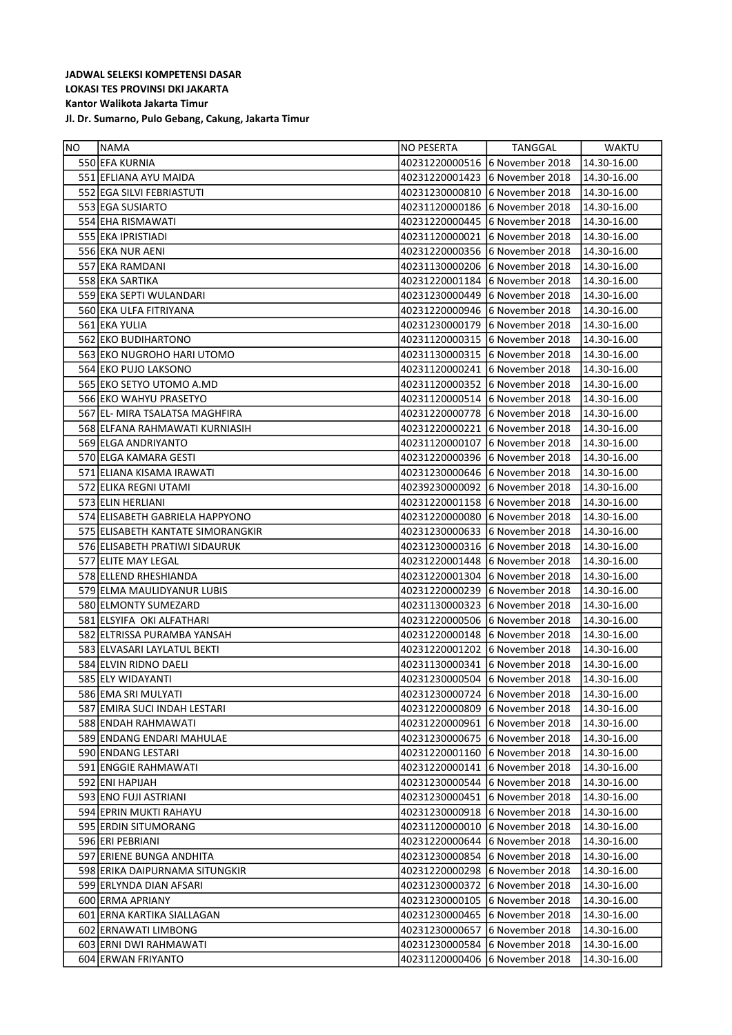| NO. | <b>NAMA</b>                       | NO PESERTA                     | TANGGAL                        | <b>WAKTU</b> |
|-----|-----------------------------------|--------------------------------|--------------------------------|--------------|
|     | 550 EFA KURNIA                    |                                | 40231220000516 6 November 2018 | 14.30-16.00  |
|     | 551 EFLIANA AYU MAIDA             |                                | 40231220001423 6 November 2018 | 14.30-16.00  |
|     | 552 EGA SILVI FEBRIASTUTI         |                                | 40231230000810 6 November 2018 | 14.30-16.00  |
|     | 553 EGA SUSIARTO                  |                                | 40231120000186 6 November 2018 | 14.30-16.00  |
|     | 554 EHA RISMAWATI                 |                                | 40231220000445 6 November 2018 | 14.30-16.00  |
|     | 555 EKA IPRISTIADI                |                                | 40231120000021 6 November 2018 | 14.30-16.00  |
|     | 556 EKA NUR AENI                  |                                | 40231220000356 6 November 2018 | 14.30-16.00  |
|     | 557 EKA RAMDANI                   |                                | 40231130000206 6 November 2018 | 14.30-16.00  |
|     | 558 EKA SARTIKA                   |                                | 40231220001184 6 November 2018 | 14.30-16.00  |
|     | 559 EKA SEPTI WULANDARI           |                                | 40231230000449 6 November 2018 | 14.30-16.00  |
|     | 560 EKA ULFA FITRIYANA            |                                | 40231220000946 6 November 2018 | 14.30-16.00  |
|     | 561 EKA YULIA                     |                                | 40231230000179 6 November 2018 | 14.30-16.00  |
|     | 562 EKO BUDIHARTONO               |                                | 40231120000315 6 November 2018 | 14.30-16.00  |
|     | 563 EKO NUGROHO HARI UTOMO        |                                | 40231130000315 6 November 2018 | 14.30-16.00  |
|     | 564 EKO PUJO LAKSONO              |                                | 40231120000241 6 November 2018 | 14.30-16.00  |
|     | 565 EKO SETYO UTOMO A.MD          |                                | 40231120000352 6 November 2018 | 14.30-16.00  |
|     | 566 EKO WAHYU PRASETYO            |                                | 40231120000514 6 November 2018 | 14.30-16.00  |
|     | 567 EL- MIRA TSALATSA MAGHFIRA    |                                | 40231220000778 6 November 2018 | 14.30-16.00  |
|     | 568 ELFANA RAHMAWATI KURNIASIH    |                                | 40231220000221 6 November 2018 | 14.30-16.00  |
|     | 569 ELGA ANDRIYANTO               |                                | 40231120000107 6 November 2018 | 14.30-16.00  |
|     | 570 ELGA KAMARA GESTI             |                                | 40231220000396 6 November 2018 | 14.30-16.00  |
|     | 571 ELIANA KISAMA IRAWATI         |                                | 40231230000646 6 November 2018 | 14.30-16.00  |
|     | 572 ELIKA REGNI UTAMI             |                                | 40239230000092 6 November 2018 | 14.30-16.00  |
|     | 573 ELIN HERLIANI                 |                                | 40231220001158 6 November 2018 | 14.30-16.00  |
|     | 574 ELISABETH GABRIELA HAPPYONO   |                                | 40231220000080 6 November 2018 | 14.30-16.00  |
|     | 575 ELISABETH KANTATE SIMORANGKIR |                                | 40231230000633 6 November 2018 | 14.30-16.00  |
|     | 576 ELISABETH PRATIWI SIDAURUK    |                                | 40231230000316 6 November 2018 | 14.30-16.00  |
|     | 577 ELITE MAY LEGAL               |                                | 40231220001448 6 November 2018 | 14.30-16.00  |
|     | 578 ELLEND RHESHIANDA             |                                | 40231220001304 6 November 2018 | 14.30-16.00  |
|     | 579 ELMA MAULIDYANUR LUBIS        |                                | 40231220000239 6 November 2018 | 14.30-16.00  |
|     | 580 ELMONTY SUMEZARD              |                                | 40231130000323 6 November 2018 | 14.30-16.00  |
|     | 581 ELSYIFA OKI ALFATHARI         |                                | 40231220000506 6 November 2018 | 14.30-16.00  |
|     | 582 ELTRISSA PURAMBA YANSAH       |                                | 40231220000148 6 November 2018 | 14.30-16.00  |
|     | 583 ELVASARI LAYLATUL BEKTI       |                                | 40231220001202 6 November 2018 | 14.30-16.00  |
|     | 584 ELVIN RIDNO DAELI             |                                | 40231130000341 6 November 2018 | 14.30-16.00  |
|     | 585 ELY WIDAYANTI                 |                                | 40231230000504 6 November 2018 | 14.30-16.00  |
|     | 586 EMA SRI MULYATI               |                                | 40231230000724 6 November 2018 | 14.30-16.00  |
|     | 587 EMIRA SUCI INDAH LESTARI      | 40231220000809 6 November 2018 |                                | 14.30-16.00  |
|     | 588 ENDAH RAHMAWATI               | 40231220000961                 | 6 November 2018                | 14.30-16.00  |
|     | 589 ENDANG ENDARI MAHULAE         | 40231230000675 6 November 2018 |                                | 14.30-16.00  |
|     | 590 ENDANG LESTARI                | 40231220001160                 | 6 November 2018                | 14.30-16.00  |
|     | 591 ENGGIE RAHMAWATI              | 40231220000141                 | 6 November 2018                | 14.30-16.00  |
|     | 592 ENI HAPIJAH                   | 40231230000544                 | 6 November 2018                | 14.30-16.00  |
|     | 593 ENO FUJI ASTRIANI             | 40231230000451                 | 6 November 2018                | 14.30-16.00  |
|     | 594 EPRIN MUKTI RAHAYU            | 40231230000918 6 November 2018 |                                | 14.30-16.00  |
|     | 595 ERDIN SITUMORANG              | 40231120000010 6 November 2018 |                                | 14.30-16.00  |
|     | 596 ERI PEBRIANI                  | 40231220000644                 | 6 November 2018                | 14.30-16.00  |
|     | 597 ERIENE BUNGA ANDHITA          | 40231230000854                 | 6 November 2018                | 14.30-16.00  |
|     | 598 ERIKA DAIPURNAMA SITUNGKIR    | 40231220000298 6 November 2018 |                                | 14.30-16.00  |
|     | 599 ERLYNDA DIAN AFSARI           | 40231230000372                 | 6 November 2018                | 14.30-16.00  |
|     | 600 ERMA APRIANY                  | 40231230000105                 | 6 November 2018                | 14.30-16.00  |
|     | 601 ERNA KARTIKA SIALLAGAN        |                                | 40231230000465 6 November 2018 | 14.30-16.00  |
|     | 602 ERNAWATI LIMBONG              | 40231230000657                 | 6 November 2018                | 14.30-16.00  |
|     | 603 ERNI DWI RAHMAWATI            | 40231230000584                 | 6 November 2018                | 14.30-16.00  |
|     | 604 ERWAN FRIYANTO                | 40231120000406                 | 6 November 2018                | 14.30-16.00  |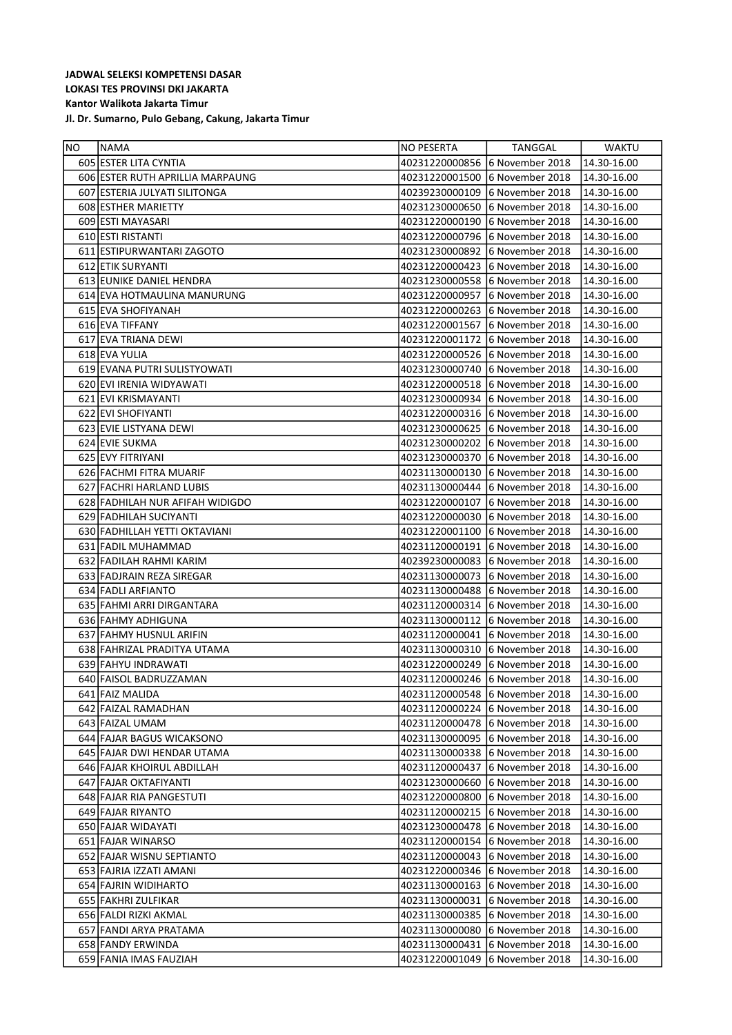| NO | NAMA                             | NO PESERTA                     | TANGGAL                        | WAKTU       |
|----|----------------------------------|--------------------------------|--------------------------------|-------------|
|    | 605 ESTER LITA CYNTIA            |                                | 40231220000856 6 November 2018 | 14.30-16.00 |
|    | 606 ESTER RUTH APRILLIA MARPAUNG | 40231220001500                 | 16 November 2018               | 14.30-16.00 |
|    | 607 ESTERIA JULYATI SILITONGA    | 40239230000109                 | 16 November 2018               | 14.30-16.00 |
|    | <b>608 ESTHER MARIETTY</b>       | 40231230000650                 | 16 November 2018               | 14.30-16.00 |
|    | 609 ESTI MAYASARI                | 40231220000190                 | 16 November 2018               | 14.30-16.00 |
|    | 610 ESTI RISTANTI                | 40231220000796                 | 6 November 2018                | 14.30-16.00 |
|    | 611 ESTIPURWANTARI ZAGOTO        | 40231230000892                 | 6 November 2018                | 14.30-16.00 |
|    | 612 ETIK SURYANTI                | 40231220000423                 | 16 November 2018               | 14.30-16.00 |
|    | 613 EUNIKE DANIEL HENDRA         |                                | 40231230000558 6 November 2018 | 14.30-16.00 |
|    | 614 EVA HOTMAULINA MANURUNG      | 40231220000957                 | 6 November 2018                | 14.30-16.00 |
|    | 615 EVA SHOFIYANAH               |                                | 40231220000263 6 November 2018 | 14.30-16.00 |
|    | 616 EVA TIFFANY                  | 40231220001567                 | 6 November 2018                | 14.30-16.00 |
|    | 617 EVA TRIANA DEWI              | 40231220001172                 | 6 November 2018                | 14.30-16.00 |
|    | 618 EVA YULIA                    |                                | 40231220000526 6 November 2018 | 14.30-16.00 |
|    | 619 EVANA PUTRI SULISTYOWATI     | 40231230000740                 | 6 November 2018                | 14.30-16.00 |
|    | 620 EVI IRENIA WIDYAWATI         |                                | 40231220000518 6 November 2018 | 14.30-16.00 |
|    | 621 EVI KRISMAYANTI              |                                | 40231230000934 6 November 2018 | 14.30-16.00 |
|    | 622 EVI SHOFIYANTI               |                                | 40231220000316 6 November 2018 | 14.30-16.00 |
|    | 623 EVIE LISTYANA DEWI           | 40231230000625 6 November 2018 |                                | 14.30-16.00 |
|    | 624 EVIE SUKMA                   |                                | 40231230000202 6 November 2018 | 14.30-16.00 |
|    | 625 EVY FITRIYANI                | 40231230000370                 | 16 November 2018               | 14.30-16.00 |
|    | 626 FACHMI FITRA MUARIF          | 40231130000130                 | 16 November 2018               | 14.30-16.00 |
|    | 627 FACHRI HARLAND LUBIS         |                                | 40231130000444 6 November 2018 | 14.30-16.00 |
|    | 628 FADHILAH NUR AFIFAH WIDIGDO  | 40231220000107                 | 16 November 2018               | 14.30-16.00 |
|    | 629 FADHILAH SUCIYANTI           | 40231220000030                 | 16 November 2018               | 14.30-16.00 |
|    | 630 FADHILLAH YETTI OKTAVIANI    | 40231220001100                 | 16 November 2018               | 14.30-16.00 |
|    | 631 FADIL MUHAMMAD               | 40231120000191                 | 16 November 2018               | 14.30-16.00 |
|    | 632 FADILAH RAHMI KARIM          | 40239230000083                 | 6 November 2018                | 14.30-16.00 |
|    | 633 FADJRAIN REZA SIREGAR        |                                | 40231130000073 6 November 2018 | 14.30-16.00 |
|    | 634 FADLI ARFIANTO               |                                | 40231130000488 6 November 2018 | 14.30-16.00 |
|    | 635 FAHMI ARRI DIRGANTARA        |                                | 40231120000314 6 November 2018 | 14.30-16.00 |
|    | 636 FAHMY ADHIGUNA               |                                | 40231130000112 6 November 2018 | 14.30-16.00 |
|    | 637 FAHMY HUSNUL ARIFIN          |                                | 40231120000041 6 November 2018 | 14.30-16.00 |
|    | 638 FAHRIZAL PRADITYA UTAMA      | 40231130000310                 | 6 November 2018                | 14.30-16.00 |
|    | 639 FAHYU INDRAWATI              | 40231220000249                 | 16 November 2018               | 14.30-16.00 |
|    | 640 FAISOL BADRUZZAMAN           |                                | 40231120000246 6 November 2018 | 14.30-16.00 |
|    | 641 FAIZ MALIDA                  | 40231120000548                 | 6 November 2018                | 14.30-16.00 |
|    | 642 FAIZAL RAMADHAN              | 40231120000224                 | 16 November 2018               | 14.30-16.00 |
|    | 643 FAIZAL UMAM                  | 40231120000478                 | 16 November 2018               | 14.30-16.00 |
|    | 644 FAJAR BAGUS WICAKSONO        | 40231130000095                 | 16 November 2018               | 14.30-16.00 |
|    | 645 FAJAR DWI HENDAR UTAMA       |                                | 40231130000338 6 November 2018 | 14.30-16.00 |
|    | 646 FAJAR KHOIRUL ABDILLAH       | 40231120000437                 | 16 November 2018               | 14.30-16.00 |
|    | 647 FAJAR OKTAFIYANTI            | 40231230000660                 | 16 November 2018               | 14.30-16.00 |
|    | 648 FAJAR RIA PANGESTUTI         | 40231220000800                 | 16 November 2018               | 14.30-16.00 |
|    | 649 FAJAR RIYANTO                | 40231120000215                 | 16 November 2018               | 14.30-16.00 |
|    | 650 FAJAR WIDAYATI               | 40231230000478                 | 6 November 2018                | 14.30-16.00 |
|    | 651 FAJAR WINARSO                |                                | 40231120000154 6 November 2018 | 14.30-16.00 |
|    | 652 FAJAR WISNU SEPTIANTO        |                                | 40231120000043 6 November 2018 | 14.30-16.00 |
|    | 653 FAJRIA IZZATI AMANI          | 40231220000346                 | 6 November 2018                | 14.30-16.00 |
|    | 654 FAJRIN WIDIHARTO             |                                | 40231130000163 6 November 2018 | 14.30-16.00 |
|    | 655   FAKHRI ZULFIKAR            | 40231130000031                 | 16 November 2018               | 14.30-16.00 |
|    | 656 FALDI RIZKI AKMAL            | 40231130000385                 | 6 November 2018                | 14.30-16.00 |
|    | 657 FANDI ARYA PRATAMA           | 40231130000080                 | 6 November 2018                | 14.30-16.00 |
|    | 658 FANDY ERWINDA                | 40231130000431                 | 6 November 2018                | 14.30-16.00 |
|    | 659 FANIA IMAS FAUZIAH           | 40231220001049                 | 6 November 2018                | 14.30-16.00 |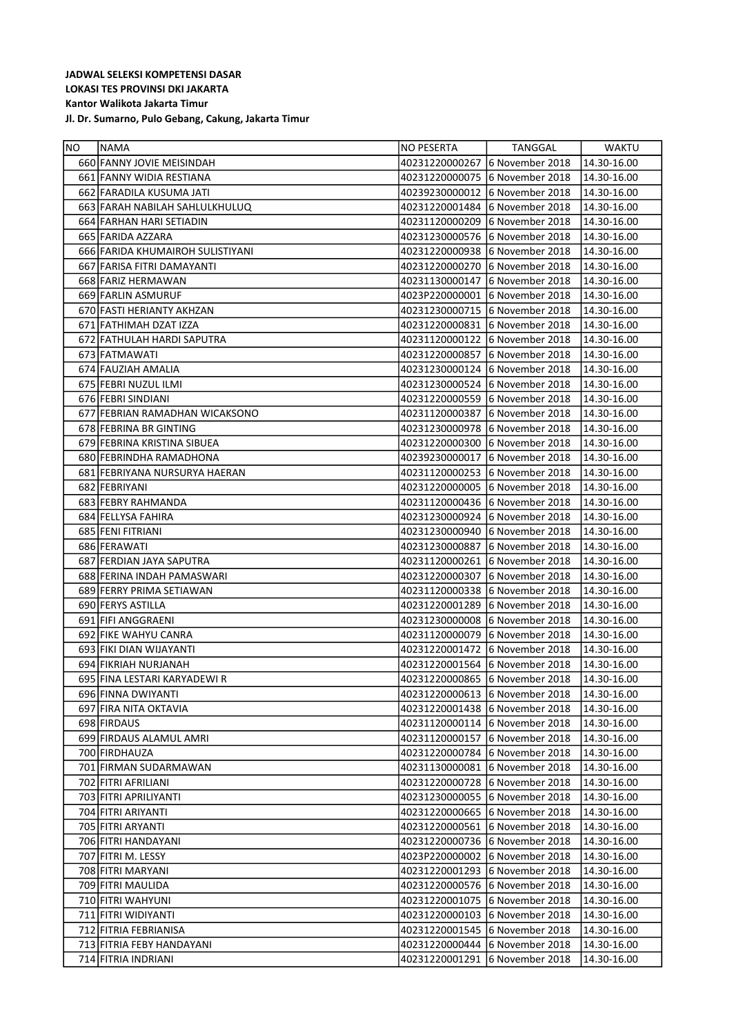| NO. | NAMA                             | NO PESERTA                     | TANGGAL                        | WAKTU       |
|-----|----------------------------------|--------------------------------|--------------------------------|-------------|
|     | 660 FANNY JOVIE MEISINDAH        | 40231220000267                 | 6 November 2018                | 14.30-16.00 |
|     | 661 FANNY WIDIA RESTIANA         | 40231220000075                 | 6 November 2018                | 14.30-16.00 |
|     | 662 FARADILA KUSUMA JATI         | 40239230000012                 | 6 November 2018                | 14.30-16.00 |
|     | 663 FARAH NABILAH SAHLULKHULUQ   | 40231220001484                 | 6 November 2018                | 14.30-16.00 |
|     | 664 FARHAN HARI SETIADIN         | 40231120000209                 | 6 November 2018                | 14.30-16.00 |
|     | 665 FARIDA AZZARA                | 40231230000576                 | 6 November 2018                | 14.30-16.00 |
|     | 666 FARIDA KHUMAIROH SULISTIYANI |                                | 40231220000938 6 November 2018 | 14.30-16.00 |
|     | 667 FARISA FITRI DAMAYANTI       | 40231220000270                 | 6 November 2018                | 14.30-16.00 |
|     | 668 FARIZ HERMAWAN               | 40231130000147                 | 6 November 2018                | 14.30-16.00 |
|     | 669 FARLIN ASMURUF               | 4023P220000001                 | 6 November 2018                | 14.30-16.00 |
|     | 670 FASTI HERIANTY AKHZAN        | 40231230000715 6 November 2018 |                                | 14.30-16.00 |
|     | 671 FATHIMAH DZAT IZZA           | 40231220000831                 | 6 November 2018                | 14.30-16.00 |
|     | 672 FATHULAH HARDI SAPUTRA       | 40231120000122                 | 6 November 2018                | 14.30-16.00 |
|     | 673 FATMAWATI                    | 40231220000857                 | 6 November 2018                | 14.30-16.00 |
|     | 674 FAUZIAH AMALIA               | 40231230000124                 | 6 November 2018                | 14.30-16.00 |
|     | 675 FEBRI NUZUL ILMI             | 40231230000524                 | 6 November 2018                | 14.30-16.00 |
|     | 676 FEBRI SINDIANI               | 40231220000559                 | 6 November 2018                | 14.30-16.00 |
|     | 677 FEBRIAN RAMADHAN WICAKSONO   | 40231120000387                 | 6 November 2018                | 14.30-16.00 |
|     | 678 FEBRINA BR GINTING           | 40231230000978                 | 6 November 2018                | 14.30-16.00 |
|     | 679 FEBRINA KRISTINA SIBUEA      | 40231220000300                 | 6 November 2018                | 14.30-16.00 |
|     | 680 FEBRINDHA RAMADHONA          | 40239230000017                 | 6 November 2018                | 14.30-16.00 |
|     | 681 FEBRIYANA NURSURYA HAERAN    |                                | 40231120000253 6 November 2018 | 14.30-16.00 |
|     | 682 FEBRIYANI                    | 40231220000005 6 November 2018 |                                | 14.30-16.00 |
|     | 683 FEBRY RAHMANDA               |                                | 40231120000436 6 November 2018 | 14.30-16.00 |
|     | 684 FELLYSA FAHIRA               | 40231230000924                 | 6 November 2018                | 14.30-16.00 |
|     | 685 FENI FITRIANI                | 40231230000940                 | 6 November 2018                | 14.30-16.00 |
|     | 686 FERAWATI                     | 40231230000887                 | 6 November 2018                | 14.30-16.00 |
|     | 687 FERDIAN JAYA SAPUTRA         | 40231120000261                 | 6 November 2018                | 14.30-16.00 |
|     | 688 FERINA INDAH PAMASWARI       | 40231220000307                 | 6 November 2018                | 14.30-16.00 |
|     | 689 FERRY PRIMA SETIAWAN         | 40231120000338                 | 6 November 2018                | 14.30-16.00 |
|     | 690 FERYS ASTILLA                | 40231220001289                 | 6 November 2018                | 14.30-16.00 |
|     | 691 FIFI ANGGRAENI               | 40231230000008                 | 6 November 2018                | 14.30-16.00 |
|     | 692 FIKE WAHYU CANRA             | 40231120000079                 | 6 November 2018                | 14.30-16.00 |
|     | 693 FIKI DIAN WIJAYANTI          | 40231220001472                 | 6 November 2018                | 14.30-16.00 |
|     | 694 FIKRIAH NURJANAH             | 40231220001564                 | 6 November 2018                | 14.30-16.00 |
|     | 695 FINA LESTARI KARYADEWI R     | 40231220000865 6 November 2018 |                                | 14.30-16.00 |
|     | 696 FINNA DWIYANTI               | 40231220000613                 | 6 November 2018                | 14.30-16.00 |
|     | 697 FIRA NITA OKTAVIA            | 40231220001438                 | 6 November 2018                | 14.30-16.00 |
|     | 698 FIRDAUS                      | 40231120000114                 | 6 November 2018                | 14.30-16.00 |
|     | 699 FIRDAUS ALAMUL AMRI          | 40231120000157                 | 6 November 2018                | 14.30-16.00 |
|     | 700 FIRDHAUZA                    | 40231220000784                 | 6 November 2018                | 14.30-16.00 |
|     | 701 FIRMAN SUDARMAWAN            | 40231130000081                 | 6 November 2018                | 14.30-16.00 |
|     | 702 FITRI AFRILIANI              | 40231220000728                 | 6 November 2018                | 14.30-16.00 |
|     | 703 FITRI APRILIYANTI            | 40231230000055                 | 6 November 2018                | 14.30-16.00 |
|     | 704 FITRI ARIYANTI               | 40231220000665                 | 6 November 2018                | 14.30-16.00 |
|     | 705 FITRI ARYANTI                | 40231220000561                 | 6 November 2018                | 14.30-16.00 |
|     | 706 FITRI HANDAYANI              | 40231220000736                 | 6 November 2018                | 14.30-16.00 |
|     | 707 FITRI M. LESSY               | 4023P220000002                 | 6 November 2018                | 14.30-16.00 |
|     | 708 FITRI MARYANI                | 40231220001293                 | 6 November 2018                | 14.30-16.00 |
|     | 709 FITRI MAULIDA                | 40231220000576                 | 6 November 2018                | 14.30-16.00 |
|     | 710 FITRI WAHYUNI                | 40231220001075                 | 6 November 2018                | 14.30-16.00 |
|     | 711 FITRI WIDIYANTI              | 40231220000103                 | 6 November 2018                | 14.30-16.00 |
|     | 712 FITRIA FEBRIANISA            | 40231220001545                 | 6 November 2018                | 14.30-16.00 |
|     | 713 FITRIA FEBY HANDAYANI        | 40231220000444                 | 6 November 2018                | 14.30-16.00 |
|     | 714 FITRIA INDRIANI              | 40231220001291                 | 6 November 2018                | 14.30-16.00 |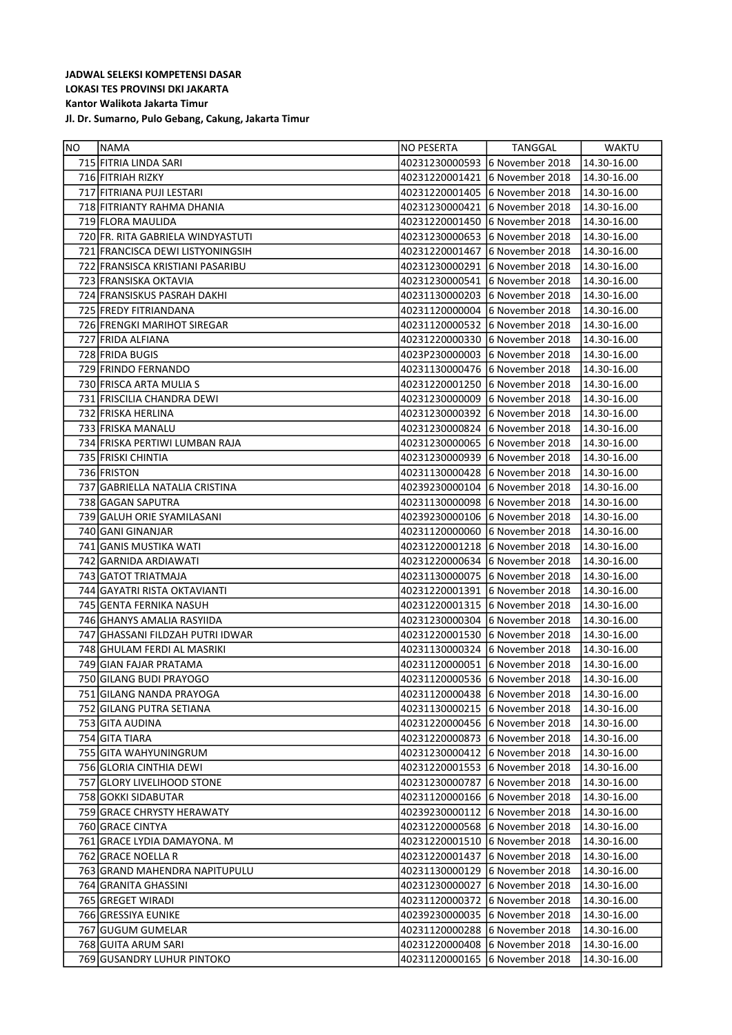| NO. | NAMA                              | NO PESERTA                     | TANGGAL                        | WAKTU       |
|-----|-----------------------------------|--------------------------------|--------------------------------|-------------|
|     | 715 FITRIA LINDA SARI             |                                | 40231230000593 6 November 2018 | 14.30-16.00 |
|     | 716 FITRIAH RIZKY                 | 40231220001421                 | 6 November 2018                | 14.30-16.00 |
|     | 717 FITRIANA PUJI LESTARI         |                                | 40231220001405 6 November 2018 | 14.30-16.00 |
|     | 718 FITRIANTY RAHMA DHANIA        | 40231230000421                 | 6 November 2018                | 14.30-16.00 |
|     | 719 FLORA MAULIDA                 | 40231220001450                 | 6 November 2018                | 14.30-16.00 |
|     | 720 FR. RITA GABRIELA WINDYASTUTI |                                | 40231230000653 6 November 2018 | 14.30-16.00 |
|     | 721 FRANCISCA DEWI LISTYONINGSIH  | 40231220001467                 | 6 November 2018                | 14.30-16.00 |
|     | 722 FRANSISCA KRISTIANI PASARIBU  | 40231230000291                 | 6 November 2018                | 14.30-16.00 |
|     | 723 FRANSISKA OKTAVIA             | 40231230000541                 | 6 November 2018                | 14.30-16.00 |
|     | 724 FRANSISKUS PASRAH DAKHI       |                                | 40231130000203 6 November 2018 | 14.30-16.00 |
|     | 725 FREDY FITRIANDANA             | 40231120000004                 | 6 November 2018                | 14.30-16.00 |
|     | 726 FRENGKI MARIHOT SIREGAR       | 40231120000532                 | 6 November 2018                | 14.30-16.00 |
|     | 727 FRIDA ALFIANA                 | 40231220000330                 | 6 November 2018                | 14.30-16.00 |
|     | 728 FRIDA BUGIS                   |                                | 4023P230000003 6 November 2018 | 14.30-16.00 |
|     | 729 FRINDO FERNANDO               |                                | 40231130000476 6 November 2018 | 14.30-16.00 |
|     | 730 FRISCA ARTA MULIA S           | 40231220001250                 | 6 November 2018                | 14.30-16.00 |
|     | 731 FRISCILIA CHANDRA DEWI        | 40231230000009                 | 6 November 2018                | 14.30-16.00 |
|     | 732 FRISKA HERLINA                | 40231230000392                 | 6 November 2018                | 14.30-16.00 |
|     | 733 FRISKA MANALU                 | 40231230000824                 | 6 November 2018                | 14.30-16.00 |
|     | 734 FRISKA PERTIWI LUMBAN RAJA    | 40231230000065                 | 6 November 2018                | 14.30-16.00 |
|     | 735 FRISKI CHINTIA                | 40231230000939                 | 6 November 2018                | 14.30-16.00 |
|     | 736 FRISTON                       | 40231130000428                 | 6 November 2018                | 14.30-16.00 |
|     | 737 GABRIELLA NATALIA CRISTINA    | 40239230000104                 | 6 November 2018                | 14.30-16.00 |
|     | 738 GAGAN SAPUTRA                 | 40231130000098                 | 6 November 2018                | 14.30-16.00 |
|     | 739 GALUH ORIE SYAMILASANI        |                                | 40239230000106 6 November 2018 | 14.30-16.00 |
|     | 740 GANI GINANJAR                 | 40231120000060                 | 6 November 2018                | 14.30-16.00 |
|     | 741 GANIS MUSTIKA WATI            | 40231220001218                 | 6 November 2018                | 14.30-16.00 |
|     | 742 GARNIDA ARDIAWATI             | 40231220000634                 | 6 November 2018                | 14.30-16.00 |
|     | 743 GATOT TRIATMAJA               | 40231130000075                 | 6 November 2018                | 14.30-16.00 |
|     | 744 GAYATRI RISTA OKTAVIANTI      | 40231220001391                 | 6 November 2018                | 14.30-16.00 |
|     | 745 GENTA FERNIKA NASUH           | 40231220001315                 | 6 November 2018                | 14.30-16.00 |
|     | 746 GHANYS AMALIA RASYIIDA        | 40231230000304                 | 6 November 2018                | 14.30-16.00 |
|     | 747 GHASSANI FILDZAH PUTRI IDWAR  | 40231220001530                 | 6 November 2018                | 14.30-16.00 |
|     | 748 GHULAM FERDI AL MASRIKI       | 40231130000324                 | 6 November 2018                | 14.30-16.00 |
|     | 749 GIAN FAJAR PRATAMA            | 40231120000051                 | 6 November 2018                | 14.30-16.00 |
|     | 750 GILANG BUDI PRAYOGO           |                                | 40231120000536 6 November 2018 | 14.30-16.00 |
|     | 751 GILANG NANDA PRAYOGA          | 40231120000438                 | 6 November 2018                | 14.30-16.00 |
|     | 752 GILANG PUTRA SETIANA          | 40231130000215                 | 6 November 2018                | 14.30-16.00 |
|     | 753 GITA AUDINA                   | 40231220000456                 | 6 November 2018                | 14.30-16.00 |
|     | 754 GITA TIARA                    | 40231220000873                 | 6 November 2018                | 14.30-16.00 |
|     | 755 GITA WAHYUNINGRUM             |                                | 40231230000412 6 November 2018 | 14.30-16.00 |
|     | 756 GLORIA CINTHIA DEWI           | 40231220001553 6 November 2018 |                                | 14.30-16.00 |
|     | 757 GLORY LIVELIHOOD STONE        | 40231230000787                 | 6 November 2018                | 14.30-16.00 |
|     | 758 GOKKI SIDABUTAR               | 40231120000166                 | 6 November 2018                | 14.30-16.00 |
|     | 759 GRACE CHRYSTY HERAWATY        |                                | 40239230000112 6 November 2018 | 14.30-16.00 |
|     | 760 GRACE CINTYA                  | 40231220000568                 | 6 November 2018                | 14.30-16.00 |
|     | 761 GRACE LYDIA DAMAYONA. M       | 40231220001510                 | 6 November 2018                | 14.30-16.00 |
|     | 762 GRACE NOELLA R                | 40231220001437                 | 6 November 2018                | 14.30-16.00 |
|     | 763 GRAND MAHENDRA NAPITUPULU     | 40231130000129                 | 6 November 2018                | 14.30-16.00 |
|     | 764 GRANITA GHASSINI              | 40231230000027                 | 6 November 2018                | 14.30-16.00 |
|     | 765 GREGET WIRADI                 | 40231120000372                 | 6 November 2018                | 14.30-16.00 |
|     | 766 GRESSIYA EUNIKE               | 40239230000035                 | 6 November 2018                | 14.30-16.00 |
|     | 767 GUGUM GUMELAR                 | 40231120000288                 | 6 November 2018                | 14.30-16.00 |
|     | 768 GUITA ARUM SARI               | 40231220000408                 | 6 November 2018                | 14.30-16.00 |
|     | 769 GUSANDRY LUHUR PINTOKO        | 40231120000165                 | 6 November 2018                | 14.30-16.00 |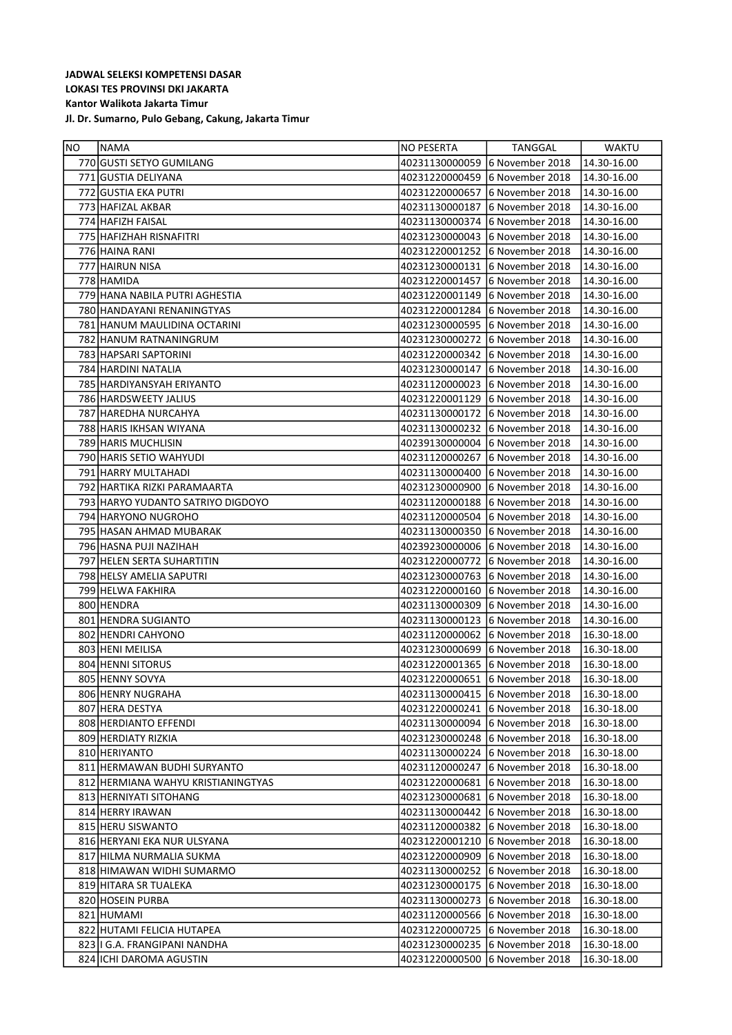| NO | NAMA                               | NO PESERTA     | TANGGAL                         | WAKTU       |
|----|------------------------------------|----------------|---------------------------------|-------------|
|    | 770 GUSTI SETYO GUMILANG           | 40231130000059 | 16 November 2018                | 14.30-16.00 |
|    | 771 GUSTIA DELIYANA                | 40231220000459 | 16 November 2018                | 14.30-16.00 |
|    | 772 GUSTIA EKA PUTRI               | 40231220000657 | 6 November 2018                 | 14.30-16.00 |
|    | 773 HAFIZAL AKBAR                  | 40231130000187 | 16 November 2018                | 14.30-16.00 |
|    | 774 HAFIZH FAISAL                  | 40231130000374 | 6 November 2018                 | 14.30-16.00 |
|    | 775 HAFIZHAH RISNAFITRI            |                | 40231230000043 6 November 2018  | 14.30-16.00 |
|    | 776 HAINA RANI                     |                | 40231220001252 6 November 2018  | 14.30-16.00 |
|    | 777 HAIRUN NISA                    | 40231230000131 | 16 November 2018                | 14.30-16.00 |
|    | 778 HAMIDA                         | 40231220001457 | 16 November 2018                | 14.30-16.00 |
|    | 779   HANA NABILA PUTRI AGHESTIA   | 40231220001149 | 16 November 2018                | 14.30-16.00 |
|    | 780 HANDAYANI RENANINGTYAS         |                | 40231220001284 6 November 2018  | 14.30-16.00 |
|    | 781 HANUM MAULIDINA OCTARINI       |                | 40231230000595 6 November 2018  | 14.30-16.00 |
|    | 782 HANUM RATNANINGRUM             | 40231230000272 | 6 November 2018                 | 14.30-16.00 |
|    | 783 HAPSARI SAPTORINI              |                | 40231220000342 6 November 2018  | 14.30-16.00 |
|    | 784 HARDINI NATALIA                | 40231230000147 | 6 November 2018                 | 14.30-16.00 |
|    | 785 HARDIYANSYAH ERIYANTO          | 40231120000023 | 6 November 2018                 | 14.30-16.00 |
|    | 786 HARDSWEETY JALIUS              | 40231220001129 | 6 November 2018                 | 14.30-16.00 |
|    | 787   HAREDHA NURCAHYA             | 40231130000172 | 6 November 2018                 | 14.30-16.00 |
|    | 788 HARIS IKHSAN WIYANA            | 40231130000232 | 6 November 2018                 | 14.30-16.00 |
|    | 789 HARIS MUCHLISIN                | 40239130000004 | 16 November 2018                | 14.30-16.00 |
|    | 790 HARIS SETIO WAHYUDI            | 40231120000267 | 6 November 2018                 | 14.30-16.00 |
|    | 791 HARRY MULTAHADI                | 40231130000400 | 16 November 2018                | 14.30-16.00 |
|    | 792   HARTIKA RIZKI PARAMAARTA     | 40231230000900 | 6 November 2018                 | 14.30-16.00 |
|    | 793 HARYO YUDANTO SATRIYO DIGDOYO  | 40231120000188 | 16 November 2018                | 14.30-16.00 |
|    | 794 HARYONO NUGROHO                | 40231120000504 | 6 November 2018                 | 14.30-16.00 |
|    | 795 HASAN AHMAD MUBARAK            | 40231130000350 | 16 November 2018                | 14.30-16.00 |
|    | 796 HASNA PUJI NAZIHAH             | 40239230000006 | 16 November 2018                | 14.30-16.00 |
|    | 797 HELEN SERTA SUHARTITIN         | 40231220000772 | 16 November 2018                | 14.30-16.00 |
|    | 798 HELSY AMELIA SAPUTRI           | 40231230000763 | 6 November 2018                 | 14.30-16.00 |
|    | 799 HELWA FAKHIRA                  | 40231220000160 | 6 November 2018                 | 14.30-16.00 |
|    | 800 HENDRA                         | 40231130000309 | 16 November 2018                | 14.30-16.00 |
|    | 801 HENDRA SUGIANTO                | 40231130000123 | 6 November 2018                 | 14.30-16.00 |
|    | 802 HENDRI CAHYONO                 | 40231120000062 | 6 November 2018                 | 16.30-18.00 |
|    | 803 HENI MEILISA                   | 40231230000699 | 6 November 2018                 | 16.30-18.00 |
|    | 804 HENNI SITORUS                  | 40231220001365 | 16 November 2018                | 16.30-18.00 |
|    | 805 HENNY SOVYA                    | 40231220000651 | 16 November 2018                | 16.30-18.00 |
|    | 806 HENRY NUGRAHA                  | 40231130000415 | 6 November 2018                 | 16.30-18.00 |
|    | 807 HERA DESTYA                    | 40231220000241 | 6 November 2018                 | 16.30-18.00 |
|    | 808 HERDIANTO EFFENDI              | 40231130000094 | 6 November 2018                 | 16.30-18.00 |
|    | 809 HERDIATY RIZKIA                |                | 40231230000248 16 November 2018 | 16.30-18.00 |
|    | 810 HERIYANTO                      |                | 40231130000224 6 November 2018  | 16.30-18.00 |
|    | 811 HERMAWAN BUDHI SURYANTO        | 40231120000247 | 16 November 2018                | 16.30-18.00 |
|    | 812 HERMIANA WAHYU KRISTIANINGTYAS | 40231220000681 | 16 November 2018                | 16.30-18.00 |
|    | 813 HERNIYATI SITOHANG             |                | 40231230000681 6 November 2018  | 16.30-18.00 |
|    | 814 HERRY IRAWAN                   |                | 40231130000442 6 November 2018  | 16.30-18.00 |
|    | 815 HERU SISWANTO                  |                | 40231120000382 6 November 2018  | 16.30-18.00 |
|    | 816 HERYANI EKA NUR ULSYANA        | 40231220001210 | 16 November 2018                | 16.30-18.00 |
|    | 817 HILMA NURMALIA SUKMA           | 40231220000909 | 16 November 2018                | 16.30-18.00 |
|    | 818 HIMAWAN WIDHI SUMARMO          |                | 40231130000252 6 November 2018  | 16.30-18.00 |
|    | 819 HITARA SR TUALEKA              | 40231230000175 | 6 November 2018                 | 16.30-18.00 |
|    | 820 HOSEIN PURBA                   |                | 40231130000273 6 November 2018  | 16.30-18.00 |
|    | 821 HUMAMI                         |                | 40231120000566 6 November 2018  | 16.30-18.00 |
|    | 822 HUTAMI FELICIA HUTAPEA         | 40231220000725 | 16 November 2018                | 16.30-18.00 |
|    | 823   I G.A. FRANGIPANI NANDHA     | 40231230000235 | 6 November 2018                 | 16.30-18.00 |
|    | 824 ICHI DAROMA AGUSTIN            | 40231220000500 | 6 November 2018                 | 16.30-18.00 |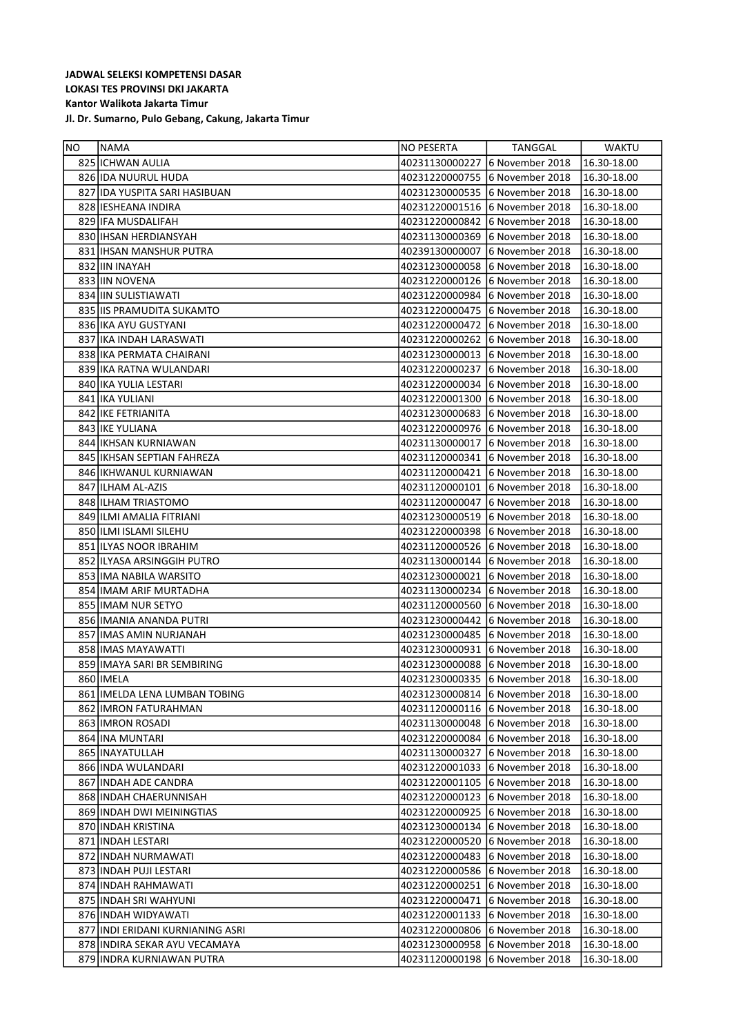| NO. | NAMA                             | <b>NO PESERTA</b> | TANGGAL                        | <b>WAKTU</b> |
|-----|----------------------------------|-------------------|--------------------------------|--------------|
|     | 825 ICHWAN AULIA                 | 40231130000227    | 6 November 2018                | 16.30-18.00  |
|     | 826 IDA NUURUL HUDA              | 40231220000755    | 6 November 2018                | 16.30-18.00  |
|     | 827 IDA YUSPITA SARI HASIBUAN    | 40231230000535    | 6 November 2018                | 16.30-18.00  |
|     | 828 IESHEANA INDIRA              | 40231220001516    | 6 November 2018                | 16.30-18.00  |
|     | 829 IFA MUSDALIFAH               | 40231220000842    | 6 November 2018                | 16.30-18.00  |
|     | 830 IHSAN HERDIANSYAH            | 40231130000369    | 6 November 2018                | 16.30-18.00  |
|     | 831 IHSAN MANSHUR PUTRA          | 40239130000007    | 6 November 2018                | 16.30-18.00  |
|     | 832 IIN INAYAH                   | 40231230000058    | 6 November 2018                | 16.30-18.00  |
|     | 833 IIN NOVENA                   | 40231220000126    | 6 November 2018                | 16.30-18.00  |
|     | 834 IIN SULISTIAWATI             |                   | 40231220000984 6 November 2018 | 16.30-18.00  |
|     | 835 IIS PRAMUDITA SUKAMTO        | 40231220000475    | 6 November 2018                | 16.30-18.00  |
|     | 836 IKA AYU GUSTYANI             | 40231220000472    | 6 November 2018                | 16.30-18.00  |
|     | 837 IKA INDAH LARASWATI          | 40231220000262    | 6 November 2018                | 16.30-18.00  |
|     | 838 IKA PERMATA CHAIRANI         |                   | 40231230000013 6 November 2018 | 16.30-18.00  |
|     | 839 IKA RATNA WULANDARI          | 40231220000237    | 6 November 2018                | 16.30-18.00  |
|     | 840   IKA YULIA LESTARI          | 40231220000034    | 6 November 2018                | 16.30-18.00  |
|     | 841   IKA YULIANI                | 40231220001300    | 6 November 2018                | 16.30-18.00  |
|     | 842 IKE FETRIANITA               |                   | 40231230000683 6 November 2018 | 16.30-18.00  |
|     | 843 IKE YULIANA                  | 40231220000976    | 6 November 2018                | 16.30-18.00  |
|     | 844 IKHSAN KURNIAWAN             | 40231130000017    | 6 November 2018                | 16.30-18.00  |
|     | 845   IKHSAN SEPTIAN FAHREZA     | 40231120000341    | 6 November 2018                | 16.30-18.00  |
|     | 846 IKHWANUL KURNIAWAN           | 40231120000421    | 6 November 2018                | 16.30-18.00  |
|     | 847 ILHAM AL-AZIS                | 40231120000101    | 6 November 2018                | 16.30-18.00  |
|     | 848 ILHAM TRIASTOMO              | 40231120000047    | 6 November 2018                | 16.30-18.00  |
|     | 849 ILMI AMALIA FITRIANI         | 40231230000519    | 6 November 2018                | 16.30-18.00  |
|     | 850 ILMI ISLAMI SILEHU           | 40231220000398    | 6 November 2018                | 16.30-18.00  |
|     | 851 ILYAS NOOR IBRAHIM           | 40231120000526    | 6 November 2018                | 16.30-18.00  |
|     | 852 ILYASA ARSINGGIH PUTRO       |                   | 40231130000144 6 November 2018 | 16.30-18.00  |
|     | 853 IMA NABILA WARSITO           | 40231230000021    | 6 November 2018                | 16.30-18.00  |
|     | 854 IMAM ARIF MURTADHA           | 40231130000234    | 6 November 2018                | 16.30-18.00  |
|     | 855 IMAM NUR SETYO               | 40231120000560    | 6 November 2018                | 16.30-18.00  |
|     | 856 IMANIA ANANDA PUTRI          | 40231230000442    | 6 November 2018                | 16.30-18.00  |
|     | 857 IMAS AMIN NURJANAH           |                   | 40231230000485 6 November 2018 | 16.30-18.00  |
|     | 858 IMAS MAYAWATTI               | 40231230000931    | 6 November 2018                | 16.30-18.00  |
|     | 859 IMAYA SARI BR SEMBIRING      | 40231230000088    | 6 November 2018                | 16.30-18.00  |
|     | 860 IMELA                        |                   | 40231230000335 6 November 2018 | 16.30-18.00  |
|     | 861 IMELDA LENA LUMBAN TOBING    |                   | 40231230000814 6 November 2018 | 16.30-18.00  |
|     | 862 JIMRON FATURAHMAN            | 40231120000116    | 6 November 2018                | 16.30-18.00  |
|     | 863 IMRON ROSADI                 | 40231130000048    | 6 November 2018                | 16.30-18.00  |
|     | 864 INA MUNTARI                  | 40231220000084    | 6 November 2018                | 16.30-18.00  |
|     | 865 INAYATULLAH                  | 40231130000327    | 6 November 2018                | 16.30-18.00  |
|     | 866 INDA WULANDARI               | 40231220001033    | 6 November 2018                | 16.30-18.00  |
|     | 867 INDAH ADE CANDRA             | 40231220001105    | 6 November 2018                | 16.30-18.00  |
|     | 868 INDAH CHAERUNNISAH           | 40231220000123    | 6 November 2018                | 16.30-18.00  |
|     | 869 INDAH DWI MEININGTIAS        | 40231220000925    | 6 November 2018                | 16.30-18.00  |
|     | 870 INDAH KRISTINA               | 40231230000134    | 6 November 2018                | 16.30-18.00  |
|     | 871   INDAH LESTARI              | 40231220000520    | 6 November 2018                | 16.30-18.00  |
|     | 872 INDAH NURMAWATI              | 40231220000483    | 6 November 2018                | 16.30-18.00  |
|     | 873 INDAH PUJI LESTARI           | 40231220000586    | 6 November 2018                | 16.30-18.00  |
|     | 874 INDAH RAHMAWATI              | 40231220000251    | 6 November 2018                | 16.30-18.00  |
|     | 875 INDAH SRI WAHYUNI            | 40231220000471    | 6 November 2018                | 16.30-18.00  |
|     | 876 INDAH WIDYAWATI              | 40231220001133    | 6 November 2018                | 16.30-18.00  |
|     | 877 INDI ERIDANI KURNIANING ASRI | 40231220000806    | 6 November 2018                | 16.30-18.00  |
|     | 878 INDIRA SEKAR AYU VECAMAYA    | 40231230000958    | 6 November 2018                | 16.30-18.00  |
|     | 879 INDRA KURNIAWAN PUTRA        | 40231120000198    | 6 November 2018                | 16.30-18.00  |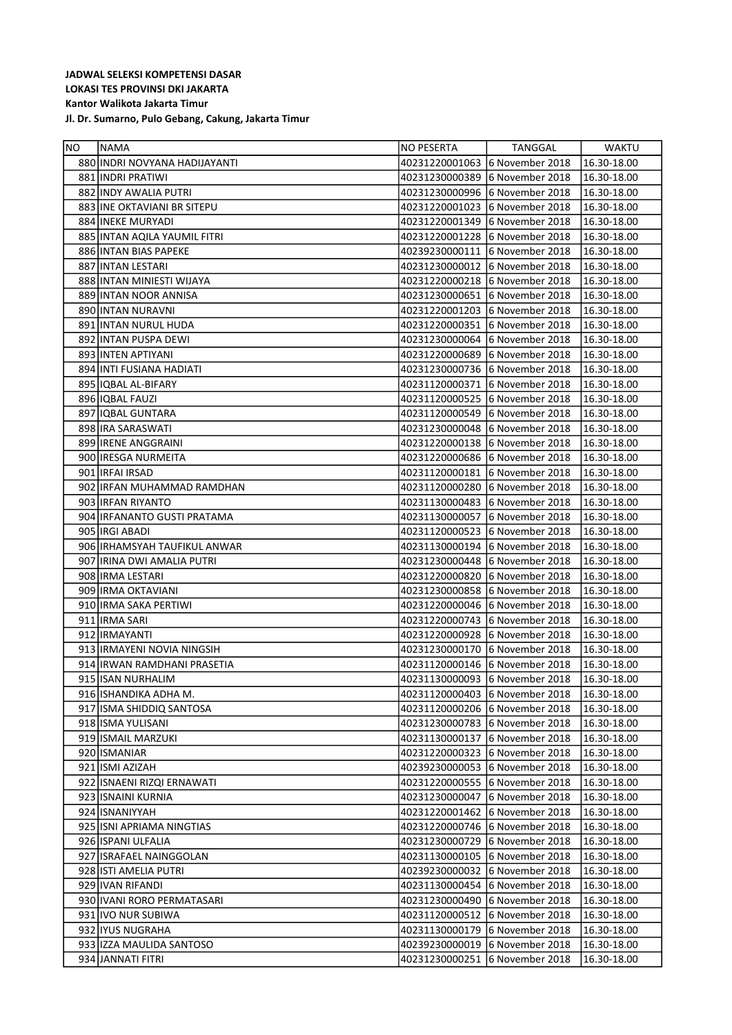| NO. | NAMA                          | NO PESERTA                     | TANGGAL                        | WAKTU       |
|-----|-------------------------------|--------------------------------|--------------------------------|-------------|
|     | 880 INDRI NOVYANA HADIJAYANTI |                                | 40231220001063 6 November 2018 | 16.30-18.00 |
|     | 881 INDRI PRATIWI             |                                | 40231230000389 6 November 2018 | 16.30-18.00 |
|     | 882 INDY AWALIA PUTRI         |                                | 40231230000996 6 November 2018 | 16.30-18.00 |
|     | 883 INE OKTAVIANI BR SITEPU   | 40231220001023                 | 6 November 2018                | 16.30-18.00 |
|     | 884 INEKE MURYADI             | 40231220001349                 | 6 November 2018                | 16.30-18.00 |
|     | 885 INTAN AQILA YAUMIL FITRI  | 40231220001228                 | 6 November 2018                | 16.30-18.00 |
|     | 886 INTAN BIAS PAPEKE         | 40239230000111                 | 6 November 2018                | 16.30-18.00 |
|     | 887 INTAN LESTARI             | 40231230000012                 | 6 November 2018                | 16.30-18.00 |
|     | 888 INTAN MINIESTI WIJAYA     | 40231220000218                 | 6 November 2018                | 16.30-18.00 |
|     | 889 INTAN NOOR ANNISA         | 40231230000651                 | 6 November 2018                | 16.30-18.00 |
|     | 890 INTAN NURAVNI             |                                | 40231220001203 6 November 2018 | 16.30-18.00 |
|     | 891 INTAN NURUL HUDA          | 40231220000351                 | 6 November 2018                | 16.30-18.00 |
|     | 892 INTAN PUSPA DEWI          | 40231230000064                 | 6 November 2018                | 16.30-18.00 |
|     | 893 INTEN APTIYANI            | 40231220000689                 | 6 November 2018                | 16.30-18.00 |
|     | 894 INTI FUSIANA HADIATI      |                                | 40231230000736 6 November 2018 | 16.30-18.00 |
|     | 895   IQBAL AL-BIFARY         | 40231120000371                 | 6 November 2018                | 16.30-18.00 |
|     | 896   IQBAL FAUZI             | 40231120000525                 | 6 November 2018                | 16.30-18.00 |
|     | 897 IQBAL GUNTARA             | 40231120000549                 | 6 November 2018                | 16.30-18.00 |
|     | 898 IRA SARASWATI             | 40231230000048                 | 6 November 2018                | 16.30-18.00 |
|     | 899 IRENE ANGGRAINI           |                                | 40231220000138 6 November 2018 | 16.30-18.00 |
|     | 900 IRESGA NURMEITA           |                                | 40231220000686 6 November 2018 | 16.30-18.00 |
|     | 901   IRFAI IRSAD             | 40231120000181                 | 6 November 2018                | 16.30-18.00 |
|     | 902 IRFAN MUHAMMAD RAMDHAN    | 40231120000280                 | 6 November 2018                | 16.30-18.00 |
|     | 903 IRFAN RIYANTO             |                                | 40231130000483 6 November 2018 | 16.30-18.00 |
|     | 904 IRFANANTO GUSTI PRATAMA   | 40231130000057                 | 6 November 2018                | 16.30-18.00 |
|     | 905   IRGI ABADI              | 40231120000523                 | 6 November 2018                | 16.30-18.00 |
|     | 906 IRHAMSYAH TAUFIKUL ANWAR  | 40231130000194 6 November 2018 |                                | 16.30-18.00 |
|     | 907 IRINA DWI AMALIA PUTRI    | 40231230000448                 | 6 November 2018                | 16.30-18.00 |
|     | 908 IRMA LESTARI              | 40231220000820                 | 6 November 2018                | 16.30-18.00 |
|     | 909 IRMA OKTAVIANI            | 40231230000858                 | 6 November 2018                | 16.30-18.00 |
|     | 910 IRMA SAKA PERTIWI         | 40231220000046 6 November 2018 |                                | 16.30-18.00 |
|     | 911 IRMA SARI                 | 40231220000743 6 November 2018 |                                | 16.30-18.00 |
|     | 912   IRMAYANTI               | 40231220000928                 | 6 November 2018                | 16.30-18.00 |
|     | 913 IRMAYENI NOVIA NINGSIH    | 40231230000170                 | 6 November 2018                | 16.30-18.00 |
|     | 914 IRWAN RAMDHANI PRASETIA   |                                | 40231120000146 6 November 2018 | 16.30-18.00 |
|     | 915 ISAN NURHALIM             |                                | 40231130000093 6 November 2018 | 16.30-18.00 |
|     | 916 ISHANDIKA ADHA M.         | 40231120000403                 | 6 November 2018                | 16.30-18.00 |
|     | 917 ISMA SHIDDIQ SANTOSA      | 40231120000206                 | 6 November 2018                | 16.30-18.00 |
|     | 918 ISMA YULISANI             | 40231230000783                 | 6 November 2018                | 16.30-18.00 |
|     | 919 ISMAIL MARZUKI            | 40231130000137                 | 6 November 2018                | 16.30-18.00 |
|     | 920 ISMANIAR                  | 40231220000323 6 November 2018 |                                | 16.30-18.00 |
|     | 921 ISMI AZIZAH               | 40239230000053 6 November 2018 |                                | 16.30-18.00 |
|     | 922 ISNAENI RIZQI ERNAWATI    | 40231220000555 6 November 2018 |                                | 16.30-18.00 |
|     | 923 ISNAINI KURNIA            | 40231230000047                 | 6 November 2018                | 16.30-18.00 |
|     | 924 ISNANIYYAH                | 40231220001462                 | 6 November 2018                | 16.30-18.00 |
|     | 925 ISNI APRIAMA NINGTIAS     | 40231220000746 6 November 2018 |                                | 16.30-18.00 |
|     | 926   ISPANI ULFALIA          | 40231230000729                 | 6 November 2018                | 16.30-18.00 |
|     | 927 ISRAFAEL NAINGGOLAN       | 40231130000105                 | 6 November 2018                | 16.30-18.00 |
|     | 928 JISTI AMELIA PUTRI        | 40239230000032                 | 6 November 2018                | 16.30-18.00 |
|     | 929 IVAN RIFANDI              | 40231130000454                 | 6 November 2018                | 16.30-18.00 |
|     | 930 IVANI RORO PERMATASARI    | 40231230000490                 | 6 November 2018                | 16.30-18.00 |
|     | 931 IVO NUR SUBIWA            | 40231120000512                 | 6 November 2018                | 16.30-18.00 |
|     | 932 IYUS NUGRAHA              | 40231130000179                 | 6 November 2018                | 16.30-18.00 |
|     | 933 IZZA MAULIDA SANTOSO      | 40239230000019                 | 6 November 2018                | 16.30-18.00 |
|     | 934 JANNATI FITRI             | 40231230000251                 | 6 November 2018                | 16.30-18.00 |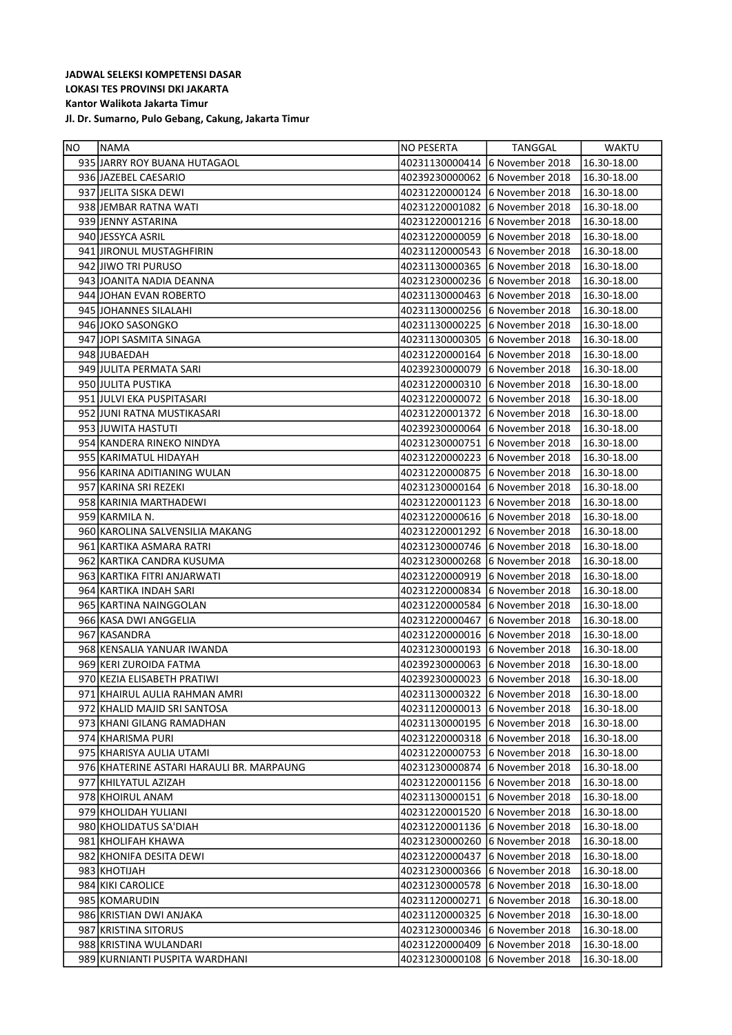| NO. | NAMA                                      | NO PESERTA     | TANGGAL                        | WAKTU       |
|-----|-------------------------------------------|----------------|--------------------------------|-------------|
|     | 935 JARRY ROY BUANA HUTAGAOL              |                | 40231130000414 6 November 2018 | 16.30-18.00 |
|     | 936 JAZEBEL CAESARIO                      | 40239230000062 | 6 November 2018                | 16.30-18.00 |
|     | 937 JELITA SISKA DEWI                     |                | 40231220000124 6 November 2018 | 16.30-18.00 |
|     | 938 JEMBAR RATNA WATI                     | 40231220001082 | 6 November 2018                | 16.30-18.00 |
|     | 939 JENNY ASTARINA                        |                | 40231220001216 6 November 2018 | 16.30-18.00 |
|     | 940 JESSYCA ASRIL                         | 40231220000059 | 6 November 2018                | 16.30-18.00 |
|     | 941 JIRONUL MUSTAGHFIRIN                  |                | 40231120000543 6 November 2018 | 16.30-18.00 |
|     | 942 JJIWO TRI PURUSO                      |                | 40231130000365 6 November 2018 | 16.30-18.00 |
|     | 943 JOANITA NADIA DEANNA                  |                | 40231230000236 6 November 2018 | 16.30-18.00 |
|     | 944 JOHAN EVAN ROBERTO                    |                | 40231130000463 6 November 2018 | 16.30-18.00 |
|     | 945 JOHANNES SILALAHI                     |                | 40231130000256 6 November 2018 | 16.30-18.00 |
|     | 946 JOKO SASONGKO                         |                | 40231130000225 6 November 2018 | 16.30-18.00 |
|     | 947 JOPI SASMITA SINAGA                   |                | 40231130000305 6 November 2018 | 16.30-18.00 |
|     | 948 JUBAEDAH                              |                | 40231220000164 6 November 2018 | 16.30-18.00 |
|     | 949 JULITA PERMATA SARI                   | 40239230000079 | 16 November 2018               | 16.30-18.00 |
|     | 950 JULITA PUSTIKA                        | 40231220000310 | 6 November 2018                | 16.30-18.00 |
|     | 951 JULVI EKA PUSPITASARI                 | 40231220000072 | 16 November 2018               | 16.30-18.00 |
|     | 952 JUNI RATNA MUSTIKASARI                | 40231220001372 | 6 November 2018                | 16.30-18.00 |
|     | 953 JJUWITA HASTUTI                       |                | 40239230000064 6 November 2018 | 16.30-18.00 |
|     | 954 KANDERA RINEKO NINDYA                 | 40231230000751 | 6 November 2018                | 16.30-18.00 |
|     | 955   KARIMATUL HIDAYAH                   |                | 40231220000223 6 November 2018 | 16.30-18.00 |
|     | 956 KARINA ADITIANING WULAN               |                | 40231220000875 6 November 2018 | 16.30-18.00 |
|     | 957   KARINA SRI REZEKI                   |                | 40231230000164 6 November 2018 | 16.30-18.00 |
|     | 958 KARINIA MARTHADEWI                    |                | 40231220001123 6 November 2018 | 16.30-18.00 |
|     | 959 KARMILA N.                            |                | 40231220000616 6 November 2018 | 16.30-18.00 |
|     | 960 KAROLINA SALVENSILIA MAKANG           |                | 40231220001292 6 November 2018 | 16.30-18.00 |
|     | 961 KARTIKA ASMARA RATRI                  |                | 40231230000746 6 November 2018 | 16.30-18.00 |
|     | 962 KARTIKA CANDRA KUSUMA                 |                | 40231230000268 6 November 2018 | 16.30-18.00 |
|     | 963   KARTIKA FITRI ANJARWATI             | 40231220000919 | 6 November 2018                | 16.30-18.00 |
|     | 964 KARTIKA INDAH SARI                    | 40231220000834 | 6 November 2018                | 16.30-18.00 |
|     | 965 KARTINA NAINGGOLAN                    | 40231220000584 | 6 November 2018                | 16.30-18.00 |
|     | 966 KASA DWI ANGGELIA                     | 40231220000467 | 6 November 2018                | 16.30-18.00 |
|     | 967 KASANDRA                              | 40231220000016 | 6 November 2018                | 16.30-18.00 |
|     | 968 KENSALIA YANUAR IWANDA                |                | 40231230000193 6 November 2018 | 16.30-18.00 |
|     | 969 KERI ZUROIDA FATMA                    | 40239230000063 | 6 November 2018                | 16.30-18.00 |
|     | 970 KEZIA ELISABETH PRATIWI               | 40239230000023 | 16 November 2018               | 16.30-18.00 |
|     | 971 KHAIRUL AULIA RAHMAN AMRI             |                | 40231130000322 6 November 2018 | 16.30-18.00 |
|     | 972 KHALID MAJID SRI SANTOSA              | 40231120000013 | 6 November 2018                | 16.30-18.00 |
|     | 973 KHANI GILANG RAMADHAN                 | 40231130000195 | 6 November 2018                | 16.30-18.00 |
|     | 974 KHARISMA PURI                         | 40231220000318 | 6 November 2018                | 16.30-18.00 |
|     | 975   KHARISYA AULIA UTAMI                | 40231220000753 | 6 November 2018                | 16.30-18.00 |
|     | 976 KHATERINE ASTARI HARAULI BR. MARPAUNG |                | 40231230000874 6 November 2018 | 16.30-18.00 |
|     | 977   KHILYATUL AZIZAH                    |                | 40231220001156 6 November 2018 | 16.30-18.00 |
|     | 978 KHOIRUL ANAM                          | 40231130000151 | 6 November 2018                | 16.30-18.00 |
|     | 979 KHOLIDAH YULIANI                      | 40231220001520 | 6 November 2018                | 16.30-18.00 |
|     | 980 KHOLIDATUS SA'DIAH                    |                | 40231220001136 6 November 2018 | 16.30-18.00 |
|     | 981 KHOLIFAH KHAWA                        | 40231230000260 | 6 November 2018                | 16.30-18.00 |
|     | 982 KHONIFA DESITA DEWI                   | 40231220000437 | 6 November 2018                | 16.30-18.00 |
|     | 983 KHOTIJAH                              | 40231230000366 | 6 November 2018                | 16.30-18.00 |
|     | 984 KIKI CAROLICE                         | 40231230000578 | 6 November 2018                | 16.30-18.00 |
|     | 985 KOMARUDIN                             | 40231120000271 | 6 November 2018                | 16.30-18.00 |
|     | 986 KRISTIAN DWI ANJAKA                   | 40231120000325 | 6 November 2018                | 16.30-18.00 |
|     | 987 KRISTINA SITORUS                      | 40231230000346 | 6 November 2018                | 16.30-18.00 |
|     | 988 KRISTINA WULANDARI                    | 40231220000409 | 6 November 2018                | 16.30-18.00 |
|     | 989 KURNIANTI PUSPITA WARDHANI            | 40231230000108 | 6 November 2018                | 16.30-18.00 |
|     |                                           |                |                                |             |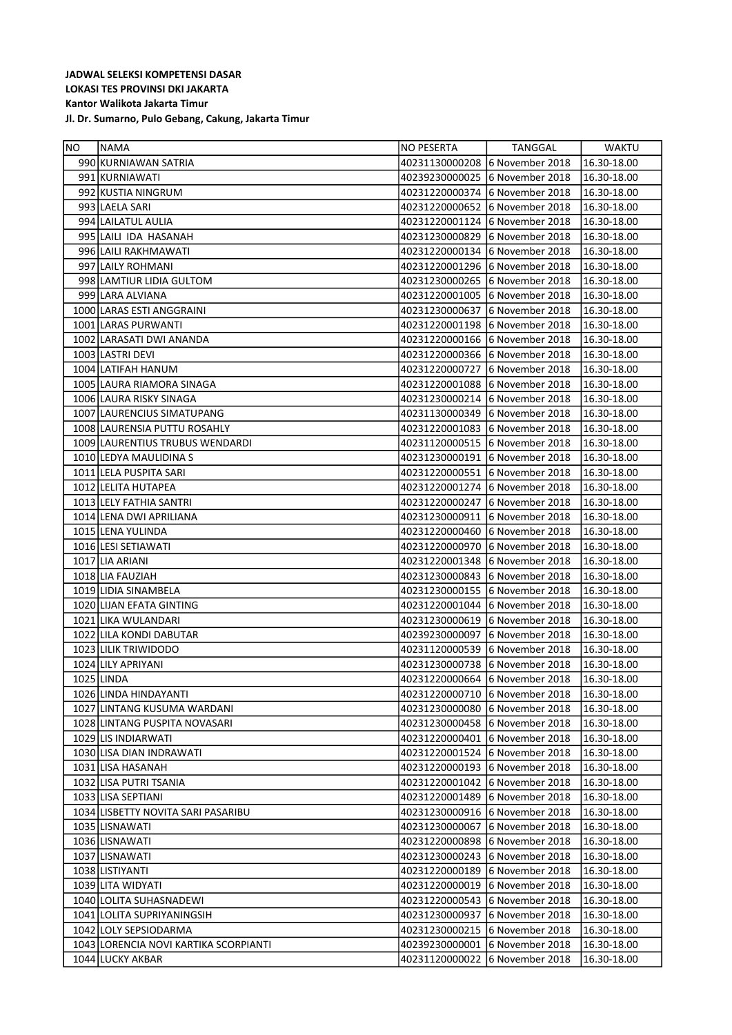| NO. | NAMA                                  | NO PESERTA     | TANGGAL          | WAKTU       |
|-----|---------------------------------------|----------------|------------------|-------------|
|     | 990 KURNIAWAN SATRIA                  | 40231130000208 | 6 November 2018  | 16.30-18.00 |
|     | 991 KURNIAWATI                        | 40239230000025 | 6 November 2018  | 16.30-18.00 |
|     | 992 KUSTIA NINGRUM                    | 40231220000374 | 6 November 2018  | 16.30-18.00 |
|     | 993 LAELA SARI                        | 40231220000652 | 6 November 2018  | 16.30-18.00 |
|     | 994 LAILATUL AULIA                    | 40231220001124 | 6 November 2018  | 16.30-18.00 |
|     | 995 LAILI IDA HASANAH                 | 40231230000829 | 6 November 2018  | 16.30-18.00 |
|     | 996 LAILI RAKHMAWATI                  | 40231220000134 | 6 November 2018  | 16.30-18.00 |
|     | 997 LAILY ROHMANI                     | 40231220001296 | 6 November 2018  | 16.30-18.00 |
|     | 998 LAMTIUR LIDIA GULTOM              | 40231230000265 | 6 November 2018  | 16.30-18.00 |
|     | 999 LARA ALVIANA                      | 40231220001005 | 6 November 2018  | 16.30-18.00 |
|     | 1000 LARAS ESTI ANGGRAINI             | 40231230000637 | 6 November 2018  | 16.30-18.00 |
|     | 1001 LARAS PURWANTI                   | 40231220001198 | 16 November 2018 | 16.30-18.00 |
|     | 1002 LARASATI DWI ANANDA              | 40231220000166 | 6 November 2018  | 16.30-18.00 |
|     | 1003 LASTRI DEVI                      | 40231220000366 | 16 November 2018 | 16.30-18.00 |
|     | 1004 LATIFAH HANUM                    | 40231220000727 | 6 November 2018  | 16.30-18.00 |
|     | 1005 LAURA RIAMORA SINAGA             | 40231220001088 | 16 November 2018 | 16.30-18.00 |
|     | 1006 LAURA RISKY SINAGA               | 40231230000214 | 6 November 2018  | 16.30-18.00 |
|     | 1007 LAURENCIUS SIMATUPANG            | 40231130000349 | 6 November 2018  | 16.30-18.00 |
|     | 1008 LAURENSIA PUTTU ROSAHLY          | 40231220001083 | 16 November 2018 | 16.30-18.00 |
|     | 1009 LAURENTIUS TRUBUS WENDARDI       | 40231120000515 | 6 November 2018  | 16.30-18.00 |
|     | 1010 LEDYA MAULIDINA S                | 40231230000191 | 6 November 2018  | 16.30-18.00 |
|     | 1011 LELA PUSPITA SARI                | 40231220000551 | 6 November 2018  | 16.30-18.00 |
|     | 1012 LELITA HUTAPEA                   | 40231220001274 | 16 November 2018 | 16.30-18.00 |
|     | 1013 LELY FATHIA SANTRI               | 40231220000247 | 16 November 2018 | 16.30-18.00 |
|     | 1014 LENA DWI APRILIANA               | 40231230000911 | 6 November 2018  | 16.30-18.00 |
|     | 1015 LENA YULINDA                     | 40231220000460 | 6 November 2018  | 16.30-18.00 |
|     | 1016 LESI SETIAWATI                   | 40231220000970 | 6 November 2018  | 16.30-18.00 |
|     | 1017 LIA ARIANI                       | 40231220001348 | 6 November 2018  | 16.30-18.00 |
|     | 1018 LIA FAUZIAH                      | 40231230000843 | 16 November 2018 | 16.30-18.00 |
|     | 1019 LIDIA SINAMBELA                  | 40231230000155 | 6 November 2018  | 16.30-18.00 |
|     | 1020 LIJAN EFATA GINTING              | 40231220001044 | 6 November 2018  | 16.30-18.00 |
|     | 1021 LIKA WULANDARI                   | 40231230000619 | 6 November 2018  | 16.30-18.00 |
|     | 1022 LILA KONDI DABUTAR               | 40239230000097 | 6 November 2018  | 16.30-18.00 |
|     | 1023 LILIK TRIWIDODO                  | 40231120000539 | 6 November 2018  | 16.30-18.00 |
|     | 1024 LILY APRIYANI                    | 40231230000738 | 6 November 2018  | 16.30-18.00 |
|     | 1025 LINDA                            | 40231220000664 | 16 November 2018 | 16.30-18.00 |
|     | 1026 LINDA HINDAYANTI                 | 40231220000710 | 6 November 2018  | 16.30-18.00 |
|     | 1027 LINTANG KUSUMA WARDANI           | 40231230000080 | 6 November 2018  | 16.30-18.00 |
|     | 1028 LINTANG PUSPITA NOVASARI         | 40231230000458 | 6 November 2018  | 16.30-18.00 |
|     | 1029 LIS INDIARWATI                   | 40231220000401 | 6 November 2018  | 16.30-18.00 |
|     | 1030 LISA DIAN INDRAWATI              | 40231220001524 | 6 November 2018  | 16.30-18.00 |
|     | 1031 LISA HASANAH                     | 40231220000193 | 6 November 2018  | 16.30-18.00 |
|     | 1032 LISA PUTRI TSANIA                | 40231220001042 | 6 November 2018  | 16.30-18.00 |
|     | 1033 LISA SEPTIANI                    | 40231220001489 | 6 November 2018  | 16.30-18.00 |
|     | 1034 LISBETTY NOVITA SARI PASARIBU    | 40231230000916 | 6 November 2018  | 16.30-18.00 |
|     | 1035 LISNAWATI                        | 40231230000067 | 6 November 2018  | 16.30-18.00 |
|     | 1036 LISNAWATI                        | 40231220000898 | 6 November 2018  | 16.30-18.00 |
|     | 1037 LISNAWATI                        | 40231230000243 | 6 November 2018  | 16.30-18.00 |
|     | 1038 LISTIYANTI                       | 40231220000189 | 6 November 2018  | 16.30-18.00 |
|     | 1039 LITA WIDYATI                     | 40231220000019 | 6 November 2018  | 16.30-18.00 |
|     | 1040 LOLITA SUHASNADEWI               | 40231220000543 | 6 November 2018  | 16.30-18.00 |
|     | 1041 LOLITA SUPRIYANINGSIH            | 40231230000937 | 6 November 2018  | 16.30-18.00 |
|     | 1042 LOLY SEPSIODARMA                 | 40231230000215 | 6 November 2018  | 16.30-18.00 |
|     | 1043 LORENCIA NOVI KARTIKA SCORPIANTI | 40239230000001 | 6 November 2018  | 16.30-18.00 |
|     | 1044 LUCKY AKBAR                      | 40231120000022 | 6 November 2018  | 16.30-18.00 |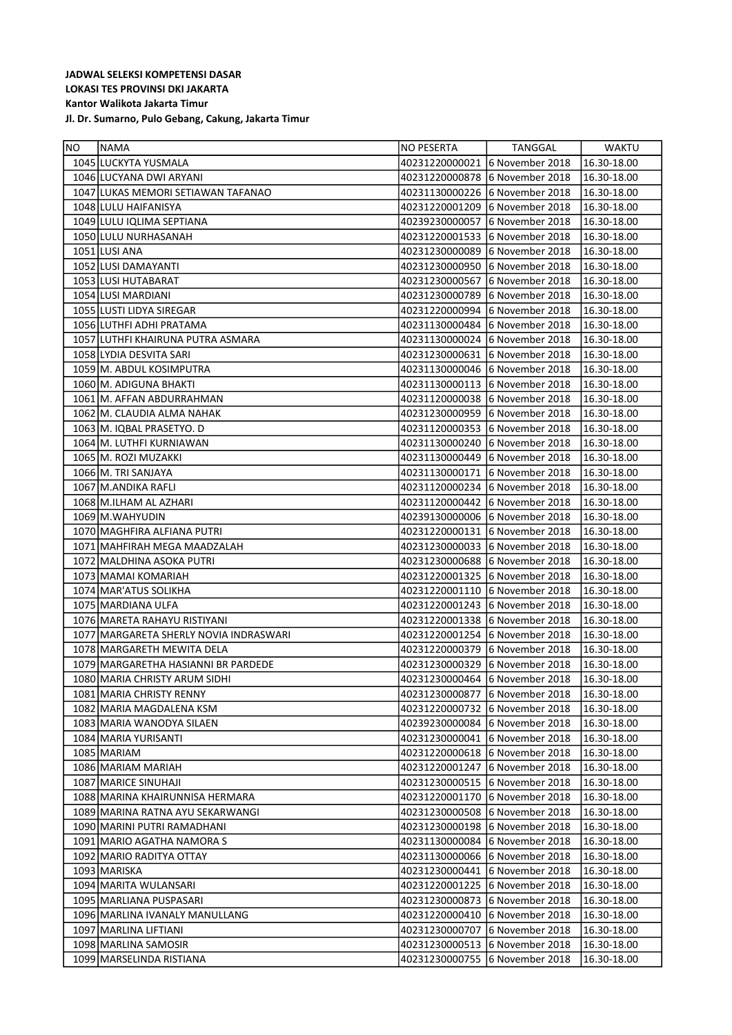| NO | <b>NAMA</b>                            | <b>NO PESERTA</b>              | TANGGAL         | <b>WAKTU</b> |
|----|----------------------------------------|--------------------------------|-----------------|--------------|
|    | 1045 LUCKYTA YUSMALA                   | 40231220000021                 | 6 November 2018 | 16.30-18.00  |
|    | 1046 LUCYANA DWI ARYANI                | 40231220000878                 | 6 November 2018 | 16.30-18.00  |
|    | 1047 LUKAS MEMORI SETIAWAN TAFANAO     | 40231130000226                 | 6 November 2018 | 16.30-18.00  |
|    | 1048 LULU HAIFANISYA                   | 40231220001209                 | 6 November 2018 | 16.30-18.00  |
|    | 1049 LULU IQLIMA SEPTIANA              | 40239230000057                 | 6 November 2018 | 16.30-18.00  |
|    | 1050 LULU NURHASANAH                   | 40231220001533                 | 6 November 2018 | 16.30-18.00  |
|    | 1051 LUSI ANA                          | 40231230000089                 | 6 November 2018 | 16.30-18.00  |
|    | 1052 LUSI DAMAYANTI                    | 40231230000950                 | 6 November 2018 | 16.30-18.00  |
|    | 1053 LUSI HUTABARAT                    | 40231230000567                 | 6 November 2018 | 16.30-18.00  |
|    | 1054 LUSI MARDIANI                     | 40231230000789                 | 6 November 2018 | 16.30-18.00  |
|    | 1055 LUSTI LIDYA SIREGAR               | 40231220000994                 | 6 November 2018 | 16.30-18.00  |
|    | 1056 LUTHFI ADHI PRATAMA               | 40231130000484                 | 6 November 2018 | 16.30-18.00  |
|    | 1057 LUTHFI KHAIRUNA PUTRA ASMARA      | 40231130000024                 | 6 November 2018 | 16.30-18.00  |
|    | 1058 LYDIA DESVITA SARI                | 40231230000631                 | 6 November 2018 | 16.30-18.00  |
|    | 1059 M. ABDUL KOSIMPUTRA               | 40231130000046                 | 6 November 2018 | 16.30-18.00  |
|    | 1060 M. ADIGUNA BHAKTI                 | 40231130000113 6 November 2018 |                 | 16.30-18.00  |
|    | 1061 M. AFFAN ABDURRAHMAN              | 40231120000038                 | 6 November 2018 | 16.30-18.00  |
|    | 1062 M. CLAUDIA ALMA NAHAK             | 40231230000959                 | 6 November 2018 | 16.30-18.00  |
|    | 1063 M. IQBAL PRASETYO. D              | 40231120000353                 | 6 November 2018 | 16.30-18.00  |
|    | 1064 M. LUTHFI KURNIAWAN               | 40231130000240                 | 6 November 2018 | 16.30-18.00  |
|    | 1065 M. ROZI MUZAKKI                   | 40231130000449                 | 6 November 2018 | 16.30-18.00  |
|    | 1066 M. TRI SANJAYA                    | 40231130000171                 | 6 November 2018 | 16.30-18.00  |
|    | 1067 M.ANDIKA RAFLI                    | 40231120000234                 | 6 November 2018 | 16.30-18.00  |
|    | 1068 M.ILHAM AL AZHARI                 | 40231120000442                 | 6 November 2018 | 16.30-18.00  |
|    | 1069 M. WAHYUDIN                       | 40239130000006                 | 6 November 2018 | 16.30-18.00  |
|    | 1070 MAGHFIRA ALFIANA PUTRI            | 40231220000131                 | 6 November 2018 | 16.30-18.00  |
|    | 1071   MAHFIRAH MEGA MAADZALAH         | 40231230000033                 | 6 November 2018 | 16.30-18.00  |
|    | 1072   MALDHINA ASOKA PUTRI            | 40231230000688                 | 6 November 2018 | 16.30-18.00  |
|    | 1073 MAMAI KOMARIAH                    | 40231220001325                 | 6 November 2018 | 16.30-18.00  |
|    | 1074 MAR'ATUS SOLIKHA                  | 40231220001110                 | 6 November 2018 | 16.30-18.00  |
|    | 1075 MARDIANA ULFA                     | 40231220001243                 | 6 November 2018 | 16.30-18.00  |
|    | 1076 MARETA RAHAYU RISTIYANI           | 40231220001338                 | 6 November 2018 | 16.30-18.00  |
|    | 1077 MARGARETA SHERLY NOVIA INDRASWARI | 40231220001254                 | 6 November 2018 | 16.30-18.00  |
|    | 1078 MARGARETH MEWITA DELA             | 40231220000379                 | 6 November 2018 | 16.30-18.00  |
|    | 1079 MARGARETHA HASIANNI BR PARDEDE    | 40231230000329                 | 6 November 2018 | 16.30-18.00  |
|    | 1080 MARIA CHRISTY ARUM SIDHI          | 40231230000464                 | 6 November 2018 | 16.30-18.00  |
|    | 1081 MARIA CHRISTY RENNY               | 40231230000877                 | 6 November 2018 | 16.30-18.00  |
|    | 1082   MARIA MAGDALENA KSM             | 40231220000732                 | 6 November 2018 | 16.30-18.00  |
|    | 1083   MARIA WANODYA SILAEN            | 40239230000084                 | 6 November 2018 | 16.30-18.00  |
|    | 1084   MARIA YURISANTI                 | 40231230000041                 | 6 November 2018 | 16.30-18.00  |
|    | 1085 MARIAM                            | 40231220000618 6 November 2018 |                 | 16.30-18.00  |
|    | 1086   MARIAM MARIAH                   |                                |                 | 16.30-18.00  |
|    | 1087 MARICE SINUHAJI                   | 40231230000515 6 November 2018 |                 | 16.30-18.00  |
|    | 1088   MARINA KHAIRUNNISA HERMARA      | 40231220001170                 | 6 November 2018 | 16.30-18.00  |
|    | 1089 MARINA RATNA AYU SEKARWANGI       | 40231230000508                 | 6 November 2018 | 16.30-18.00  |
|    | 1090   MARINI PUTRI RAMADHANI          | 40231230000198                 | 6 November 2018 | 16.30-18.00  |
|    | 1091 MARIO AGATHA NAMORA S             | 40231130000084                 | 6 November 2018 | 16.30-18.00  |
|    | 1092   MARIO RADITYA OTTAY             | 40231130000066                 | 6 November 2018 | 16.30-18.00  |
|    | 1093 MARISKA                           | 40231230000441                 | 6 November 2018 | 16.30-18.00  |
|    | 1094   MARITA WULANSARI                | 40231220001225                 | 6 November 2018 | 16.30-18.00  |
|    | 1095   MARLIANA PUSPASARI              | 40231230000873                 | 6 November 2018 | 16.30-18.00  |
|    | 1096   MARLINA IVANALY MANULLANG       | 40231220000410                 | 6 November 2018 | 16.30-18.00  |
|    | 1097   MARLINA LIFTIANI                | 40231230000707                 | 6 November 2018 | 16.30-18.00  |
|    | 1098 MARLINA SAMOSIR                   | 40231230000513                 | 6 November 2018 | 16.30-18.00  |
|    | 1099 MARSELINDA RISTIANA               | 40231230000755                 | 6 November 2018 | 16.30-18.00  |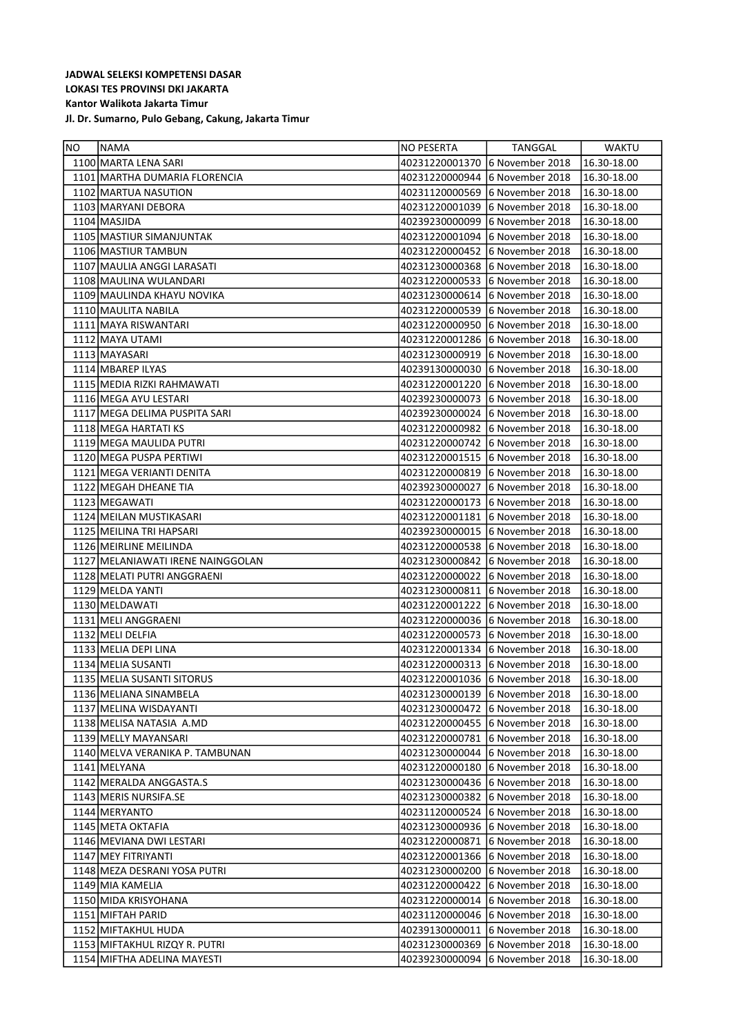| NO | <b>NAMA</b>                       | NO PESERTA                     | TANGGAL                        | WAKTU       |
|----|-----------------------------------|--------------------------------|--------------------------------|-------------|
|    | 1100 MARTA LENA SARI              | 40231220001370                 | 6 November 2018                | 16.30-18.00 |
|    | 1101 MARTHA DUMARIA FLORENCIA     | 40231220000944                 | 6 November 2018                | 16.30-18.00 |
|    | 1102 MARTUA NASUTION              | 40231120000569                 | 6 November 2018                | 16.30-18.00 |
|    | 1103 MARYANI DEBORA               | 40231220001039                 | 6 November 2018                | 16.30-18.00 |
|    | 1104 MASJIDA                      | 40239230000099                 | 6 November 2018                | 16.30-18.00 |
|    | 1105 MASTIUR SIMANJUNTAK          | 40231220001094                 | 6 November 2018                | 16.30-18.00 |
|    | 1106 MASTIUR TAMBUN               | 40231220000452                 | 6 November 2018                | 16.30-18.00 |
|    | 1107 MAULIA ANGGI LARASATI        | 40231230000368                 | 6 November 2018                | 16.30-18.00 |
|    | 1108 MAULINA WULANDARI            | 40231220000533                 | 6 November 2018                | 16.30-18.00 |
|    | 1109 MAULINDA KHAYU NOVIKA        | 40231230000614                 | 6 November 2018                | 16.30-18.00 |
|    | 1110 MAULITA NABILA               | 40231220000539                 | 6 November 2018                | 16.30-18.00 |
|    | 1111 MAYA RISWANTARI              | 40231220000950                 | 6 November 2018                | 16.30-18.00 |
|    | 1112 MAYA UTAMI                   | 40231220001286                 | 6 November 2018                | 16.30-18.00 |
|    | 1113 MAYASARI                     | 40231230000919                 | 6 November 2018                | 16.30-18.00 |
|    | 1114 MBAREP ILYAS                 | 40239130000030                 | 6 November 2018                | 16.30-18.00 |
|    | 1115 MEDIA RIZKI RAHMAWATI        | 40231220001220                 | 6 November 2018                | 16.30-18.00 |
|    | 1116 MEGA AYU LESTARI             | 40239230000073                 | 6 November 2018                | 16.30-18.00 |
|    | 1117 MEGA DELIMA PUSPITA SARI     | 40239230000024                 | 6 November 2018                | 16.30-18.00 |
|    | 1118 MEGA HARTATI KS              | 40231220000982                 | 6 November 2018                | 16.30-18.00 |
|    | 1119 MEGA MAULIDA PUTRI           | 40231220000742                 | 6 November 2018                | 16.30-18.00 |
|    | 1120 MEGA PUSPA PERTIWI           | 40231220001515                 | 6 November 2018                | 16.30-18.00 |
|    | 1121 MEGA VERIANTI DENITA         | 40231220000819                 | 6 November 2018                | 16.30-18.00 |
|    | 1122 MEGAH DHEANE TIA             | 40239230000027                 | 6 November 2018                | 16.30-18.00 |
|    | 1123 MEGAWATI                     | 40231220000173                 | 6 November 2018                | 16.30-18.00 |
|    | 1124 MEILAN MUSTIKASARI           | 40231220001181                 | 6 November 2018                | 16.30-18.00 |
|    | 1125 MEILINA TRI HAPSARI          | 40239230000015                 | 6 November 2018                | 16.30-18.00 |
|    | 1126 MEIRLINE MEILINDA            | 40231220000538                 | 6 November 2018                | 16.30-18.00 |
|    | 1127 MELANIAWATI IRENE NAINGGOLAN | 40231230000842                 | 6 November 2018                | 16.30-18.00 |
|    | 1128 MELATI PUTRI ANGGRAENI       | 40231220000022                 | 6 November 2018                | 16.30-18.00 |
|    | 1129 MELDA YANTI                  | 40231230000811                 | 6 November 2018                | 16.30-18.00 |
|    | 1130 MELDAWATI                    | 40231220001222                 | 6 November 2018                | 16.30-18.00 |
|    | 1131 MELI ANGGRAENI               | 40231220000036                 | 6 November 2018                | 16.30-18.00 |
|    | 1132 MELI DELFIA                  | 40231220000573                 | 6 November 2018                | 16.30-18.00 |
|    | 1133 MELIA DEPI LINA              | 40231220001334                 | 6 November 2018                | 16.30-18.00 |
|    | 1134 MELIA SUSANTI                | 40231220000313                 | 6 November 2018                | 16.30-18.00 |
|    | 1135 MELIA SUSANTI SITORUS        |                                | 40231220001036 6 November 2018 | 16.30-18.00 |
|    | 1136 MELIANA SINAMBELA            | 40231230000139                 | 6 November 2018                | 16.30-18.00 |
|    | 1137   MELINA WISDAYANTI          | 40231230000472                 | 6 November 2018                | 16.30-18.00 |
|    | 1138   MELISA NATASIA A.MD        | 40231220000455                 | 6 November 2018                | 16.30-18.00 |
|    | 1139 MELLY MAYANSARI              | 40231220000781                 | 6 November 2018                | 16.30-18.00 |
|    | 1140 MELVA VERANIKA P. TAMBUNAN   | 40231230000044                 | 6 November 2018                | 16.30-18.00 |
|    | 1141   MELYANA                    | 40231220000180                 | 6 November 2018                | 16.30-18.00 |
|    | 1142 MERALDA ANGGASTA.S           | 40231230000436 6 November 2018 |                                | 16.30-18.00 |
|    | 1143 MERIS NURSIFA.SE             | 40231230000382                 | 6 November 2018                | 16.30-18.00 |
|    | 1144 MERYANTO                     | 40231120000524                 | 6 November 2018                | 16.30-18.00 |
|    | 1145 META OKTAFIA                 | 40231230000936                 | 6 November 2018                | 16.30-18.00 |
|    | 1146 MEVIANA DWI LESTARI          | 40231220000871                 | 6 November 2018                | 16.30-18.00 |
|    | 1147 MEY FITRIYANTI               | 40231220001366 6 November 2018 |                                | 16.30-18.00 |
|    | 1148 MEZA DESRANI YOSA PUTRI      | 40231230000200                 | 6 November 2018                | 16.30-18.00 |
|    | 1149 MIA KAMELIA                  | 40231220000422                 | 6 November 2018                | 16.30-18.00 |
|    | 1150 MIDA KRISYOHANA              | 40231220000014                 | 6 November 2018                | 16.30-18.00 |
|    | 1151 MIFTAH PARID                 | 40231120000046                 | 6 November 2018                | 16.30-18.00 |
|    | 1152 MIFTAKHUL HUDA               | 40239130000011                 | 6 November 2018                | 16.30-18.00 |
|    | 1153 MIFTAKHUL RIZQY R. PUTRI     | 40231230000369                 | 6 November 2018                | 16.30-18.00 |
|    | 1154 MIFTHA ADELINA MAYESTI       | 40239230000094                 | 6 November 2018                | 16.30-18.00 |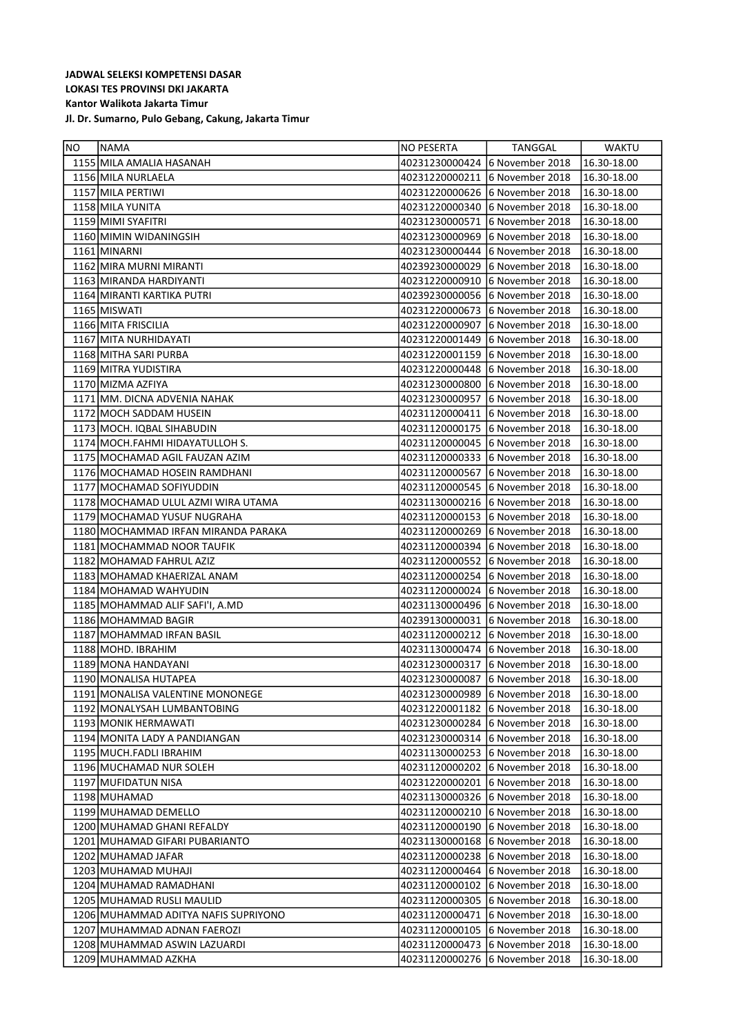| <b>NO</b> | INAMA                                | NO PESERTA                     | TANGGAL                        | WAKTU       |
|-----------|--------------------------------------|--------------------------------|--------------------------------|-------------|
|           | 1155 MILA AMALIA HASANAH             | 40231230000424                 | 6 November 2018                | 16.30-18.00 |
|           | 1156 MILA NURLAELA                   | 40231220000211                 | 6 November 2018                | 16.30-18.00 |
|           | 1157 MILA PERTIWI                    | 40231220000626                 | 6 November 2018                | 16.30-18.00 |
|           | 1158 MILA YUNITA                     | 40231220000340                 | 6 November 2018                | 16.30-18.00 |
|           | 1159 MIMI SYAFITRI                   | 40231230000571                 | 6 November 2018                | 16.30-18.00 |
|           | 1160 MIMIN WIDANINGSIH               | 40231230000969                 | 6 November 2018                | 16.30-18.00 |
|           | 1161 MINARNI                         | 40231230000444                 | 6 November 2018                | 16.30-18.00 |
|           | 1162 MIRA MURNI MIRANTI              | 40239230000029                 | 6 November 2018                | 16.30-18.00 |
|           | 1163 MIRANDA HARDIYANTI              | 40231220000910                 | 6 November 2018                | 16.30-18.00 |
|           | 1164 MIRANTI KARTIKA PUTRI           |                                | 40239230000056 6 November 2018 | 16.30-18.00 |
|           | 1165 MISWATI                         | 40231220000673                 | 6 November 2018                | 16.30-18.00 |
|           | 1166 MITA FRISCILIA                  | 40231220000907                 | 6 November 2018                | 16.30-18.00 |
|           | 1167 MITA NURHIDAYATI                | 40231220001449                 | 6 November 2018                | 16.30-18.00 |
|           | 1168 MITHA SARI PURBA                | 40231220001159                 | 6 November 2018                | 16.30-18.00 |
|           | 1169 MITRA YUDISTIRA                 | 40231220000448                 | 6 November 2018                | 16.30-18.00 |
|           | 1170 MIZMA AZFIYA                    | 40231230000800                 | 6 November 2018                | 16.30-18.00 |
|           | 1171 MM. DICNA ADVENIA NAHAK         | 40231230000957                 | 6 November 2018                | 16.30-18.00 |
|           | 1172 MOCH SADDAM HUSEIN              | 40231120000411                 | 6 November 2018                | 16.30-18.00 |
|           | 1173   MOCH. IQBAL SIHABUDIN         | 40231120000175                 | 6 November 2018                | 16.30-18.00 |
|           | 1174 MOCH.FAHMI HIDAYATULLOH S.      | 40231120000045                 | 6 November 2018                | 16.30-18.00 |
|           | 1175   MOCHAMAD AGIL FAUZAN AZIM     |                                | 40231120000333 6 November 2018 | 16.30-18.00 |
|           | 1176 MOCHAMAD HOSEIN RAMDHANI        | 40231120000567                 | 6 November 2018                | 16.30-18.00 |
|           | 1177   MOCHAMAD SOFIYUDDIN           | 40231120000545                 | 6 November 2018                | 16.30-18.00 |
|           | 1178 MOCHAMAD ULUL AZMI WIRA UTAMA   | 40231130000216                 | 6 November 2018                | 16.30-18.00 |
|           | 1179 MOCHAMAD YUSUF NUGRAHA          | 40231120000153                 | 6 November 2018                | 16.30-18.00 |
|           | 1180 MOCHAMMAD IRFAN MIRANDA PARAKA  | 40231120000269                 | 6 November 2018                | 16.30-18.00 |
|           | 1181 MOCHAMMAD NOOR TAUFIK           | 40231120000394                 | 6 November 2018                | 16.30-18.00 |
|           | 1182   MOHAMAD FAHRUL AZIZ           | 40231120000552                 | 6 November 2018                | 16.30-18.00 |
|           | 1183   MOHAMAD KHAERIZAL ANAM        | 40231120000254                 | 6 November 2018                | 16.30-18.00 |
|           | 1184 MOHAMAD WAHYUDIN                | 40231120000024                 | 6 November 2018                | 16.30-18.00 |
|           | 1185   MOHAMMAD ALIF SAFI'I, A.MD    | 40231130000496                 | 6 November 2018                | 16.30-18.00 |
|           | 1186   MOHAMMAD BAGIR                | 40239130000031                 | 6 November 2018                | 16.30-18.00 |
|           | 1187 MOHAMMAD IRFAN BASIL            | 40231120000212                 | 6 November 2018                | 16.30-18.00 |
|           | 1188 MOHD. IBRAHIM                   | 40231130000474                 | 6 November 2018                | 16.30-18.00 |
|           | 1189 MONA HANDAYANI                  | 40231230000317                 | 6 November 2018                | 16.30-18.00 |
|           | 1190 MONALISA HUTAPEA                | 40231230000087                 | 6 November 2018                | 16.30-18.00 |
|           | 1191 MONALISA VALENTINE MONONEGE     | 40231230000989                 | 6 November 2018                | 16.30-18.00 |
|           | 1192 MONALYSAH LUMBANTOBING          | 40231220001182                 | 6 November 2018                | 16.30-18.00 |
|           | 1193 MONIK HERMAWATI                 | 40231230000284                 | 6 November 2018                | 16.30-18.00 |
|           | 1194 MONITA LADY A PANDIANGAN        | 40231230000314                 | 6 November 2018                | 16.30-18.00 |
|           | 1195 MUCH.FADLI IBRAHIM              | 40231130000253 6 November 2018 |                                | 16.30-18.00 |
|           | 1196 MUCHAMAD NUR SOLEH              | 40231120000202 6 November 2018 |                                | 16.30-18.00 |
|           | 1197 MUFIDATUN NISA                  | 40231220000201                 | 6 November 2018                | 16.30-18.00 |
|           | 1198 MUHAMAD                         |                                | 40231130000326 6 November 2018 | 16.30-18.00 |
|           | 1199 MUHAMAD DEMELLO                 | 40231120000210                 | 6 November 2018                | 16.30-18.00 |
|           | 1200 MUHAMAD GHANI REFALDY           | 40231120000190                 | 6 November 2018                | 16.30-18.00 |
|           | 1201   MUHAMAD GIFARI PUBARIANTO     | 40231130000168                 | 6 November 2018                | 16.30-18.00 |
|           | 1202 MUHAMAD JAFAR                   | 40231120000238                 | 6 November 2018                | 16.30-18.00 |
|           | 1203   MUHAMAD MUHAJI                | 40231120000464 6 November 2018 |                                | 16.30-18.00 |
|           | 1204   MUHAMAD RAMADHANI             | 40231120000102                 | 6 November 2018                | 16.30-18.00 |
|           | 1205 MUHAMAD RUSLI MAULID            | 40231120000305                 | 6 November 2018                | 16.30-18.00 |
|           | 1206 MUHAMMAD ADITYA NAFIS SUPRIYONO | 40231120000471                 | 6 November 2018                | 16.30-18.00 |
|           | 1207   MUHAMMAD ADNAN FAEROZI        | 40231120000105                 | 6 November 2018                | 16.30-18.00 |
|           | 1208 MUHAMMAD ASWIN LAZUARDI         | 40231120000473                 | 6 November 2018                | 16.30-18.00 |
|           | 1209 MUHAMMAD AZKHA                  | 40231120000276                 | 6 November 2018                | 16.30-18.00 |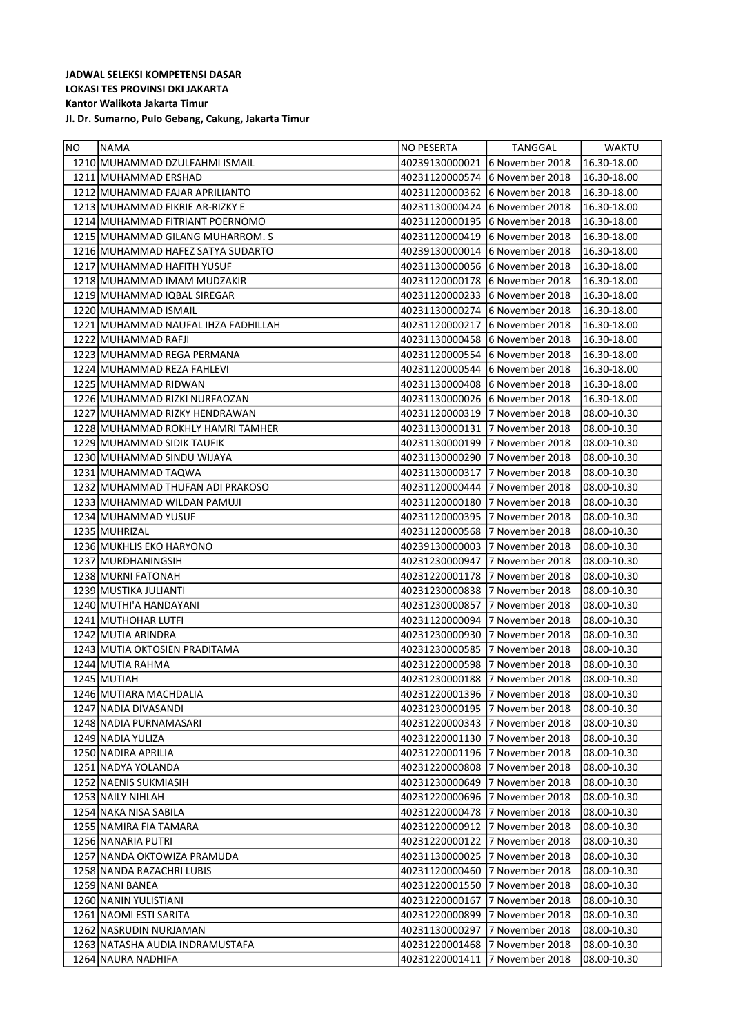| NO | NAMA                                | NO PESERTA                     | TANGGAL                         | WAKTU       |
|----|-------------------------------------|--------------------------------|---------------------------------|-------------|
|    | 1210 MUHAMMAD DZULFAHMI ISMAIL      | 40239130000021                 | 6 November 2018                 | 16.30-18.00 |
|    | 1211 MUHAMMAD ERSHAD                | 40231120000574                 | 6 November 2018                 | 16.30-18.00 |
|    | 1212 MUHAMMAD FAJAR APRILIANTO      | 40231120000362                 | 6 November 2018                 | 16.30-18.00 |
|    | 1213 MUHAMMAD FIKRIE AR-RIZKY E     | 40231130000424                 | 6 November 2018                 | 16.30-18.00 |
|    | 1214 MUHAMMAD FITRIANT POERNOMO     | 40231120000195                 | 6 November 2018                 | 16.30-18.00 |
|    | 1215 MUHAMMAD GILANG MUHARROM. S    | 40231120000419                 | 6 November 2018                 | 16.30-18.00 |
|    | 1216 MUHAMMAD HAFEZ SATYA SUDARTO   | 40239130000014                 | 6 November 2018                 | 16.30-18.00 |
|    | 1217 MUHAMMAD HAFITH YUSUF          | 40231130000056                 | 16 November 2018                | 16.30-18.00 |
|    | 1218 MUHAMMAD IMAM MUDZAKIR         | 40231120000178                 | 6 November 2018                 | 16.30-18.00 |
|    | 1219 MUHAMMAD IQBAL SIREGAR         |                                | 40231120000233 6 November 2018  | 16.30-18.00 |
|    | 1220 MUHAMMAD ISMAIL                |                                | 40231130000274  6 November 2018 | 16.30-18.00 |
|    | 1221 MUHAMMAD NAUFAL IHZA FADHILLAH | 40231120000217                 | 16 November 2018                | 16.30-18.00 |
|    | 1222 MUHAMMAD RAFJI                 | 40231130000458                 | 16 November 2018                | 16.30-18.00 |
|    | 1223 MUHAMMAD REGA PERMANA          | 40231120000554                 | 16 November 2018                | 16.30-18.00 |
|    | 1224 MUHAMMAD REZA FAHLEVI          | 40231120000544                 | 6 November 2018                 | 16.30-18.00 |
|    | 1225 MUHAMMAD RIDWAN                | 40231130000408                 | 16 November 2018                | 16.30-18.00 |
|    | 1226   MUHAMMAD RIZKI NURFAOZAN     |                                |                                 | 16.30-18.00 |
|    | 1227 MUHAMMAD RIZKY HENDRAWAN       | 40231120000319                 | 7 November 2018                 | 08.00-10.30 |
|    | 1228 MUHAMMAD ROKHLY HAMRI TAMHER   | 40231130000131                 | 7 November 2018                 | 08.00-10.30 |
|    | 1229 MUHAMMAD SIDIK TAUFIK          | 40231130000199                 | 7 November 2018                 | 08.00-10.30 |
|    | 1230 MUHAMMAD SINDU WIJAYA          | 40231130000290                 | 17 November 2018                | 08.00-10.30 |
|    | 1231 MUHAMMAD TAQWA                 | 40231130000317                 | 7 November 2018                 | 08.00-10.30 |
|    | 1232 MUHAMMAD THUFAN ADI PRAKOSO    |                                |                                 | 08.00-10.30 |
|    | 1233   MUHAMMAD WILDAN PAMUJI       | 40231120000180                 | 7 November 2018                 | 08.00-10.30 |
|    | 1234 MUHAMMAD YUSUF                 | 40231120000395 7 November 2018 |                                 | 08.00-10.30 |
|    | 1235 MUHRIZAL                       | 40231120000568                 | 7 November 2018                 | 08.00-10.30 |
|    | 1236 MUKHLIS EKO HARYONO            |                                |                                 | 08.00-10.30 |
|    | 1237 MURDHANINGSIH                  |                                |                                 | 08.00-10.30 |
|    | 1238 MURNI FATONAH                  | 40231220001178                 | 7 November 2018                 | 08.00-10.30 |
|    | 1239 MUSTIKA JULIANTI               |                                |                                 | 08.00-10.30 |
|    | 1240   MUTHI'A HANDAYANI            | 40231230000857                 | 17 November 2018                | 08.00-10.30 |
|    | 1241 MUTHOHAR LUTFI                 |                                | 40231120000094 7 November 2018  | 08.00-10.30 |
|    | 1242 MUTIA ARINDRA                  | 40231230000930                 | 7 November 2018                 | 08.00-10.30 |
|    | 1243 MUTIA OKTOSIEN PRADITAMA       |                                |                                 | 08.00-10.30 |
|    | 1244 MUTIA RAHMA                    | 40231220000598                 | 7 November 2018                 | 08.00-10.30 |
|    | 1245 MUTIAH                         | 40231230000188                 | 7 November 2018                 | 08.00-10.30 |
|    | 1246 MUTIARA MACHDALIA              | 40231220001396                 | 7 November 2018                 | 08.00-10.30 |
|    | 1247 NADIA DIVASANDI                | 40231230000195                 | 7 November 2018                 | 08.00-10.30 |
|    | 1248 NADIA PURNAMASARI              |                                |                                 | 08.00-10.30 |
|    | 1249 NADIA YULIZA                   | 40231220001130                 | 7 November 2018                 | 08.00-10.30 |
|    | 1250 NADIRA APRILIA                 |                                |                                 | 08.00-10.30 |
|    | 1251   NADYA YOLANDA                | 40231220000808                 | 7 November 2018                 | 08.00-10.30 |
|    | 1252 NAENIS SUKMIASIH               | 40231230000649                 | 7 November 2018                 | 08.00-10.30 |
|    | 1253 NAILY NIHLAH                   |                                |                                 | 08.00-10.30 |
|    | 1254 NAKA NISA SABILA               |                                | 40231220000478 7 November 2018  | 08.00-10.30 |
|    | 1255 NAMIRA FIA TAMARA              | 40231220000912                 | 7 November 2018                 | 08.00-10.30 |
|    | 1256 NANARIA PUTRI                  |                                | 40231220000122 7 November 2018  | 08.00-10.30 |
|    | 1257   NANDA OKTOWIZA PRAMUDA       |                                |                                 | 08.00-10.30 |
|    | 1258 NANDA RAZACHRI LUBIS           | 40231120000460                 | 7 November 2018                 | 08.00-10.30 |
|    | 1259 NANI BANEA                     | 40231220001550                 | 7 November 2018                 | 08.00-10.30 |
|    | 1260 NANIN YULISTIANI               | 40231220000167                 | 7 November 2018                 | 08.00-10.30 |
|    | 1261 NAOMI ESTI SARITA              | 40231220000899                 | 7 November 2018                 | 08.00-10.30 |
|    | 1262 NASRUDIN NURJAMAN              | 40231130000297                 | 7 November 2018                 | 08.00-10.30 |
|    | 1263   NATASHA AUDIA INDRAMUSTAFA   | 40231220001468                 | 7 November 2018                 | 08.00-10.30 |
|    | 1264 NAURA NADHIFA                  | 40231220001411                 | 7 November 2018                 | 08.00-10.30 |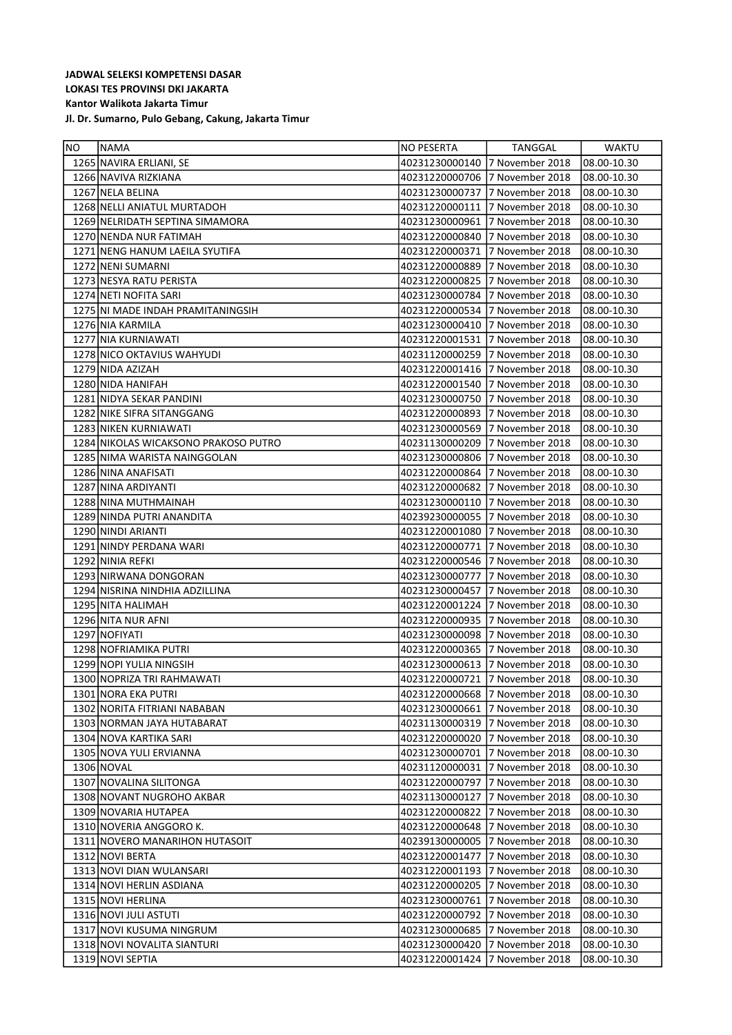| NO | <b>NAMA</b>                          | NO PESERTA     | TANGGAL         | <b>WAKTU</b> |
|----|--------------------------------------|----------------|-----------------|--------------|
|    | 1265 NAVIRA ERLIANI, SE              | 40231230000140 | 7 November 2018 | 08.00-10.30  |
|    | 1266 NAVIVA RIZKIANA                 | 40231220000706 | 7 November 2018 | 08.00-10.30  |
|    | 1267 NELA BELINA                     | 40231230000737 | 7 November 2018 | 08.00-10.30  |
|    | 1268 NELLI ANIATUL MURTADOH          | 40231220000111 | 7 November 2018 | 08.00-10.30  |
|    | 1269 NELRIDATH SEPTINA SIMAMORA      | 40231230000961 | 7 November 2018 | 08.00-10.30  |
|    | 1270 NENDA NUR FATIMAH               | 40231220000840 | 7 November 2018 | 08.00-10.30  |
|    | 1271 NENG HANUM LAEILA SYUTIFA       | 40231220000371 | 7 November 2018 | 08.00-10.30  |
|    | 1272 NENI SUMARNI                    | 40231220000889 | 7 November 2018 | 08.00-10.30  |
|    | 1273 NESYA RATU PERISTA              | 40231220000825 | 7 November 2018 | 08.00-10.30  |
|    | 1274 NETI NOFITA SARI                | 40231230000784 | 7 November 2018 | 08.00-10.30  |
|    | 1275 NI MADE INDAH PRAMITANINGSIH    | 40231220000534 | 7 November 2018 | 08.00-10.30  |
|    | 1276 NIA KARMILA                     | 40231230000410 | 7 November 2018 | 08.00-10.30  |
|    | 1277 NIA KURNIAWATI                  | 40231220001531 | 7 November 2018 | 08.00-10.30  |
|    | 1278 NICO OKTAVIUS WAHYUDI           | 40231120000259 | 7 November 2018 | 08.00-10.30  |
|    | 1279 NIDA AZIZAH                     | 40231220001416 | 7 November 2018 | 08.00-10.30  |
|    | 1280 NIDA HANIFAH                    | 40231220001540 | 7 November 2018 | 08.00-10.30  |
|    | 1281 NIDYA SEKAR PANDINI             | 40231230000750 | 7 November 2018 | 08.00-10.30  |
|    | 1282 NIKE SIFRA SITANGGANG           | 40231220000893 | 7 November 2018 | 08.00-10.30  |
|    | 1283 NIKEN KURNIAWATI                | 40231230000569 | 7 November 2018 | 08.00-10.30  |
|    | 1284 NIKOLAS WICAKSONO PRAKOSO PUTRO | 40231130000209 | 7 November 2018 | 08.00-10.30  |
|    | 1285 NIMA WARISTA NAINGGOLAN         | 40231230000806 | 7 November 2018 | 08.00-10.30  |
|    | 1286 NINA ANAFISATI                  | 40231220000864 | 7 November 2018 | 08.00-10.30  |
|    | 1287 NINA ARDIYANTI                  | 40231220000682 | 7 November 2018 | 08.00-10.30  |
|    | 1288 NINA MUTHMAINAH                 | 40231230000110 | 7 November 2018 | 08.00-10.30  |
|    | 1289 NINDA PUTRI ANANDITA            | 40239230000055 | 7 November 2018 | 08.00-10.30  |
|    | 1290 NINDI ARIANTI                   | 40231220001080 | 7 November 2018 | 08.00-10.30  |
|    | 1291 NINDY PERDANA WARI              | 40231220000771 | 7 November 2018 | 08.00-10.30  |
|    | 1292 NINIA REFKI                     | 40231220000546 | 7 November 2018 | 08.00-10.30  |
|    | 1293 NIRWANA DONGORAN                | 40231230000777 | 7 November 2018 | 08.00-10.30  |
|    | 1294 NISRINA NINDHIA ADZILLINA       | 40231230000457 | 7 November 2018 | 08.00-10.30  |
|    | 1295 NITA HALIMAH                    | 40231220001224 | 7 November 2018 | 08.00-10.30  |
|    | 1296 NITA NUR AFNI                   | 40231220000935 | 7 November 2018 | 08.00-10.30  |
|    | 1297 NOFIYATI                        | 40231230000098 | 7 November 2018 | 08.00-10.30  |
|    | 1298 NOFRIAMIKA PUTRI                | 40231220000365 | 7 November 2018 | 08.00-10.30  |
|    | 1299 NOPI YULIA NINGSIH              | 40231230000613 | 7 November 2018 | 08.00-10.30  |
|    | 1300 NOPRIZA TRI RAHMAWATI           | 40231220000721 | 7 November 2018 | 08.00-10.30  |
|    | 1301 NORA EKA PUTRI                  | 40231220000668 | 7 November 2018 | 08.00-10.30  |
|    | 1302 NORITA FITRIANI NABABAN         | 40231230000661 | 7 November 2018 | 08.00-10.30  |
|    | 1303 NORMAN JAYA HUTABARAT           | 40231130000319 | 7 November 2018 | 08.00-10.30  |
|    | 1304 NOVA KARTIKA SARI               | 40231220000020 | 7 November 2018 | 08.00-10.30  |
|    | 1305 NOVA YULI ERVIANNA              | 40231230000701 | 7 November 2018 | 08.00-10.30  |
|    | 1306 NOVAL                           | 40231120000031 | 7 November 2018 | 08.00-10.30  |
|    | 1307 NOVALINA SILITONGA              | 40231220000797 | 7 November 2018 | 08.00-10.30  |
|    | 1308 NOVANT NUGROHO AKBAR            | 40231130000127 | 7 November 2018 | 08.00-10.30  |
|    | 1309 NOVARIA HUTAPEA                 | 40231220000822 | 7 November 2018 | 08.00-10.30  |
|    | 1310 NOVERIA ANGGORO K.              | 40231220000648 | 7 November 2018 | 08.00-10.30  |
|    | 1311 NOVERO MANARIHON HUTASOIT       | 40239130000005 | 7 November 2018 | 08.00-10.30  |
|    | 1312 NOVI BERTA                      | 40231220001477 | 7 November 2018 | 08.00-10.30  |
|    | 1313 NOVI DIAN WULANSARI             | 40231220001193 | 7 November 2018 | 08.00-10.30  |
|    | 1314 NOVI HERLIN ASDIANA             | 40231220000205 | 7 November 2018 | 08.00-10.30  |
|    | 1315 NOVI HERLINA                    | 40231230000761 | 7 November 2018 | 08.00-10.30  |
|    | 1316 NOVI JULI ASTUTI                | 40231220000792 | 7 November 2018 | 08.00-10.30  |
|    | 1317 NOVI KUSUMA NINGRUM             | 40231230000685 | 7 November 2018 | 08.00-10.30  |
|    | 1318 NOVI NOVALITA SIANTURI          | 40231230000420 | 7 November 2018 | 08.00-10.30  |
|    | 1319 NOVI SEPTIA                     | 40231220001424 | 7 November 2018 | 08.00-10.30  |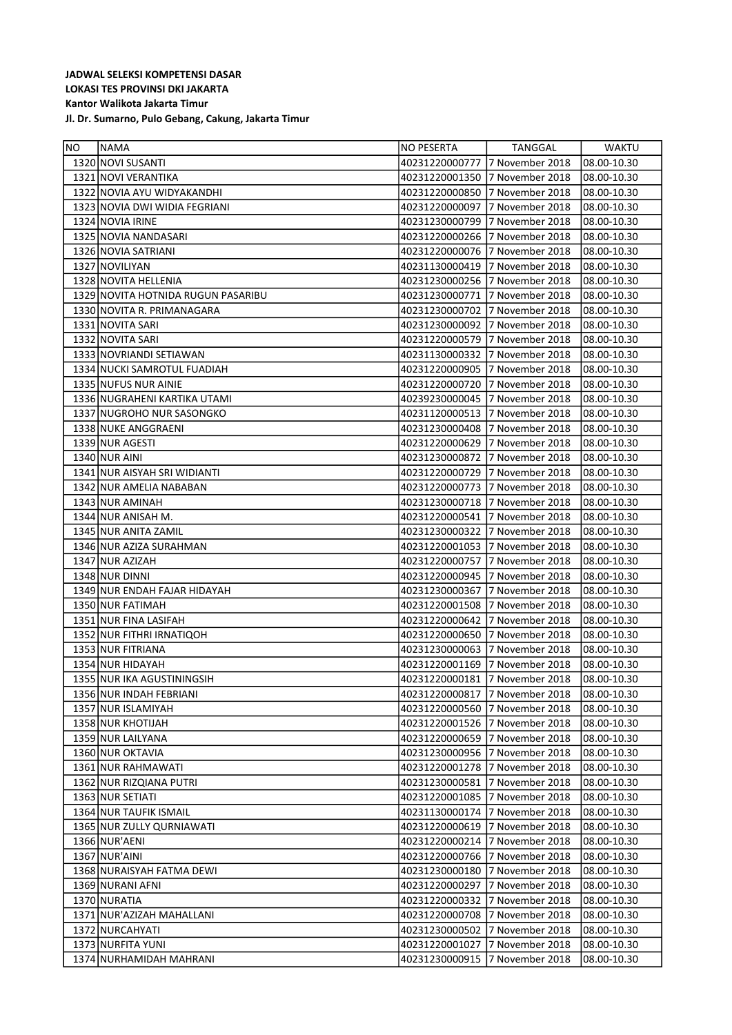| <b>NO</b> | NAMA                               | NO PESERTA                     | TANGGAL         | WAKTU       |
|-----------|------------------------------------|--------------------------------|-----------------|-------------|
|           | 1320 NOVI SUSANTI                  | 40231220000777 7 November 2018 |                 | 08.00-10.30 |
|           | 1321 NOVI VERANTIKA                | 40231220001350 7 November 2018 |                 | 08.00-10.30 |
|           | 1322 NOVIA AYU WIDYAKANDHI         | 40231220000850                 | 7 November 2018 | 08.00-10.30 |
|           | 1323 NOVIA DWI WIDIA FEGRIANI      | 40231220000097                 | 7 November 2018 | 08.00-10.30 |
|           | 1324 NOVIA IRINE                   | 40231230000799                 | 7 November 2018 | 08.00-10.30 |
|           | 1325 NOVIA NANDASARI               | 40231220000266                 | 7 November 2018 | 08.00-10.30 |
|           | 1326 NOVIA SATRIANI                | 40231220000076                 | 7 November 2018 | 08.00-10.30 |
|           | 1327 NOVILIYAN                     | 40231130000419                 | 7 November 2018 | 08.00-10.30 |
|           | 1328 NOVITA HELLENIA               | 40231230000256 7 November 2018 |                 | 08.00-10.30 |
|           | 1329 NOVITA HOTNIDA RUGUN PASARIBU | 40231230000771                 | 7 November 2018 | 08.00-10.30 |
|           | 1330 NOVITA R. PRIMANAGARA         | 40231230000702                 | 7 November 2018 | 08.00-10.30 |
|           | 1331 NOVITA SARI                   | 40231230000092 7 November 2018 |                 | 08.00-10.30 |
|           | 1332 NOVITA SARI                   | 40231220000579                 | 7 November 2018 | 08.00-10.30 |
|           | 1333 NOVRIANDI SETIAWAN            | 40231130000332                 | 7 November 2018 | 08.00-10.30 |
|           | 1334 NUCKI SAMROTUL FUADIAH        | 40231220000905 7 November 2018 |                 | 08.00-10.30 |
|           | 1335 NUFUS NUR AINIE               | 40231220000720                 | 7 November 2018 | 08.00-10.30 |
|           | 1336 NUGRAHENI KARTIKA UTAMI       | 40239230000045 7 November 2018 |                 | 08.00-10.30 |
|           | 1337 NUGROHO NUR SASONGKO          | 40231120000513 7 November 2018 |                 | 08.00-10.30 |
|           | 1338 NUKE ANGGRAENI                | 40231230000408                 | 7 November 2018 | 08.00-10.30 |
|           | 1339 NUR AGESTI                    | 40231220000629                 | 7 November 2018 | 08.00-10.30 |
|           | 1340 NUR AINI                      | 40231230000872                 | 7 November 2018 | 08.00-10.30 |
|           | 1341 NUR AISYAH SRI WIDIANTI       | 40231220000729                 | 7 November 2018 | 08.00-10.30 |
|           | 1342 NUR AMELIA NABABAN            | 40231220000773 7 November 2018 |                 | 08.00-10.30 |
|           | 1343 NUR AMINAH                    | 40231230000718                 | 7 November 2018 | 08.00-10.30 |
|           | 1344 NUR ANISAH M.                 | 40231220000541 7 November 2018 |                 | 08.00-10.30 |
|           | 1345 NUR ANITA ZAMIL               | 40231230000322                 | 7 November 2018 | 08.00-10.30 |
|           | 1346 NUR AZIZA SURAHMAN            | 40231220001053 7 November 2018 |                 | 08.00-10.30 |
|           | 1347 NUR AZIZAH                    | 40231220000757                 | 7 November 2018 | 08.00-10.30 |
|           | 1348 NUR DINNI                     | 40231220000945 7 November 2018 |                 | 08.00-10.30 |
|           | 1349 NUR ENDAH FAJAR HIDAYAH       | 40231230000367                 | 7 November 2018 | 08.00-10.30 |
|           | 1350 NUR FATIMAH                   | 40231220001508                 | 7 November 2018 | 08.00-10.30 |
|           | 1351 NUR FINA LASIFAH              | 40231220000642                 | 7 November 2018 | 08.00-10.30 |
|           | 1352 NUR FITHRI IRNATIQOH          | 40231220000650                 | 7 November 2018 | 08.00-10.30 |
|           | 1353 NUR FITRIANA                  | 40231230000063 7 November 2018 |                 | 08.00-10.30 |
|           | 1354 NUR HIDAYAH                   | 40231220001169                 | 7 November 2018 | 08.00-10.30 |
|           | 1355 NUR IKA AGUSTININGSIH         | 40231220000181 7 November 2018 |                 | 08.00-10.30 |
|           | 1356 NUR INDAH FEBRIANI            | 40231220000817 7 November 2018 |                 | 08.00-10.30 |
|           | 1357 NUR ISLAMIYAH                 | 40231220000560                 | 7 November 2018 | 08.00-10.30 |
|           | 1358 NUR KHOTIJAH                  | 40231220001526                 | 7 November 2018 | 08.00-10.30 |
|           | 1359 NUR LAILYANA                  | 40231220000659                 | 7 November 2018 | 08.00-10.30 |
|           | 1360 NUR OKTAVIA                   | 40231230000956                 | 7 November 2018 | 08.00-10.30 |
|           | 1361 NUR RAHMAWATI                 | 40231220001278                 | 7 November 2018 | 08.00-10.30 |
|           | 1362 NUR RIZQIANA PUTRI            | 40231230000581                 | 7 November 2018 | 08.00-10.30 |
|           | 1363 NUR SETIATI                   | 40231220001085                 | 7 November 2018 | 08.00-10.30 |
|           | 1364 NUR TAUFIK ISMAIL             | 40231130000174                 | 7 November 2018 | 08.00-10.30 |
|           | 1365 NUR ZULLY QURNIAWATI          | 40231220000619                 | 7 November 2018 | 08.00-10.30 |
|           | 1366 NUR'AENI                      | 40231220000214                 | 7 November 2018 | 08.00-10.30 |
|           | 1367 NUR'AINI                      | 40231220000766                 | 7 November 2018 | 08.00-10.30 |
|           | 1368 NURAISYAH FATMA DEWI          | 40231230000180                 | 7 November 2018 | 08.00-10.30 |
|           | 1369 NURANI AFNI                   | 40231220000297                 | 7 November 2018 | 08.00-10.30 |
|           | 1370 NURATIA                       | 40231220000332                 | 7 November 2018 | 08.00-10.30 |
|           | 1371 NUR'AZIZAH MAHALLANI          | 40231220000708                 | 7 November 2018 | 08.00-10.30 |
|           | 1372 NURCAHYATI                    | 40231230000502                 | 7 November 2018 | 08.00-10.30 |
|           | 1373 NURFITA YUNI                  | 40231220001027                 | 7 November 2018 | 08.00-10.30 |
|           | 1374 NURHAMIDAH MAHRANI            | 40231230000915                 | 7 November 2018 | 08.00-10.30 |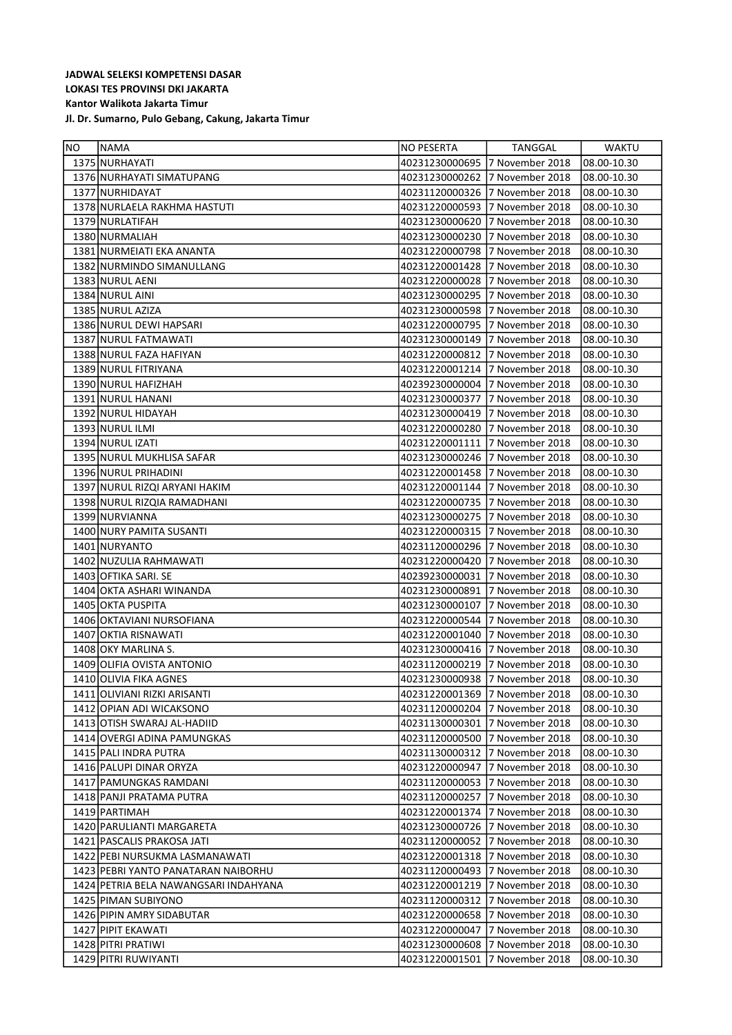| <b>NO</b> | <b>NAMA</b>                             | <b>NO PESERTA</b>              | TANGGAL         | <b>WAKTU</b> |
|-----------|-----------------------------------------|--------------------------------|-----------------|--------------|
|           | 1375 NURHAYATI                          | 40231230000695                 | 7 November 2018 | 08.00-10.30  |
|           | 1376 NURHAYATI SIMATUPANG               | 40231230000262                 | 7 November 2018 | 08.00-10.30  |
|           | 1377 NURHIDAYAT                         | 40231120000326                 | 7 November 2018 | 08.00-10.30  |
|           | 1378 NURLAELA RAKHMA HASTUTI            | 40231220000593                 | 7 November 2018 | 08.00-10.30  |
|           | 1379 NURLATIFAH                         | 40231230000620                 | 7 November 2018 | 08.00-10.30  |
|           | 1380 NURMALIAH                          | 40231230000230                 | 7 November 2018 | 08.00-10.30  |
|           | 1381 NURMEIATI EKA ANANTA               | 40231220000798                 | 7 November 2018 | 08.00-10.30  |
|           | 1382 NURMINDO SIMANULLANG               | 40231220001428                 | 7 November 2018 | 08.00-10.30  |
|           | 1383 NURUL AENI                         | 40231220000028                 | 7 November 2018 | 08.00-10.30  |
|           | 1384 NURUL AINI                         | 40231230000295                 | 7 November 2018 | 08.00-10.30  |
|           | 1385 NURUL AZIZA                        | 40231230000598                 | 7 November 2018 | 08.00-10.30  |
|           | 1386 NURUL DEWI HAPSARI                 | 40231220000795                 | 7 November 2018 | 08.00-10.30  |
|           | 1387 NURUL FATMAWATI                    | 40231230000149                 | 7 November 2018 | 08.00-10.30  |
|           | 1388 NURUL FAZA HAFIYAN                 | 40231220000812                 | 7 November 2018 | 08.00-10.30  |
|           | 1389 NURUL FITRIYANA                    | 40231220001214                 | 7 November 2018 | 08.00-10.30  |
|           | 1390 NURUL HAFIZHAH                     | 40239230000004                 | 7 November 2018 | 08.00-10.30  |
|           | 1391 NURUL HANANI                       | 40231230000377                 | 7 November 2018 | 08.00-10.30  |
|           | 1392 NURUL HIDAYAH                      | 40231230000419                 | 7 November 2018 | 08.00-10.30  |
|           | 1393 NURUL ILMI                         | 40231220000280                 | 7 November 2018 | 08.00-10.30  |
|           | 1394 NURUL IZATI                        | 40231220001111                 | 7 November 2018 | 08.00-10.30  |
|           | 1395 NURUL MUKHLISA SAFAR               | 40231230000246                 | 7 November 2018 | 08.00-10.30  |
|           | 1396 NURUL PRIHADINI                    | 40231220001458                 | 7 November 2018 | 08.00-10.30  |
|           | 1397 NURUL RIZQI ARYANI HAKIM           | 40231220001144                 | 7 November 2018 | 08.00-10.30  |
|           | 1398 NURUL RIZQIA RAMADHANI             | 40231220000735                 | 7 November 2018 | 08.00-10.30  |
|           | 1399 NURVIANNA                          | 40231230000275                 | 7 November 2018 | 08.00-10.30  |
|           | 1400 NURY PAMITA SUSANTI                | 40231220000315                 | 7 November 2018 | 08.00-10.30  |
|           | 1401 NURYANTO                           | 40231120000296                 | 7 November 2018 | 08.00-10.30  |
|           | 1402 NUZULIA RAHMAWATI                  | 40231220000420                 | 7 November 2018 | 08.00-10.30  |
|           | 1403 OFTIKA SARI. SE                    | 40239230000031                 | 7 November 2018 | 08.00-10.30  |
|           | 1404 OKTA ASHARI WINANDA                | 40231230000891                 | 7 November 2018 | 08.00-10.30  |
|           | 1405 OKTA PUSPITA                       | 40231230000107                 | 7 November 2018 | 08.00-10.30  |
|           | 1406 OKTAVIANI NURSOFIANA               | 40231220000544                 | 7 November 2018 | 08.00-10.30  |
|           | 1407 OKTIA RISNAWATI                    | 40231220001040                 | 7 November 2018 | 08.00-10.30  |
|           | 1408 OKY MARLINA S.                     | 40231230000416                 | 7 November 2018 | 08.00-10.30  |
|           | 1409 OLIFIA OVISTA ANTONIO              | 40231120000219                 | 7 November 2018 | 08.00-10.30  |
|           | 1410 OLIVIA FIKA AGNES                  | 40231230000938                 | 7 November 2018 | 08.00-10.30  |
|           | 1411 OLIVIANI RIZKI ARISANTI            | 40231220001369                 | 7 November 2018 | 08.00-10.30  |
|           | 1412 OPIAN ADI WICAKSONO                | 40231120000204                 | 7 November 2018 | 08.00-10.30  |
|           | 1413 OTISH SWARAJ AL-HADIID             | 40231130000301                 | 7 November 2018 | 08.00-10.30  |
|           | 1414 OVERGI ADINA PAMUNGKAS             | 40231120000500                 | 7 November 2018 | 08.00-10.30  |
|           | 1415   PALI INDRA PUTRA                 | 40231130000312 7 November 2018 |                 | 08.00-10.30  |
|           | 1416 PALUPI DINAR ORYZA                 | 40231220000947                 | 7 November 2018 | 08.00-10.30  |
|           | 1417 PAMUNGKAS RAMDANI                  | 40231120000053 7 November 2018 |                 | 08.00-10.30  |
|           | 1418   PANJI PRATAMA PUTRA              | 40231120000257                 | 7 November 2018 | 08.00-10.30  |
|           | 1419 PARTIMAH                           | 40231220001374                 | 7 November 2018 | 08.00-10.30  |
|           | 1420   PARULIANTI MARGARETA             | 40231230000726                 | 7 November 2018 | 08.00-10.30  |
|           | 1421   PASCALIS PRAKOSA JATI            | 40231120000052                 | 7 November 2018 | 08.00-10.30  |
|           | 1422 PEBI NURSUKMA LASMANAWATI          | 40231220001318                 | 7 November 2018 | 08.00-10.30  |
|           | 1423 PEBRI YANTO PANATARAN NAIBORHU     | 40231120000493 7 November 2018 |                 | 08.00-10.30  |
|           | 1424   PETRIA BELA NAWANGSARI INDAHYANA | 40231220001219                 | 7 November 2018 | 08.00-10.30  |
|           | 1425 PIMAN SUBIYONO                     | 40231120000312                 | 7 November 2018 | 08.00-10.30  |
|           | 1426 PIPIN AMRY SIDABUTAR               | 40231220000658                 | 7 November 2018 | 08.00-10.30  |
|           | 1427 PIPIT EKAWATI                      | 40231220000047                 | 7 November 2018 | 08.00-10.30  |
|           | 1428 PITRI PRATIWI                      | 40231230000608                 | 7 November 2018 | 08.00-10.30  |
|           | 1429 PITRI RUWIYANTI                    | 40231220001501                 | 7 November 2018 | 08.00-10.30  |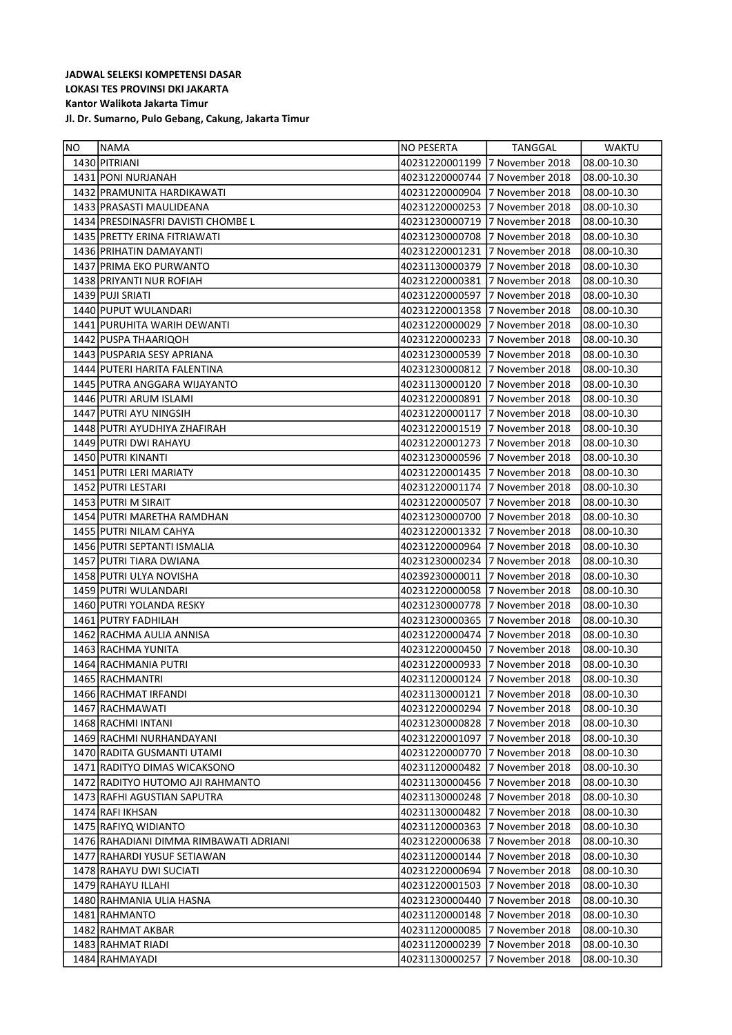| <b>NO</b> | <b>NAMA</b>                            | <b>NO PESERTA</b>              | TANGGAL         | <b>WAKTU</b> |
|-----------|----------------------------------------|--------------------------------|-----------------|--------------|
|           | 1430 PITRIANI                          | 40231220001199                 | 7 November 2018 | 08.00-10.30  |
|           | 1431 PONI NURJANAH                     | 40231220000744                 | 7 November 2018 | 08.00-10.30  |
|           | 1432 PRAMUNITA HARDIKAWATI             | 40231220000904                 | 7 November 2018 | 08.00-10.30  |
|           | 1433 PRASASTI MAULIDEANA               | 40231220000253                 | 7 November 2018 | 08.00-10.30  |
|           | 1434 PRESDINASFRI DAVISTI CHOMBE L     | 40231230000719                 | 7 November 2018 | 08.00-10.30  |
|           | 1435 PRETTY ERINA FITRIAWATI           | 40231230000708                 | 7 November 2018 | 08.00-10.30  |
|           | 1436 PRIHATIN DAMAYANTI                | 40231220001231                 | 7 November 2018 | 08.00-10.30  |
|           | 1437 PRIMA EKO PURWANTO                | 40231130000379                 | 7 November 2018 | 08.00-10.30  |
|           | 1438 PRIYANTI NUR ROFIAH               | 40231220000381                 | 7 November 2018 | 08.00-10.30  |
|           | 1439 PUJI SRIATI                       | 40231220000597                 | 7 November 2018 | 08.00-10.30  |
|           | 1440 PUPUT WULANDARI                   | 40231220001358                 | 7 November 2018 | 08.00-10.30  |
|           | 1441 PURUHITA WARIH DEWANTI            | 40231220000029                 | 7 November 2018 | 08.00-10.30  |
|           | 1442 PUSPA THAARIQOH                   | 40231220000233                 | 7 November 2018 | 08.00-10.30  |
|           | 1443 PUSPARIA SESY APRIANA             | 40231230000539                 | 7 November 2018 | 08.00-10.30  |
|           | 1444 PUTERI HARITA FALENTINA           | 40231230000812                 | 7 November 2018 | 08.00-10.30  |
|           | 1445 PUTRA ANGGARA WIJAYANTO           | 40231130000120                 | 7 November 2018 | 08.00-10.30  |
|           | 1446 PUTRI ARUM ISLAMI                 | 40231220000891                 | 7 November 2018 | 08.00-10.30  |
|           | 1447 PUTRI AYU NINGSIH                 | 40231220000117                 | 7 November 2018 | 08.00-10.30  |
|           | 1448 PUTRI AYUDHIYA ZHAFIRAH           | 40231220001519                 | 7 November 2018 | 08.00-10.30  |
|           | 1449 PUTRI DWI RAHAYU                  | 40231220001273                 | 7 November 2018 | 08.00-10.30  |
|           | 1450 PUTRI KINANTI                     | 40231230000596                 | 7 November 2018 | 08.00-10.30  |
|           | 1451 PUTRI LERI MARIATY                | 40231220001435                 | 7 November 2018 | 08.00-10.30  |
|           | 1452 PUTRI LESTARI                     | 40231220001174                 | 7 November 2018 | 08.00-10.30  |
|           | 1453 PUTRI M SIRAIT                    | 40231220000507                 | 7 November 2018 | 08.00-10.30  |
|           | 1454 PUTRI MARETHA RAMDHAN             | 40231230000700                 | 7 November 2018 | 08.00-10.30  |
|           | 1455 PUTRI NILAM CAHYA                 | 40231220001332                 | 7 November 2018 | 08.00-10.30  |
|           | 1456 PUTRI SEPTANTI ISMALIA            | 40231220000964                 | 7 November 2018 | 08.00-10.30  |
|           | 1457 PUTRI TIARA DWIANA                | 40231230000234                 | 7 November 2018 | 08.00-10.30  |
|           | 1458 PUTRI ULYA NOVISHA                | 40239230000011                 | 7 November 2018 | 08.00-10.30  |
|           | 1459 PUTRI WULANDARI                   | 40231220000058                 | 7 November 2018 | 08.00-10.30  |
|           | 1460 PUTRI YOLANDA RESKY               | 40231230000778                 | 7 November 2018 | 08.00-10.30  |
|           | 1461 PUTRY FADHILAH                    | 40231230000365                 | 7 November 2018 | 08.00-10.30  |
|           | 1462 RACHMA AULIA ANNISA               | 40231220000474                 | 7 November 2018 | 08.00-10.30  |
|           | 1463 RACHMA YUNITA                     | 40231220000450                 | 7 November 2018 | 08.00-10.30  |
|           | 1464 RACHMANIA PUTRI                   | 40231220000933                 | 7 November 2018 | 08.00-10.30  |
|           | 1465 RACHMANTRI                        | 40231120000124                 | 7 November 2018 | 08.00-10.30  |
|           | 1466 RACHMAT IRFANDI                   | 40231130000121 7 November 2018 |                 | 08.00-10.30  |
|           | 1467 RACHMAWATI                        |                                |                 | 08.00-10.30  |
|           | 1468 RACHMI INTANI                     | 40231230000828                 | 7 November 2018 | 08.00-10.30  |
|           | 1469 RACHMI NURHANDAYANI               | 40231220001097 7 November 2018 |                 | 08.00-10.30  |
|           | 1470 RADITA GUSMANTI UTAMI             | 40231220000770                 | 7 November 2018 | 08.00-10.30  |
|           | 1471 RADITYO DIMAS WICAKSONO           | 40231120000482                 | 7 November 2018 | 08.00-10.30  |
|           | 1472 RADITYO HUTOMO AJI RAHMANTO       | 40231130000456                 | 7 November 2018 | 08.00-10.30  |
|           | 1473 RAFHI AGUSTIAN SAPUTRA            | 40231130000248                 | 7 November 2018 | 08.00-10.30  |
|           | 1474 RAFI IKHSAN                       | 40231130000482                 | 7 November 2018 | 08.00-10.30  |
|           | 1475 RAFIYQ WIDIANTO                   | 40231120000363                 | 7 November 2018 | 08.00-10.30  |
|           | 1476 RAHADIANI DIMMA RIMBAWATI ADRIANI | 40231220000638                 | 7 November 2018 | 08.00-10.30  |
|           | 1477 RAHARDI YUSUF SETIAWAN            | 40231120000144                 | 7 November 2018 | 08.00-10.30  |
|           | 1478 RAHAYU DWI SUCIATI                | 40231220000694                 | 7 November 2018 | 08.00-10.30  |
|           | 1479 RAHAYU ILLAHI                     | 40231220001503                 | 7 November 2018 | 08.00-10.30  |
|           | 1480 RAHMANIA ULIA HASNA               | 40231230000440                 | 7 November 2018 | 08.00-10.30  |
|           | 1481 RAHMANTO                          | 40231120000148                 | 7 November 2018 | 08.00-10.30  |
|           | 1482 RAHMAT AKBAR                      | 40231120000085                 | 7 November 2018 | 08.00-10.30  |
|           | 1483 RAHMAT RIADI                      | 40231120000239                 | 7 November 2018 | 08.00-10.30  |
|           | 1484 RAHMAYADI                         | 40231130000257                 | 7 November 2018 | 08.00-10.30  |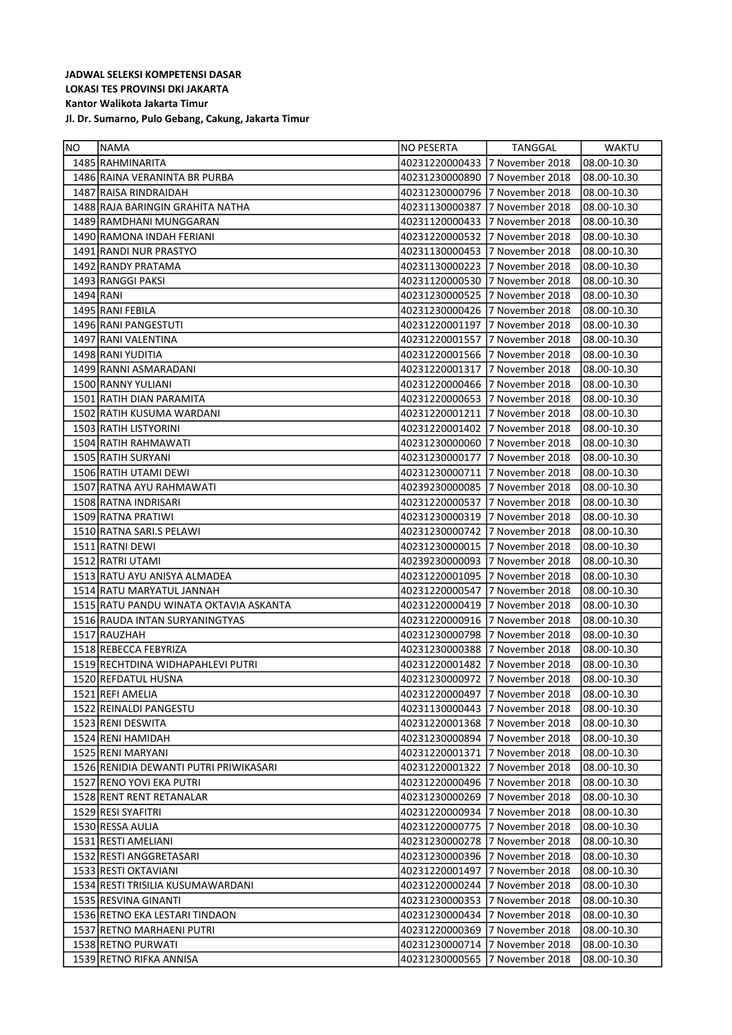| NO        | <b>NAMA</b>                            | NO PESERTA                     | TANGGAL         | <b>WAKTU</b> |
|-----------|----------------------------------------|--------------------------------|-----------------|--------------|
|           | 1485 RAHMINARITA                       | 40231220000433 7 November 2018 |                 | 08.00-10.30  |
|           | 1486 RAINA VERANINTA BR PURBA          | 40231230000890                 | 7 November 2018 | 08.00-10.30  |
|           | 1487 RAISA RINDRAIDAH                  | 40231230000796                 | 7 November 2018 | 08.00-10.30  |
|           | 1488 RAJA BARINGIN GRAHITA NATHA       | 40231130000387                 | 7 November 2018 | 08.00-10.30  |
|           | 1489 RAMDHANI MUNGGARAN                | 40231120000433                 | 7 November 2018 | 08.00-10.30  |
|           | 1490 RAMONA INDAH FERIANI              | 40231220000532                 | 7 November 2018 | 08.00-10.30  |
|           | 1491 RANDI NUR PRASTYO                 | 40231130000453                 | 7 November 2018 | 08.00-10.30  |
|           | 1492 RANDY PRATAMA                     | 40231130000223                 | 7 November 2018 | 08.00-10.30  |
|           | 1493 RANGGI PAKSI                      | 40231120000530                 | 7 November 2018 | 08.00-10.30  |
| 1494 RANI |                                        | 40231230000525                 | 7 November 2018 | 08.00-10.30  |
|           | 1495 RANI FEBILA                       | 40231230000426                 | 7 November 2018 | 08.00-10.30  |
|           | 1496 RANI PANGESTUTI                   | 40231220001197                 | 7 November 2018 | 08.00-10.30  |
|           | 1497 RANI VALENTINA                    | 40231220001557                 | 7 November 2018 | 08.00-10.30  |
|           | 1498 RANI YUDITIA                      | 40231220001566                 | 7 November 2018 | 08.00-10.30  |
|           | 1499 RANNI ASMARADANI                  | 40231220001317                 | 7 November 2018 | 08.00-10.30  |
|           | 1500 RANNY YULIANI                     | 40231220000466                 | 7 November 2018 | 08.00-10.30  |
|           | 1501 RATIH DIAN PARAMITA               | 40231220000653                 | 7 November 2018 | 08.00-10.30  |
|           | 1502 RATIH KUSUMA WARDANI              | 40231220001211                 | 7 November 2018 | 08.00-10.30  |
|           | 1503 RATIH LISTYORINI                  | 40231220001402                 | 7 November 2018 | 08.00-10.30  |
|           | 1504 RATIH RAHMAWATI                   | 40231230000060                 | 7 November 2018 | 08.00-10.30  |
|           | 1505 RATIH SURYANI                     | 40231230000177                 | 7 November 2018 | 08.00-10.30  |
|           | 1506 RATIH UTAMI DEWI                  | 40231230000711                 | 7 November 2018 | 08.00-10.30  |
|           | 1507 RATNA AYU RAHMAWATI               | 40239230000085                 | 7 November 2018 | 08.00-10.30  |
|           | 1508 RATNA INDRISARI                   | 40231220000537                 | 7 November 2018 | 08.00-10.30  |
|           | 1509 RATNA PRATIWI                     | 40231230000319                 | 7 November 2018 | 08.00-10.30  |
|           | 1510 RATNA SARI.S PELAWI               | 40231230000742                 | 7 November 2018 | 08.00-10.30  |
|           | 1511 RATNI DEWI                        | 40231230000015                 | 7 November 2018 | 08.00-10.30  |
|           | 1512 RATRI UTAMI                       | 40239230000093                 | 7 November 2018 | 08.00-10.30  |
|           | 1513 RATU AYU ANISYA ALMADEA           | 40231220001095                 | 7 November 2018 | 08.00-10.30  |
|           | 1514 RATU MARYATUL JANNAH              | 40231220000547                 | 7 November 2018 | 08.00-10.30  |
|           | 1515 RATU PANDU WINATA OKTAVIA ASKANTA | 40231220000419                 | 7 November 2018 | 08.00-10.30  |
|           | 1516 RAUDA INTAN SURYANINGTYAS         | 40231220000916                 | 7 November 2018 | 08.00-10.30  |
|           | 1517 RAUZHAH                           | 40231230000798                 | 7 November 2018 | 08.00-10.30  |
|           | 1518 REBECCA FEBYRIZA                  | 40231230000388                 | 7 November 2018 | 08.00-10.30  |
|           | 1519 RECHTDINA WIDHAPAHLEVI PUTRI      | 40231220001482                 | 7 November 2018 | 08.00-10.30  |
|           | 1520 REFDATUL HUSNA                    | 40231230000972                 | 7 November 2018 | 08.00-10.30  |
|           | 1521 REFI AMELIA                       | 40231220000497 7 November 2018 |                 | 08.00-10.30  |
|           | 1522 REINALDI PANGESTU                 | 40231130000443 7 November 2018 |                 | 08.00-10.30  |
|           | 1523 RENI DESWITA                      | 40231220001368                 | 7 November 2018 | 08.00-10.30  |
|           | 1524 RENI HAMIDAH                      |                                |                 | 08.00-10.30  |
|           | 1525 RENI MARYANI                      | 40231220001371                 | 7 November 2018 | 08.00-10.30  |
|           | 1526 RENIDIA DEWANTI PUTRI PRIWIKASARI | 40231220001322                 | 7 November 2018 | 08.00-10.30  |
|           | 1527 RENO YOVI EKA PUTRI               | 40231220000496 7 November 2018 |                 | 08.00-10.30  |
|           | 1528 RENT RENT RETANALAR               | 40231230000269                 | 7 November 2018 | 08.00-10.30  |
|           | 1529 RESI SYAFITRI                     | 40231220000934 7 November 2018 |                 | 08.00-10.30  |
|           | 1530 RESSA AULIA                       | 40231220000775                 | 7 November 2018 | 08.00-10.30  |
|           | 1531 RESTI AMELIANI                    | 40231230000278                 | 7 November 2018 | 08.00-10.30  |
|           | 1532 RESTI ANGGRETASARI                | 40231230000396                 | 7 November 2018 | 08.00-10.30  |
|           | 1533 RESTI OKTAVIANI                   | 40231220001497                 | 7 November 2018 | 08.00-10.30  |
|           | 1534 RESTI TRISILIA KUSUMAWARDANI      | 40231220000244                 | 7 November 2018 | 08.00-10.30  |
|           | 1535 RESVINA GINANTI                   | 40231230000353                 | 7 November 2018 | 08.00-10.30  |
|           | 1536 RETNO EKA LESTARI TINDAON         | 40231230000434                 | 7 November 2018 | 08.00-10.30  |
|           | 1537 RETNO MARHAENI PUTRI              | 40231220000369                 | 7 November 2018 | 08.00-10.30  |
|           | 1538 RETNO PURWATI                     | 40231230000714                 | 7 November 2018 | 08.00-10.30  |
|           | 1539 RETNO RIFKA ANNISA                | 40231230000565                 | 7 November 2018 | 08.00-10.30  |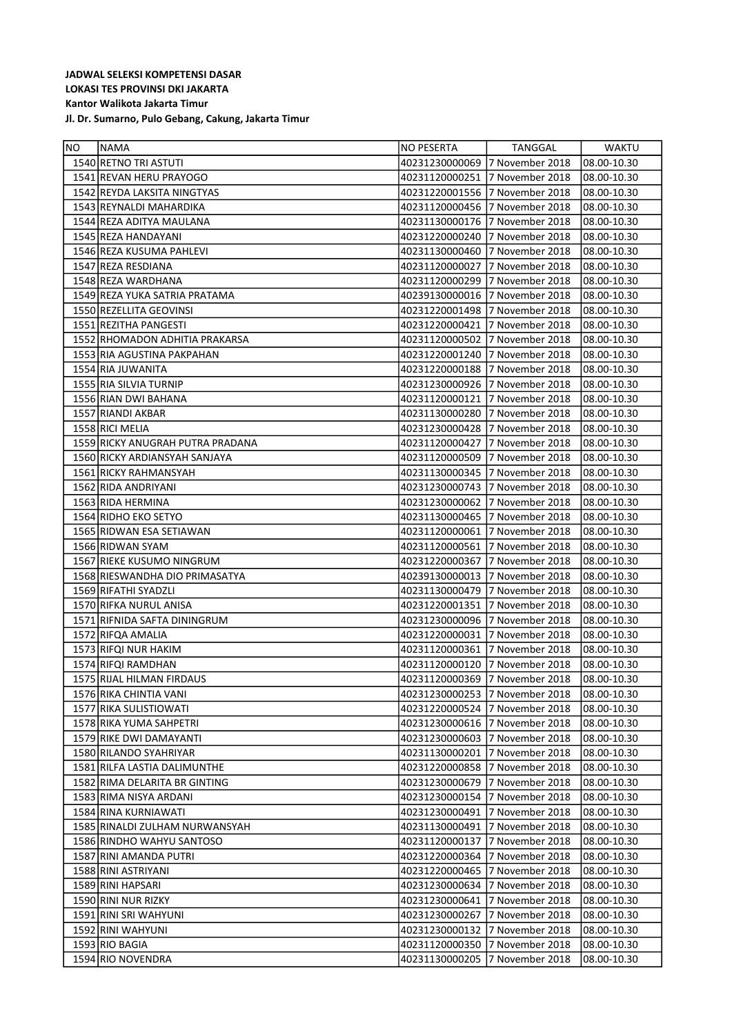| 1540 RETNO TRI ASTUTI<br>40231230000069 7 November 2018<br>08.00-10.30<br>1541 REVAN HERU PRAYOGO<br>40231120000251 7 November 2018<br>08.00-10.30<br>1542 REYDA LAKSITA NINGTYAS<br>40231220001556 7 November 2018<br>08.00-10.30<br>1543 REYNALDI MAHARDIKA<br>40231120000456 7 November 2018<br>08.00-10.30<br>1544 REZA ADITYA MAULANA<br>40231130000176 7 November 2018<br>08.00-10.30<br>1545 REZA HANDAYANI<br>40231220000240 7 November 2018<br>08.00-10.30<br>1546 REZA KUSUMA PAHLEVI<br>40231130000460 7 November 2018<br>08.00-10.30<br>1547 REZA RESDIANA<br>08.00-10.30<br>40231120000027<br>7 November 2018<br>1548 REZA WARDHANA<br>40231120000299 7 November 2018<br>08.00-10.30<br>1549 REZA YUKA SATRIA PRATAMA<br>40239130000016 7 November 2018<br>08.00-10.30<br>1550 REZELLITA GEOVINSI<br>40231220001498 7 November 2018<br>08.00-10.30<br>1551 REZITHA PANGESTI<br>40231220000421 7 November 2018<br>08.00-10.30<br>1552 RHOMADON ADHITIA PRAKARSA<br>40231120000502 7 November 2018<br>08.00-10.30<br>1553 RIA AGUSTINA PAKPAHAN<br>40231220001240 7 November 2018<br>08.00-10.30<br>1554 RIA JUWANITA<br>40231220000188 7 November 2018<br>08.00-10.30<br>1555 RIA SILVIA TURNIP<br>40231230000926 7 November 2018<br>08.00-10.30<br>1556 RIAN DWI BAHANA<br>40231120000121 7 November 2018<br>08.00-10.30<br>1557 RIANDI AKBAR<br>40231130000280<br>7 November 2018<br>08.00-10.30<br>1558 RICI MELIA<br>40231230000428 7 November 2018<br>08.00-10.30<br>1559 RICKY ANUGRAH PUTRA PRADANA<br>40231120000427<br>7 November 2018<br>08.00-10.30<br>7 November 2018<br>1560 RICKY ARDIANSYAH SANJAYA<br>40231120000509<br>08.00-10.30<br>40231130000345 7 November 2018<br>1561 RICKY RAHMANSYAH<br>08.00-10.30<br>1562 RIDA ANDRIYANI<br>40231230000743 7 November 2018<br>08.00-10.30<br>1563 RIDA HERMINA<br>40231230000062 7 November 2018<br>08.00-10.30<br>1564 RIDHO EKO SETYO<br>40231130000465 7 November 2018<br>08.00-10.30<br>1565 RIDWAN ESA SETIAWAN<br>40231120000061 7 November 2018<br>08.00-10.30<br>1566 RIDWAN SYAM<br>40231120000561 7 November 2018<br>08.00-10.30<br>1567 RIEKE KUSUMO NINGRUM<br>40231220000367<br>7 November 2018<br>08.00-10.30<br>1568 RIESWANDHA DIO PRIMASATYA<br>40239130000013 7 November 2018<br>08.00-10.30<br>1569 RIFATHI SYADZLI<br>40231130000479 7 November 2018<br>08.00-10.30<br>1570 RIFKA NURUL ANISA<br>40231220001351 7 November 2018<br>08.00-10.30<br>1571 RIFNIDA SAFTA DININGRUM<br>40231230000096 7 November 2018<br>08.00-10.30<br>40231220000031 7 November 2018<br>1572 RIFQA AMALIA<br>08.00-10.30<br>1573 RIFQI NUR HAKIM<br>40231120000361 7 November 2018<br>08.00-10.30<br>1574 RIFQI RAMDHAN<br>40231120000120<br>7 November 2018<br>08.00-10.30<br>1575 RIJAL HILMAN FIRDAUS<br>40231120000369 7 November 2018<br>108.00-10.30<br>40231230000253 7 November 2018<br>08.00-10.30<br>1576 RIKA CHINTIA VANI<br>40231220000524 7 November 2018<br>1577 RIKA SULISTIOWATI<br>08.00-10.30<br>1578 RIKA YUMA SAHPETRI<br>40231230000616 7 November 2018<br>08.00-10.30<br>1579 RIKE DWI DAMAYANTI<br>40231230000603 7 November 2018<br>08.00-10.30<br>1580 RILANDO SYAHRIYAR<br>40231130000201 7 November 2018<br>08.00-10.30<br>1581 RILFA LASTIA DALIMUNTHE<br>40231220000858 7 November 2018<br>08.00-10.30<br>1582 RIMA DELARITA BR GINTING<br>40231230000679 7 November 2018<br>08.00-10.30<br>1583 RIMA NISYA ARDANI<br>40231230000154 7 November 2018<br>08.00-10.30<br>1584 RINA KURNIAWATI<br>40231230000491 7 November 2018<br>08.00-10.30<br>1585 RINALDI ZULHAM NURWANSYAH<br>40231130000491 7 November 2018<br>08.00-10.30<br>1586 RINDHO WAHYU SANTOSO<br>40231120000137<br>7 November 2018<br>08.00-10.30<br>1587 RINI AMANDA PUTRI<br>40231220000364<br>7 November 2018<br>08.00-10.30<br>1588 RINI ASTRIYANI<br>40231220000465 7 November 2018<br>08.00-10.30<br>1589 RINI HAPSARI<br>40231230000634 7 November 2018<br>08.00-10.30<br>1590 RINI NUR RIZKY<br>40231230000641<br>7 November 2018<br>08.00-10.30<br>1591 RINI SRI WAHYUNI<br>40231230000267<br>7 November 2018<br>08.00-10.30<br>1592 RINI WAHYUNI<br>40231230000132<br>7 November 2018<br>08.00-10.30<br>1593 RIO BAGIA<br>40231120000350<br>7 November 2018<br>08.00-10.30<br>1594 RIO NOVENDRA<br>40231130000205<br>7 November 2018<br>08.00-10.30 | NO. | <b>INAMA</b> | INO PESERTA | TANGGAL | <b>WAKTU</b> |
|-------------------------------------------------------------------------------------------------------------------------------------------------------------------------------------------------------------------------------------------------------------------------------------------------------------------------------------------------------------------------------------------------------------------------------------------------------------------------------------------------------------------------------------------------------------------------------------------------------------------------------------------------------------------------------------------------------------------------------------------------------------------------------------------------------------------------------------------------------------------------------------------------------------------------------------------------------------------------------------------------------------------------------------------------------------------------------------------------------------------------------------------------------------------------------------------------------------------------------------------------------------------------------------------------------------------------------------------------------------------------------------------------------------------------------------------------------------------------------------------------------------------------------------------------------------------------------------------------------------------------------------------------------------------------------------------------------------------------------------------------------------------------------------------------------------------------------------------------------------------------------------------------------------------------------------------------------------------------------------------------------------------------------------------------------------------------------------------------------------------------------------------------------------------------------------------------------------------------------------------------------------------------------------------------------------------------------------------------------------------------------------------------------------------------------------------------------------------------------------------------------------------------------------------------------------------------------------------------------------------------------------------------------------------------------------------------------------------------------------------------------------------------------------------------------------------------------------------------------------------------------------------------------------------------------------------------------------------------------------------------------------------------------------------------------------------------------------------------------------------------------------------------------------------------------------------------------------------------------------------------------------------------------------------------------------------------------------------------------------------------------------------------------------------------------------------------------------------------------------------------------------------------------------------------------------------------------------------------------------------------------------------------------------------------------------------------------------------------------------------------------------------------------------------------------------------------------------------------------------------------------------------------------------------------------------------------------------------------------------------------------------------------------------------------------------------------------------------------------------------------------------------------------------------------------------------------------------------------------------------------------------------------------------------------------------------------------------|-----|--------------|-------------|---------|--------------|
|                                                                                                                                                                                                                                                                                                                                                                                                                                                                                                                                                                                                                                                                                                                                                                                                                                                                                                                                                                                                                                                                                                                                                                                                                                                                                                                                                                                                                                                                                                                                                                                                                                                                                                                                                                                                                                                                                                                                                                                                                                                                                                                                                                                                                                                                                                                                                                                                                                                                                                                                                                                                                                                                                                                                                                                                                                                                                                                                                                                                                                                                                                                                                                                                                                                                                                                                                                                                                                                                                                                                                                                                                                                                                                                                                                                                                                                                                                                                                                                                                                                                                                                                                                                                                                                                                                                                     |     |              |             |         |              |
|                                                                                                                                                                                                                                                                                                                                                                                                                                                                                                                                                                                                                                                                                                                                                                                                                                                                                                                                                                                                                                                                                                                                                                                                                                                                                                                                                                                                                                                                                                                                                                                                                                                                                                                                                                                                                                                                                                                                                                                                                                                                                                                                                                                                                                                                                                                                                                                                                                                                                                                                                                                                                                                                                                                                                                                                                                                                                                                                                                                                                                                                                                                                                                                                                                                                                                                                                                                                                                                                                                                                                                                                                                                                                                                                                                                                                                                                                                                                                                                                                                                                                                                                                                                                                                                                                                                                     |     |              |             |         |              |
|                                                                                                                                                                                                                                                                                                                                                                                                                                                                                                                                                                                                                                                                                                                                                                                                                                                                                                                                                                                                                                                                                                                                                                                                                                                                                                                                                                                                                                                                                                                                                                                                                                                                                                                                                                                                                                                                                                                                                                                                                                                                                                                                                                                                                                                                                                                                                                                                                                                                                                                                                                                                                                                                                                                                                                                                                                                                                                                                                                                                                                                                                                                                                                                                                                                                                                                                                                                                                                                                                                                                                                                                                                                                                                                                                                                                                                                                                                                                                                                                                                                                                                                                                                                                                                                                                                                                     |     |              |             |         |              |
|                                                                                                                                                                                                                                                                                                                                                                                                                                                                                                                                                                                                                                                                                                                                                                                                                                                                                                                                                                                                                                                                                                                                                                                                                                                                                                                                                                                                                                                                                                                                                                                                                                                                                                                                                                                                                                                                                                                                                                                                                                                                                                                                                                                                                                                                                                                                                                                                                                                                                                                                                                                                                                                                                                                                                                                                                                                                                                                                                                                                                                                                                                                                                                                                                                                                                                                                                                                                                                                                                                                                                                                                                                                                                                                                                                                                                                                                                                                                                                                                                                                                                                                                                                                                                                                                                                                                     |     |              |             |         |              |
|                                                                                                                                                                                                                                                                                                                                                                                                                                                                                                                                                                                                                                                                                                                                                                                                                                                                                                                                                                                                                                                                                                                                                                                                                                                                                                                                                                                                                                                                                                                                                                                                                                                                                                                                                                                                                                                                                                                                                                                                                                                                                                                                                                                                                                                                                                                                                                                                                                                                                                                                                                                                                                                                                                                                                                                                                                                                                                                                                                                                                                                                                                                                                                                                                                                                                                                                                                                                                                                                                                                                                                                                                                                                                                                                                                                                                                                                                                                                                                                                                                                                                                                                                                                                                                                                                                                                     |     |              |             |         |              |
|                                                                                                                                                                                                                                                                                                                                                                                                                                                                                                                                                                                                                                                                                                                                                                                                                                                                                                                                                                                                                                                                                                                                                                                                                                                                                                                                                                                                                                                                                                                                                                                                                                                                                                                                                                                                                                                                                                                                                                                                                                                                                                                                                                                                                                                                                                                                                                                                                                                                                                                                                                                                                                                                                                                                                                                                                                                                                                                                                                                                                                                                                                                                                                                                                                                                                                                                                                                                                                                                                                                                                                                                                                                                                                                                                                                                                                                                                                                                                                                                                                                                                                                                                                                                                                                                                                                                     |     |              |             |         |              |
|                                                                                                                                                                                                                                                                                                                                                                                                                                                                                                                                                                                                                                                                                                                                                                                                                                                                                                                                                                                                                                                                                                                                                                                                                                                                                                                                                                                                                                                                                                                                                                                                                                                                                                                                                                                                                                                                                                                                                                                                                                                                                                                                                                                                                                                                                                                                                                                                                                                                                                                                                                                                                                                                                                                                                                                                                                                                                                                                                                                                                                                                                                                                                                                                                                                                                                                                                                                                                                                                                                                                                                                                                                                                                                                                                                                                                                                                                                                                                                                                                                                                                                                                                                                                                                                                                                                                     |     |              |             |         |              |
|                                                                                                                                                                                                                                                                                                                                                                                                                                                                                                                                                                                                                                                                                                                                                                                                                                                                                                                                                                                                                                                                                                                                                                                                                                                                                                                                                                                                                                                                                                                                                                                                                                                                                                                                                                                                                                                                                                                                                                                                                                                                                                                                                                                                                                                                                                                                                                                                                                                                                                                                                                                                                                                                                                                                                                                                                                                                                                                                                                                                                                                                                                                                                                                                                                                                                                                                                                                                                                                                                                                                                                                                                                                                                                                                                                                                                                                                                                                                                                                                                                                                                                                                                                                                                                                                                                                                     |     |              |             |         |              |
|                                                                                                                                                                                                                                                                                                                                                                                                                                                                                                                                                                                                                                                                                                                                                                                                                                                                                                                                                                                                                                                                                                                                                                                                                                                                                                                                                                                                                                                                                                                                                                                                                                                                                                                                                                                                                                                                                                                                                                                                                                                                                                                                                                                                                                                                                                                                                                                                                                                                                                                                                                                                                                                                                                                                                                                                                                                                                                                                                                                                                                                                                                                                                                                                                                                                                                                                                                                                                                                                                                                                                                                                                                                                                                                                                                                                                                                                                                                                                                                                                                                                                                                                                                                                                                                                                                                                     |     |              |             |         |              |
|                                                                                                                                                                                                                                                                                                                                                                                                                                                                                                                                                                                                                                                                                                                                                                                                                                                                                                                                                                                                                                                                                                                                                                                                                                                                                                                                                                                                                                                                                                                                                                                                                                                                                                                                                                                                                                                                                                                                                                                                                                                                                                                                                                                                                                                                                                                                                                                                                                                                                                                                                                                                                                                                                                                                                                                                                                                                                                                                                                                                                                                                                                                                                                                                                                                                                                                                                                                                                                                                                                                                                                                                                                                                                                                                                                                                                                                                                                                                                                                                                                                                                                                                                                                                                                                                                                                                     |     |              |             |         |              |
|                                                                                                                                                                                                                                                                                                                                                                                                                                                                                                                                                                                                                                                                                                                                                                                                                                                                                                                                                                                                                                                                                                                                                                                                                                                                                                                                                                                                                                                                                                                                                                                                                                                                                                                                                                                                                                                                                                                                                                                                                                                                                                                                                                                                                                                                                                                                                                                                                                                                                                                                                                                                                                                                                                                                                                                                                                                                                                                                                                                                                                                                                                                                                                                                                                                                                                                                                                                                                                                                                                                                                                                                                                                                                                                                                                                                                                                                                                                                                                                                                                                                                                                                                                                                                                                                                                                                     |     |              |             |         |              |
|                                                                                                                                                                                                                                                                                                                                                                                                                                                                                                                                                                                                                                                                                                                                                                                                                                                                                                                                                                                                                                                                                                                                                                                                                                                                                                                                                                                                                                                                                                                                                                                                                                                                                                                                                                                                                                                                                                                                                                                                                                                                                                                                                                                                                                                                                                                                                                                                                                                                                                                                                                                                                                                                                                                                                                                                                                                                                                                                                                                                                                                                                                                                                                                                                                                                                                                                                                                                                                                                                                                                                                                                                                                                                                                                                                                                                                                                                                                                                                                                                                                                                                                                                                                                                                                                                                                                     |     |              |             |         |              |
|                                                                                                                                                                                                                                                                                                                                                                                                                                                                                                                                                                                                                                                                                                                                                                                                                                                                                                                                                                                                                                                                                                                                                                                                                                                                                                                                                                                                                                                                                                                                                                                                                                                                                                                                                                                                                                                                                                                                                                                                                                                                                                                                                                                                                                                                                                                                                                                                                                                                                                                                                                                                                                                                                                                                                                                                                                                                                                                                                                                                                                                                                                                                                                                                                                                                                                                                                                                                                                                                                                                                                                                                                                                                                                                                                                                                                                                                                                                                                                                                                                                                                                                                                                                                                                                                                                                                     |     |              |             |         |              |
|                                                                                                                                                                                                                                                                                                                                                                                                                                                                                                                                                                                                                                                                                                                                                                                                                                                                                                                                                                                                                                                                                                                                                                                                                                                                                                                                                                                                                                                                                                                                                                                                                                                                                                                                                                                                                                                                                                                                                                                                                                                                                                                                                                                                                                                                                                                                                                                                                                                                                                                                                                                                                                                                                                                                                                                                                                                                                                                                                                                                                                                                                                                                                                                                                                                                                                                                                                                                                                                                                                                                                                                                                                                                                                                                                                                                                                                                                                                                                                                                                                                                                                                                                                                                                                                                                                                                     |     |              |             |         |              |
|                                                                                                                                                                                                                                                                                                                                                                                                                                                                                                                                                                                                                                                                                                                                                                                                                                                                                                                                                                                                                                                                                                                                                                                                                                                                                                                                                                                                                                                                                                                                                                                                                                                                                                                                                                                                                                                                                                                                                                                                                                                                                                                                                                                                                                                                                                                                                                                                                                                                                                                                                                                                                                                                                                                                                                                                                                                                                                                                                                                                                                                                                                                                                                                                                                                                                                                                                                                                                                                                                                                                                                                                                                                                                                                                                                                                                                                                                                                                                                                                                                                                                                                                                                                                                                                                                                                                     |     |              |             |         |              |
|                                                                                                                                                                                                                                                                                                                                                                                                                                                                                                                                                                                                                                                                                                                                                                                                                                                                                                                                                                                                                                                                                                                                                                                                                                                                                                                                                                                                                                                                                                                                                                                                                                                                                                                                                                                                                                                                                                                                                                                                                                                                                                                                                                                                                                                                                                                                                                                                                                                                                                                                                                                                                                                                                                                                                                                                                                                                                                                                                                                                                                                                                                                                                                                                                                                                                                                                                                                                                                                                                                                                                                                                                                                                                                                                                                                                                                                                                                                                                                                                                                                                                                                                                                                                                                                                                                                                     |     |              |             |         |              |
|                                                                                                                                                                                                                                                                                                                                                                                                                                                                                                                                                                                                                                                                                                                                                                                                                                                                                                                                                                                                                                                                                                                                                                                                                                                                                                                                                                                                                                                                                                                                                                                                                                                                                                                                                                                                                                                                                                                                                                                                                                                                                                                                                                                                                                                                                                                                                                                                                                                                                                                                                                                                                                                                                                                                                                                                                                                                                                                                                                                                                                                                                                                                                                                                                                                                                                                                                                                                                                                                                                                                                                                                                                                                                                                                                                                                                                                                                                                                                                                                                                                                                                                                                                                                                                                                                                                                     |     |              |             |         |              |
|                                                                                                                                                                                                                                                                                                                                                                                                                                                                                                                                                                                                                                                                                                                                                                                                                                                                                                                                                                                                                                                                                                                                                                                                                                                                                                                                                                                                                                                                                                                                                                                                                                                                                                                                                                                                                                                                                                                                                                                                                                                                                                                                                                                                                                                                                                                                                                                                                                                                                                                                                                                                                                                                                                                                                                                                                                                                                                                                                                                                                                                                                                                                                                                                                                                                                                                                                                                                                                                                                                                                                                                                                                                                                                                                                                                                                                                                                                                                                                                                                                                                                                                                                                                                                                                                                                                                     |     |              |             |         |              |
|                                                                                                                                                                                                                                                                                                                                                                                                                                                                                                                                                                                                                                                                                                                                                                                                                                                                                                                                                                                                                                                                                                                                                                                                                                                                                                                                                                                                                                                                                                                                                                                                                                                                                                                                                                                                                                                                                                                                                                                                                                                                                                                                                                                                                                                                                                                                                                                                                                                                                                                                                                                                                                                                                                                                                                                                                                                                                                                                                                                                                                                                                                                                                                                                                                                                                                                                                                                                                                                                                                                                                                                                                                                                                                                                                                                                                                                                                                                                                                                                                                                                                                                                                                                                                                                                                                                                     |     |              |             |         |              |
|                                                                                                                                                                                                                                                                                                                                                                                                                                                                                                                                                                                                                                                                                                                                                                                                                                                                                                                                                                                                                                                                                                                                                                                                                                                                                                                                                                                                                                                                                                                                                                                                                                                                                                                                                                                                                                                                                                                                                                                                                                                                                                                                                                                                                                                                                                                                                                                                                                                                                                                                                                                                                                                                                                                                                                                                                                                                                                                                                                                                                                                                                                                                                                                                                                                                                                                                                                                                                                                                                                                                                                                                                                                                                                                                                                                                                                                                                                                                                                                                                                                                                                                                                                                                                                                                                                                                     |     |              |             |         |              |
|                                                                                                                                                                                                                                                                                                                                                                                                                                                                                                                                                                                                                                                                                                                                                                                                                                                                                                                                                                                                                                                                                                                                                                                                                                                                                                                                                                                                                                                                                                                                                                                                                                                                                                                                                                                                                                                                                                                                                                                                                                                                                                                                                                                                                                                                                                                                                                                                                                                                                                                                                                                                                                                                                                                                                                                                                                                                                                                                                                                                                                                                                                                                                                                                                                                                                                                                                                                                                                                                                                                                                                                                                                                                                                                                                                                                                                                                                                                                                                                                                                                                                                                                                                                                                                                                                                                                     |     |              |             |         |              |
|                                                                                                                                                                                                                                                                                                                                                                                                                                                                                                                                                                                                                                                                                                                                                                                                                                                                                                                                                                                                                                                                                                                                                                                                                                                                                                                                                                                                                                                                                                                                                                                                                                                                                                                                                                                                                                                                                                                                                                                                                                                                                                                                                                                                                                                                                                                                                                                                                                                                                                                                                                                                                                                                                                                                                                                                                                                                                                                                                                                                                                                                                                                                                                                                                                                                                                                                                                                                                                                                                                                                                                                                                                                                                                                                                                                                                                                                                                                                                                                                                                                                                                                                                                                                                                                                                                                                     |     |              |             |         |              |
|                                                                                                                                                                                                                                                                                                                                                                                                                                                                                                                                                                                                                                                                                                                                                                                                                                                                                                                                                                                                                                                                                                                                                                                                                                                                                                                                                                                                                                                                                                                                                                                                                                                                                                                                                                                                                                                                                                                                                                                                                                                                                                                                                                                                                                                                                                                                                                                                                                                                                                                                                                                                                                                                                                                                                                                                                                                                                                                                                                                                                                                                                                                                                                                                                                                                                                                                                                                                                                                                                                                                                                                                                                                                                                                                                                                                                                                                                                                                                                                                                                                                                                                                                                                                                                                                                                                                     |     |              |             |         |              |
|                                                                                                                                                                                                                                                                                                                                                                                                                                                                                                                                                                                                                                                                                                                                                                                                                                                                                                                                                                                                                                                                                                                                                                                                                                                                                                                                                                                                                                                                                                                                                                                                                                                                                                                                                                                                                                                                                                                                                                                                                                                                                                                                                                                                                                                                                                                                                                                                                                                                                                                                                                                                                                                                                                                                                                                                                                                                                                                                                                                                                                                                                                                                                                                                                                                                                                                                                                                                                                                                                                                                                                                                                                                                                                                                                                                                                                                                                                                                                                                                                                                                                                                                                                                                                                                                                                                                     |     |              |             |         |              |
|                                                                                                                                                                                                                                                                                                                                                                                                                                                                                                                                                                                                                                                                                                                                                                                                                                                                                                                                                                                                                                                                                                                                                                                                                                                                                                                                                                                                                                                                                                                                                                                                                                                                                                                                                                                                                                                                                                                                                                                                                                                                                                                                                                                                                                                                                                                                                                                                                                                                                                                                                                                                                                                                                                                                                                                                                                                                                                                                                                                                                                                                                                                                                                                                                                                                                                                                                                                                                                                                                                                                                                                                                                                                                                                                                                                                                                                                                                                                                                                                                                                                                                                                                                                                                                                                                                                                     |     |              |             |         |              |
|                                                                                                                                                                                                                                                                                                                                                                                                                                                                                                                                                                                                                                                                                                                                                                                                                                                                                                                                                                                                                                                                                                                                                                                                                                                                                                                                                                                                                                                                                                                                                                                                                                                                                                                                                                                                                                                                                                                                                                                                                                                                                                                                                                                                                                                                                                                                                                                                                                                                                                                                                                                                                                                                                                                                                                                                                                                                                                                                                                                                                                                                                                                                                                                                                                                                                                                                                                                                                                                                                                                                                                                                                                                                                                                                                                                                                                                                                                                                                                                                                                                                                                                                                                                                                                                                                                                                     |     |              |             |         |              |
|                                                                                                                                                                                                                                                                                                                                                                                                                                                                                                                                                                                                                                                                                                                                                                                                                                                                                                                                                                                                                                                                                                                                                                                                                                                                                                                                                                                                                                                                                                                                                                                                                                                                                                                                                                                                                                                                                                                                                                                                                                                                                                                                                                                                                                                                                                                                                                                                                                                                                                                                                                                                                                                                                                                                                                                                                                                                                                                                                                                                                                                                                                                                                                                                                                                                                                                                                                                                                                                                                                                                                                                                                                                                                                                                                                                                                                                                                                                                                                                                                                                                                                                                                                                                                                                                                                                                     |     |              |             |         |              |
|                                                                                                                                                                                                                                                                                                                                                                                                                                                                                                                                                                                                                                                                                                                                                                                                                                                                                                                                                                                                                                                                                                                                                                                                                                                                                                                                                                                                                                                                                                                                                                                                                                                                                                                                                                                                                                                                                                                                                                                                                                                                                                                                                                                                                                                                                                                                                                                                                                                                                                                                                                                                                                                                                                                                                                                                                                                                                                                                                                                                                                                                                                                                                                                                                                                                                                                                                                                                                                                                                                                                                                                                                                                                                                                                                                                                                                                                                                                                                                                                                                                                                                                                                                                                                                                                                                                                     |     |              |             |         |              |
|                                                                                                                                                                                                                                                                                                                                                                                                                                                                                                                                                                                                                                                                                                                                                                                                                                                                                                                                                                                                                                                                                                                                                                                                                                                                                                                                                                                                                                                                                                                                                                                                                                                                                                                                                                                                                                                                                                                                                                                                                                                                                                                                                                                                                                                                                                                                                                                                                                                                                                                                                                                                                                                                                                                                                                                                                                                                                                                                                                                                                                                                                                                                                                                                                                                                                                                                                                                                                                                                                                                                                                                                                                                                                                                                                                                                                                                                                                                                                                                                                                                                                                                                                                                                                                                                                                                                     |     |              |             |         |              |
|                                                                                                                                                                                                                                                                                                                                                                                                                                                                                                                                                                                                                                                                                                                                                                                                                                                                                                                                                                                                                                                                                                                                                                                                                                                                                                                                                                                                                                                                                                                                                                                                                                                                                                                                                                                                                                                                                                                                                                                                                                                                                                                                                                                                                                                                                                                                                                                                                                                                                                                                                                                                                                                                                                                                                                                                                                                                                                                                                                                                                                                                                                                                                                                                                                                                                                                                                                                                                                                                                                                                                                                                                                                                                                                                                                                                                                                                                                                                                                                                                                                                                                                                                                                                                                                                                                                                     |     |              |             |         |              |
|                                                                                                                                                                                                                                                                                                                                                                                                                                                                                                                                                                                                                                                                                                                                                                                                                                                                                                                                                                                                                                                                                                                                                                                                                                                                                                                                                                                                                                                                                                                                                                                                                                                                                                                                                                                                                                                                                                                                                                                                                                                                                                                                                                                                                                                                                                                                                                                                                                                                                                                                                                                                                                                                                                                                                                                                                                                                                                                                                                                                                                                                                                                                                                                                                                                                                                                                                                                                                                                                                                                                                                                                                                                                                                                                                                                                                                                                                                                                                                                                                                                                                                                                                                                                                                                                                                                                     |     |              |             |         |              |
|                                                                                                                                                                                                                                                                                                                                                                                                                                                                                                                                                                                                                                                                                                                                                                                                                                                                                                                                                                                                                                                                                                                                                                                                                                                                                                                                                                                                                                                                                                                                                                                                                                                                                                                                                                                                                                                                                                                                                                                                                                                                                                                                                                                                                                                                                                                                                                                                                                                                                                                                                                                                                                                                                                                                                                                                                                                                                                                                                                                                                                                                                                                                                                                                                                                                                                                                                                                                                                                                                                                                                                                                                                                                                                                                                                                                                                                                                                                                                                                                                                                                                                                                                                                                                                                                                                                                     |     |              |             |         |              |
|                                                                                                                                                                                                                                                                                                                                                                                                                                                                                                                                                                                                                                                                                                                                                                                                                                                                                                                                                                                                                                                                                                                                                                                                                                                                                                                                                                                                                                                                                                                                                                                                                                                                                                                                                                                                                                                                                                                                                                                                                                                                                                                                                                                                                                                                                                                                                                                                                                                                                                                                                                                                                                                                                                                                                                                                                                                                                                                                                                                                                                                                                                                                                                                                                                                                                                                                                                                                                                                                                                                                                                                                                                                                                                                                                                                                                                                                                                                                                                                                                                                                                                                                                                                                                                                                                                                                     |     |              |             |         |              |
|                                                                                                                                                                                                                                                                                                                                                                                                                                                                                                                                                                                                                                                                                                                                                                                                                                                                                                                                                                                                                                                                                                                                                                                                                                                                                                                                                                                                                                                                                                                                                                                                                                                                                                                                                                                                                                                                                                                                                                                                                                                                                                                                                                                                                                                                                                                                                                                                                                                                                                                                                                                                                                                                                                                                                                                                                                                                                                                                                                                                                                                                                                                                                                                                                                                                                                                                                                                                                                                                                                                                                                                                                                                                                                                                                                                                                                                                                                                                                                                                                                                                                                                                                                                                                                                                                                                                     |     |              |             |         |              |
|                                                                                                                                                                                                                                                                                                                                                                                                                                                                                                                                                                                                                                                                                                                                                                                                                                                                                                                                                                                                                                                                                                                                                                                                                                                                                                                                                                                                                                                                                                                                                                                                                                                                                                                                                                                                                                                                                                                                                                                                                                                                                                                                                                                                                                                                                                                                                                                                                                                                                                                                                                                                                                                                                                                                                                                                                                                                                                                                                                                                                                                                                                                                                                                                                                                                                                                                                                                                                                                                                                                                                                                                                                                                                                                                                                                                                                                                                                                                                                                                                                                                                                                                                                                                                                                                                                                                     |     |              |             |         |              |
|                                                                                                                                                                                                                                                                                                                                                                                                                                                                                                                                                                                                                                                                                                                                                                                                                                                                                                                                                                                                                                                                                                                                                                                                                                                                                                                                                                                                                                                                                                                                                                                                                                                                                                                                                                                                                                                                                                                                                                                                                                                                                                                                                                                                                                                                                                                                                                                                                                                                                                                                                                                                                                                                                                                                                                                                                                                                                                                                                                                                                                                                                                                                                                                                                                                                                                                                                                                                                                                                                                                                                                                                                                                                                                                                                                                                                                                                                                                                                                                                                                                                                                                                                                                                                                                                                                                                     |     |              |             |         |              |
|                                                                                                                                                                                                                                                                                                                                                                                                                                                                                                                                                                                                                                                                                                                                                                                                                                                                                                                                                                                                                                                                                                                                                                                                                                                                                                                                                                                                                                                                                                                                                                                                                                                                                                                                                                                                                                                                                                                                                                                                                                                                                                                                                                                                                                                                                                                                                                                                                                                                                                                                                                                                                                                                                                                                                                                                                                                                                                                                                                                                                                                                                                                                                                                                                                                                                                                                                                                                                                                                                                                                                                                                                                                                                                                                                                                                                                                                                                                                                                                                                                                                                                                                                                                                                                                                                                                                     |     |              |             |         |              |
|                                                                                                                                                                                                                                                                                                                                                                                                                                                                                                                                                                                                                                                                                                                                                                                                                                                                                                                                                                                                                                                                                                                                                                                                                                                                                                                                                                                                                                                                                                                                                                                                                                                                                                                                                                                                                                                                                                                                                                                                                                                                                                                                                                                                                                                                                                                                                                                                                                                                                                                                                                                                                                                                                                                                                                                                                                                                                                                                                                                                                                                                                                                                                                                                                                                                                                                                                                                                                                                                                                                                                                                                                                                                                                                                                                                                                                                                                                                                                                                                                                                                                                                                                                                                                                                                                                                                     |     |              |             |         |              |
|                                                                                                                                                                                                                                                                                                                                                                                                                                                                                                                                                                                                                                                                                                                                                                                                                                                                                                                                                                                                                                                                                                                                                                                                                                                                                                                                                                                                                                                                                                                                                                                                                                                                                                                                                                                                                                                                                                                                                                                                                                                                                                                                                                                                                                                                                                                                                                                                                                                                                                                                                                                                                                                                                                                                                                                                                                                                                                                                                                                                                                                                                                                                                                                                                                                                                                                                                                                                                                                                                                                                                                                                                                                                                                                                                                                                                                                                                                                                                                                                                                                                                                                                                                                                                                                                                                                                     |     |              |             |         |              |
|                                                                                                                                                                                                                                                                                                                                                                                                                                                                                                                                                                                                                                                                                                                                                                                                                                                                                                                                                                                                                                                                                                                                                                                                                                                                                                                                                                                                                                                                                                                                                                                                                                                                                                                                                                                                                                                                                                                                                                                                                                                                                                                                                                                                                                                                                                                                                                                                                                                                                                                                                                                                                                                                                                                                                                                                                                                                                                                                                                                                                                                                                                                                                                                                                                                                                                                                                                                                                                                                                                                                                                                                                                                                                                                                                                                                                                                                                                                                                                                                                                                                                                                                                                                                                                                                                                                                     |     |              |             |         |              |
|                                                                                                                                                                                                                                                                                                                                                                                                                                                                                                                                                                                                                                                                                                                                                                                                                                                                                                                                                                                                                                                                                                                                                                                                                                                                                                                                                                                                                                                                                                                                                                                                                                                                                                                                                                                                                                                                                                                                                                                                                                                                                                                                                                                                                                                                                                                                                                                                                                                                                                                                                                                                                                                                                                                                                                                                                                                                                                                                                                                                                                                                                                                                                                                                                                                                                                                                                                                                                                                                                                                                                                                                                                                                                                                                                                                                                                                                                                                                                                                                                                                                                                                                                                                                                                                                                                                                     |     |              |             |         |              |
|                                                                                                                                                                                                                                                                                                                                                                                                                                                                                                                                                                                                                                                                                                                                                                                                                                                                                                                                                                                                                                                                                                                                                                                                                                                                                                                                                                                                                                                                                                                                                                                                                                                                                                                                                                                                                                                                                                                                                                                                                                                                                                                                                                                                                                                                                                                                                                                                                                                                                                                                                                                                                                                                                                                                                                                                                                                                                                                                                                                                                                                                                                                                                                                                                                                                                                                                                                                                                                                                                                                                                                                                                                                                                                                                                                                                                                                                                                                                                                                                                                                                                                                                                                                                                                                                                                                                     |     |              |             |         |              |
|                                                                                                                                                                                                                                                                                                                                                                                                                                                                                                                                                                                                                                                                                                                                                                                                                                                                                                                                                                                                                                                                                                                                                                                                                                                                                                                                                                                                                                                                                                                                                                                                                                                                                                                                                                                                                                                                                                                                                                                                                                                                                                                                                                                                                                                                                                                                                                                                                                                                                                                                                                                                                                                                                                                                                                                                                                                                                                                                                                                                                                                                                                                                                                                                                                                                                                                                                                                                                                                                                                                                                                                                                                                                                                                                                                                                                                                                                                                                                                                                                                                                                                                                                                                                                                                                                                                                     |     |              |             |         |              |
|                                                                                                                                                                                                                                                                                                                                                                                                                                                                                                                                                                                                                                                                                                                                                                                                                                                                                                                                                                                                                                                                                                                                                                                                                                                                                                                                                                                                                                                                                                                                                                                                                                                                                                                                                                                                                                                                                                                                                                                                                                                                                                                                                                                                                                                                                                                                                                                                                                                                                                                                                                                                                                                                                                                                                                                                                                                                                                                                                                                                                                                                                                                                                                                                                                                                                                                                                                                                                                                                                                                                                                                                                                                                                                                                                                                                                                                                                                                                                                                                                                                                                                                                                                                                                                                                                                                                     |     |              |             |         |              |
|                                                                                                                                                                                                                                                                                                                                                                                                                                                                                                                                                                                                                                                                                                                                                                                                                                                                                                                                                                                                                                                                                                                                                                                                                                                                                                                                                                                                                                                                                                                                                                                                                                                                                                                                                                                                                                                                                                                                                                                                                                                                                                                                                                                                                                                                                                                                                                                                                                                                                                                                                                                                                                                                                                                                                                                                                                                                                                                                                                                                                                                                                                                                                                                                                                                                                                                                                                                                                                                                                                                                                                                                                                                                                                                                                                                                                                                                                                                                                                                                                                                                                                                                                                                                                                                                                                                                     |     |              |             |         |              |
|                                                                                                                                                                                                                                                                                                                                                                                                                                                                                                                                                                                                                                                                                                                                                                                                                                                                                                                                                                                                                                                                                                                                                                                                                                                                                                                                                                                                                                                                                                                                                                                                                                                                                                                                                                                                                                                                                                                                                                                                                                                                                                                                                                                                                                                                                                                                                                                                                                                                                                                                                                                                                                                                                                                                                                                                                                                                                                                                                                                                                                                                                                                                                                                                                                                                                                                                                                                                                                                                                                                                                                                                                                                                                                                                                                                                                                                                                                                                                                                                                                                                                                                                                                                                                                                                                                                                     |     |              |             |         |              |
|                                                                                                                                                                                                                                                                                                                                                                                                                                                                                                                                                                                                                                                                                                                                                                                                                                                                                                                                                                                                                                                                                                                                                                                                                                                                                                                                                                                                                                                                                                                                                                                                                                                                                                                                                                                                                                                                                                                                                                                                                                                                                                                                                                                                                                                                                                                                                                                                                                                                                                                                                                                                                                                                                                                                                                                                                                                                                                                                                                                                                                                                                                                                                                                                                                                                                                                                                                                                                                                                                                                                                                                                                                                                                                                                                                                                                                                                                                                                                                                                                                                                                                                                                                                                                                                                                                                                     |     |              |             |         |              |
|                                                                                                                                                                                                                                                                                                                                                                                                                                                                                                                                                                                                                                                                                                                                                                                                                                                                                                                                                                                                                                                                                                                                                                                                                                                                                                                                                                                                                                                                                                                                                                                                                                                                                                                                                                                                                                                                                                                                                                                                                                                                                                                                                                                                                                                                                                                                                                                                                                                                                                                                                                                                                                                                                                                                                                                                                                                                                                                                                                                                                                                                                                                                                                                                                                                                                                                                                                                                                                                                                                                                                                                                                                                                                                                                                                                                                                                                                                                                                                                                                                                                                                                                                                                                                                                                                                                                     |     |              |             |         |              |
|                                                                                                                                                                                                                                                                                                                                                                                                                                                                                                                                                                                                                                                                                                                                                                                                                                                                                                                                                                                                                                                                                                                                                                                                                                                                                                                                                                                                                                                                                                                                                                                                                                                                                                                                                                                                                                                                                                                                                                                                                                                                                                                                                                                                                                                                                                                                                                                                                                                                                                                                                                                                                                                                                                                                                                                                                                                                                                                                                                                                                                                                                                                                                                                                                                                                                                                                                                                                                                                                                                                                                                                                                                                                                                                                                                                                                                                                                                                                                                                                                                                                                                                                                                                                                                                                                                                                     |     |              |             |         |              |
|                                                                                                                                                                                                                                                                                                                                                                                                                                                                                                                                                                                                                                                                                                                                                                                                                                                                                                                                                                                                                                                                                                                                                                                                                                                                                                                                                                                                                                                                                                                                                                                                                                                                                                                                                                                                                                                                                                                                                                                                                                                                                                                                                                                                                                                                                                                                                                                                                                                                                                                                                                                                                                                                                                                                                                                                                                                                                                                                                                                                                                                                                                                                                                                                                                                                                                                                                                                                                                                                                                                                                                                                                                                                                                                                                                                                                                                                                                                                                                                                                                                                                                                                                                                                                                                                                                                                     |     |              |             |         |              |
|                                                                                                                                                                                                                                                                                                                                                                                                                                                                                                                                                                                                                                                                                                                                                                                                                                                                                                                                                                                                                                                                                                                                                                                                                                                                                                                                                                                                                                                                                                                                                                                                                                                                                                                                                                                                                                                                                                                                                                                                                                                                                                                                                                                                                                                                                                                                                                                                                                                                                                                                                                                                                                                                                                                                                                                                                                                                                                                                                                                                                                                                                                                                                                                                                                                                                                                                                                                                                                                                                                                                                                                                                                                                                                                                                                                                                                                                                                                                                                                                                                                                                                                                                                                                                                                                                                                                     |     |              |             |         |              |
|                                                                                                                                                                                                                                                                                                                                                                                                                                                                                                                                                                                                                                                                                                                                                                                                                                                                                                                                                                                                                                                                                                                                                                                                                                                                                                                                                                                                                                                                                                                                                                                                                                                                                                                                                                                                                                                                                                                                                                                                                                                                                                                                                                                                                                                                                                                                                                                                                                                                                                                                                                                                                                                                                                                                                                                                                                                                                                                                                                                                                                                                                                                                                                                                                                                                                                                                                                                                                                                                                                                                                                                                                                                                                                                                                                                                                                                                                                                                                                                                                                                                                                                                                                                                                                                                                                                                     |     |              |             |         |              |
|                                                                                                                                                                                                                                                                                                                                                                                                                                                                                                                                                                                                                                                                                                                                                                                                                                                                                                                                                                                                                                                                                                                                                                                                                                                                                                                                                                                                                                                                                                                                                                                                                                                                                                                                                                                                                                                                                                                                                                                                                                                                                                                                                                                                                                                                                                                                                                                                                                                                                                                                                                                                                                                                                                                                                                                                                                                                                                                                                                                                                                                                                                                                                                                                                                                                                                                                                                                                                                                                                                                                                                                                                                                                                                                                                                                                                                                                                                                                                                                                                                                                                                                                                                                                                                                                                                                                     |     |              |             |         |              |
|                                                                                                                                                                                                                                                                                                                                                                                                                                                                                                                                                                                                                                                                                                                                                                                                                                                                                                                                                                                                                                                                                                                                                                                                                                                                                                                                                                                                                                                                                                                                                                                                                                                                                                                                                                                                                                                                                                                                                                                                                                                                                                                                                                                                                                                                                                                                                                                                                                                                                                                                                                                                                                                                                                                                                                                                                                                                                                                                                                                                                                                                                                                                                                                                                                                                                                                                                                                                                                                                                                                                                                                                                                                                                                                                                                                                                                                                                                                                                                                                                                                                                                                                                                                                                                                                                                                                     |     |              |             |         |              |
|                                                                                                                                                                                                                                                                                                                                                                                                                                                                                                                                                                                                                                                                                                                                                                                                                                                                                                                                                                                                                                                                                                                                                                                                                                                                                                                                                                                                                                                                                                                                                                                                                                                                                                                                                                                                                                                                                                                                                                                                                                                                                                                                                                                                                                                                                                                                                                                                                                                                                                                                                                                                                                                                                                                                                                                                                                                                                                                                                                                                                                                                                                                                                                                                                                                                                                                                                                                                                                                                                                                                                                                                                                                                                                                                                                                                                                                                                                                                                                                                                                                                                                                                                                                                                                                                                                                                     |     |              |             |         |              |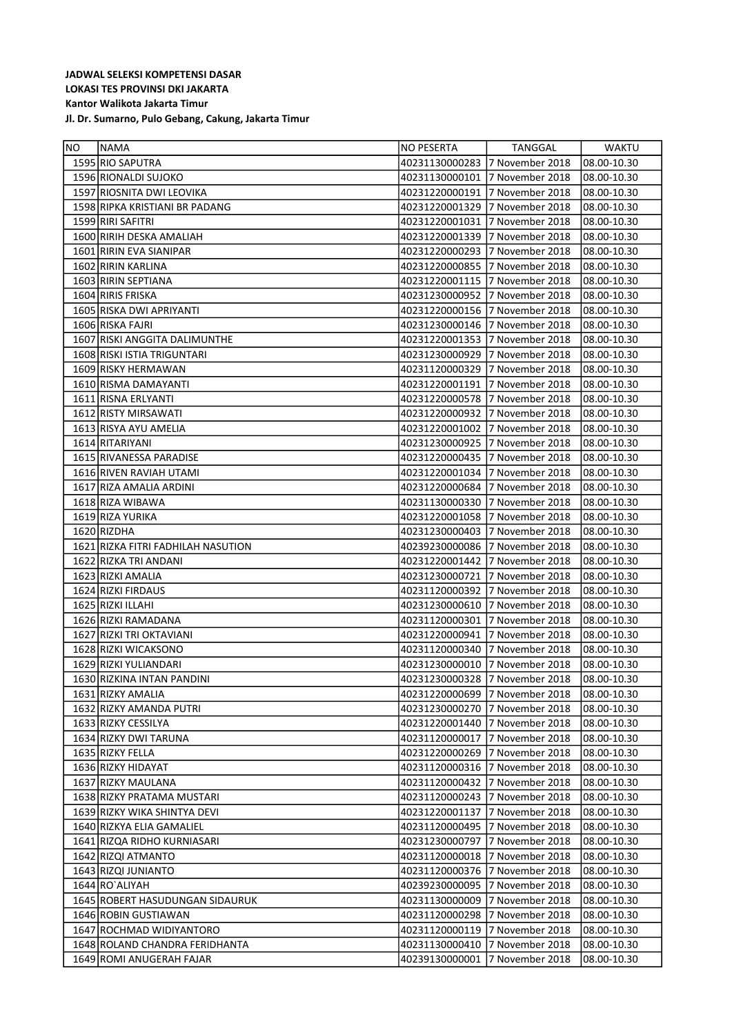| <b>NO</b> | <b>NAMA</b>                        | NO PESERTA                     | TANGGAL         | <b>WAKTU</b> |
|-----------|------------------------------------|--------------------------------|-----------------|--------------|
|           | 1595 RIO SAPUTRA                   | 40231130000283 7 November 2018 |                 | 08.00-10.30  |
|           | 1596 RIONALDI SUJOKO               | 40231130000101                 | 7 November 2018 | 08.00-10.30  |
|           | 1597 RIOSNITA DWI LEOVIKA          | 40231220000191                 | 7 November 2018 | 08.00-10.30  |
|           | 1598 RIPKA KRISTIANI BR PADANG     | 40231220001329                 | 7 November 2018 | 08.00-10.30  |
|           | 1599 RIRI SAFITRI                  | 40231220001031                 | 7 November 2018 | 08.00-10.30  |
|           | 1600 RIRIH DESKA AMALIAH           | 40231220001339                 | 7 November 2018 | 08.00-10.30  |
|           | 1601 RIRIN EVA SIANIPAR            | 40231220000293                 | 7 November 2018 | 08.00-10.30  |
|           | 1602 RIRIN KARLINA                 | 40231220000855                 | 7 November 2018 | 08.00-10.30  |
|           | 1603 RIRIN SEPTIANA                | 40231220001115                 | 7 November 2018 | 08.00-10.30  |
|           | 1604 RIRIS FRISKA                  | 40231230000952                 | 7 November 2018 | 08.00-10.30  |
|           | 1605 RISKA DWI APRIYANTI           | 40231220000156                 | 7 November 2018 | 08.00-10.30  |
|           | 1606 RISKA FAJRI                   | 40231230000146                 | 7 November 2018 | 08.00-10.30  |
|           | 1607 RISKI ANGGITA DALIMUNTHE      | 40231220001353                 | 7 November 2018 | 08.00-10.30  |
|           | 1608 RISKI ISTIA TRIGUNTARI        | 40231230000929                 | 7 November 2018 | 08.00-10.30  |
|           | 1609 RISKY HERMAWAN                | 40231120000329                 | 7 November 2018 | 08.00-10.30  |
|           | 1610 RISMA DAMAYANTI               | 40231220001191                 | 7 November 2018 | 08.00-10.30  |
|           | 1611 RISNA ERLYANTI                | 40231220000578                 | 7 November 2018 | 08.00-10.30  |
|           | 1612 RISTY MIRSAWATI               | 40231220000932                 | 7 November 2018 | 08.00-10.30  |
|           | 1613 RISYA AYU AMELIA              | 40231220001002                 | 7 November 2018 | 08.00-10.30  |
|           | 1614 RITARIYANI                    | 40231230000925                 | 7 November 2018 | 08.00-10.30  |
|           | 1615 RIVANESSA PARADISE            | 40231220000435                 | 7 November 2018 | 08.00-10.30  |
|           | 1616 RIVEN RAVIAH UTAMI            | 40231220001034                 | 7 November 2018 | 08.00-10.30  |
|           | 1617 RIZA AMALIA ARDINI            | 40231220000684                 | 7 November 2018 | 08.00-10.30  |
|           | 1618 RIZA WIBAWA                   | 40231130000330                 | 7 November 2018 | 08.00-10.30  |
|           | 1619 RIZA YURIKA                   | 40231220001058                 | 7 November 2018 | 08.00-10.30  |
|           | 1620 RIZDHA                        | 40231230000403                 | 7 November 2018 | 08.00-10.30  |
|           | 1621 RIZKA FITRI FADHILAH NASUTION | 40239230000086                 | 7 November 2018 | 08.00-10.30  |
|           | 1622 RIZKA TRI ANDANI              | 40231220001442                 | 7 November 2018 | 08.00-10.30  |
|           | 1623 RIZKI AMALIA                  | 40231230000721                 | 7 November 2018 | 08.00-10.30  |
|           | 1624 RIZKI FIRDAUS                 | 40231120000392                 | 7 November 2018 | 08.00-10.30  |
|           | 1625 RIZKI ILLAHI                  | 40231230000610                 | 7 November 2018 | 08.00-10.30  |
|           | 1626 RIZKI RAMADANA                | 40231120000301                 | 7 November 2018 | 08.00-10.30  |
|           | 1627 RIZKI TRI OKTAVIANI           | 40231220000941                 | 7 November 2018 | 08.00-10.30  |
|           | 1628 RIZKI WICAKSONO               | 40231120000340                 | 7 November 2018 | 08.00-10.30  |
|           | 1629 RIZKI YULIANDARI              | 40231230000010                 | 7 November 2018 | 08.00-10.30  |
|           | 1630 RIZKINA INTAN PANDINI         | 40231230000328                 | 7 November 2018 | 08.00-10.30  |
|           | 1631 RIZKY AMALIA                  | 40231220000699                 | 7 November 2018 | 08.00-10.30  |
|           | 1632 RIZKY AMANDA PUTRI            | 40231230000270                 | 7 November 2018 | 08.00-10.30  |
|           | 1633 RIZKY CESSILYA                | 40231220001440                 | 7 November 2018 | 08.00-10.30  |
|           | 1634 RIZKY DWI TARUNA              | 40231120000017                 | 7 November 2018 | 08.00-10.30  |
|           | 1635 RIZKY FELLA                   | 40231220000269                 | 7 November 2018 | 08.00-10.30  |
|           | 1636 RIZKY HIDAYAT                 | 40231120000316                 | 7 November 2018 | 08.00-10.30  |
|           | 1637 RIZKY MAULANA                 | 40231120000432                 | 7 November 2018 | 08.00-10.30  |
|           | 1638 RIZKY PRATAMA MUSTARI         | 40231120000243 7 November 2018 |                 | 08.00-10.30  |
|           | 1639 RIZKY WIKA SHINTYA DEVI       | 40231220001137                 | 7 November 2018 | 08.00-10.30  |
|           | 1640 RIZKYA ELIA GAMALIEL          | 40231120000495                 | 7 November 2018 | 08.00-10.30  |
|           | 1641 RIZQA RIDHO KURNIASARI        | 40231230000797                 | 7 November 2018 | 08.00-10.30  |
|           | 1642 RIZQI ATMANTO                 | 40231120000018                 | 7 November 2018 | 08.00-10.30  |
|           | 1643 RIZQI JUNIANTO                | 40231120000376                 | 7 November 2018 | 08.00-10.30  |
|           | 1644 RO`ALIYAH                     | 40239230000095                 | 7 November 2018 | 08.00-10.30  |
|           | 1645 ROBERT HASUDUNGAN SIDAURUK    | 40231130000009                 | 7 November 2018 | 08.00-10.30  |
|           | 1646 ROBIN GUSTIAWAN               | 40231120000298                 | 7 November 2018 | 08.00-10.30  |
|           | 1647 ROCHMAD WIDIYANTORO           | 40231120000119                 | 7 November 2018 | 08.00-10.30  |
|           | 1648 ROLAND CHANDRA FERIDHANTA     | 40231130000410                 | 7 November 2018 | 08.00-10.30  |
|           | 1649 ROMI ANUGERAH FAJAR           | 40239130000001                 | 7 November 2018 | 08.00-10.30  |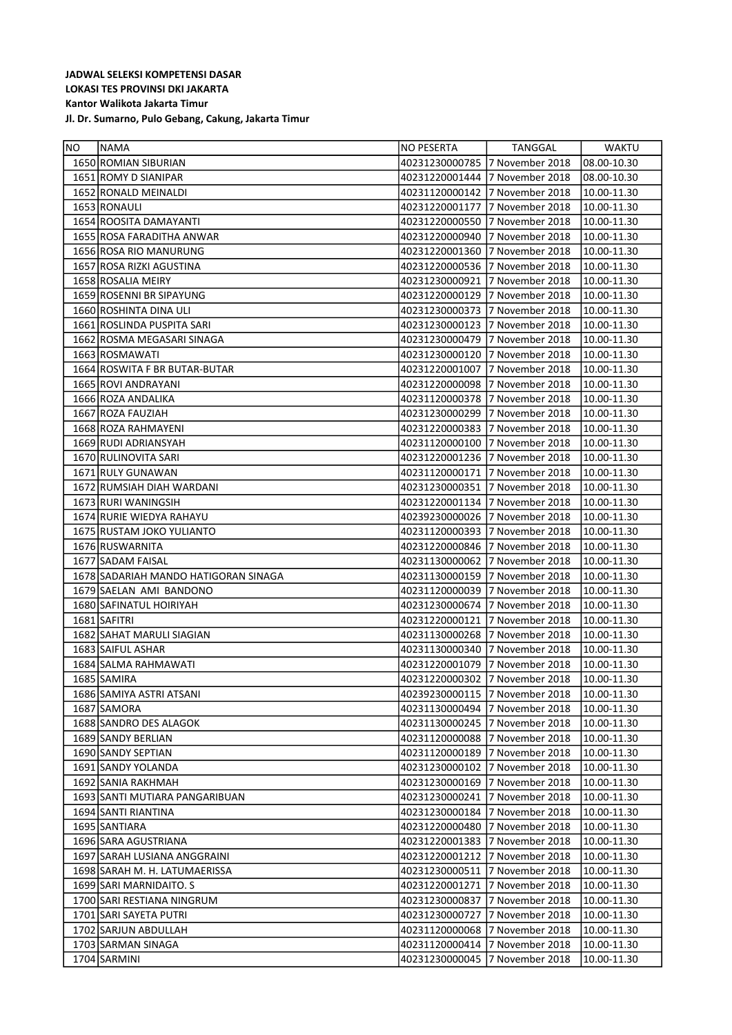| <b>NO</b> | <b>INAMA</b>                         | NO PESERTA                     | TANGGAL                        | <b>WAKTU</b> |
|-----------|--------------------------------------|--------------------------------|--------------------------------|--------------|
|           | 1650 ROMIAN SIBURIAN                 | 40231230000785 7 November 2018 |                                | 08.00-10.30  |
|           | 1651 ROMY D SIANIPAR                 | 40231220001444                 | 7 November 2018                | 08.00-10.30  |
|           | 1652 RONALD MEINALDI                 | 40231120000142                 | 7 November 2018                | 10.00-11.30  |
|           | 1653 RONAULI                         | 40231220001177                 | 7 November 2018                | 10.00-11.30  |
|           | 1654 ROOSITA DAMAYANTI               | 40231220000550                 | 7 November 2018                | 10.00-11.30  |
|           | 1655 ROSA FARADITHA ANWAR            | 40231220000940                 | 7 November 2018                | 10.00-11.30  |
|           | 1656 ROSA RIO MANURUNG               | 40231220001360                 | 7 November 2018                | 10.00-11.30  |
|           | 1657 ROSA RIZKI AGUSTINA             | 40231220000536                 | 7 November 2018                | 10.00-11.30  |
|           | 1658 ROSALIA MEIRY                   | 40231230000921                 | 7 November 2018                | 10.00-11.30  |
|           | 1659 ROSENNI BR SIPAYUNG             | 40231220000129                 | 7 November 2018                | 10.00-11.30  |
|           | 1660 ROSHINTA DINA ULI               | 40231230000373                 | 7 November 2018                | 10.00-11.30  |
|           | 1661 ROSLINDA PUSPITA SARI           | 40231230000123                 | 7 November 2018                | 10.00-11.30  |
|           | 1662 ROSMA MEGASARI SINAGA           | 40231230000479                 | 7 November 2018                | 10.00-11.30  |
|           | 1663 ROSMAWATI                       | 40231230000120                 | 7 November 2018                | 10.00-11.30  |
|           | 1664 ROSWITA F BR BUTAR-BUTAR        | 40231220001007                 | 7 November 2018                | 10.00-11.30  |
|           | 1665 ROVI ANDRAYANI                  | 40231220000098                 | 7 November 2018                | 10.00-11.30  |
|           | 1666 ROZA ANDALIKA                   | 40231120000378                 | 7 November 2018                | 10.00-11.30  |
|           | 1667 ROZA FAUZIAH                    | 40231230000299                 | 7 November 2018                | 10.00-11.30  |
|           | 1668 ROZA RAHMAYENI                  | 40231220000383                 | 7 November 2018                | 10.00-11.30  |
|           | 1669 RUDI ADRIANSYAH                 | 40231120000100                 | 7 November 2018                | 10.00-11.30  |
|           | 1670 RULINOVITA SARI                 | 40231220001236                 | 7 November 2018                | 10.00-11.30  |
|           | 1671 RULY GUNAWAN                    | 40231120000171                 | 7 November 2018                | 10.00-11.30  |
|           | 1672 RUMSIAH DIAH WARDANI            | 40231230000351                 | 7 November 2018                | 10.00-11.30  |
|           | 1673 RURI WANINGSIH                  | 40231220001134 7 November 2018 |                                | 10.00-11.30  |
|           | 1674 RURIE WIEDYA RAHAYU             | 40239230000026                 | 7 November 2018                | 10.00-11.30  |
|           | 1675 RUSTAM JOKO YULIANTO            | 40231120000393 7 November 2018 |                                | 10.00-11.30  |
|           | 1676 RUSWARNITA                      | 40231220000846                 | 7 November 2018                | 10.00-11.30  |
|           | 1677 SADAM FAISAL                    | 40231130000062                 | 7 November 2018                | 10.00-11.30  |
|           | 1678 SADARIAH MANDO HATIGORAN SINAGA | 40231130000159                 | 7 November 2018                | 10.00-11.30  |
|           | 1679 SAELAN AMI BANDONO              | 40231120000039                 | 7 November 2018                | 10.00-11.30  |
|           | 1680 SAFINATUL HOIRIYAH              | 40231230000674                 | 7 November 2018                | 10.00-11.30  |
|           | 1681 SAFITRI                         | 40231220000121                 | 7 November 2018                | 10.00-11.30  |
|           | 1682 SAHAT MARULI SIAGIAN            | 40231130000268                 | 7 November 2018                | 10.00-11.30  |
|           | 1683 SAIFUL ASHAR                    | 40231130000340                 | 7 November 2018                | 10.00-11.30  |
|           | 1684 SALMA RAHMAWATI                 | 40231220001079                 | 7 November 2018                | 10.00-11.30  |
|           | 1685 SAMIRA                          |                                | 40231220000302 7 November 2018 | 10.00-11.30  |
|           | 1686 SAMIYA ASTRI ATSANI             |                                | 40239230000115 7 November 2018 | 10.00-11.30  |
|           | 1687 SAMORA                          | 40231130000494                 | 7 November 2018                | 10.00-11.30  |
|           | 1688 SANDRO DES ALAGOK               | 40231130000245                 | 7 November 2018                | 10.00-11.30  |
|           | 1689 SANDY BERLIAN                   | 40231120000088                 | 7 November 2018                | 10.00-11.30  |
|           | 1690 SANDY SEPTIAN                   | 40231120000189                 | 7 November 2018                | 10.00-11.30  |
|           | 1691 SANDY YOLANDA                   | 40231230000102                 | 7 November 2018                | 10.00-11.30  |
|           | 1692 SANIA RAKHMAH                   | 40231230000169                 | 7 November 2018                | 10.00-11.30  |
|           | 1693 SANTI MUTIARA PANGARIBUAN       | 40231230000241                 | 7 November 2018                | 10.00-11.30  |
|           | 1694 SANTI RIANTINA                  | 40231230000184                 | 7 November 2018                | 10.00-11.30  |
|           | 1695 SANTIARA                        | 40231220000480                 | 7 November 2018                | 10.00-11.30  |
|           | 1696 SARA AGUSTRIANA                 | 40231220001383                 | 7 November 2018                | 10.00-11.30  |
|           | 1697 SARAH LUSIANA ANGGRAINI         | 40231220001212                 | 7 November 2018                | 10.00-11.30  |
|           | 1698 SARAH M. H. LATUMAERISSA        | 40231230000511                 | 7 November 2018                | 10.00-11.30  |
|           | 1699 SARI MARNIDAITO. S              | 40231220001271                 | 7 November 2018                | 10.00-11.30  |
|           | 1700 SARI RESTIANA NINGRUM           | 40231230000837                 | 7 November 2018                | 10.00-11.30  |
|           | 1701 SARI SAYETA PUTRI               | 40231230000727                 | 7 November 2018                | 10.00-11.30  |
|           | 1702 SARJUN ABDULLAH                 | 40231120000068                 | 7 November 2018                | 10.00-11.30  |
|           | 1703 SARMAN SINAGA                   | 40231120000414                 | 7 November 2018                | 10.00-11.30  |
|           | 1704 SARMINI                         | 40231230000045                 | 7 November 2018                | 10.00-11.30  |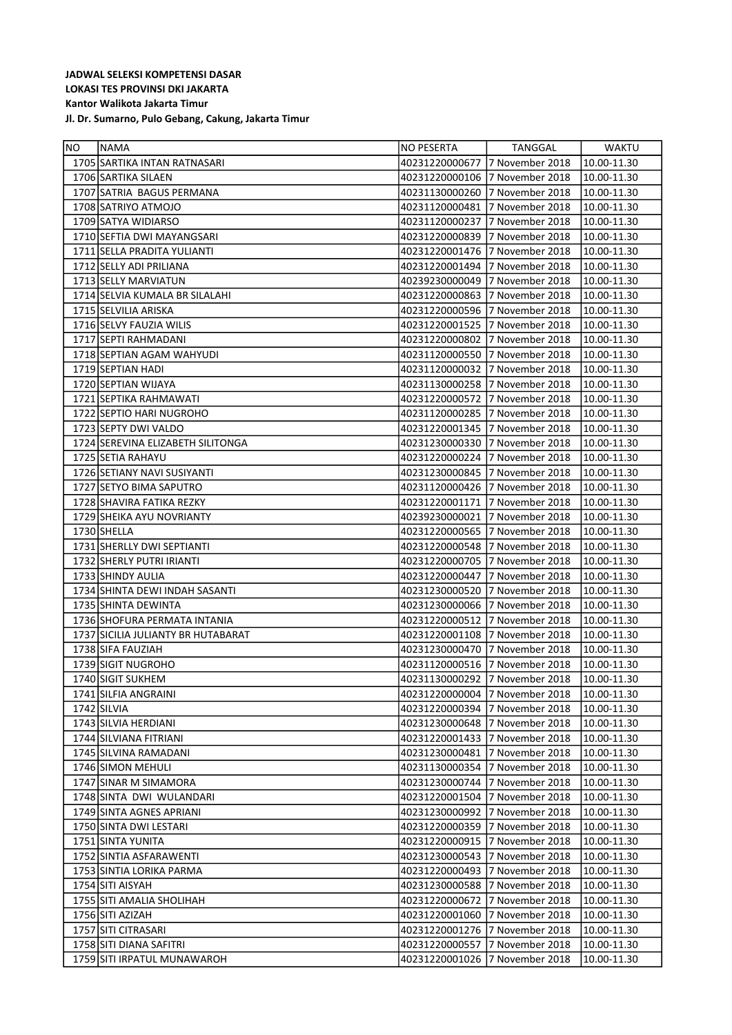| 1705 SARTIKA INTAN RATNASARI<br>40231220000677<br>17 November 2018<br>10.00-11.30<br>7 November 2018<br>1706 SARTIKA SILAEN<br>40231220000106<br>10.00-11.30<br>7 November 2018<br>1707 SATRIA BAGUS PERMANA<br>40231130000260<br>10.00-11.30<br>7 November 2018<br>1708 SATRIYO ATMOJO<br>40231120000481<br>10.00-11.30<br>1709 SATYA WIDIARSO<br>7 November 2018<br>40231120000237<br>10.00-11.30<br>7 November 2018<br>1710 SEFTIA DWI MAYANGSARI<br>40231220000839<br>10.00-11.30<br>1711 SELLA PRADITA YULIANTI<br>40231220001476<br>7 November 2018<br>10.00-11.30<br>1712 SELLY ADI PRILIANA<br>7 November 2018<br>40231220001494<br>10.00-11.30<br>7 November 2018<br>10.00-11.30<br>1713 SELLY MARVIATUN<br>40239230000049<br>40231220000863 7 November 2018<br>1714 SELVIA KUMALA BR SILALAHI<br>10.00-11.30<br>7 November 2018<br>1715 SELVILIA ARISKA<br>40231220000596<br>10.00-11.30<br>7 November 2018<br>1716 SELVY FAUZIA WILIS<br>40231220001525<br>10.00-11.30<br>7 November 2018<br>1717 SEPTI RAHMADANI<br>40231220000802<br>10.00-11.30<br>7 November 2018<br>1718 SEPTIAN AGAM WAHYUDI<br>40231120000550<br>10.00-11.30<br>40231120000032 7 November 2018<br>1719 SEPTIAN HADI<br>10.00-11.30<br>1720 SEPTIAN WIJAYA<br>40231130000258 7 November 2018<br>10.00-11.30<br>7 November 2018<br>1721 SEPTIKA RAHMAWATI<br>40231220000572<br>10.00-11.30<br>40231120000285 7 November 2018<br>1722 SEPTIO HARI NUGROHO<br>10.00-11.30<br>1723 SEPTY DWI VALDO<br>40231220001345 7 November 2018<br>10.00-11.30<br>40231230000330 7 November 2018<br>1724 SEREVINA ELIZABETH SILITONGA<br>10.00-11.30<br>40231220000224 7 November 2018<br>1725 SETIA RAHAYU<br>10.00-11.30<br>40231230000845 7 November 2018<br>1726 SETIANY NAVI SUSIYANTI<br>10.00-11.30<br>1727 SETYO BIMA SAPUTRO<br>40231120000426 7 November 2018<br>10.00-11.30<br>1728 SHAVIRA FATIKA REZKY<br>40231220001171 7 November 2018<br>10.00-11.30<br>1729 SHEIKA AYU NOVRIANTY<br>40239230000021<br>7 November 2018<br>10.00-11.30<br>1730 SHELLA<br>40231220000565 7 November 2018<br>10.00-11.30<br>1731 SHERLLY DWI SEPTIANTI<br>40231220000548 7 November 2018<br>10.00-11.30<br>40231220000705 7 November 2018<br>1732 SHERLY PUTRI IRIANTI<br>10.00-11.30<br>7 November 2018<br>1733 SHINDY AULIA<br>40231220000447<br>10.00-11.30<br>7 November 2018<br>10.00-11.30<br>1734 SHINTA DEWI INDAH SASANTI<br>40231230000520<br>7 November 2018<br>1735 SHINTA DEWINTA<br>40231230000066<br>10.00-11.30<br>7 November 2018<br>1736 SHOFURA PERMATA INTANIA<br>40231220000512<br>10.00-11.30<br>7 November 2018<br>1737 SICILIA JULIANTY BR HUTABARAT<br>40231220001108<br>10.00-11.30<br>1738 SIFA FAUZIAH<br>40231230000470<br>7 November 2018<br>10.00-11.30<br>1739 SIGIT NUGROHO<br>40231120000516<br>7 November 2018<br>10.00-11.30<br>1740 SIGIT SUKHEM<br>40231130000292 7 November 2018<br>10.00-11.30<br>1741 SILFIA ANGRAINI<br>40231220000004 7 November 2018<br>$10.00 - 11.30$<br>1742 SILVIA<br>40231220000394<br>7 November 2018<br>10.00-11.30<br>1743 SILVIA HERDIANI<br>40231230000648<br>7 November 2018<br>10.00-11.30<br>40231220001433<br>7 November 2018<br>10.00-11.30<br>1744 SILVIANA FITRIANI<br>1745 SILVINA RAMADANI<br>40231230000481<br>7 November 2018<br>10.00-11.30<br>1746 SIMON MEHULI<br>40231130000354<br>7 November 2018<br>10.00-11.30<br>1747 SINAR M SIMAMORA<br>40231230000744<br>7 November 2018<br>10.00-11.30<br>1748 SINTA DWI WULANDARI<br>40231220001504<br>7 November 2018<br>10.00-11.30<br>1749 SINTA AGNES APRIANI<br>40231230000992<br>7 November 2018<br>10.00-11.30<br>1750 SINTA DWI LESTARI<br>40231220000359<br>7 November 2018<br>10.00-11.30<br>1751 SINTA YUNITA<br>40231220000915<br>7 November 2018<br>10.00-11.30<br>1752 SINTIA ASFARAWENTI<br>40231230000543<br>7 November 2018<br>10.00-11.30<br>1753 SINTIA LORIKA PARMA<br>40231220000493<br>7 November 2018<br>10.00-11.30<br>1754 SITI AISYAH<br>40231230000588<br>7 November 2018<br>10.00-11.30<br>1755 SITI AMALIA SHOLIHAH<br>40231220000672<br>7 November 2018<br>10.00-11.30<br>1756 SITI AZIZAH<br>40231220001060<br>7 November 2018<br>10.00-11.30<br>1757 SITI CITRASARI<br>40231220001276<br>7 November 2018<br>10.00-11.30<br>1758 SITI DIANA SAFITRI<br>40231220000557<br>7 November 2018<br>10.00-11.30<br>1759 SITI IRPATUL MUNAWAROH<br>40231220001026<br>7 November 2018<br>10.00-11.30 | <b>NO</b> | <b>INAMA</b> | NO PESERTA | <b>TANGGAL</b> | WAKTU |
|------------------------------------------------------------------------------------------------------------------------------------------------------------------------------------------------------------------------------------------------------------------------------------------------------------------------------------------------------------------------------------------------------------------------------------------------------------------------------------------------------------------------------------------------------------------------------------------------------------------------------------------------------------------------------------------------------------------------------------------------------------------------------------------------------------------------------------------------------------------------------------------------------------------------------------------------------------------------------------------------------------------------------------------------------------------------------------------------------------------------------------------------------------------------------------------------------------------------------------------------------------------------------------------------------------------------------------------------------------------------------------------------------------------------------------------------------------------------------------------------------------------------------------------------------------------------------------------------------------------------------------------------------------------------------------------------------------------------------------------------------------------------------------------------------------------------------------------------------------------------------------------------------------------------------------------------------------------------------------------------------------------------------------------------------------------------------------------------------------------------------------------------------------------------------------------------------------------------------------------------------------------------------------------------------------------------------------------------------------------------------------------------------------------------------------------------------------------------------------------------------------------------------------------------------------------------------------------------------------------------------------------------------------------------------------------------------------------------------------------------------------------------------------------------------------------------------------------------------------------------------------------------------------------------------------------------------------------------------------------------------------------------------------------------------------------------------------------------------------------------------------------------------------------------------------------------------------------------------------------------------------------------------------------------------------------------------------------------------------------------------------------------------------------------------------------------------------------------------------------------------------------------------------------------------------------------------------------------------------------------------------------------------------------------------------------------------------------------------------------------------------------------------------------------------------------------------------------------------------------------------------------------------------------------------------------------------------------------------------------------------------------------------------------------------------------------------------------------------------------------------------------------------------------------------------------------------------------------------------------------------------------------------------------------------------------------------------------------------------------------------------------------------------------------|-----------|--------------|------------|----------------|-------|
|                                                                                                                                                                                                                                                                                                                                                                                                                                                                                                                                                                                                                                                                                                                                                                                                                                                                                                                                                                                                                                                                                                                                                                                                                                                                                                                                                                                                                                                                                                                                                                                                                                                                                                                                                                                                                                                                                                                                                                                                                                                                                                                                                                                                                                                                                                                                                                                                                                                                                                                                                                                                                                                                                                                                                                                                                                                                                                                                                                                                                                                                                                                                                                                                                                                                                                                                                                                                                                                                                                                                                                                                                                                                                                                                                                                                                                                                                                                                                                                                                                                                                                                                                                                                                                                                                                                                                                                                                        |           |              |            |                |       |
|                                                                                                                                                                                                                                                                                                                                                                                                                                                                                                                                                                                                                                                                                                                                                                                                                                                                                                                                                                                                                                                                                                                                                                                                                                                                                                                                                                                                                                                                                                                                                                                                                                                                                                                                                                                                                                                                                                                                                                                                                                                                                                                                                                                                                                                                                                                                                                                                                                                                                                                                                                                                                                                                                                                                                                                                                                                                                                                                                                                                                                                                                                                                                                                                                                                                                                                                                                                                                                                                                                                                                                                                                                                                                                                                                                                                                                                                                                                                                                                                                                                                                                                                                                                                                                                                                                                                                                                                                        |           |              |            |                |       |
|                                                                                                                                                                                                                                                                                                                                                                                                                                                                                                                                                                                                                                                                                                                                                                                                                                                                                                                                                                                                                                                                                                                                                                                                                                                                                                                                                                                                                                                                                                                                                                                                                                                                                                                                                                                                                                                                                                                                                                                                                                                                                                                                                                                                                                                                                                                                                                                                                                                                                                                                                                                                                                                                                                                                                                                                                                                                                                                                                                                                                                                                                                                                                                                                                                                                                                                                                                                                                                                                                                                                                                                                                                                                                                                                                                                                                                                                                                                                                                                                                                                                                                                                                                                                                                                                                                                                                                                                                        |           |              |            |                |       |
|                                                                                                                                                                                                                                                                                                                                                                                                                                                                                                                                                                                                                                                                                                                                                                                                                                                                                                                                                                                                                                                                                                                                                                                                                                                                                                                                                                                                                                                                                                                                                                                                                                                                                                                                                                                                                                                                                                                                                                                                                                                                                                                                                                                                                                                                                                                                                                                                                                                                                                                                                                                                                                                                                                                                                                                                                                                                                                                                                                                                                                                                                                                                                                                                                                                                                                                                                                                                                                                                                                                                                                                                                                                                                                                                                                                                                                                                                                                                                                                                                                                                                                                                                                                                                                                                                                                                                                                                                        |           |              |            |                |       |
|                                                                                                                                                                                                                                                                                                                                                                                                                                                                                                                                                                                                                                                                                                                                                                                                                                                                                                                                                                                                                                                                                                                                                                                                                                                                                                                                                                                                                                                                                                                                                                                                                                                                                                                                                                                                                                                                                                                                                                                                                                                                                                                                                                                                                                                                                                                                                                                                                                                                                                                                                                                                                                                                                                                                                                                                                                                                                                                                                                                                                                                                                                                                                                                                                                                                                                                                                                                                                                                                                                                                                                                                                                                                                                                                                                                                                                                                                                                                                                                                                                                                                                                                                                                                                                                                                                                                                                                                                        |           |              |            |                |       |
|                                                                                                                                                                                                                                                                                                                                                                                                                                                                                                                                                                                                                                                                                                                                                                                                                                                                                                                                                                                                                                                                                                                                                                                                                                                                                                                                                                                                                                                                                                                                                                                                                                                                                                                                                                                                                                                                                                                                                                                                                                                                                                                                                                                                                                                                                                                                                                                                                                                                                                                                                                                                                                                                                                                                                                                                                                                                                                                                                                                                                                                                                                                                                                                                                                                                                                                                                                                                                                                                                                                                                                                                                                                                                                                                                                                                                                                                                                                                                                                                                                                                                                                                                                                                                                                                                                                                                                                                                        |           |              |            |                |       |
|                                                                                                                                                                                                                                                                                                                                                                                                                                                                                                                                                                                                                                                                                                                                                                                                                                                                                                                                                                                                                                                                                                                                                                                                                                                                                                                                                                                                                                                                                                                                                                                                                                                                                                                                                                                                                                                                                                                                                                                                                                                                                                                                                                                                                                                                                                                                                                                                                                                                                                                                                                                                                                                                                                                                                                                                                                                                                                                                                                                                                                                                                                                                                                                                                                                                                                                                                                                                                                                                                                                                                                                                                                                                                                                                                                                                                                                                                                                                                                                                                                                                                                                                                                                                                                                                                                                                                                                                                        |           |              |            |                |       |
|                                                                                                                                                                                                                                                                                                                                                                                                                                                                                                                                                                                                                                                                                                                                                                                                                                                                                                                                                                                                                                                                                                                                                                                                                                                                                                                                                                                                                                                                                                                                                                                                                                                                                                                                                                                                                                                                                                                                                                                                                                                                                                                                                                                                                                                                                                                                                                                                                                                                                                                                                                                                                                                                                                                                                                                                                                                                                                                                                                                                                                                                                                                                                                                                                                                                                                                                                                                                                                                                                                                                                                                                                                                                                                                                                                                                                                                                                                                                                                                                                                                                                                                                                                                                                                                                                                                                                                                                                        |           |              |            |                |       |
|                                                                                                                                                                                                                                                                                                                                                                                                                                                                                                                                                                                                                                                                                                                                                                                                                                                                                                                                                                                                                                                                                                                                                                                                                                                                                                                                                                                                                                                                                                                                                                                                                                                                                                                                                                                                                                                                                                                                                                                                                                                                                                                                                                                                                                                                                                                                                                                                                                                                                                                                                                                                                                                                                                                                                                                                                                                                                                                                                                                                                                                                                                                                                                                                                                                                                                                                                                                                                                                                                                                                                                                                                                                                                                                                                                                                                                                                                                                                                                                                                                                                                                                                                                                                                                                                                                                                                                                                                        |           |              |            |                |       |
|                                                                                                                                                                                                                                                                                                                                                                                                                                                                                                                                                                                                                                                                                                                                                                                                                                                                                                                                                                                                                                                                                                                                                                                                                                                                                                                                                                                                                                                                                                                                                                                                                                                                                                                                                                                                                                                                                                                                                                                                                                                                                                                                                                                                                                                                                                                                                                                                                                                                                                                                                                                                                                                                                                                                                                                                                                                                                                                                                                                                                                                                                                                                                                                                                                                                                                                                                                                                                                                                                                                                                                                                                                                                                                                                                                                                                                                                                                                                                                                                                                                                                                                                                                                                                                                                                                                                                                                                                        |           |              |            |                |       |
|                                                                                                                                                                                                                                                                                                                                                                                                                                                                                                                                                                                                                                                                                                                                                                                                                                                                                                                                                                                                                                                                                                                                                                                                                                                                                                                                                                                                                                                                                                                                                                                                                                                                                                                                                                                                                                                                                                                                                                                                                                                                                                                                                                                                                                                                                                                                                                                                                                                                                                                                                                                                                                                                                                                                                                                                                                                                                                                                                                                                                                                                                                                                                                                                                                                                                                                                                                                                                                                                                                                                                                                                                                                                                                                                                                                                                                                                                                                                                                                                                                                                                                                                                                                                                                                                                                                                                                                                                        |           |              |            |                |       |
|                                                                                                                                                                                                                                                                                                                                                                                                                                                                                                                                                                                                                                                                                                                                                                                                                                                                                                                                                                                                                                                                                                                                                                                                                                                                                                                                                                                                                                                                                                                                                                                                                                                                                                                                                                                                                                                                                                                                                                                                                                                                                                                                                                                                                                                                                                                                                                                                                                                                                                                                                                                                                                                                                                                                                                                                                                                                                                                                                                                                                                                                                                                                                                                                                                                                                                                                                                                                                                                                                                                                                                                                                                                                                                                                                                                                                                                                                                                                                                                                                                                                                                                                                                                                                                                                                                                                                                                                                        |           |              |            |                |       |
|                                                                                                                                                                                                                                                                                                                                                                                                                                                                                                                                                                                                                                                                                                                                                                                                                                                                                                                                                                                                                                                                                                                                                                                                                                                                                                                                                                                                                                                                                                                                                                                                                                                                                                                                                                                                                                                                                                                                                                                                                                                                                                                                                                                                                                                                                                                                                                                                                                                                                                                                                                                                                                                                                                                                                                                                                                                                                                                                                                                                                                                                                                                                                                                                                                                                                                                                                                                                                                                                                                                                                                                                                                                                                                                                                                                                                                                                                                                                                                                                                                                                                                                                                                                                                                                                                                                                                                                                                        |           |              |            |                |       |
|                                                                                                                                                                                                                                                                                                                                                                                                                                                                                                                                                                                                                                                                                                                                                                                                                                                                                                                                                                                                                                                                                                                                                                                                                                                                                                                                                                                                                                                                                                                                                                                                                                                                                                                                                                                                                                                                                                                                                                                                                                                                                                                                                                                                                                                                                                                                                                                                                                                                                                                                                                                                                                                                                                                                                                                                                                                                                                                                                                                                                                                                                                                                                                                                                                                                                                                                                                                                                                                                                                                                                                                                                                                                                                                                                                                                                                                                                                                                                                                                                                                                                                                                                                                                                                                                                                                                                                                                                        |           |              |            |                |       |
|                                                                                                                                                                                                                                                                                                                                                                                                                                                                                                                                                                                                                                                                                                                                                                                                                                                                                                                                                                                                                                                                                                                                                                                                                                                                                                                                                                                                                                                                                                                                                                                                                                                                                                                                                                                                                                                                                                                                                                                                                                                                                                                                                                                                                                                                                                                                                                                                                                                                                                                                                                                                                                                                                                                                                                                                                                                                                                                                                                                                                                                                                                                                                                                                                                                                                                                                                                                                                                                                                                                                                                                                                                                                                                                                                                                                                                                                                                                                                                                                                                                                                                                                                                                                                                                                                                                                                                                                                        |           |              |            |                |       |
|                                                                                                                                                                                                                                                                                                                                                                                                                                                                                                                                                                                                                                                                                                                                                                                                                                                                                                                                                                                                                                                                                                                                                                                                                                                                                                                                                                                                                                                                                                                                                                                                                                                                                                                                                                                                                                                                                                                                                                                                                                                                                                                                                                                                                                                                                                                                                                                                                                                                                                                                                                                                                                                                                                                                                                                                                                                                                                                                                                                                                                                                                                                                                                                                                                                                                                                                                                                                                                                                                                                                                                                                                                                                                                                                                                                                                                                                                                                                                                                                                                                                                                                                                                                                                                                                                                                                                                                                                        |           |              |            |                |       |
|                                                                                                                                                                                                                                                                                                                                                                                                                                                                                                                                                                                                                                                                                                                                                                                                                                                                                                                                                                                                                                                                                                                                                                                                                                                                                                                                                                                                                                                                                                                                                                                                                                                                                                                                                                                                                                                                                                                                                                                                                                                                                                                                                                                                                                                                                                                                                                                                                                                                                                                                                                                                                                                                                                                                                                                                                                                                                                                                                                                                                                                                                                                                                                                                                                                                                                                                                                                                                                                                                                                                                                                                                                                                                                                                                                                                                                                                                                                                                                                                                                                                                                                                                                                                                                                                                                                                                                                                                        |           |              |            |                |       |
|                                                                                                                                                                                                                                                                                                                                                                                                                                                                                                                                                                                                                                                                                                                                                                                                                                                                                                                                                                                                                                                                                                                                                                                                                                                                                                                                                                                                                                                                                                                                                                                                                                                                                                                                                                                                                                                                                                                                                                                                                                                                                                                                                                                                                                                                                                                                                                                                                                                                                                                                                                                                                                                                                                                                                                                                                                                                                                                                                                                                                                                                                                                                                                                                                                                                                                                                                                                                                                                                                                                                                                                                                                                                                                                                                                                                                                                                                                                                                                                                                                                                                                                                                                                                                                                                                                                                                                                                                        |           |              |            |                |       |
|                                                                                                                                                                                                                                                                                                                                                                                                                                                                                                                                                                                                                                                                                                                                                                                                                                                                                                                                                                                                                                                                                                                                                                                                                                                                                                                                                                                                                                                                                                                                                                                                                                                                                                                                                                                                                                                                                                                                                                                                                                                                                                                                                                                                                                                                                                                                                                                                                                                                                                                                                                                                                                                                                                                                                                                                                                                                                                                                                                                                                                                                                                                                                                                                                                                                                                                                                                                                                                                                                                                                                                                                                                                                                                                                                                                                                                                                                                                                                                                                                                                                                                                                                                                                                                                                                                                                                                                                                        |           |              |            |                |       |
|                                                                                                                                                                                                                                                                                                                                                                                                                                                                                                                                                                                                                                                                                                                                                                                                                                                                                                                                                                                                                                                                                                                                                                                                                                                                                                                                                                                                                                                                                                                                                                                                                                                                                                                                                                                                                                                                                                                                                                                                                                                                                                                                                                                                                                                                                                                                                                                                                                                                                                                                                                                                                                                                                                                                                                                                                                                                                                                                                                                                                                                                                                                                                                                                                                                                                                                                                                                                                                                                                                                                                                                                                                                                                                                                                                                                                                                                                                                                                                                                                                                                                                                                                                                                                                                                                                                                                                                                                        |           |              |            |                |       |
|                                                                                                                                                                                                                                                                                                                                                                                                                                                                                                                                                                                                                                                                                                                                                                                                                                                                                                                                                                                                                                                                                                                                                                                                                                                                                                                                                                                                                                                                                                                                                                                                                                                                                                                                                                                                                                                                                                                                                                                                                                                                                                                                                                                                                                                                                                                                                                                                                                                                                                                                                                                                                                                                                                                                                                                                                                                                                                                                                                                                                                                                                                                                                                                                                                                                                                                                                                                                                                                                                                                                                                                                                                                                                                                                                                                                                                                                                                                                                                                                                                                                                                                                                                                                                                                                                                                                                                                                                        |           |              |            |                |       |
|                                                                                                                                                                                                                                                                                                                                                                                                                                                                                                                                                                                                                                                                                                                                                                                                                                                                                                                                                                                                                                                                                                                                                                                                                                                                                                                                                                                                                                                                                                                                                                                                                                                                                                                                                                                                                                                                                                                                                                                                                                                                                                                                                                                                                                                                                                                                                                                                                                                                                                                                                                                                                                                                                                                                                                                                                                                                                                                                                                                                                                                                                                                                                                                                                                                                                                                                                                                                                                                                                                                                                                                                                                                                                                                                                                                                                                                                                                                                                                                                                                                                                                                                                                                                                                                                                                                                                                                                                        |           |              |            |                |       |
|                                                                                                                                                                                                                                                                                                                                                                                                                                                                                                                                                                                                                                                                                                                                                                                                                                                                                                                                                                                                                                                                                                                                                                                                                                                                                                                                                                                                                                                                                                                                                                                                                                                                                                                                                                                                                                                                                                                                                                                                                                                                                                                                                                                                                                                                                                                                                                                                                                                                                                                                                                                                                                                                                                                                                                                                                                                                                                                                                                                                                                                                                                                                                                                                                                                                                                                                                                                                                                                                                                                                                                                                                                                                                                                                                                                                                                                                                                                                                                                                                                                                                                                                                                                                                                                                                                                                                                                                                        |           |              |            |                |       |
|                                                                                                                                                                                                                                                                                                                                                                                                                                                                                                                                                                                                                                                                                                                                                                                                                                                                                                                                                                                                                                                                                                                                                                                                                                                                                                                                                                                                                                                                                                                                                                                                                                                                                                                                                                                                                                                                                                                                                                                                                                                                                                                                                                                                                                                                                                                                                                                                                                                                                                                                                                                                                                                                                                                                                                                                                                                                                                                                                                                                                                                                                                                                                                                                                                                                                                                                                                                                                                                                                                                                                                                                                                                                                                                                                                                                                                                                                                                                                                                                                                                                                                                                                                                                                                                                                                                                                                                                                        |           |              |            |                |       |
|                                                                                                                                                                                                                                                                                                                                                                                                                                                                                                                                                                                                                                                                                                                                                                                                                                                                                                                                                                                                                                                                                                                                                                                                                                                                                                                                                                                                                                                                                                                                                                                                                                                                                                                                                                                                                                                                                                                                                                                                                                                                                                                                                                                                                                                                                                                                                                                                                                                                                                                                                                                                                                                                                                                                                                                                                                                                                                                                                                                                                                                                                                                                                                                                                                                                                                                                                                                                                                                                                                                                                                                                                                                                                                                                                                                                                                                                                                                                                                                                                                                                                                                                                                                                                                                                                                                                                                                                                        |           |              |            |                |       |
|                                                                                                                                                                                                                                                                                                                                                                                                                                                                                                                                                                                                                                                                                                                                                                                                                                                                                                                                                                                                                                                                                                                                                                                                                                                                                                                                                                                                                                                                                                                                                                                                                                                                                                                                                                                                                                                                                                                                                                                                                                                                                                                                                                                                                                                                                                                                                                                                                                                                                                                                                                                                                                                                                                                                                                                                                                                                                                                                                                                                                                                                                                                                                                                                                                                                                                                                                                                                                                                                                                                                                                                                                                                                                                                                                                                                                                                                                                                                                                                                                                                                                                                                                                                                                                                                                                                                                                                                                        |           |              |            |                |       |
|                                                                                                                                                                                                                                                                                                                                                                                                                                                                                                                                                                                                                                                                                                                                                                                                                                                                                                                                                                                                                                                                                                                                                                                                                                                                                                                                                                                                                                                                                                                                                                                                                                                                                                                                                                                                                                                                                                                                                                                                                                                                                                                                                                                                                                                                                                                                                                                                                                                                                                                                                                                                                                                                                                                                                                                                                                                                                                                                                                                                                                                                                                                                                                                                                                                                                                                                                                                                                                                                                                                                                                                                                                                                                                                                                                                                                                                                                                                                                                                                                                                                                                                                                                                                                                                                                                                                                                                                                        |           |              |            |                |       |
|                                                                                                                                                                                                                                                                                                                                                                                                                                                                                                                                                                                                                                                                                                                                                                                                                                                                                                                                                                                                                                                                                                                                                                                                                                                                                                                                                                                                                                                                                                                                                                                                                                                                                                                                                                                                                                                                                                                                                                                                                                                                                                                                                                                                                                                                                                                                                                                                                                                                                                                                                                                                                                                                                                                                                                                                                                                                                                                                                                                                                                                                                                                                                                                                                                                                                                                                                                                                                                                                                                                                                                                                                                                                                                                                                                                                                                                                                                                                                                                                                                                                                                                                                                                                                                                                                                                                                                                                                        |           |              |            |                |       |
|                                                                                                                                                                                                                                                                                                                                                                                                                                                                                                                                                                                                                                                                                                                                                                                                                                                                                                                                                                                                                                                                                                                                                                                                                                                                                                                                                                                                                                                                                                                                                                                                                                                                                                                                                                                                                                                                                                                                                                                                                                                                                                                                                                                                                                                                                                                                                                                                                                                                                                                                                                                                                                                                                                                                                                                                                                                                                                                                                                                                                                                                                                                                                                                                                                                                                                                                                                                                                                                                                                                                                                                                                                                                                                                                                                                                                                                                                                                                                                                                                                                                                                                                                                                                                                                                                                                                                                                                                        |           |              |            |                |       |
|                                                                                                                                                                                                                                                                                                                                                                                                                                                                                                                                                                                                                                                                                                                                                                                                                                                                                                                                                                                                                                                                                                                                                                                                                                                                                                                                                                                                                                                                                                                                                                                                                                                                                                                                                                                                                                                                                                                                                                                                                                                                                                                                                                                                                                                                                                                                                                                                                                                                                                                                                                                                                                                                                                                                                                                                                                                                                                                                                                                                                                                                                                                                                                                                                                                                                                                                                                                                                                                                                                                                                                                                                                                                                                                                                                                                                                                                                                                                                                                                                                                                                                                                                                                                                                                                                                                                                                                                                        |           |              |            |                |       |
|                                                                                                                                                                                                                                                                                                                                                                                                                                                                                                                                                                                                                                                                                                                                                                                                                                                                                                                                                                                                                                                                                                                                                                                                                                                                                                                                                                                                                                                                                                                                                                                                                                                                                                                                                                                                                                                                                                                                                                                                                                                                                                                                                                                                                                                                                                                                                                                                                                                                                                                                                                                                                                                                                                                                                                                                                                                                                                                                                                                                                                                                                                                                                                                                                                                                                                                                                                                                                                                                                                                                                                                                                                                                                                                                                                                                                                                                                                                                                                                                                                                                                                                                                                                                                                                                                                                                                                                                                        |           |              |            |                |       |
|                                                                                                                                                                                                                                                                                                                                                                                                                                                                                                                                                                                                                                                                                                                                                                                                                                                                                                                                                                                                                                                                                                                                                                                                                                                                                                                                                                                                                                                                                                                                                                                                                                                                                                                                                                                                                                                                                                                                                                                                                                                                                                                                                                                                                                                                                                                                                                                                                                                                                                                                                                                                                                                                                                                                                                                                                                                                                                                                                                                                                                                                                                                                                                                                                                                                                                                                                                                                                                                                                                                                                                                                                                                                                                                                                                                                                                                                                                                                                                                                                                                                                                                                                                                                                                                                                                                                                                                                                        |           |              |            |                |       |
|                                                                                                                                                                                                                                                                                                                                                                                                                                                                                                                                                                                                                                                                                                                                                                                                                                                                                                                                                                                                                                                                                                                                                                                                                                                                                                                                                                                                                                                                                                                                                                                                                                                                                                                                                                                                                                                                                                                                                                                                                                                                                                                                                                                                                                                                                                                                                                                                                                                                                                                                                                                                                                                                                                                                                                                                                                                                                                                                                                                                                                                                                                                                                                                                                                                                                                                                                                                                                                                                                                                                                                                                                                                                                                                                                                                                                                                                                                                                                                                                                                                                                                                                                                                                                                                                                                                                                                                                                        |           |              |            |                |       |
|                                                                                                                                                                                                                                                                                                                                                                                                                                                                                                                                                                                                                                                                                                                                                                                                                                                                                                                                                                                                                                                                                                                                                                                                                                                                                                                                                                                                                                                                                                                                                                                                                                                                                                                                                                                                                                                                                                                                                                                                                                                                                                                                                                                                                                                                                                                                                                                                                                                                                                                                                                                                                                                                                                                                                                                                                                                                                                                                                                                                                                                                                                                                                                                                                                                                                                                                                                                                                                                                                                                                                                                                                                                                                                                                                                                                                                                                                                                                                                                                                                                                                                                                                                                                                                                                                                                                                                                                                        |           |              |            |                |       |
|                                                                                                                                                                                                                                                                                                                                                                                                                                                                                                                                                                                                                                                                                                                                                                                                                                                                                                                                                                                                                                                                                                                                                                                                                                                                                                                                                                                                                                                                                                                                                                                                                                                                                                                                                                                                                                                                                                                                                                                                                                                                                                                                                                                                                                                                                                                                                                                                                                                                                                                                                                                                                                                                                                                                                                                                                                                                                                                                                                                                                                                                                                                                                                                                                                                                                                                                                                                                                                                                                                                                                                                                                                                                                                                                                                                                                                                                                                                                                                                                                                                                                                                                                                                                                                                                                                                                                                                                                        |           |              |            |                |       |
|                                                                                                                                                                                                                                                                                                                                                                                                                                                                                                                                                                                                                                                                                                                                                                                                                                                                                                                                                                                                                                                                                                                                                                                                                                                                                                                                                                                                                                                                                                                                                                                                                                                                                                                                                                                                                                                                                                                                                                                                                                                                                                                                                                                                                                                                                                                                                                                                                                                                                                                                                                                                                                                                                                                                                                                                                                                                                                                                                                                                                                                                                                                                                                                                                                                                                                                                                                                                                                                                                                                                                                                                                                                                                                                                                                                                                                                                                                                                                                                                                                                                                                                                                                                                                                                                                                                                                                                                                        |           |              |            |                |       |
|                                                                                                                                                                                                                                                                                                                                                                                                                                                                                                                                                                                                                                                                                                                                                                                                                                                                                                                                                                                                                                                                                                                                                                                                                                                                                                                                                                                                                                                                                                                                                                                                                                                                                                                                                                                                                                                                                                                                                                                                                                                                                                                                                                                                                                                                                                                                                                                                                                                                                                                                                                                                                                                                                                                                                                                                                                                                                                                                                                                                                                                                                                                                                                                                                                                                                                                                                                                                                                                                                                                                                                                                                                                                                                                                                                                                                                                                                                                                                                                                                                                                                                                                                                                                                                                                                                                                                                                                                        |           |              |            |                |       |
|                                                                                                                                                                                                                                                                                                                                                                                                                                                                                                                                                                                                                                                                                                                                                                                                                                                                                                                                                                                                                                                                                                                                                                                                                                                                                                                                                                                                                                                                                                                                                                                                                                                                                                                                                                                                                                                                                                                                                                                                                                                                                                                                                                                                                                                                                                                                                                                                                                                                                                                                                                                                                                                                                                                                                                                                                                                                                                                                                                                                                                                                                                                                                                                                                                                                                                                                                                                                                                                                                                                                                                                                                                                                                                                                                                                                                                                                                                                                                                                                                                                                                                                                                                                                                                                                                                                                                                                                                        |           |              |            |                |       |
|                                                                                                                                                                                                                                                                                                                                                                                                                                                                                                                                                                                                                                                                                                                                                                                                                                                                                                                                                                                                                                                                                                                                                                                                                                                                                                                                                                                                                                                                                                                                                                                                                                                                                                                                                                                                                                                                                                                                                                                                                                                                                                                                                                                                                                                                                                                                                                                                                                                                                                                                                                                                                                                                                                                                                                                                                                                                                                                                                                                                                                                                                                                                                                                                                                                                                                                                                                                                                                                                                                                                                                                                                                                                                                                                                                                                                                                                                                                                                                                                                                                                                                                                                                                                                                                                                                                                                                                                                        |           |              |            |                |       |
|                                                                                                                                                                                                                                                                                                                                                                                                                                                                                                                                                                                                                                                                                                                                                                                                                                                                                                                                                                                                                                                                                                                                                                                                                                                                                                                                                                                                                                                                                                                                                                                                                                                                                                                                                                                                                                                                                                                                                                                                                                                                                                                                                                                                                                                                                                                                                                                                                                                                                                                                                                                                                                                                                                                                                                                                                                                                                                                                                                                                                                                                                                                                                                                                                                                                                                                                                                                                                                                                                                                                                                                                                                                                                                                                                                                                                                                                                                                                                                                                                                                                                                                                                                                                                                                                                                                                                                                                                        |           |              |            |                |       |
|                                                                                                                                                                                                                                                                                                                                                                                                                                                                                                                                                                                                                                                                                                                                                                                                                                                                                                                                                                                                                                                                                                                                                                                                                                                                                                                                                                                                                                                                                                                                                                                                                                                                                                                                                                                                                                                                                                                                                                                                                                                                                                                                                                                                                                                                                                                                                                                                                                                                                                                                                                                                                                                                                                                                                                                                                                                                                                                                                                                                                                                                                                                                                                                                                                                                                                                                                                                                                                                                                                                                                                                                                                                                                                                                                                                                                                                                                                                                                                                                                                                                                                                                                                                                                                                                                                                                                                                                                        |           |              |            |                |       |
|                                                                                                                                                                                                                                                                                                                                                                                                                                                                                                                                                                                                                                                                                                                                                                                                                                                                                                                                                                                                                                                                                                                                                                                                                                                                                                                                                                                                                                                                                                                                                                                                                                                                                                                                                                                                                                                                                                                                                                                                                                                                                                                                                                                                                                                                                                                                                                                                                                                                                                                                                                                                                                                                                                                                                                                                                                                                                                                                                                                                                                                                                                                                                                                                                                                                                                                                                                                                                                                                                                                                                                                                                                                                                                                                                                                                                                                                                                                                                                                                                                                                                                                                                                                                                                                                                                                                                                                                                        |           |              |            |                |       |
|                                                                                                                                                                                                                                                                                                                                                                                                                                                                                                                                                                                                                                                                                                                                                                                                                                                                                                                                                                                                                                                                                                                                                                                                                                                                                                                                                                                                                                                                                                                                                                                                                                                                                                                                                                                                                                                                                                                                                                                                                                                                                                                                                                                                                                                                                                                                                                                                                                                                                                                                                                                                                                                                                                                                                                                                                                                                                                                                                                                                                                                                                                                                                                                                                                                                                                                                                                                                                                                                                                                                                                                                                                                                                                                                                                                                                                                                                                                                                                                                                                                                                                                                                                                                                                                                                                                                                                                                                        |           |              |            |                |       |
|                                                                                                                                                                                                                                                                                                                                                                                                                                                                                                                                                                                                                                                                                                                                                                                                                                                                                                                                                                                                                                                                                                                                                                                                                                                                                                                                                                                                                                                                                                                                                                                                                                                                                                                                                                                                                                                                                                                                                                                                                                                                                                                                                                                                                                                                                                                                                                                                                                                                                                                                                                                                                                                                                                                                                                                                                                                                                                                                                                                                                                                                                                                                                                                                                                                                                                                                                                                                                                                                                                                                                                                                                                                                                                                                                                                                                                                                                                                                                                                                                                                                                                                                                                                                                                                                                                                                                                                                                        |           |              |            |                |       |
|                                                                                                                                                                                                                                                                                                                                                                                                                                                                                                                                                                                                                                                                                                                                                                                                                                                                                                                                                                                                                                                                                                                                                                                                                                                                                                                                                                                                                                                                                                                                                                                                                                                                                                                                                                                                                                                                                                                                                                                                                                                                                                                                                                                                                                                                                                                                                                                                                                                                                                                                                                                                                                                                                                                                                                                                                                                                                                                                                                                                                                                                                                                                                                                                                                                                                                                                                                                                                                                                                                                                                                                                                                                                                                                                                                                                                                                                                                                                                                                                                                                                                                                                                                                                                                                                                                                                                                                                                        |           |              |            |                |       |
|                                                                                                                                                                                                                                                                                                                                                                                                                                                                                                                                                                                                                                                                                                                                                                                                                                                                                                                                                                                                                                                                                                                                                                                                                                                                                                                                                                                                                                                                                                                                                                                                                                                                                                                                                                                                                                                                                                                                                                                                                                                                                                                                                                                                                                                                                                                                                                                                                                                                                                                                                                                                                                                                                                                                                                                                                                                                                                                                                                                                                                                                                                                                                                                                                                                                                                                                                                                                                                                                                                                                                                                                                                                                                                                                                                                                                                                                                                                                                                                                                                                                                                                                                                                                                                                                                                                                                                                                                        |           |              |            |                |       |
|                                                                                                                                                                                                                                                                                                                                                                                                                                                                                                                                                                                                                                                                                                                                                                                                                                                                                                                                                                                                                                                                                                                                                                                                                                                                                                                                                                                                                                                                                                                                                                                                                                                                                                                                                                                                                                                                                                                                                                                                                                                                                                                                                                                                                                                                                                                                                                                                                                                                                                                                                                                                                                                                                                                                                                                                                                                                                                                                                                                                                                                                                                                                                                                                                                                                                                                                                                                                                                                                                                                                                                                                                                                                                                                                                                                                                                                                                                                                                                                                                                                                                                                                                                                                                                                                                                                                                                                                                        |           |              |            |                |       |
|                                                                                                                                                                                                                                                                                                                                                                                                                                                                                                                                                                                                                                                                                                                                                                                                                                                                                                                                                                                                                                                                                                                                                                                                                                                                                                                                                                                                                                                                                                                                                                                                                                                                                                                                                                                                                                                                                                                                                                                                                                                                                                                                                                                                                                                                                                                                                                                                                                                                                                                                                                                                                                                                                                                                                                                                                                                                                                                                                                                                                                                                                                                                                                                                                                                                                                                                                                                                                                                                                                                                                                                                                                                                                                                                                                                                                                                                                                                                                                                                                                                                                                                                                                                                                                                                                                                                                                                                                        |           |              |            |                |       |
|                                                                                                                                                                                                                                                                                                                                                                                                                                                                                                                                                                                                                                                                                                                                                                                                                                                                                                                                                                                                                                                                                                                                                                                                                                                                                                                                                                                                                                                                                                                                                                                                                                                                                                                                                                                                                                                                                                                                                                                                                                                                                                                                                                                                                                                                                                                                                                                                                                                                                                                                                                                                                                                                                                                                                                                                                                                                                                                                                                                                                                                                                                                                                                                                                                                                                                                                                                                                                                                                                                                                                                                                                                                                                                                                                                                                                                                                                                                                                                                                                                                                                                                                                                                                                                                                                                                                                                                                                        |           |              |            |                |       |
|                                                                                                                                                                                                                                                                                                                                                                                                                                                                                                                                                                                                                                                                                                                                                                                                                                                                                                                                                                                                                                                                                                                                                                                                                                                                                                                                                                                                                                                                                                                                                                                                                                                                                                                                                                                                                                                                                                                                                                                                                                                                                                                                                                                                                                                                                                                                                                                                                                                                                                                                                                                                                                                                                                                                                                                                                                                                                                                                                                                                                                                                                                                                                                                                                                                                                                                                                                                                                                                                                                                                                                                                                                                                                                                                                                                                                                                                                                                                                                                                                                                                                                                                                                                                                                                                                                                                                                                                                        |           |              |            |                |       |
|                                                                                                                                                                                                                                                                                                                                                                                                                                                                                                                                                                                                                                                                                                                                                                                                                                                                                                                                                                                                                                                                                                                                                                                                                                                                                                                                                                                                                                                                                                                                                                                                                                                                                                                                                                                                                                                                                                                                                                                                                                                                                                                                                                                                                                                                                                                                                                                                                                                                                                                                                                                                                                                                                                                                                                                                                                                                                                                                                                                                                                                                                                                                                                                                                                                                                                                                                                                                                                                                                                                                                                                                                                                                                                                                                                                                                                                                                                                                                                                                                                                                                                                                                                                                                                                                                                                                                                                                                        |           |              |            |                |       |
|                                                                                                                                                                                                                                                                                                                                                                                                                                                                                                                                                                                                                                                                                                                                                                                                                                                                                                                                                                                                                                                                                                                                                                                                                                                                                                                                                                                                                                                                                                                                                                                                                                                                                                                                                                                                                                                                                                                                                                                                                                                                                                                                                                                                                                                                                                                                                                                                                                                                                                                                                                                                                                                                                                                                                                                                                                                                                                                                                                                                                                                                                                                                                                                                                                                                                                                                                                                                                                                                                                                                                                                                                                                                                                                                                                                                                                                                                                                                                                                                                                                                                                                                                                                                                                                                                                                                                                                                                        |           |              |            |                |       |
|                                                                                                                                                                                                                                                                                                                                                                                                                                                                                                                                                                                                                                                                                                                                                                                                                                                                                                                                                                                                                                                                                                                                                                                                                                                                                                                                                                                                                                                                                                                                                                                                                                                                                                                                                                                                                                                                                                                                                                                                                                                                                                                                                                                                                                                                                                                                                                                                                                                                                                                                                                                                                                                                                                                                                                                                                                                                                                                                                                                                                                                                                                                                                                                                                                                                                                                                                                                                                                                                                                                                                                                                                                                                                                                                                                                                                                                                                                                                                                                                                                                                                                                                                                                                                                                                                                                                                                                                                        |           |              |            |                |       |
|                                                                                                                                                                                                                                                                                                                                                                                                                                                                                                                                                                                                                                                                                                                                                                                                                                                                                                                                                                                                                                                                                                                                                                                                                                                                                                                                                                                                                                                                                                                                                                                                                                                                                                                                                                                                                                                                                                                                                                                                                                                                                                                                                                                                                                                                                                                                                                                                                                                                                                                                                                                                                                                                                                                                                                                                                                                                                                                                                                                                                                                                                                                                                                                                                                                                                                                                                                                                                                                                                                                                                                                                                                                                                                                                                                                                                                                                                                                                                                                                                                                                                                                                                                                                                                                                                                                                                                                                                        |           |              |            |                |       |
|                                                                                                                                                                                                                                                                                                                                                                                                                                                                                                                                                                                                                                                                                                                                                                                                                                                                                                                                                                                                                                                                                                                                                                                                                                                                                                                                                                                                                                                                                                                                                                                                                                                                                                                                                                                                                                                                                                                                                                                                                                                                                                                                                                                                                                                                                                                                                                                                                                                                                                                                                                                                                                                                                                                                                                                                                                                                                                                                                                                                                                                                                                                                                                                                                                                                                                                                                                                                                                                                                                                                                                                                                                                                                                                                                                                                                                                                                                                                                                                                                                                                                                                                                                                                                                                                                                                                                                                                                        |           |              |            |                |       |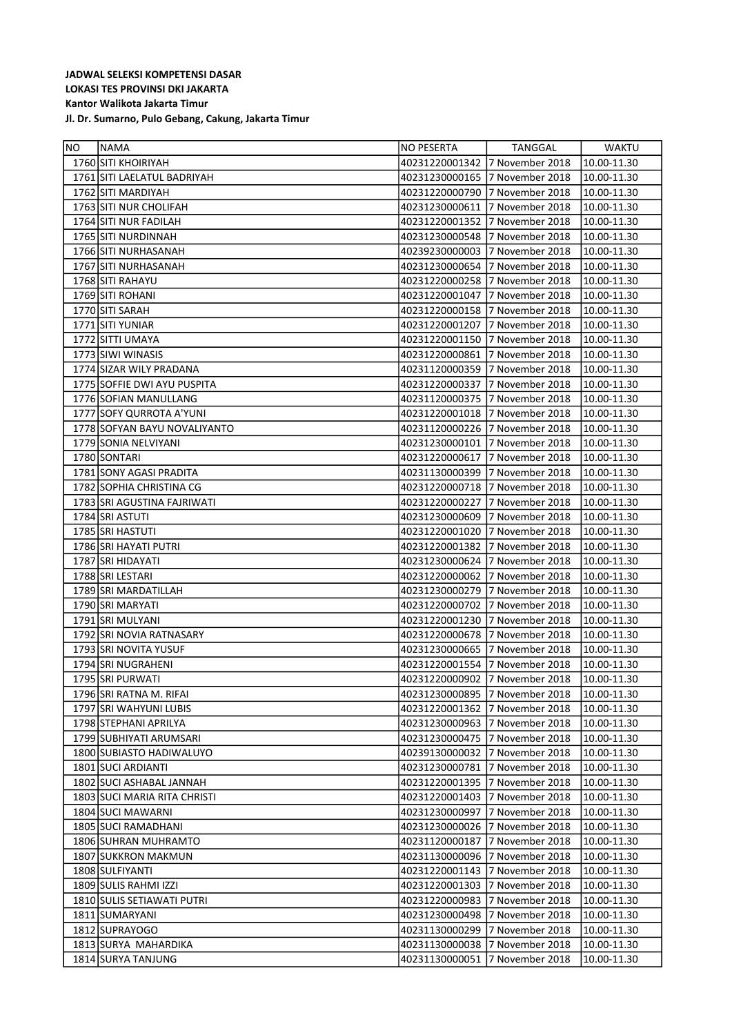| <b>NO</b> | <b>NAMA</b>                  | NO PESERTA     | TANGGAL                        | <b>WAKTU</b> |
|-----------|------------------------------|----------------|--------------------------------|--------------|
|           | 1760 SITI KHOIRIYAH          | 40231220001342 | 17 November 2018               | 10.00-11.30  |
|           | 1761 SITI LAELATUL BADRIYAH  | 40231230000165 | 7 November 2018                | 10.00-11.30  |
|           | 1762 SITI MARDIYAH           | 40231220000790 | 7 November 2018                | 10.00-11.30  |
|           | 1763 SITI NUR CHOLIFAH       | 40231230000611 | 7 November 2018                | 10.00-11.30  |
|           | 1764 SITI NUR FADILAH        | 40231220001352 | 7 November 2018                | 10.00-11.30  |
|           | 1765 SITI NURDINNAH          | 40231230000548 | 7 November 2018                | 10.00-11.30  |
|           | 1766 SITI NURHASANAH         | 40239230000003 | 7 November 2018                | 10.00-11.30  |
|           | 1767 SITI NURHASANAH         | 40231230000654 | 7 November 2018                | 10.00-11.30  |
|           | 1768 SITI RAHAYU             | 40231220000258 | 7 November 2018                | 10.00-11.30  |
|           | 1769 SITI ROHANI             | 40231220001047 | 7 November 2018                | 10.00-11.30  |
|           | 1770 SITI SARAH              | 40231220000158 | 7 November 2018                | 10.00-11.30  |
|           | 1771 SITI YUNIAR             | 40231220001207 | 7 November 2018                | 10.00-11.30  |
|           | 1772 SITTI UMAYA             | 40231220001150 | 7 November 2018                | 10.00-11.30  |
|           | 1773 SIWI WINASIS            | 40231220000861 | 7 November 2018                | 10.00-11.30  |
|           | 1774 SIZAR WILY PRADANA      | 40231120000359 | 7 November 2018                | 10.00-11.30  |
|           | 1775 SOFFIE DWI AYU PUSPITA  | 40231220000337 | 7 November 2018                | 10.00-11.30  |
|           | 1776 SOFIAN MANULLANG        | 40231120000375 | 7 November 2018                | 10.00-11.30  |
|           | 1777 SOFY QURROTA A'YUNI     | 40231220001018 | 7 November 2018                | 10.00-11.30  |
|           | 1778 SOFYAN BAYU NOVALIYANTO | 40231120000226 | 7 November 2018                | 10.00-11.30  |
|           | 1779 SONIA NELVIYANI         | 40231230000101 | 7 November 2018                | 10.00-11.30  |
|           | 1780 SONTARI                 | 40231220000617 | 7 November 2018                | 10.00-11.30  |
|           | 1781 SONY AGASI PRADITA      | 40231130000399 | 7 November 2018                | 10.00-11.30  |
|           | 1782 SOPHIA CHRISTINA CG     | 40231220000718 | 7 November 2018                | 10.00-11.30  |
|           | 1783 SRI AGUSTINA FAJRIWATI  | 40231220000227 | 7 November 2018                | 10.00-11.30  |
|           | 1784 SRI ASTUTI              | 40231230000609 | 7 November 2018                | 10.00-11.30  |
|           | 1785 SRI HASTUTI             | 40231220001020 | 7 November 2018                | 10.00-11.30  |
|           | 1786 SRI HAYATI PUTRI        | 40231220001382 | 7 November 2018                | 10.00-11.30  |
|           | 1787 SRI HIDAYATI            | 40231230000624 | 7 November 2018                | 10.00-11.30  |
|           | 1788 SRI LESTARI             | 40231220000062 | 7 November 2018                | 10.00-11.30  |
|           | 1789 SRI MARDATILLAH         | 40231230000279 | 7 November 2018                | 10.00-11.30  |
|           | 1790 SRI MARYATI             | 40231220000702 | 7 November 2018                | 10.00-11.30  |
|           | 1791 SRI MULYANI             | 40231220001230 | 7 November 2018                | 10.00-11.30  |
|           | 1792 SRI NOVIA RATNASARY     | 40231220000678 | 7 November 2018                | 10.00-11.30  |
|           | 1793 SRI NOVITA YUSUF        | 40231230000665 | 7 November 2018                | 10.00-11.30  |
|           | 1794 SRI NUGRAHENI           | 40231220001554 | 7 November 2018                | 10.00-11.30  |
|           | 1795 SRI PURWATI             | 40231220000902 | 7 November 2018                | 10.00-11.30  |
|           | 1796 SRI RATNA M. RIFAI      |                | 40231230000895 7 November 2018 | 10.00-11.30  |
|           | 1797 SRI WAHYUNI LUBIS       | 40231220001362 | 7 November 2018                | 10.00-11.30  |
|           | 1798 STEPHANI APRILYA        | 40231230000963 | 7 November 2018                | 10.00-11.30  |
|           | 1799 SUBHIYATI ARUMSARI      | 40231230000475 | 7 November 2018                | 10.00-11.30  |
|           | 1800 SUBIASTO HADIWALUYO     | 40239130000032 | 7 November 2018                | 10.00-11.30  |
|           | 1801 SUCI ARDIANTI           | 40231230000781 | 7 November 2018                | 10.00-11.30  |
|           | 1802 SUCI ASHABAL JANNAH     | 40231220001395 | 7 November 2018                | 10.00-11.30  |
|           | 1803 SUCI MARIA RITA CHRISTI | 40231220001403 | 7 November 2018                | 10.00-11.30  |
|           | 1804 SUCI MAWARNI            | 40231230000997 | 7 November 2018                | 10.00-11.30  |
|           | 1805 SUCI RAMADHANI          | 40231230000026 | 7 November 2018                | 10.00-11.30  |
|           | 1806 SUHRAN MUHRAMTO         | 40231120000187 | 7 November 2018                | 10.00-11.30  |
|           | 1807 SUKKRON MAKMUN          | 40231130000096 | 7 November 2018                | 10.00-11.30  |
|           | 1808 SULFIYANTI              | 40231220001143 | 7 November 2018                | 10.00-11.30  |
|           | 1809 SULIS RAHMI IZZI        | 40231220001303 | 7 November 2018                | 10.00-11.30  |
|           | 1810 SULIS SETIAWATI PUTRI   | 40231220000983 | 7 November 2018                | 10.00-11.30  |
|           | 1811 SUMARYANI               | 40231230000498 | 7 November 2018                | 10.00-11.30  |
|           | 1812 SUPRAYOGO               | 40231130000299 | 7 November 2018                | 10.00-11.30  |
|           | 1813 SURYA MAHARDIKA         | 40231130000038 | 7 November 2018                | 10.00-11.30  |
|           | 1814 SURYA TANJUNG           | 40231130000051 | 7 November 2018                | 10.00-11.30  |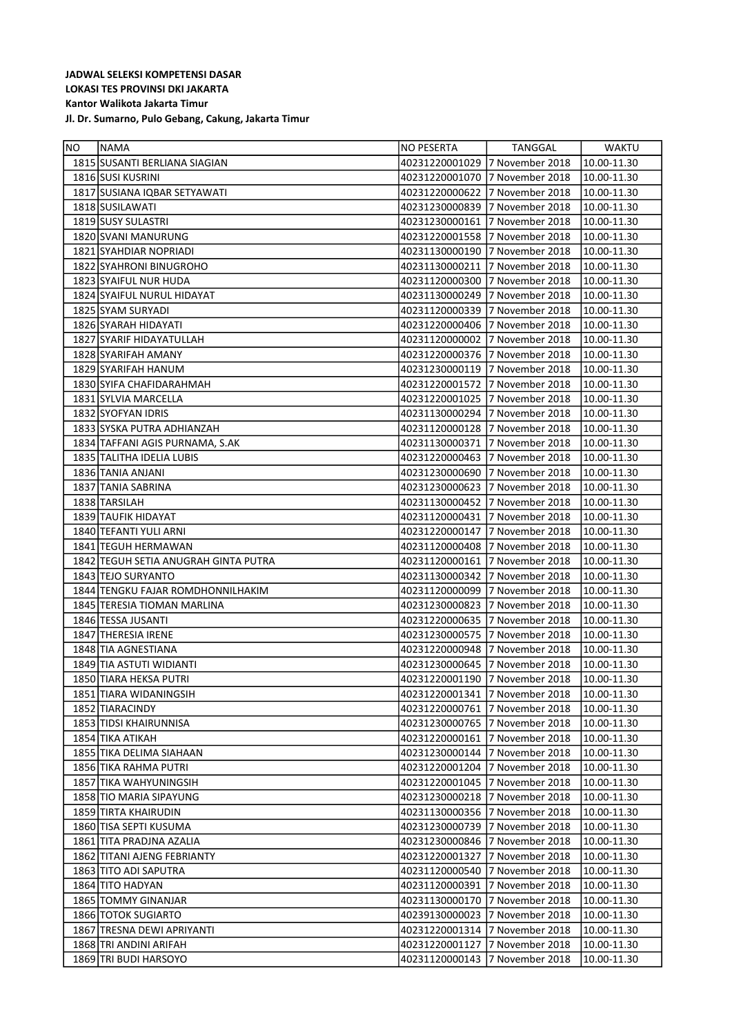| <b>NO</b> | <b>NAMA</b>                          | NO PESERTA     | <b>TANGGAL</b>  | <b>WAKTU</b> |
|-----------|--------------------------------------|----------------|-----------------|--------------|
|           | 1815 SUSANTI BERLIANA SIAGIAN        | 40231220001029 | 7 November 2018 | 10.00-11.30  |
|           | 1816 SUSI KUSRINI                    | 40231220001070 | 7 November 2018 | 10.00-11.30  |
|           | 1817 SUSIANA IQBAR SETYAWATI         | 40231220000622 | 7 November 2018 | 10.00-11.30  |
|           | 1818 SUSILAWATI                      | 40231230000839 | 7 November 2018 | 10.00-11.30  |
|           | 1819 SUSY SULASTRI                   | 40231230000161 | 7 November 2018 | 10.00-11.30  |
|           | 1820 SVANI MANURUNG                  | 40231220001558 | 7 November 2018 | 10.00-11.30  |
|           | 1821 SYAHDIAR NOPRIADI               | 40231130000190 | 7 November 2018 | 10.00-11.30  |
|           | 1822 SYAHRONI BINUGROHO              | 40231130000211 | 7 November 2018 | 10.00-11.30  |
|           | 1823 SYAIFUL NUR HUDA                | 40231120000300 | 7 November 2018 | 10.00-11.30  |
|           | 1824 SYAIFUL NURUL HIDAYAT           | 40231130000249 | 7 November 2018 | 10.00-11.30  |
|           | 1825 SYAM SURYADI                    | 40231120000339 | 7 November 2018 | 10.00-11.30  |
|           | 1826 SYARAH HIDAYATI                 | 40231220000406 | 7 November 2018 | 10.00-11.30  |
|           | 1827 SYARIF HIDAYATULLAH             | 40231120000002 | 7 November 2018 | 10.00-11.30  |
|           | 1828 SYARIFAH AMANY                  | 40231220000376 | 7 November 2018 | 10.00-11.30  |
|           | 1829 SYARIFAH HANUM                  | 40231230000119 | 7 November 2018 | 10.00-11.30  |
|           | 1830 SYIFA CHAFIDARAHMAH             | 40231220001572 | 7 November 2018 | 10.00-11.30  |
|           | 1831 SYLVIA MARCELLA                 | 40231220001025 | 7 November 2018 | 10.00-11.30  |
|           | 1832 SYOFYAN IDRIS                   | 40231130000294 | 7 November 2018 | 10.00-11.30  |
|           | 1833 SYSKA PUTRA ADHIANZAH           | 40231120000128 | 7 November 2018 | 10.00-11.30  |
|           | 1834 TAFFANI AGIS PURNAMA, S.AK      | 40231130000371 | 7 November 2018 | 10.00-11.30  |
|           | 1835 TALITHA IDELIA LUBIS            | 40231220000463 | 7 November 2018 | 10.00-11.30  |
|           | 1836 TANIA ANJANI                    | 40231230000690 | 7 November 2018 | 10.00-11.30  |
|           | 1837 TANIA SABRINA                   | 40231230000623 | 7 November 2018 | 10.00-11.30  |
|           | 1838 TARSILAH                        | 40231130000452 | 7 November 2018 | 10.00-11.30  |
|           | 1839 TAUFIK HIDAYAT                  | 40231120000431 | 7 November 2018 | 10.00-11.30  |
|           | 1840 TEFANTI YULI ARNI               | 40231220000147 | 7 November 2018 | 10.00-11.30  |
|           | 1841 TEGUH HERMAWAN                  | 40231120000408 | 7 November 2018 | 10.00-11.30  |
|           | 1842 TEGUH SETIA ANUGRAH GINTA PUTRA | 40231120000161 | 7 November 2018 | 10.00-11.30  |
|           | 1843 TEJO SURYANTO                   | 40231130000342 | 7 November 2018 | 10.00-11.30  |
|           | 1844 TENGKU FAJAR ROMDHONNILHAKIM    | 40231120000099 | 7 November 2018 | 10.00-11.30  |
|           | 1845 TERESIA TIOMAN MARLINA          | 40231230000823 | 7 November 2018 | 10.00-11.30  |
|           | 1846 TESSA JUSANTI                   | 40231220000635 | 7 November 2018 | 10.00-11.30  |
|           | 1847 THERESIA IRENE                  | 40231230000575 | 7 November 2018 | 10.00-11.30  |
|           | 1848 TIA AGNESTIANA                  | 40231220000948 | 7 November 2018 | 10.00-11.30  |
|           | 1849 TIA ASTUTI WIDIANTI             | 40231230000645 | 7 November 2018 | 10.00-11.30  |
|           | 1850 TIARA HEKSA PUTRI               | 40231220001190 | 7 November 2018 | 10.00-11.30  |
|           | 1851 TIARA WIDANINGSIH               | 40231220001341 | 7 November 2018 | 10.00-11.30  |
|           | 1852 TIARACINDY                      | 40231220000761 | 7 November 2018 | 10.00-11.30  |
|           | 1853 TIDSI KHAIRUNNISA               | 40231230000765 | 7 November 2018 | 10.00-11.30  |
|           | 1854 TIKA ATIKAH                     | 40231220000161 | 7 November 2018 | 10.00-11.30  |
|           | 1855 TIKA DELIMA SIAHAAN             | 40231230000144 | 7 November 2018 | 10.00-11.30  |
|           | 1856 TIKA RAHMA PUTRI                | 40231220001204 | 7 November 2018 | 10.00-11.30  |
|           | 1857 TIKA WAHYUNINGSIH               | 40231220001045 | 7 November 2018 | 10.00-11.30  |
|           | 1858 TIO MARIA SIPAYUNG              | 40231230000218 | 7 November 2018 | 10.00-11.30  |
|           | 1859 TIRTA KHAIRUDIN                 | 40231130000356 | 7 November 2018 | 10.00-11.30  |
|           | 1860 TISA SEPTI KUSUMA               | 40231230000739 | 7 November 2018 | 10.00-11.30  |
|           | 1861 TITA PRADJNA AZALIA             | 40231230000846 | 7 November 2018 | 10.00-11.30  |
|           | 1862 TITANI AJENG FEBRIANTY          | 40231220001327 | 7 November 2018 | 10.00-11.30  |
|           | 1863 TITO ADI SAPUTRA                | 40231120000540 | 7 November 2018 | 10.00-11.30  |
|           | 1864 TITO HADYAN                     | 40231120000391 | 7 November 2018 | 10.00-11.30  |
|           | 1865 TOMMY GINANJAR                  | 40231130000170 | 7 November 2018 | 10.00-11.30  |
|           | 1866 TOTOK SUGIARTO                  | 40239130000023 | 7 November 2018 | 10.00-11.30  |
|           | 1867 TRESNA DEWI APRIYANTI           | 40231220001314 | 7 November 2018 | 10.00-11.30  |
|           | 1868 TRI ANDINI ARIFAH               | 40231220001127 | 7 November 2018 | 10.00-11.30  |
|           | 1869 TRI BUDI HARSOYO                | 40231120000143 | 7 November 2018 | 10.00-11.30  |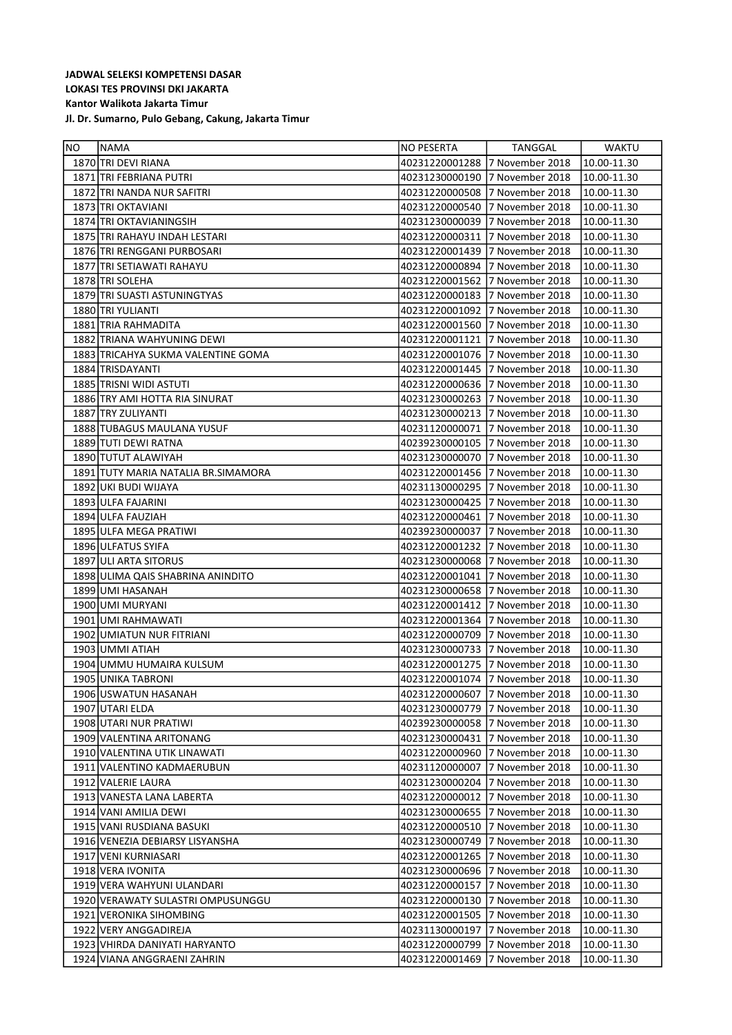| <b>NO</b> | <b>NAMA</b>                          | NO PESERTA                     | TANGGAL                        | <b>WAKTU</b> |
|-----------|--------------------------------------|--------------------------------|--------------------------------|--------------|
|           | 1870 TRI DEVI RIANA                  | 40231220001288                 | 7 November 2018                | 10.00-11.30  |
|           | 1871 TRI FEBRIANA PUTRI              | 40231230000190                 | 7 November 2018                | 10.00-11.30  |
|           | 1872 TRI NANDA NUR SAFITRI           | 40231220000508                 | 7 November 2018                | 10.00-11.30  |
|           | 1873 TRI OKTAVIANI                   | 40231220000540                 | 7 November 2018                | 10.00-11.30  |
|           | 1874 TRI OKTAVIANINGSIH              | 40231230000039                 | 7 November 2018                | 10.00-11.30  |
|           | 1875 TRI RAHAYU INDAH LESTARI        | 40231220000311                 | 7 November 2018                | 10.00-11.30  |
|           | 1876 TRI RENGGANI PURBOSARI          | 40231220001439                 | 7 November 2018                | 10.00-11.30  |
|           | 1877 TRI SETIAWATI RAHAYU            | 40231220000894                 | 7 November 2018                | 10.00-11.30  |
|           | 1878 TRI SOLEHA                      | 40231220001562                 | 7 November 2018                | 10.00-11.30  |
|           | 1879 TRI SUASTI ASTUNINGTYAS         | 40231220000183                 | 7 November 2018                | 10.00-11.30  |
|           | 1880 TRI YULIANTI                    | 40231220001092                 | 7 November 2018                | 10.00-11.30  |
|           | 1881 TRIA RAHMADITA                  | 40231220001560                 | 7 November 2018                | 10.00-11.30  |
|           | 1882 TRIANA WAHYUNING DEWI           | 40231220001121                 | 7 November 2018                | 10.00-11.30  |
|           | 1883 TRICAHYA SUKMA VALENTINE GOMA   | 40231220001076                 | 7 November 2018                | 10.00-11.30  |
|           | 1884 TRISDAYANTI                     | 40231220001445 7 November 2018 |                                | 10.00-11.30  |
|           | 1885 TRISNI WIDI ASTUTI              | 40231220000636                 | 7 November 2018                | 10.00-11.30  |
|           | 1886 TRY AMI HOTTA RIA SINURAT       | 40231230000263 7 November 2018 |                                | 10.00-11.30  |
|           | 1887 TRY ZULIYANTI                   | 40231230000213 7 November 2018 |                                | 10.00-11.30  |
|           | 1888 TUBAGUS MAULANA YUSUF           | 40231120000071                 | 7 November 2018                | 10.00-11.30  |
|           | 1889 TUTI DEWI RATNA                 | 40239230000105                 | 7 November 2018                | 10.00-11.30  |
|           | 1890 TUTUT ALAWIYAH                  | 40231230000070                 | 7 November 2018                | 10.00-11.30  |
|           | 1891 TUTY MARIA NATALIA BR. SIMAMORA | 40231220001456                 | 7 November 2018                | 10.00-11.30  |
|           | 1892 UKI BUDI WIJAYA                 | 40231130000295 7 November 2018 |                                | 10.00-11.30  |
|           | 1893 ULFA FAJARINI                   | 40231230000425 7 November 2018 |                                | 10.00-11.30  |
|           | 1894 ULFA FAUZIAH                    | 40231220000461                 | 7 November 2018                | 10.00-11.30  |
|           | 1895 ULFA MEGA PRATIWI               | 40239230000037                 | 7 November 2018                | 10.00-11.30  |
|           | 1896 ULFATUS SYIFA                   | 40231220001232                 | 7 November 2018                | 10.00-11.30  |
|           | 1897 ULI ARTA SITORUS                | 40231230000068                 | 7 November 2018                | 10.00-11.30  |
|           | 1898 ULIMA QAIS SHABRINA ANINDITO    | 40231220001041                 | 7 November 2018                | 10.00-11.30  |
|           | 1899 UMI HASANAH                     | 40231230000658                 | 7 November 2018                | 10.00-11.30  |
|           | 1900 UMI MURYANI                     | 40231220001412                 | 7 November 2018                | 10.00-11.30  |
|           | 1901 UMI RAHMAWATI                   | 40231220001364                 | 7 November 2018                | 10.00-11.30  |
|           | 1902 UMIATUN NUR FITRIANI            | 40231220000709                 | 7 November 2018                | 10.00-11.30  |
|           | 1903 UMMI ATIAH                      | 40231230000733 7 November 2018 |                                | 10.00-11.30  |
|           | 1904 UMMU HUMAIRA KULSUM             | 40231220001275                 | 7 November 2018                | 10.00-11.30  |
|           | 1905 UNIKA TABRONI                   |                                | 40231220001074 7 November 2018 | 10.00-11.30  |
|           | 1906 USWATUN HASANAH                 | 40231220000607                 | 7 November 2018                | 10.00-11.30  |
|           | 1907 UTARI ELDA                      | 40231230000779                 | 7 November 2018                | 10.00-11.30  |
|           | 1908 UTARI NUR PRATIWI               | 40239230000058                 | 7 November 2018                | 10.00-11.30  |
|           | 1909 VALENTINA ARITONANG             | 40231230000431                 | 7 November 2018                | 10.00-11.30  |
|           | 1910 VALENTINA UTIK LINAWATI         | 40231220000960                 | 7 November 2018                | 10.00-11.30  |
|           | 1911   VALENTINO KADMAERUBUN         | 40231120000007                 | 7 November 2018                | 10.00-11.30  |
|           | 1912 VALERIE LAURA                   | 40231230000204                 | 7 November 2018                | 10.00-11.30  |
|           | 1913 VANESTA LANA LABERTA            | 40231220000012                 | 7 November 2018                | 10.00-11.30  |
|           | 1914 VANI AMILIA DEWI                | 40231230000655                 | 7 November 2018                | 10.00-11.30  |
|           | 1915 VANI RUSDIANA BASUKI            | 40231220000510                 | 7 November 2018                | 10.00-11.30  |
|           | 1916 VENEZIA DEBIARSY LISYANSHA      | 40231230000749                 | 7 November 2018                | 10.00-11.30  |
|           | 1917 VENI KURNIASARI                 | 40231220001265                 | 7 November 2018                | 10.00-11.30  |
|           | 1918 VERA IVONITA                    | 40231230000696                 | 7 November 2018                | 10.00-11.30  |
|           | 1919 VERA WAHYUNI ULANDARI           | 40231220000157                 | 7 November 2018                | 10.00-11.30  |
|           | 1920 VERAWATY SULASTRI OMPUSUNGGU    | 40231220000130                 | 7 November 2018                | 10.00-11.30  |
|           | 1921   VERONIKA SIHOMBING            | 40231220001505                 | 7 November 2018                | 10.00-11.30  |
|           | 1922 VERY ANGGADIREJA                | 40231130000197                 | 7 November 2018                | 10.00-11.30  |
|           | 1923 VHIRDA DANIYATI HARYANTO        | 40231220000799                 | 7 November 2018                | 10.00-11.30  |
|           | 1924 VIANA ANGGRAENI ZAHRIN          | 40231220001469                 | 7 November 2018                | 10.00-11.30  |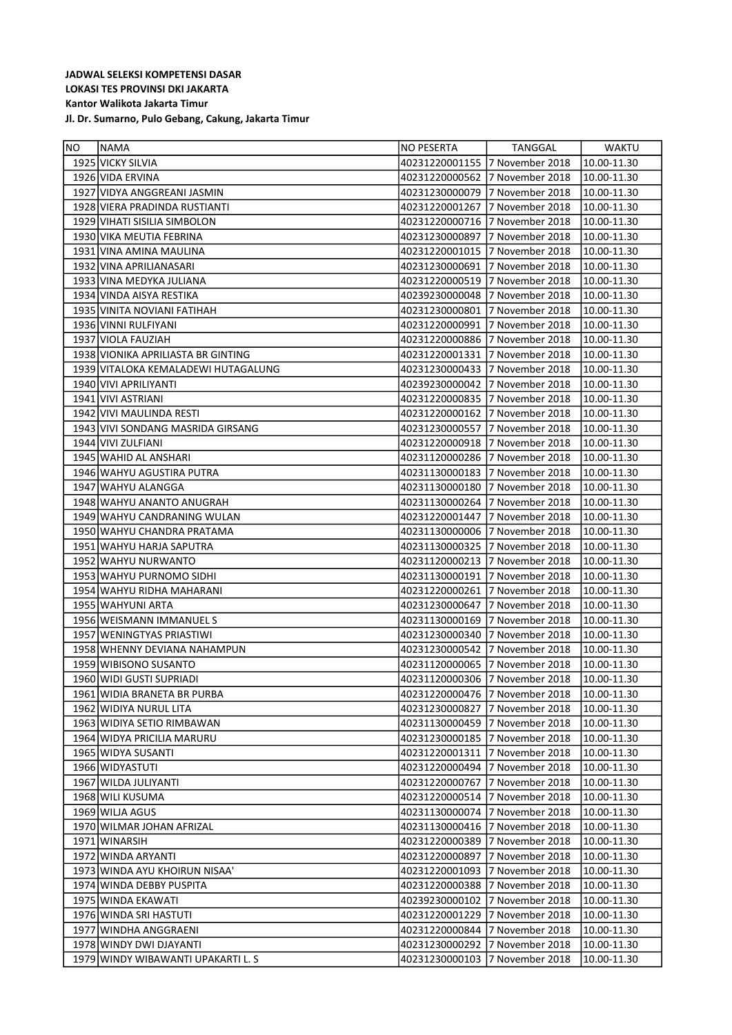| <b>NO</b> | <b>INAMA</b>                        | NO PESERTA                     | TANGGAL                        | WAKTU           |
|-----------|-------------------------------------|--------------------------------|--------------------------------|-----------------|
|           | 1925 VICKY SILVIA                   | 40231220001155 7 November 2018 |                                | 10.00-11.30     |
|           | 1926 VIDA ERVINA                    | 40231220000562                 | 7 November 2018                | 10.00-11.30     |
|           | 1927 VIDYA ANGGREANI JASMIN         | 40231230000079                 | 7 November 2018                | 10.00-11.30     |
|           | 1928 VIERA PRADINDA RUSTIANTI       | 40231220001267                 | 7 November 2018                | 10.00-11.30     |
|           | 1929 VIHATI SISILIA SIMBOLON        | 40231220000716                 | 7 November 2018                | 10.00-11.30     |
|           | 1930 VIKA MEUTIA FEBRINA            | 40231230000897                 | 7 November 2018                | 10.00-11.30     |
|           | 1931 VINA AMINA MAULINA             | 40231220001015                 | 7 November 2018                | 10.00-11.30     |
|           | 1932 VINA APRILIANASARI             | 40231230000691                 | 7 November 2018                | 10.00-11.30     |
|           | 1933 VINA MEDYKA JULIANA            | 40231220000519                 | 7 November 2018                | 10.00-11.30     |
|           | 1934 VINDA AISYA RESTIKA            | 40239230000048                 | 7 November 2018                | 10.00-11.30     |
|           | 1935 VINITA NOVIANI FATIHAH         | 40231230000801                 | 7 November 2018                | 10.00-11.30     |
|           | 1936 VINNI RULFIYANI                | 40231220000991                 | 7 November 2018                | 10.00-11.30     |
|           | 1937 VIOLA FAUZIAH                  | 40231220000886                 | 7 November 2018                | 10.00-11.30     |
|           | 1938 VIONIKA APRILIASTA BR GINTING  | 40231220001331                 | 7 November 2018                | 10.00-11.30     |
|           | 1939 VITALOKA KEMALADEWI HUTAGALUNG | 40231230000433 7 November 2018 |                                | 10.00-11.30     |
|           | 1940 VIVI APRILIYANTI               | 40239230000042 7 November 2018 |                                | 10.00-11.30     |
|           | 1941 VIVI ASTRIANI                  | 40231220000835 7 November 2018 |                                | 10.00-11.30     |
|           | 1942 VIVI MAULINDA RESTI            | 40231220000162                 | 7 November 2018                | 10.00-11.30     |
|           | 1943 VIVI SONDANG MASRIDA GIRSANG   | 40231230000557                 | 7 November 2018                | 10.00-11.30     |
|           | 1944 VIVI ZULFIANI                  | 40231220000918                 | 7 November 2018                | 10.00-11.30     |
|           | 1945 WAHID AL ANSHARI               | 40231120000286                 | 7 November 2018                | 10.00-11.30     |
|           | 1946 WAHYU AGUSTIRA PUTRA           | 40231130000183 7 November 2018 |                                | 10.00-11.30     |
|           | 1947 WAHYU ALANGGA                  | 40231130000180                 | 7 November 2018                | 10.00-11.30     |
|           | 1948 WAHYU ANANTO ANUGRAH           | 40231130000264                 | 7 November 2018                | 10.00-11.30     |
|           | 1949 WAHYU CANDRANING WULAN         | 40231220001447                 | 7 November 2018                | 10.00-11.30     |
|           | 1950 WAHYU CHANDRA PRATAMA          | 40231130000006                 | 7 November 2018                | 10.00-11.30     |
|           | 1951 WAHYU HARJA SAPUTRA            | 40231130000325 7 November 2018 |                                | 10.00-11.30     |
|           | 1952 WAHYU NURWANTO                 | 40231120000213 7 November 2018 |                                | 10.00-11.30     |
|           | 1953 WAHYU PURNOMO SIDHI            | 40231130000191                 | 7 November 2018                | 10.00-11.30     |
|           | 1954 WAHYU RIDHA MAHARANI           | 40231220000261                 | 7 November 2018                | 10.00-11.30     |
|           | 1955 WAHYUNI ARTA                   | 40231230000647                 | 7 November 2018                | 10.00-11.30     |
|           | 1956 WEISMANN IMMANUELS             | 40231130000169                 | 7 November 2018                | 10.00-11.30     |
|           | 1957 WENINGTYAS PRIASTIWI           | 40231230000340                 | 7 November 2018                | 10.00-11.30     |
|           | 1958 WHENNY DEVIANA NAHAMPUN        | 40231230000542                 | 7 November 2018                | 10.00-11.30     |
|           | 1959 WIBISONO SUSANTO               | 40231120000065 7 November 2018 |                                | 10.00-11.30     |
|           | 1960 WIDI GUSTI SUPRIADI            |                                | 40231120000306 7 November 2018 | 10.00-11.30     |
|           | 1961 WIDIA BRANETA BR PURBA         |                                | 40231220000476 7 November 2018 | $10.00 - 11.30$ |
|           | 1962 WIDIYA NURUL LITA              | 40231230000827                 | 7 November 2018                | 10.00-11.30     |
|           | 1963 WIDIYA SETIO RIMBAWAN          | 40231130000459                 | 7 November 2018                | 10.00-11.30     |
|           | 1964 WIDYA PRICILIA MARURU          | 40231230000185                 | 7 November 2018                | 10.00-11.30     |
|           | 1965 WIDYA SUSANTI                  | 40231220001311                 | 7 November 2018                | 10.00-11.30     |
|           | 1966 WIDYASTUTI                     | 40231220000494                 | 7 November 2018                | 10.00-11.30     |
|           | 1967 WILDA JULIYANTI                | 40231220000767                 | 7 November 2018                | 10.00-11.30     |
|           | 1968 WILI KUSUMA                    | 40231220000514                 | 7 November 2018                | 10.00-11.30     |
|           | 1969 WILJA AGUS                     | 40231130000074                 | 7 November 2018                | 10.00-11.30     |
|           | 1970 WILMAR JOHAN AFRIZAL           | 40231130000416                 | 7 November 2018                | 10.00-11.30     |
|           | 1971 WINARSIH                       | 40231220000389                 | 7 November 2018                | 10.00-11.30     |
|           | 1972 WINDA ARYANTI                  | 40231220000897                 | 7 November 2018                | 10.00-11.30     |
|           | 1973 WINDA AYU KHOIRUN NISAA'       | 40231220001093                 | 7 November 2018                | 10.00-11.30     |
|           | 1974 WINDA DEBBY PUSPITA            | 40231220000388                 | 7 November 2018                | 10.00-11.30     |
|           | 1975   WINDA EKAWATI                | 40239230000102                 | 7 November 2018                | 10.00-11.30     |
|           | 1976 WINDA SRI HASTUTI              | 40231220001229                 | 7 November 2018                | 10.00-11.30     |
|           | 1977 WINDHA ANGGRAENI               | 40231220000844                 | 7 November 2018                | 10.00-11.30     |
|           | 1978 WINDY DWI DJAYANTI             | 40231230000292                 | 7 November 2018                | 10.00-11.30     |
|           | 1979 WINDY WIBAWANTI UPAKARTI L. S  | 40231230000103                 | 7 November 2018                | 10.00-11.30     |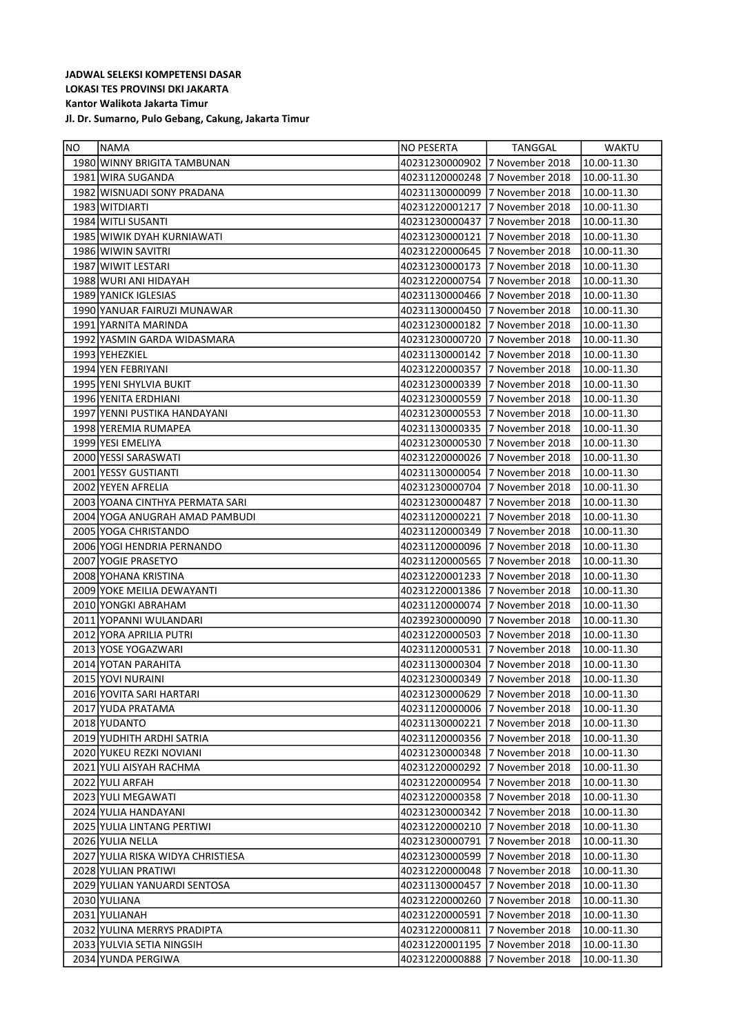| NO | NAMA                                | NO PESERTA     | TANGGAL                         | WAKTU       |
|----|-------------------------------------|----------------|---------------------------------|-------------|
|    | 1980 WINNY BRIGITA TAMBUNAN         | 40231230000902 | 7 November 2018                 | 10.00-11.30 |
|    | 1981 WIRA SUGANDA                   | 40231120000248 | 7 November 2018                 | 10.00-11.30 |
|    | 1982 WISNUADI SONY PRADANA          | 40231130000099 | 7 November 2018                 | 10.00-11.30 |
|    | 1983 WITDIARTI                      | 40231220001217 | 7 November 2018                 | 10.00-11.30 |
|    | 1984 WITLI SUSANTI                  | 40231230000437 | 7 November 2018                 | 10.00-11.30 |
|    | 1985 WIWIK DYAH KURNIAWATI          | 40231230000121 | 7 November 2018                 | 10.00-11.30 |
|    | 1986 WIWIN SAVITRI                  | 40231220000645 | 7 November 2018                 | 10.00-11.30 |
|    | 1987 WIWIT LESTARI                  | 40231230000173 | 7 November 2018                 | 10.00-11.30 |
|    | 1988 WURI ANI HIDAYAH               | 40231220000754 | 7 November 2018                 | 10.00-11.30 |
|    | 1989 YANICK IGLESIAS                | 40231130000466 | 7 November 2018                 | 10.00-11.30 |
|    | 1990 YANUAR FAIRUZI MUNAWAR         | 40231130000450 | 17 November 2018                | 10.00-11.30 |
|    | 1991   YARNITA MARINDA              | 40231230000182 | 7 November 2018                 | 10.00-11.30 |
|    | 1992   YASMIN GARDA WIDASMARA       | 40231230000720 | 17 November 2018                | 10.00-11.30 |
|    | 1993 YEHEZKIEL                      | 40231130000142 | 7 November 2018                 | 10.00-11.30 |
|    | 1994 YEN FEBRIYANI                  | 40231220000357 | 17 November 2018                | 10.00-11.30 |
|    | 1995 YENI SHYLVIA BUKIT             | 40231230000339 | 17 November 2018                | 10.00-11.30 |
|    | 1996 YENITA ERDHIANI                | 40231230000559 | 17 November 2018                | 10.00-11.30 |
|    | 1997   YENNI PUSTIKA HANDAYANI      | 40231230000553 | 7 November 2018                 | 10.00-11.30 |
|    | 1998 YEREMIA RUMAPEA                | 40231130000335 | 7 November 2018                 | 10.00-11.30 |
|    | 1999 YESI EMELIYA                   |                |                                 |             |
|    |                                     | 40231230000530 | 17 November 2018                | 10.00-11.30 |
|    | 2000 YESSI SARASWATI                | 40231220000026 | 7 November 2018                 | 10.00-11.30 |
|    | 2001 YESSY GUSTIANTI                |                | 40231130000054 17 November 2018 | 10.00-11.30 |
|    | 2002 YEYEN AFRELIA                  |                |                                 | 10.00-11.30 |
|    | 2003   YOANA CINTHYA PERMATA SARI   | 40231230000487 | 7 November 2018                 | 10.00-11.30 |
|    | 2004 YOGA ANUGRAH AMAD PAMBUDI      | 40231120000221 | 17 November 2018                | 10.00-11.30 |
|    | 2005 YOGA CHRISTANDO                | 40231120000349 | 7 November 2018                 | 10.00-11.30 |
|    | 2006 YOGI HENDRIA PERNANDO          | 40231120000096 | 7 November 2018                 | 10.00-11.30 |
|    | 2007 YOGIE PRASETYO                 | 40231120000565 | 7 November 2018                 | 10.00-11.30 |
|    | 2008 YOHANA KRISTINA                | 40231220001233 | 7 November 2018                 | 10.00-11.30 |
|    | 2009 YOKE MEILIA DEWAYANTI          | 40231220001386 | 7 November 2018                 | 10.00-11.30 |
|    | 2010 YONGKI ABRAHAM                 |                |                                 | 10.00-11.30 |
|    | 2011   YOPANNI WULANDARI            | 40239230000090 | 7 November 2018                 | 10.00-11.30 |
|    | 2012 YORA APRILIA PUTRI             | 40231220000503 | 7 November 2018                 | 10.00-11.30 |
|    | 2013 YOSE YOGAZWARI                 | 40231120000531 | 7 November 2018                 | 10.00-11.30 |
|    | 2014 YOTAN PARAHITA                 | 40231130000304 | 7 November 2018                 | 10.00-11.30 |
|    | 2015 YOVI NURAINI                   | 40231230000349 | 17 November 2018                | 10.00-11.30 |
|    | 2016 YOVITA SARI HARTARI            | 40231230000629 | 7 November 2018                 | 10.00-11.30 |
|    | 2017 YUDA PRATAMA                   | 40231120000006 | 7 November 2018                 | 10.00-11.30 |
|    | 2018 YUDANTO                        | 40231130000221 | 7 November 2018                 | 10.00-11.30 |
|    | 2019 YUDHITH ARDHI SATRIA           |                |                                 | 10.00-11.30 |
|    | 2020 YUKEU REZKI NOVIANI            |                |                                 | 10.00-11.30 |
|    | 2021 YULI AISYAH RACHMA             |                | 40231220000292 17 November 2018 | 10.00-11.30 |
|    | 2022 YULI ARFAH                     |                |                                 | 10.00-11.30 |
|    | 2023 YULI MEGAWATI                  | 40231220000358 | 7 November 2018                 | 10.00-11.30 |
|    | 2024 YULIA HANDAYANI                |                |                                 | 10.00-11.30 |
|    | 2025 YULIA LINTANG PERTIWI          | 40231220000210 | 7 November 2018                 | 10.00-11.30 |
|    | 2026 YULIA NELLA                    | 40231230000791 | 7 November 2018                 | 10.00-11.30 |
|    | 2027   YULIA RISKA WIDYA CHRISTIESA | 40231230000599 | 7 November 2018                 | 10.00-11.30 |
|    | 2028 YULIAN PRATIWI                 | 40231220000048 | 7 November 2018                 | 10.00-11.30 |
|    | 2029 YULIAN YANUARDI SENTOSA        | 40231130000457 | 7 November 2018                 | 10.00-11.30 |
|    | 2030 YULIANA                        | 40231220000260 | 7 November 2018                 | 10.00-11.30 |
|    | 2031 YULIANAH                       | 40231220000591 | 7 November 2018                 | 10.00-11.30 |
|    | 2032 YULINA MERRYS PRADIPTA         | 40231220000811 | 7 November 2018                 | 10.00-11.30 |
|    | 2033 YULVIA SETIA NINGSIH           | 40231220001195 | 7 November 2018                 | 10.00-11.30 |
|    | 2034 YUNDA PERGIWA                  | 40231220000888 | 7 November 2018                 | 10.00-11.30 |